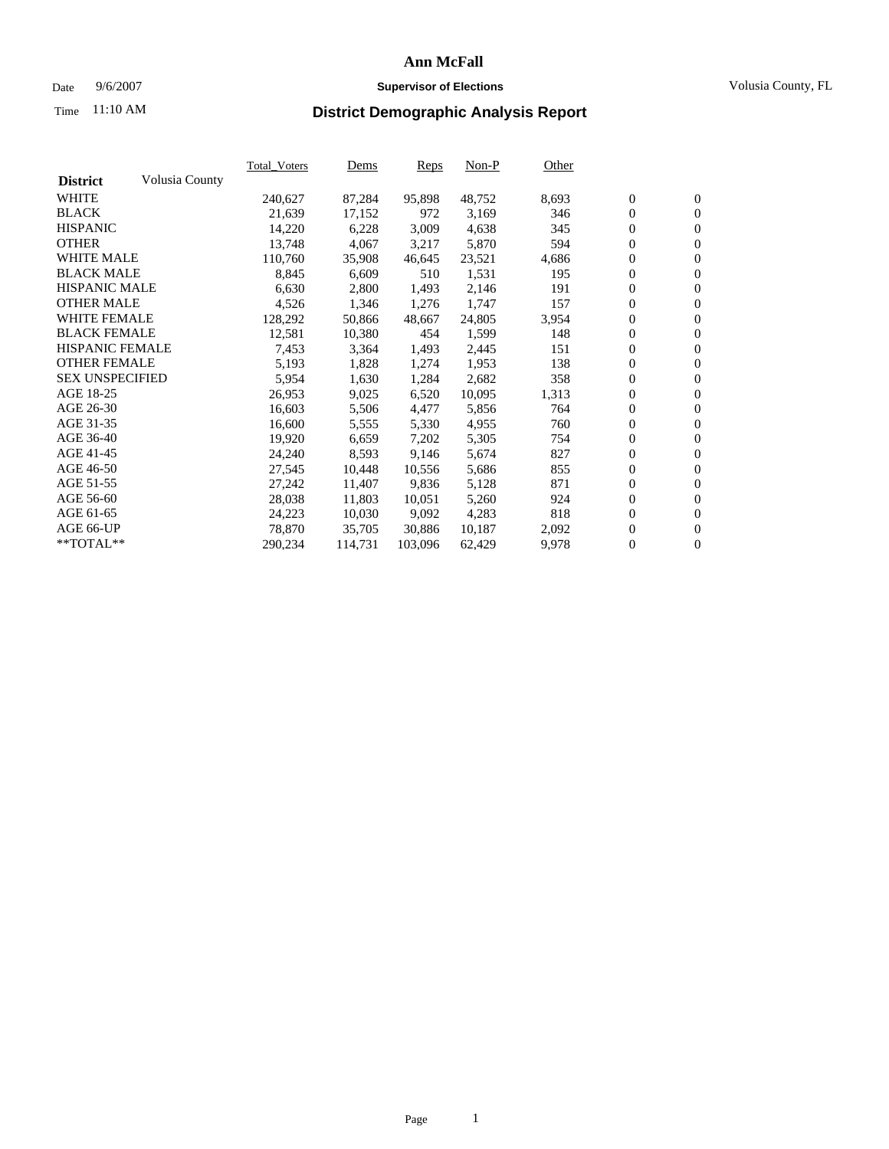### Date  $9/6/2007$  **Supervisor of Elections Supervisor of Elections** Volusia County, FL

# Time **District Demographic Analysis Report** 11:10 AM

|                        |                | <b>Total Voters</b> | Dems    | Reps    | $Non-P$ | Other |                  |                  |  |
|------------------------|----------------|---------------------|---------|---------|---------|-------|------------------|------------------|--|
| <b>District</b>        | Volusia County |                     |         |         |         |       |                  |                  |  |
| <b>WHITE</b>           |                | 240,627             | 87,284  | 95,898  | 48,752  | 8,693 | $\boldsymbol{0}$ | $\boldsymbol{0}$ |  |
| <b>BLACK</b>           |                | 21,639              | 17,152  | 972     | 3,169   | 346   | $\mathbf{0}$     | $\mathbf{0}$     |  |
| <b>HISPANIC</b>        |                | 14,220              | 6,228   | 3,009   | 4,638   | 345   | $\mathbf{0}$     | $\mathbf{0}$     |  |
| <b>OTHER</b>           |                | 13,748              | 4,067   | 3,217   | 5,870   | 594   | $\boldsymbol{0}$ | $\boldsymbol{0}$ |  |
| <b>WHITE MALE</b>      |                | 110,760             | 35,908  | 46,645  | 23,521  | 4,686 | 0                | $\overline{0}$   |  |
| <b>BLACK MALE</b>      |                | 8,845               | 6,609   | 510     | 1,531   | 195   | $\boldsymbol{0}$ | $\boldsymbol{0}$ |  |
| <b>HISPANIC MALE</b>   |                | 6,630               | 2,800   | 1,493   | 2,146   | 191   | 0                | $\overline{0}$   |  |
| <b>OTHER MALE</b>      |                | 4,526               | 1,346   | 1,276   | 1,747   | 157   | $\boldsymbol{0}$ | $\boldsymbol{0}$ |  |
| <b>WHITE FEMALE</b>    |                | 128,292             | 50,866  | 48,667  | 24,805  | 3,954 | 0                | $\mathbf{0}$     |  |
| <b>BLACK FEMALE</b>    |                | 12,581              | 10,380  | 454     | 1,599   | 148   | $\mathbf{0}$     | $\mathbf{0}$     |  |
| <b>HISPANIC FEMALE</b> |                | 7,453               | 3,364   | 1,493   | 2,445   | 151   | $\boldsymbol{0}$ | $\boldsymbol{0}$ |  |
| <b>OTHER FEMALE</b>    |                | 5,193               | 1,828   | 1,274   | 1,953   | 138   | 0                | $\overline{0}$   |  |
| <b>SEX UNSPECIFIED</b> |                | 5,954               | 1,630   | 1,284   | 2,682   | 358   | $\overline{0}$   | $\mathbf{0}$     |  |
| AGE 18-25              |                | 26,953              | 9,025   | 6,520   | 10,095  | 1,313 | 0                | $\mathbf{0}$     |  |
| AGE 26-30              |                | 16,603              | 5,506   | 4,477   | 5,856   | 764   | $\boldsymbol{0}$ | $\boldsymbol{0}$ |  |
| AGE 31-35              |                | 16,600              | 5,555   | 5,330   | 4,955   | 760   | 0                | $\boldsymbol{0}$ |  |
| AGE 36-40              |                | 19,920              | 6,659   | 7,202   | 5,305   | 754   | $\boldsymbol{0}$ | $\overline{0}$   |  |
| AGE 41-45              |                | 24,240              | 8,593   | 9,146   | 5,674   | 827   | 0                | $\boldsymbol{0}$ |  |
| AGE 46-50              |                | 27,545              | 10,448  | 10,556  | 5,686   | 855   | 0                | $\overline{0}$   |  |
| AGE 51-55              |                | 27,242              | 11,407  | 9,836   | 5,128   | 871   | $\boldsymbol{0}$ | $\mathbf{0}$     |  |
| AGE 56-60              |                | 28,038              | 11,803  | 10,051  | 5,260   | 924   | 0                | $\mathbf{0}$     |  |
| AGE 61-65              |                | 24,223              | 10,030  | 9,092   | 4,283   | 818   | $\mathbf{0}$     | $\boldsymbol{0}$ |  |
| AGE 66-UP              |                | 78,870              | 35,705  | 30.886  | 10,187  | 2,092 | 0                | $\boldsymbol{0}$ |  |
| **TOTAL**              |                | 290,234             | 114,731 | 103,096 | 62,429  | 9,978 | 0                | $\mathbf{0}$     |  |
|                        |                |                     |         |         |         |       |                  |                  |  |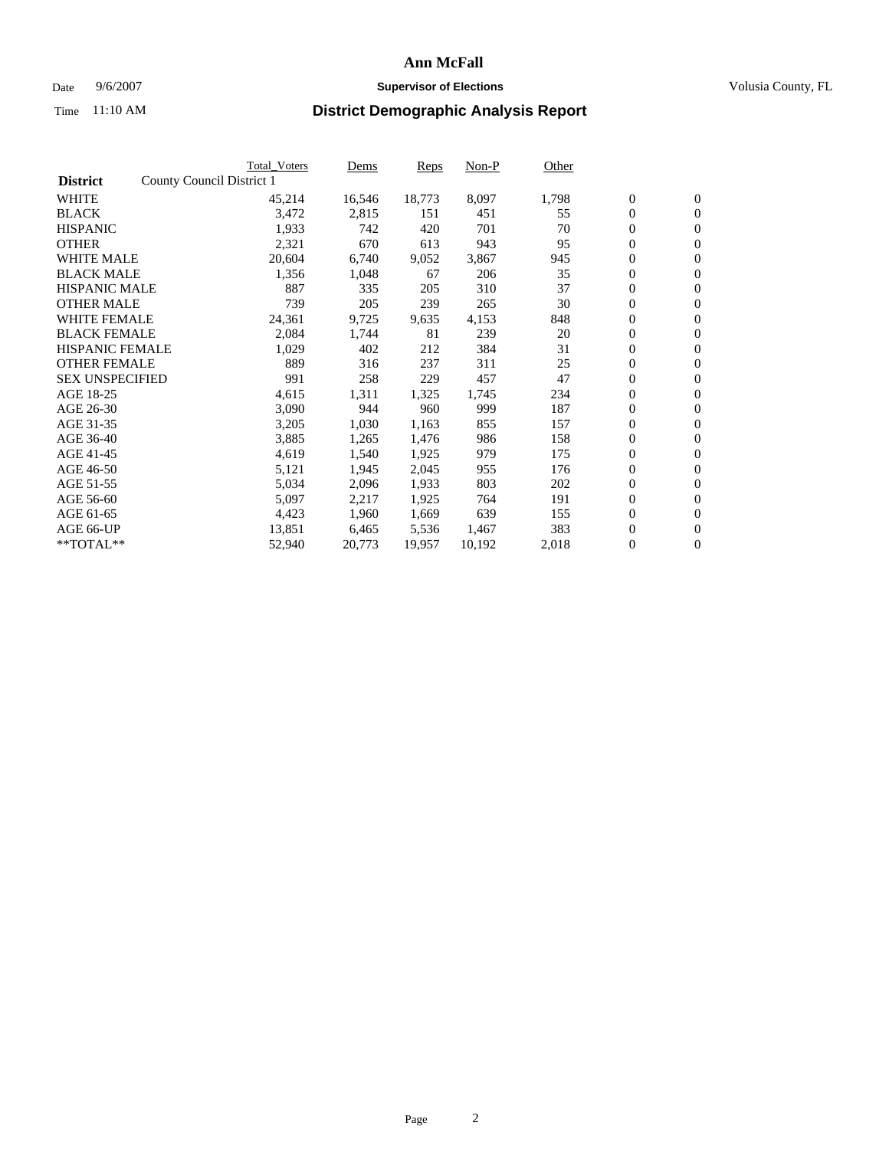#### Date  $9/6/2007$  **Supervisor of Elections Supervisor of Elections** Volusia County, FL

|                        |                           | Total_Voters | Dems   | <b>Reps</b> | Non-P  | Other |                  |                  |  |
|------------------------|---------------------------|--------------|--------|-------------|--------|-------|------------------|------------------|--|
| <b>District</b>        | County Council District 1 |              |        |             |        |       |                  |                  |  |
| <b>WHITE</b>           |                           | 45,214       | 16,546 | 18,773      | 8,097  | 1,798 | $\boldsymbol{0}$ | $\mathbf{0}$     |  |
| <b>BLACK</b>           |                           | 3,472        | 2,815  | 151         | 451    | 55    | $\overline{0}$   | $\mathbf{0}$     |  |
| <b>HISPANIC</b>        |                           | 1,933        | 742    | 420         | 701    | 70    | $\boldsymbol{0}$ | $\mathbf{0}$     |  |
| <b>OTHER</b>           |                           | 2,321        | 670    | 613         | 943    | 95    | $\boldsymbol{0}$ | $\mathbf{0}$     |  |
| <b>WHITE MALE</b>      |                           | 20,604       | 6,740  | 9,052       | 3,867  | 945   | 0                | $\mathbf{0}$     |  |
| <b>BLACK MALE</b>      |                           | 1,356        | 1,048  | 67          | 206    | 35    | $\boldsymbol{0}$ | $\mathbf{0}$     |  |
| <b>HISPANIC MALE</b>   |                           | 887          | 335    | 205         | 310    | 37    | $\overline{0}$   | $\mathbf{0}$     |  |
| <b>OTHER MALE</b>      |                           | 739          | 205    | 239         | 265    | 30    | $\overline{0}$   | $\mathbf{0}$     |  |
| <b>WHITE FEMALE</b>    |                           | 24,361       | 9,725  | 9,635       | 4,153  | 848   | $\mathbf{0}$     | $\mathbf{0}$     |  |
| <b>BLACK FEMALE</b>    |                           | 2,084        | 1,744  | 81          | 239    | 20    | $\boldsymbol{0}$ | $\mathbf{0}$     |  |
| <b>HISPANIC FEMALE</b> |                           | 1,029        | 402    | 212         | 384    | 31    | $\boldsymbol{0}$ | $\mathbf{0}$     |  |
| <b>OTHER FEMALE</b>    |                           | 889          | 316    | 237         | 311    | 25    | 0                | $\mathbf{0}$     |  |
| <b>SEX UNSPECIFIED</b> |                           | 991          | 258    | 229         | 457    | 47    | $\boldsymbol{0}$ | $\mathbf{0}$     |  |
| AGE 18-25              |                           | 4,615        | 1,311  | 1,325       | 1,745  | 234   | $\boldsymbol{0}$ | $\mathbf{0}$     |  |
| AGE 26-30              |                           | 3,090        | 944    | 960         | 999    | 187   | $\overline{0}$   | $\mathbf{0}$     |  |
| AGE 31-35              |                           | 3,205        | 1,030  | 1,163       | 855    | 157   | $\boldsymbol{0}$ | $\mathbf{0}$     |  |
| AGE 36-40              |                           | 3,885        | 1,265  | 1,476       | 986    | 158   | $\boldsymbol{0}$ | $\mathbf{0}$     |  |
| AGE 41-45              |                           | 4,619        | 1,540  | 1,925       | 979    | 175   | $\boldsymbol{0}$ | $\mathbf{0}$     |  |
| AGE 46-50              |                           | 5,121        | 1,945  | 2,045       | 955    | 176   | 0                | $\mathbf{0}$     |  |
| AGE 51-55              |                           | 5,034        | 2,096  | 1,933       | 803    | 202   | $\boldsymbol{0}$ | $\mathbf{0}$     |  |
| AGE 56-60              |                           | 5,097        | 2,217  | 1,925       | 764    | 191   | $\overline{0}$   | $\mathbf{0}$     |  |
| AGE 61-65              |                           | 4,423        | 1,960  | 1,669       | 639    | 155   | $\mathbf{0}$     | $\boldsymbol{0}$ |  |
| AGE 66-UP              |                           | 13,851       | 6,465  | 5,536       | 1,467  | 383   | $\boldsymbol{0}$ | $\mathbf{0}$     |  |
| **TOTAL**              |                           | 52,940       | 20,773 | 19,957      | 10,192 | 2,018 | $\boldsymbol{0}$ | $\overline{0}$   |  |
|                        |                           |              |        |             |        |       |                  |                  |  |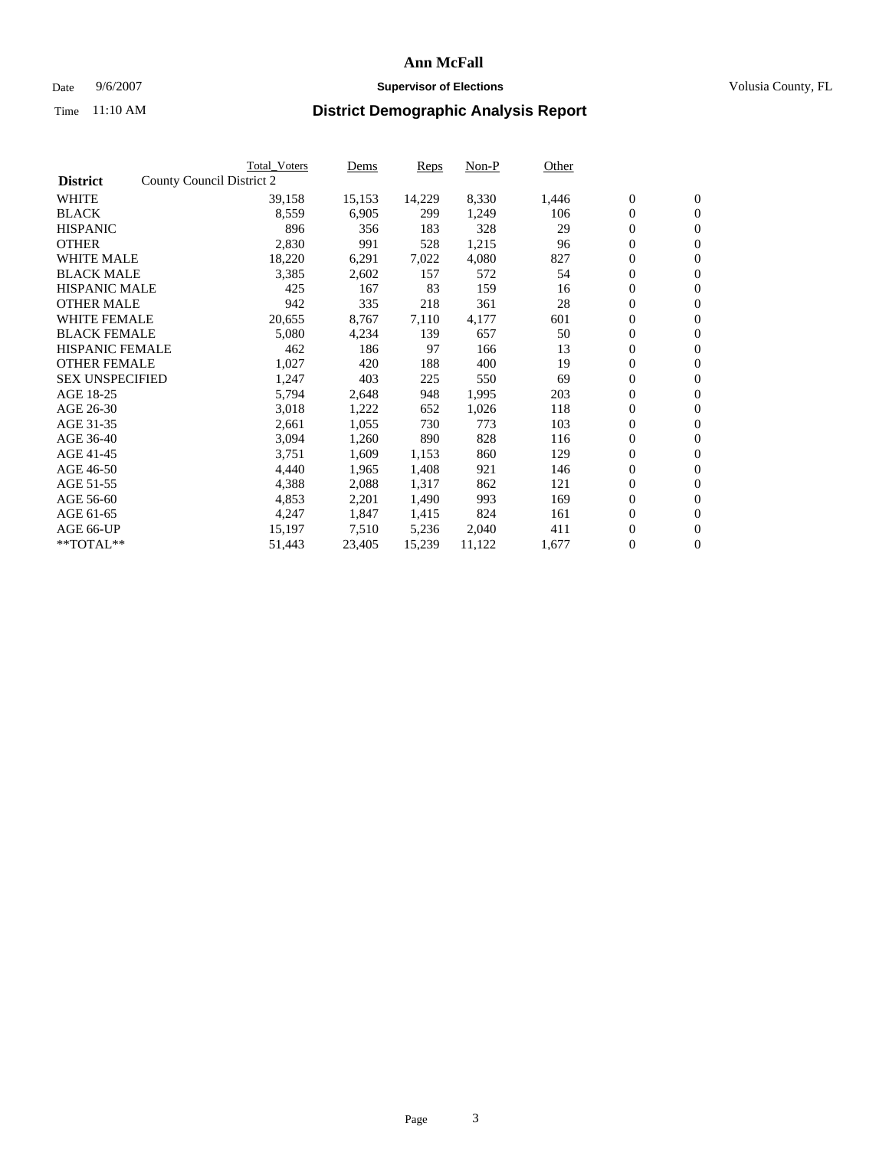#### Date  $9/6/2007$  **Supervisor of Elections Supervisor of Elections** Volusia County, FL

|                        | Total_Voters              | Dems   | <b>Reps</b> | Non-P  | Other |                  |                  |  |
|------------------------|---------------------------|--------|-------------|--------|-------|------------------|------------------|--|
| <b>District</b>        | County Council District 2 |        |             |        |       |                  |                  |  |
| <b>WHITE</b>           | 39,158                    | 15,153 | 14,229      | 8,330  | 1,446 | $\boldsymbol{0}$ | $\mathbf{0}$     |  |
| <b>BLACK</b>           | 8,559                     | 6,905  | 299         | 1,249  | 106   | $\boldsymbol{0}$ | $\mathbf{0}$     |  |
| <b>HISPANIC</b>        | 896                       | 356    | 183         | 328    | 29    | $\boldsymbol{0}$ | $\mathbf{0}$     |  |
| <b>OTHER</b>           | 2,830                     | 991    | 528         | 1,215  | 96    | $\boldsymbol{0}$ | $\mathbf{0}$     |  |
| <b>WHITE MALE</b>      | 18,220                    | 6,291  | 7,022       | 4,080  | 827   | $\boldsymbol{0}$ | $\mathbf{0}$     |  |
| <b>BLACK MALE</b>      | 3,385                     | 2,602  | 157         | 572    | 54    | $\boldsymbol{0}$ | $\mathbf{0}$     |  |
| <b>HISPANIC MALE</b>   | 425                       | 167    | 83          | 159    | 16    | $\overline{0}$   | $\mathbf{0}$     |  |
| <b>OTHER MALE</b>      | 942                       | 335    | 218         | 361    | 28    | $\boldsymbol{0}$ | $\mathbf{0}$     |  |
| <b>WHITE FEMALE</b>    | 20,655                    | 8,767  | 7,110       | 4,177  | 601   | $\mathbf{0}$     | $\mathbf{0}$     |  |
| <b>BLACK FEMALE</b>    | 5,080                     | 4,234  | 139         | 657    | 50    | $\boldsymbol{0}$ | $\mathbf{0}$     |  |
| <b>HISPANIC FEMALE</b> | 462                       | 186    | 97          | 166    | 13    | $\boldsymbol{0}$ | $\mathbf{0}$     |  |
| <b>OTHER FEMALE</b>    | 1,027                     | 420    | 188         | 400    | 19    | 0                | $\mathbf{0}$     |  |
| <b>SEX UNSPECIFIED</b> | 1,247                     | 403    | 225         | 550    | 69    | $\boldsymbol{0}$ | $\mathbf{0}$     |  |
| AGE 18-25              | 5,794                     | 2,648  | 948         | 1,995  | 203   | $\boldsymbol{0}$ | $\mathbf{0}$     |  |
| AGE 26-30              | 3,018                     | 1,222  | 652         | 1,026  | 118   | $\overline{0}$   | $\mathbf{0}$     |  |
| AGE 31-35              | 2,661                     | 1,055  | 730         | 773    | 103   | $\boldsymbol{0}$ | $\mathbf{0}$     |  |
| AGE 36-40              | 3,094                     | 1,260  | 890         | 828    | 116   | $\boldsymbol{0}$ | $\mathbf{0}$     |  |
| AGE 41-45              | 3,751                     | 1,609  | 1,153       | 860    | 129   | $\boldsymbol{0}$ | $\mathbf{0}$     |  |
| AGE 46-50              | 4,440                     | 1,965  | 1,408       | 921    | 146   | 0                | $\mathbf{0}$     |  |
| AGE 51-55              | 4,388                     | 2,088  | 1,317       | 862    | 121   | $\boldsymbol{0}$ | $\mathbf{0}$     |  |
| AGE 56-60              | 4,853                     | 2,201  | 1,490       | 993    | 169   | $\overline{0}$   | $\mathbf{0}$     |  |
| AGE 61-65              | 4,247                     | 1,847  | 1,415       | 824    | 161   | $\mathbf{0}$     | $\boldsymbol{0}$ |  |
| AGE 66-UP              | 15,197                    | 7,510  | 5,236       | 2,040  | 411   | $\boldsymbol{0}$ | $\mathbf{0}$     |  |
| **TOTAL**              | 51,443                    | 23,405 | 15,239      | 11,122 | 1,677 | $\boldsymbol{0}$ | $\overline{0}$   |  |
|                        |                           |        |             |        |       |                  |                  |  |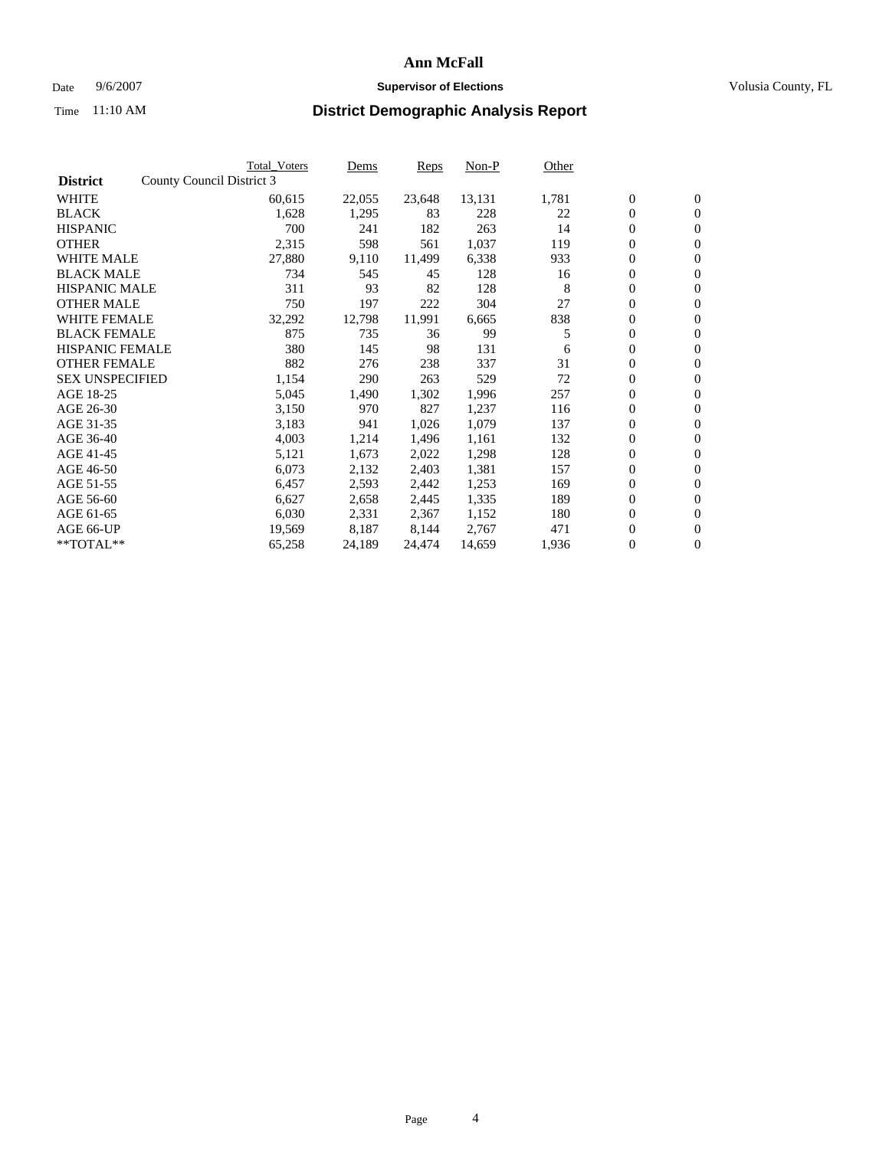#### Date  $9/6/2007$  **Supervisor of Elections Supervisor of Elections** Volusia County, FL

|                        | <b>Total_Voters</b>       | Dems   | <b>Reps</b> | Non-P  | Other |                  |                |  |
|------------------------|---------------------------|--------|-------------|--------|-------|------------------|----------------|--|
| <b>District</b>        | County Council District 3 |        |             |        |       |                  |                |  |
| <b>WHITE</b>           | 60,615                    | 22,055 | 23,648      | 13,131 | 1,781 | $\overline{0}$   | $\mathbf{0}$   |  |
| <b>BLACK</b>           | 1,628                     | 1,295  | 83          | 228    | 22    | $\overline{0}$   | $\mathbf{0}$   |  |
| <b>HISPANIC</b>        | 700                       | 241    | 182         | 263    | 14    | $\boldsymbol{0}$ | $\mathbf{0}$   |  |
| <b>OTHER</b>           | 2,315                     | 598    | 561         | 1,037  | 119   | $\boldsymbol{0}$ | $\mathbf{0}$   |  |
| <b>WHITE MALE</b>      | 27,880                    | 9,110  | 11,499      | 6,338  | 933   | $\boldsymbol{0}$ | $\mathbf{0}$   |  |
| <b>BLACK MALE</b>      | 734                       | 545    | 45          | 128    | 16    | $\boldsymbol{0}$ | $\mathbf{0}$   |  |
| <b>HISPANIC MALE</b>   | 311                       | 93     | 82          | 128    | 8     | $\overline{0}$   | $\mathbf{0}$   |  |
| <b>OTHER MALE</b>      | 750                       | 197    | 222         | 304    | 27    | $\overline{0}$   | $\mathbf{0}$   |  |
| <b>WHITE FEMALE</b>    | 32,292                    | 12,798 | 11,991      | 6,665  | 838   | $\overline{0}$   | $\mathbf{0}$   |  |
| <b>BLACK FEMALE</b>    | 875                       | 735    | 36          | 99     | 5     | $\overline{0}$   | $\mathbf{0}$   |  |
| <b>HISPANIC FEMALE</b> | 380                       | 145    | 98          | 131    | 6     | $\boldsymbol{0}$ | $\mathbf{0}$   |  |
| <b>OTHER FEMALE</b>    | 882                       | 276    | 238         | 337    | 31    | 0                | $\mathbf{0}$   |  |
| <b>SEX UNSPECIFIED</b> | 1,154                     | 290    | 263         | 529    | 72    | $\boldsymbol{0}$ | $\mathbf{0}$   |  |
| AGE 18-25              | 5,045                     | 1,490  | 1,302       | 1,996  | 257   | $\boldsymbol{0}$ | $\mathbf{0}$   |  |
| AGE 26-30              | 3,150                     | 970    | 827         | 1,237  | 116   | $\overline{0}$   | $\mathbf{0}$   |  |
| AGE 31-35              | 3,183                     | 941    | 1,026       | 1,079  | 137   | $\overline{0}$   | $\mathbf{0}$   |  |
| AGE 36-40              | 4,003                     | 1,214  | 1,496       | 1,161  | 132   | $\boldsymbol{0}$ | $\mathbf{0}$   |  |
| AGE 41-45              | 5,121                     | 1,673  | 2,022       | 1,298  | 128   | $\boldsymbol{0}$ | $\mathbf{0}$   |  |
| AGE 46-50              | 6,073                     | 2,132  | 2,403       | 1,381  | 157   | 0                | $\mathbf{0}$   |  |
| AGE 51-55              | 6,457                     | 2,593  | 2,442       | 1,253  | 169   | $\boldsymbol{0}$ | $\mathbf{0}$   |  |
| AGE 56-60              | 6,627                     | 2,658  | 2,445       | 1,335  | 189   | $\overline{0}$   | $\mathbf{0}$   |  |
| AGE 61-65              | 6,030                     | 2,331  | 2,367       | 1,152  | 180   | $\mathbf{0}$     | $\mathbf{0}$   |  |
| AGE 66-UP              | 19,569                    | 8,187  | 8,144       | 2,767  | 471   | $\boldsymbol{0}$ | $\mathbf{0}$   |  |
| **TOTAL**              | 65,258                    | 24,189 | 24,474      | 14,659 | 1,936 | 0                | $\overline{0}$ |  |
|                        |                           |        |             |        |       |                  |                |  |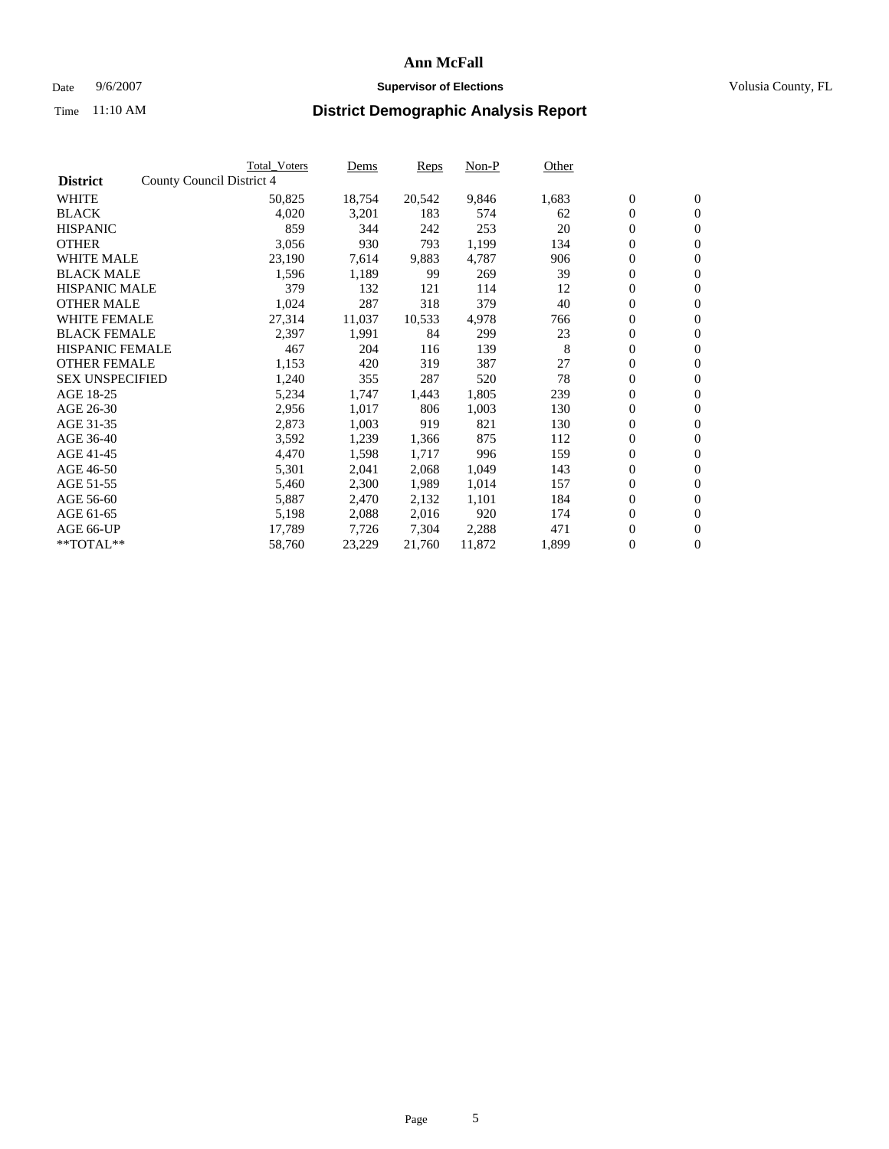#### Date  $9/6/2007$  **Supervisor of Elections Supervisor of Elections** Volusia County, FL

|                        |                           | <b>Total_Voters</b> | Dems   | <b>Reps</b> | Non-P  | Other |                  |                |  |
|------------------------|---------------------------|---------------------|--------|-------------|--------|-------|------------------|----------------|--|
| <b>District</b>        | County Council District 4 |                     |        |             |        |       |                  |                |  |
| <b>WHITE</b>           |                           | 50,825              | 18,754 | 20,542      | 9,846  | 1,683 | $\boldsymbol{0}$ | $\mathbf{0}$   |  |
| <b>BLACK</b>           |                           | 4,020               | 3,201  | 183         | 574    | 62    | $\overline{0}$   | $\mathbf{0}$   |  |
| <b>HISPANIC</b>        |                           | 859                 | 344    | 242         | 253    | 20    | $\boldsymbol{0}$ | $\mathbf{0}$   |  |
| <b>OTHER</b>           |                           | 3,056               | 930    | 793         | 1,199  | 134   | 0                | $\mathbf{0}$   |  |
| <b>WHITE MALE</b>      |                           | 23,190              | 7,614  | 9,883       | 4,787  | 906   | 0                | $\mathbf{0}$   |  |
| <b>BLACK MALE</b>      |                           | 1,596               | 1,189  | 99          | 269    | 39    | $\boldsymbol{0}$ | $\mathbf{0}$   |  |
| <b>HISPANIC MALE</b>   |                           | 379                 | 132    | 121         | 114    | 12    | $\overline{0}$   | $\mathbf{0}$   |  |
| <b>OTHER MALE</b>      |                           | 1,024               | 287    | 318         | 379    | 40    | $\overline{0}$   | $\mathbf{0}$   |  |
| <b>WHITE FEMALE</b>    |                           | 27,314              | 11,037 | 10,533      | 4,978  | 766   | $\mathbf{0}$     | $\mathbf{0}$   |  |
| <b>BLACK FEMALE</b>    |                           | 2,397               | 1,991  | 84          | 299    | 23    | $\boldsymbol{0}$ | $\mathbf{0}$   |  |
| <b>HISPANIC FEMALE</b> |                           | 467                 | 204    | 116         | 139    | 8     | $\boldsymbol{0}$ | $\mathbf{0}$   |  |
| <b>OTHER FEMALE</b>    |                           | 1,153               | 420    | 319         | 387    | 27    | 0                | $\mathbf{0}$   |  |
| <b>SEX UNSPECIFIED</b> |                           | 1,240               | 355    | 287         | 520    | 78    | $\boldsymbol{0}$ | $\mathbf{0}$   |  |
| AGE 18-25              |                           | 5,234               | 1,747  | 1,443       | 1,805  | 239   | $\boldsymbol{0}$ | $\mathbf{0}$   |  |
| AGE 26-30              |                           | 2,956               | 1,017  | 806         | 1,003  | 130   | $\overline{0}$   | $\mathbf{0}$   |  |
| AGE 31-35              |                           | 2,873               | 1,003  | 919         | 821    | 130   | $\boldsymbol{0}$ | $\mathbf{0}$   |  |
| AGE 36-40              |                           | 3,592               | 1,239  | 1,366       | 875    | 112   | $\boldsymbol{0}$ | $\mathbf{0}$   |  |
| AGE 41-45              |                           | 4,470               | 1,598  | 1,717       | 996    | 159   | $\boldsymbol{0}$ | $\mathbf{0}$   |  |
| AGE 46-50              |                           | 5,301               | 2,041  | 2,068       | 1,049  | 143   | 0                | $\mathbf{0}$   |  |
| AGE 51-55              |                           | 5,460               | 2,300  | 1,989       | 1,014  | 157   | $\boldsymbol{0}$ | $\mathbf{0}$   |  |
| AGE 56-60              |                           | 5,887               | 2,470  | 2,132       | 1,101  | 184   | $\overline{0}$   | $\mathbf{0}$   |  |
| AGE 61-65              |                           | 5,198               | 2,088  | 2,016       | 920    | 174   | $\mathbf{0}$     | $\mathbf{0}$   |  |
| AGE 66-UP              |                           | 17,789              | 7,726  | 7,304       | 2,288  | 471   | $\boldsymbol{0}$ | $\mathbf{0}$   |  |
| **TOTAL**              |                           | 58,760              | 23,229 | 21,760      | 11,872 | 1,899 | 0                | $\overline{0}$ |  |
|                        |                           |                     |        |             |        |       |                  |                |  |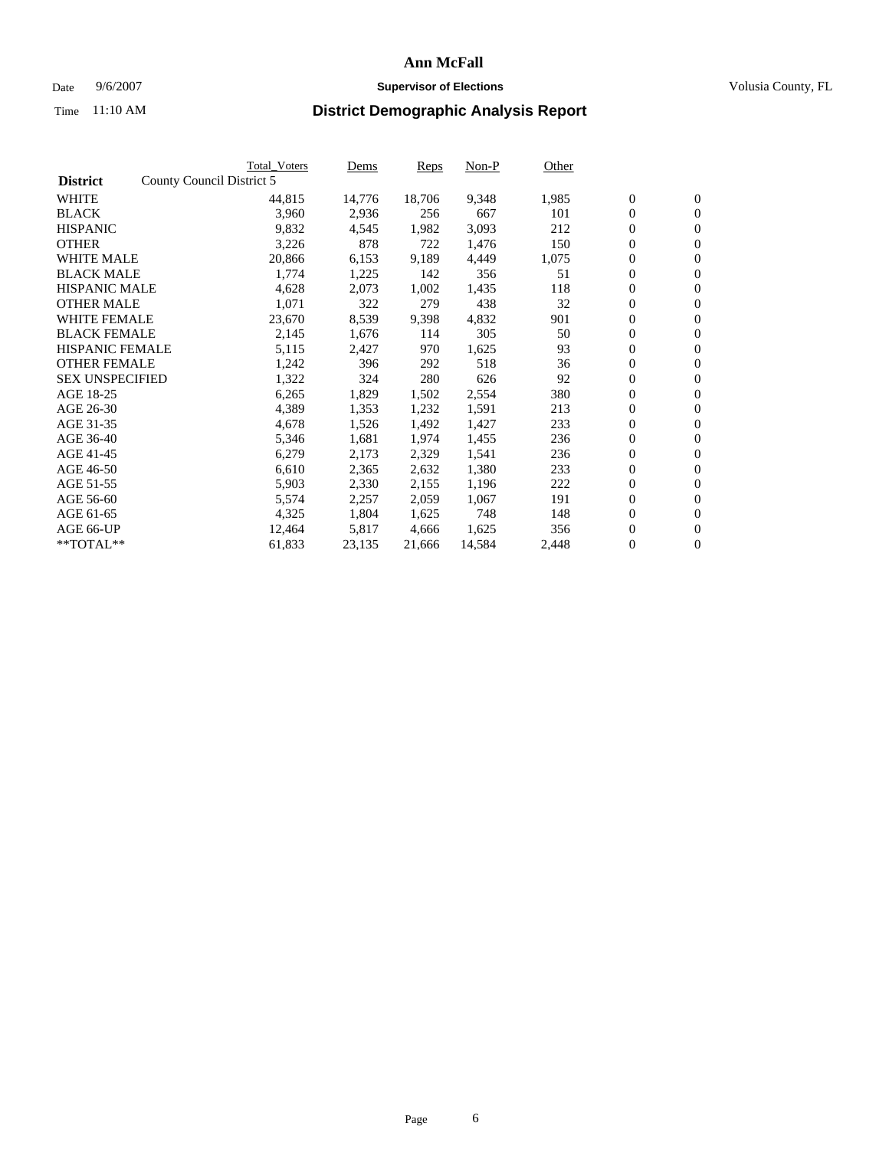#### Date  $9/6/2007$  **Supervisor of Elections Supervisor of Elections** Volusia County, FL

|                        | <b>Total Voters</b>       | Dems   | <b>Reps</b> | Non-P  | Other |                  |                  |  |
|------------------------|---------------------------|--------|-------------|--------|-------|------------------|------------------|--|
| <b>District</b>        | County Council District 5 |        |             |        |       |                  |                  |  |
| <b>WHITE</b>           | 44,815                    | 14,776 | 18,706      | 9,348  | 1,985 | $\overline{0}$   | $\mathbf{0}$     |  |
| <b>BLACK</b>           | 3,960                     | 2,936  | 256         | 667    | 101   | $\overline{0}$   | $\mathbf{0}$     |  |
| <b>HISPANIC</b>        | 9,832                     | 4,545  | 1,982       | 3,093  | 212   | $\boldsymbol{0}$ | $\mathbf{0}$     |  |
| <b>OTHER</b>           | 3,226                     | 878    | 722         | 1,476  | 150   | $\boldsymbol{0}$ | $\mathbf{0}$     |  |
| <b>WHITE MALE</b>      | 20,866                    | 6,153  | 9,189       | 4,449  | 1,075 | $\boldsymbol{0}$ | $\mathbf{0}$     |  |
| <b>BLACK MALE</b>      | 1,774                     | 1,225  | 142         | 356    | 51    | $\boldsymbol{0}$ | $\mathbf{0}$     |  |
| <b>HISPANIC MALE</b>   | 4,628                     | 2,073  | 1,002       | 1,435  | 118   | $\overline{0}$   | $\mathbf{0}$     |  |
| <b>OTHER MALE</b>      | 1,071                     | 322    | 279         | 438    | 32    | $\boldsymbol{0}$ | $\mathbf{0}$     |  |
| <b>WHITE FEMALE</b>    | 23,670                    | 8,539  | 9,398       | 4,832  | 901   | $\mathbf{0}$     | $\mathbf{0}$     |  |
| <b>BLACK FEMALE</b>    | 2,145                     | 1,676  | 114         | 305    | 50    | $\boldsymbol{0}$ | $\mathbf{0}$     |  |
| <b>HISPANIC FEMALE</b> | 5,115                     | 2,427  | 970         | 1,625  | 93    | $\boldsymbol{0}$ | $\mathbf{0}$     |  |
| <b>OTHER FEMALE</b>    | 1,242                     | 396    | 292         | 518    | 36    | 0                | $\mathbf{0}$     |  |
| <b>SEX UNSPECIFIED</b> | 1,322                     | 324    | 280         | 626    | 92    | $\boldsymbol{0}$ | $\mathbf{0}$     |  |
| AGE 18-25              | 6,265                     | 1,829  | 1,502       | 2,554  | 380   | $\boldsymbol{0}$ | $\mathbf{0}$     |  |
| AGE 26-30              | 4,389                     | 1,353  | 1,232       | 1,591  | 213   | $\overline{0}$   | $\mathbf{0}$     |  |
| AGE 31-35              | 4,678                     | 1,526  | 1,492       | 1,427  | 233   | $\boldsymbol{0}$ | $\mathbf{0}$     |  |
| AGE 36-40              | 5,346                     | 1,681  | 1,974       | 1,455  | 236   | $\boldsymbol{0}$ | $\mathbf{0}$     |  |
| AGE 41-45              | 6,279                     | 2,173  | 2,329       | 1,541  | 236   | $\boldsymbol{0}$ | $\mathbf{0}$     |  |
| AGE 46-50              | 6,610                     | 2,365  | 2,632       | 1,380  | 233   | $\boldsymbol{0}$ | $\mathbf{0}$     |  |
| AGE 51-55              | 5,903                     | 2,330  | 2,155       | 1,196  | 222   | $\boldsymbol{0}$ | $\mathbf{0}$     |  |
| AGE 56-60              | 5,574                     | 2,257  | 2,059       | 1,067  | 191   | $\overline{0}$   | $\mathbf{0}$     |  |
| AGE 61-65              | 4,325                     | 1,804  | 1,625       | 748    | 148   | $\mathbf{0}$     | $\boldsymbol{0}$ |  |
| AGE 66-UP              | 12,464                    | 5,817  | 4,666       | 1,625  | 356   | $\boldsymbol{0}$ | $\mathbf{0}$     |  |
| **TOTAL**              | 61,833                    | 23,135 | 21,666      | 14,584 | 2,448 | $\boldsymbol{0}$ | $\overline{0}$   |  |
|                        |                           |        |             |        |       |                  |                  |  |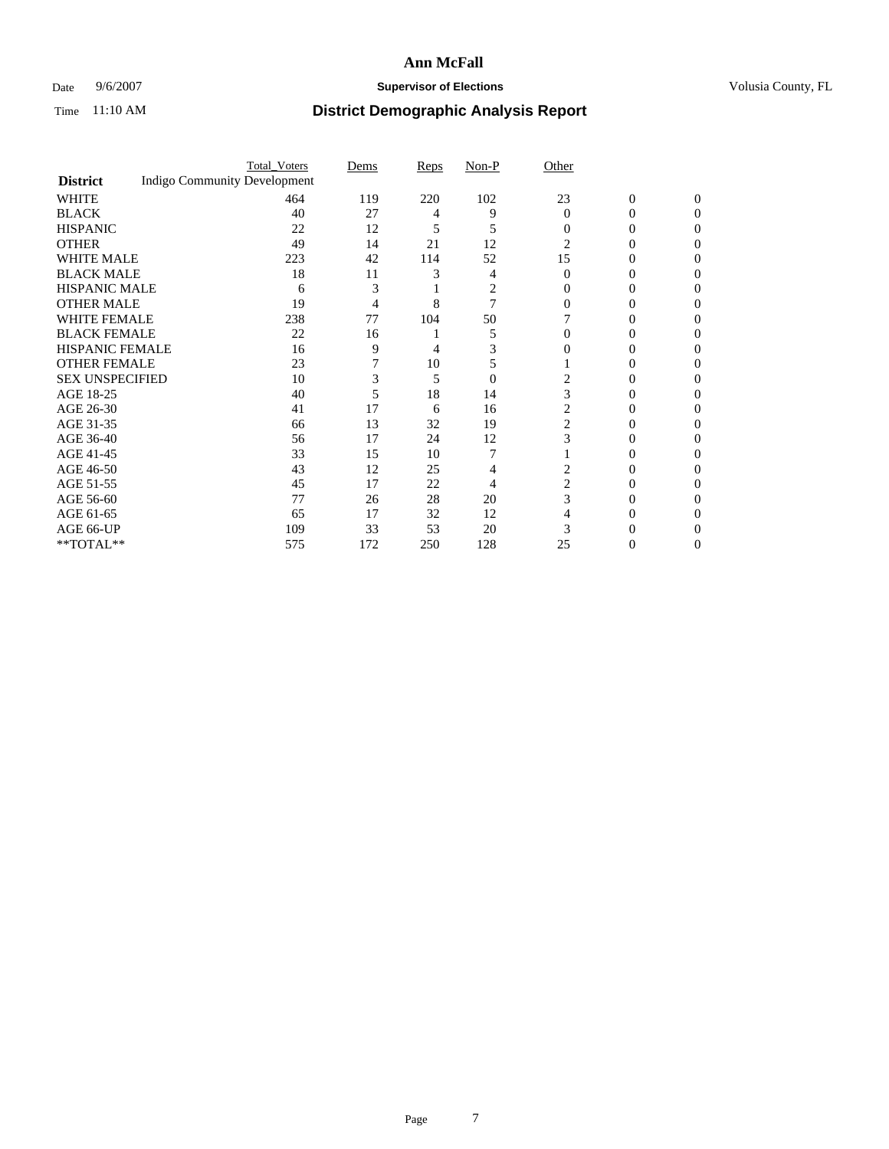### Date 9/6/2007 **Supervisor of Elections Supervisor of Elections** Volusia County, FL

|                        |                                     | <b>Total_Voters</b> | Dems           | Reps | Non-P    | Other    |                |              |  |
|------------------------|-------------------------------------|---------------------|----------------|------|----------|----------|----------------|--------------|--|
| <b>District</b>        | <b>Indigo Community Development</b> |                     |                |      |          |          |                |              |  |
| <b>WHITE</b>           |                                     | 464                 | 119            | 220  | 102      | 23       | $\overline{0}$ | $\mathbf{0}$ |  |
| <b>BLACK</b>           |                                     | 40                  | 27             | 4    | 9        | $\Omega$ | 0              | $\Omega$     |  |
| <b>HISPANIC</b>        |                                     | 22                  | 12             | 5    | 5        | $\Omega$ | 0              | 0            |  |
| <b>OTHER</b>           |                                     | 49                  | 14             | 21   | 12       | 2        |                |              |  |
| <b>WHITE MALE</b>      |                                     | 223                 | 42             | 114  | 52       | 15       | 0              |              |  |
| <b>BLACK MALE</b>      |                                     | 18                  | 11             |      | 4        | $\Omega$ | 0              | 0            |  |
| HISPANIC MALE          |                                     | 6                   | 3              |      | 2        |          |                |              |  |
| <b>OTHER MALE</b>      |                                     | 19                  | $\overline{4}$ | 8    | 7        |          | 0              |              |  |
| WHITE FEMALE           |                                     | 238                 | 77             | 104  | 50       |          |                | 0            |  |
| <b>BLACK FEMALE</b>    |                                     | 22                  | 16             |      | 5        |          | 0              | 0            |  |
| <b>HISPANIC FEMALE</b> |                                     | 16                  | 9              | 4    |          |          |                | 0            |  |
| <b>OTHER FEMALE</b>    |                                     | 23                  |                | 10   | 5        |          |                | 0            |  |
| <b>SEX UNSPECIFIED</b> |                                     | 10                  | 3              | 5    | $\theta$ |          |                |              |  |
| AGE 18-25              |                                     | 40                  | 5              | 18   | 14       | 3        | 0              |              |  |
| AGE 26-30              |                                     | 41                  | 17             | 6    | 16       | 2        | 0              |              |  |
| AGE 31-35              |                                     | 66                  | 13             | 32   | 19       | 2        | 0              |              |  |
| AGE 36-40              |                                     | 56                  | 17             | 24   | 12       | 3        | 0              | 0            |  |
| AGE 41-45              |                                     | 33                  | 15             | 10   |          |          |                | 0            |  |
| AGE 46-50              |                                     | 43                  | 12             | 25   | 4        | 2        | 0              | 0            |  |
| AGE 51-55              |                                     | 45                  | 17             | 22   | 4        | 2        |                | 0            |  |
| AGE 56-60              |                                     | 77                  | 26             | 28   | 20       | 3        | 0              |              |  |
| AGE 61-65              |                                     | 65                  | 17             | 32   | 12       |          |                |              |  |
| AGE 66-UP              |                                     | 109                 | 33             | 53   | 20       |          |                |              |  |
| **TOTAL**              |                                     | 575                 | 172            | 250  | 128      | 25       | 0              | 0            |  |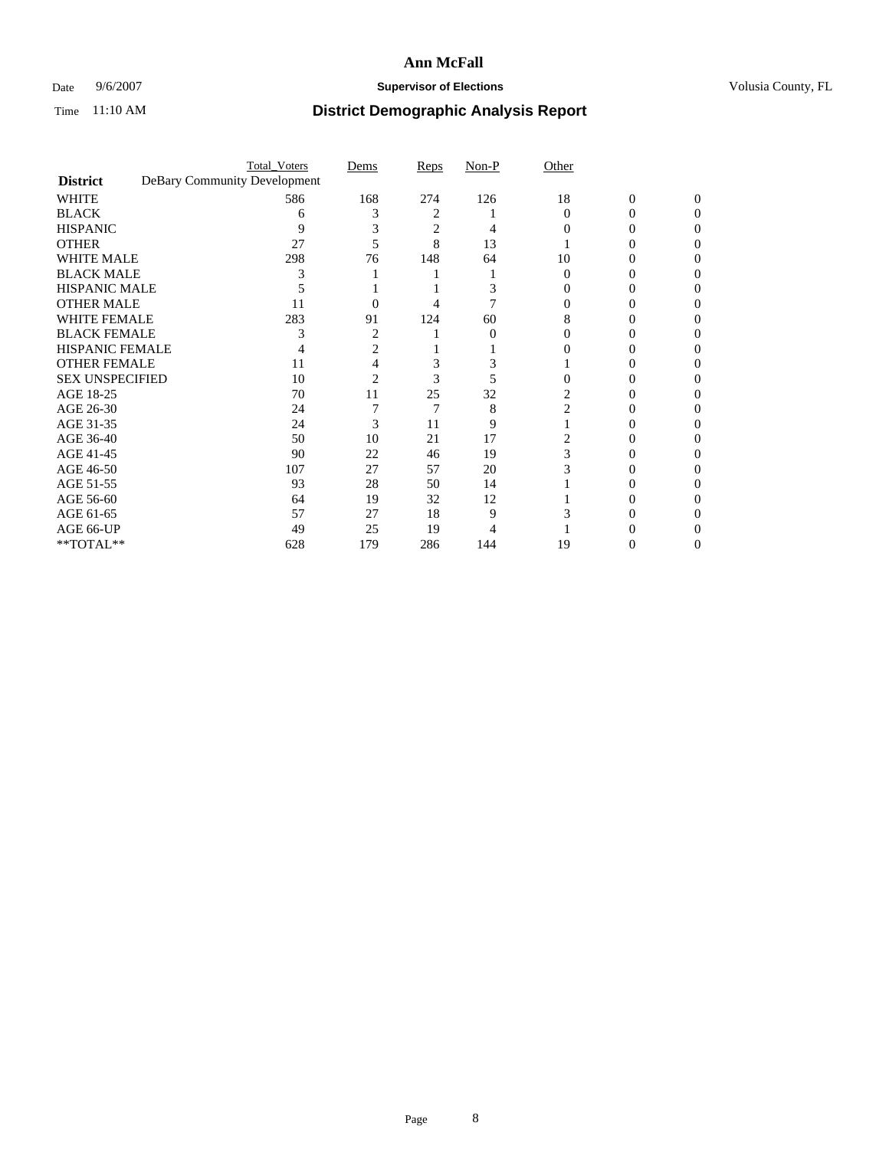### Date 9/6/2007 **Supervisor of Elections Supervisor of Elections** Volusia County, FL

|                        | <b>Total_Voters</b>          | Dems | Reps           | Non-P    | Other    |                |          |  |
|------------------------|------------------------------|------|----------------|----------|----------|----------------|----------|--|
| <b>District</b>        | DeBary Community Development |      |                |          |          |                |          |  |
| <b>WHITE</b>           | 586                          | 168  | 274            | 126      | 18       | $\overline{0}$ | $\Omega$ |  |
| <b>BLACK</b>           | 6                            | 3    | 2              |          | $\Omega$ | 0              | 0        |  |
| <b>HISPANIC</b>        | 9                            |      | $\overline{c}$ |          |          |                | 0        |  |
| <b>OTHER</b>           | 27                           |      | 8              | 13       |          |                |          |  |
| <b>WHITE MALE</b>      | 298                          | 76   | 148            | 64       | 10       |                |          |  |
| <b>BLACK MALE</b>      |                              |      |                |          |          |                |          |  |
| HISPANIC MALE          |                              |      |                |          |          |                |          |  |
| <b>OTHER MALE</b>      | 11                           |      |                |          |          |                |          |  |
| WHITE FEMALE           | 283                          | 91   | 124            | 60       | 8        |                |          |  |
| <b>BLACK FEMALE</b>    |                              | 2    |                | $\Omega$ |          |                | 0        |  |
| <b>HISPANIC FEMALE</b> |                              |      |                |          |          |                |          |  |
| <b>OTHER FEMALE</b>    | 11                           |      | 3              |          |          |                |          |  |
| <b>SEX UNSPECIFIED</b> | 10                           | 2    | 3              |          |          |                |          |  |
| AGE 18-25              | 70                           | 11   | 25             | 32       |          |                |          |  |
| AGE 26-30              | 24                           |      | 7              | 8        | 2        |                |          |  |
| AGE 31-35              | 24                           | 3    | 11             | 9        |          |                |          |  |
| AGE 36-40              | 50                           | 10   | 21             | 17       |          |                |          |  |
| AGE 41-45              | 90                           | 22   | 46             | 19       |          |                |          |  |
| AGE 46-50              | 107                          | 27   | 57             | 20       |          |                | 0        |  |
| AGE 51-55              | 93                           | 28   | 50             | 14       |          |                |          |  |
| AGE 56-60              | 64                           | 19   | 32             | 12       |          |                |          |  |
| AGE 61-65              | 57                           | 27   | 18             | 9        |          |                |          |  |
| AGE 66-UP              | 49                           | 25   | 19             |          |          |                |          |  |
| **TOTAL**              | 628                          | 179  | 286            | 144      | 19       | 0              | 0        |  |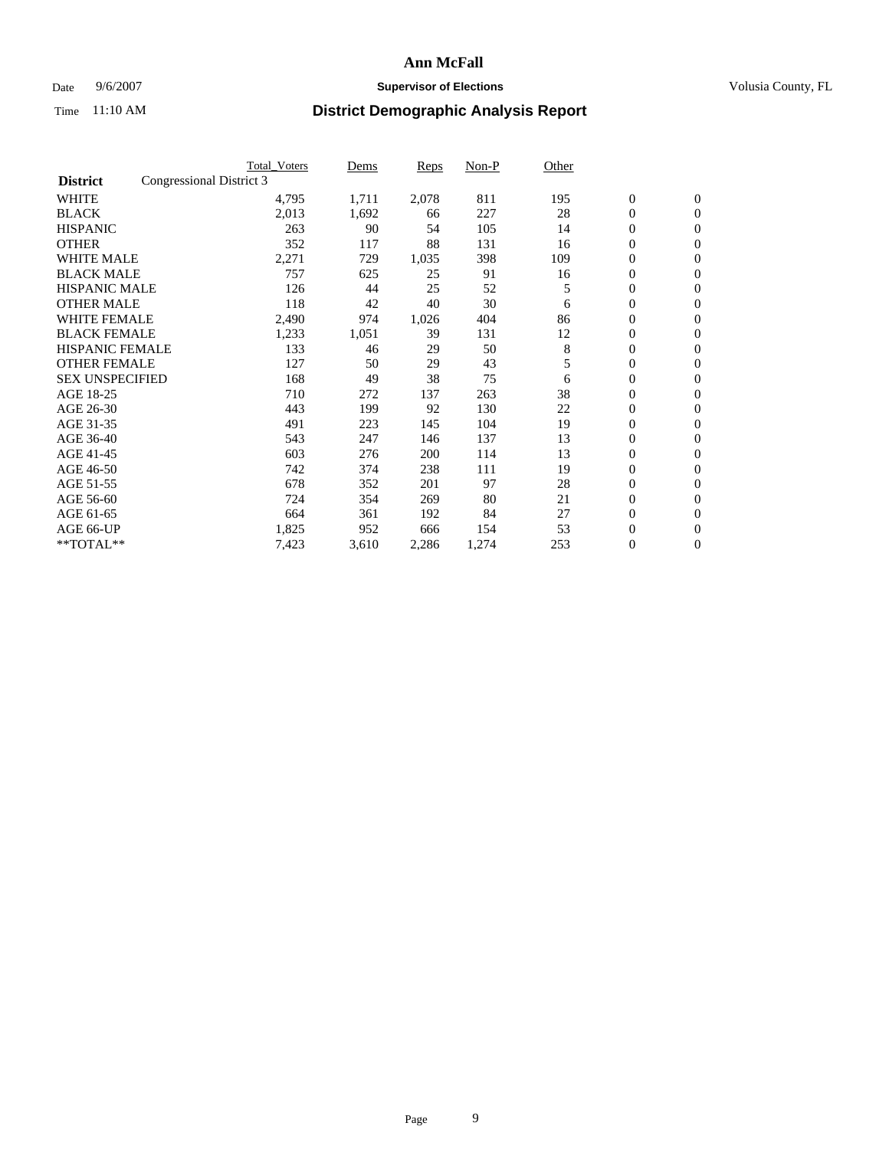#### Date  $9/6/2007$  **Supervisor of Elections Supervisor of Elections** Volusia County, FL

|                        |                          | <b>Total Voters</b> | Dems  | Reps  | Non-P | Other |                  |                  |  |
|------------------------|--------------------------|---------------------|-------|-------|-------|-------|------------------|------------------|--|
| <b>District</b>        | Congressional District 3 |                     |       |       |       |       |                  |                  |  |
| <b>WHITE</b>           |                          | 4,795               | 1,711 | 2,078 | 811   | 195   | $\boldsymbol{0}$ | $\mathbf{0}$     |  |
| <b>BLACK</b>           |                          | 2,013               | 1,692 | 66    | 227   | 28    | $\mathbf{0}$     | $\mathbf{0}$     |  |
| <b>HISPANIC</b>        |                          | 263                 | 90    | 54    | 105   | 14    | 0                | $\overline{0}$   |  |
| <b>OTHER</b>           |                          | 352                 | 117   | 88    | 131   | 16    | 0                | $\mathbf{0}$     |  |
| <b>WHITE MALE</b>      |                          | 2,271               | 729   | 1,035 | 398   | 109   | 0                | $\overline{0}$   |  |
| <b>BLACK MALE</b>      |                          | 757                 | 625   | 25    | 91    | 16    | 0                | $\mathbf{0}$     |  |
| <b>HISPANIC MALE</b>   |                          | 126                 | 44    | 25    | 52    | 5     | 0                | $\mathbf{0}$     |  |
| <b>OTHER MALE</b>      |                          | 118                 | 42    | 40    | 30    | 6     | $\mathbf{0}$     | $\mathbf{0}$     |  |
| <b>WHITE FEMALE</b>    |                          | 2,490               | 974   | 1,026 | 404   | 86    | 0                | $\mathbf{0}$     |  |
| <b>BLACK FEMALE</b>    |                          | 1,233               | 1,051 | 39    | 131   | 12    | $\boldsymbol{0}$ | $\mathbf{0}$     |  |
| <b>HISPANIC FEMALE</b> |                          | 133                 | 46    | 29    | 50    | 8     | 0                | $\mathbf{0}$     |  |
| <b>OTHER FEMALE</b>    |                          | 127                 | 50    | 29    | 43    | 5     | 0                | $\overline{0}$   |  |
| <b>SEX UNSPECIFIED</b> |                          | 168                 | 49    | 38    | 75    | 6     | 0                | $\overline{0}$   |  |
| AGE 18-25              |                          | 710                 | 272   | 137   | 263   | 38    | 0                | $\mathbf{0}$     |  |
| AGE 26-30              |                          | 443                 | 199   | 92    | 130   | 22    | $\mathbf{0}$     | $\mathbf{0}$     |  |
| AGE 31-35              |                          | 491                 | 223   | 145   | 104   | 19    | 0                | $\mathbf{0}$     |  |
| AGE 36-40              |                          | 543                 | 247   | 146   | 137   | 13    | 0                | $\overline{0}$   |  |
| AGE 41-45              |                          | 603                 | 276   | 200   | 114   | 13    | 0                | $\mathbf{0}$     |  |
| AGE 46-50              |                          | 742                 | 374   | 238   | 111   | 19    | 0                | $\overline{0}$   |  |
| AGE 51-55              |                          | 678                 | 352   | 201   | 97    | 28    | $\boldsymbol{0}$ | $\mathbf{0}$     |  |
| AGE 56-60              |                          | 724                 | 354   | 269   | 80    | 21    | 0                | $\mathbf{0}$     |  |
| AGE 61-65              |                          | 664                 | 361   | 192   | 84    | 27    | $\mathbf{0}$     | $\mathbf{0}$     |  |
| AGE 66-UP              |                          | 1,825               | 952   | 666   | 154   | 53    | $\boldsymbol{0}$ | $\mathbf{0}$     |  |
| **TOTAL**              |                          | 7,423               | 3,610 | 2,286 | 1,274 | 253   | 0                | $\boldsymbol{0}$ |  |
|                        |                          |                     |       |       |       |       |                  |                  |  |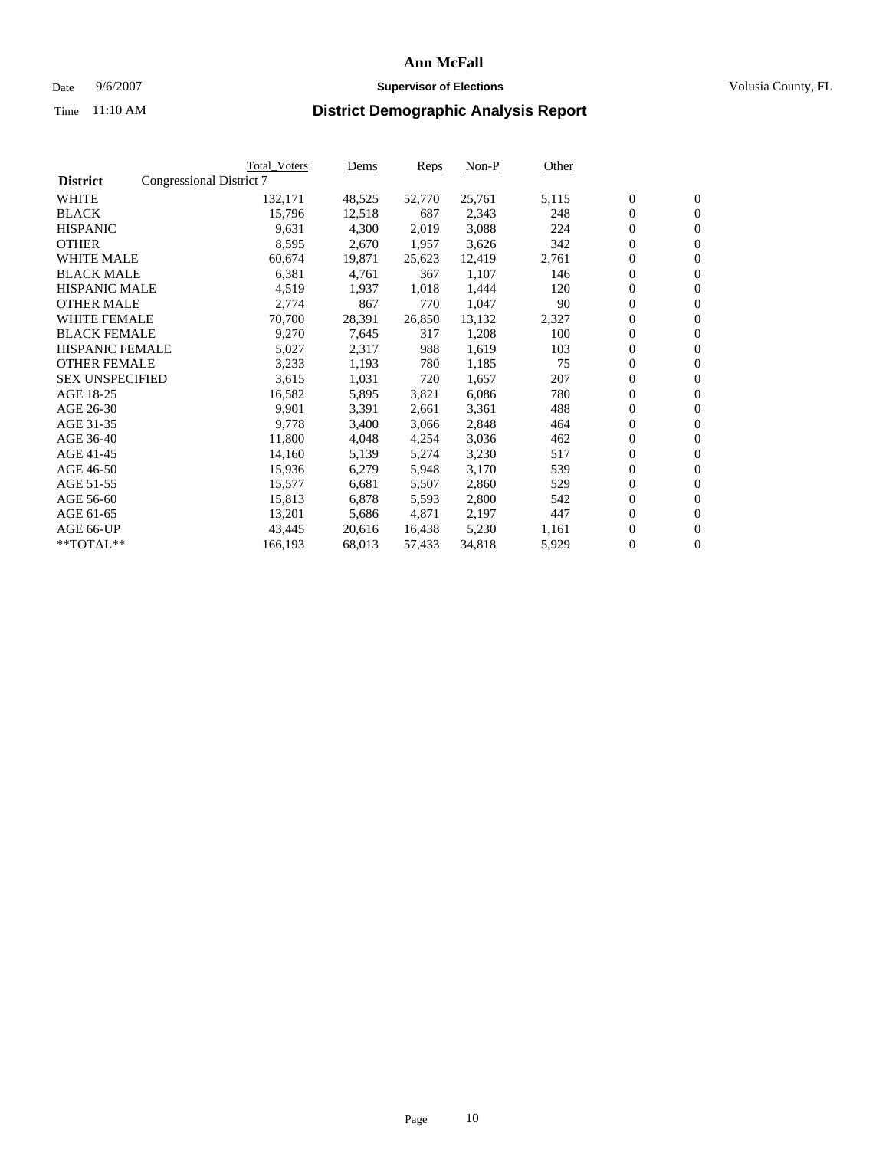#### Date  $9/6/2007$  **Supervisor of Elections Supervisor of Elections** Volusia County, FL

|                        |                          | Total_Voters | Dems   | <b>Reps</b> | Non-P  | Other |                  |                  |  |
|------------------------|--------------------------|--------------|--------|-------------|--------|-------|------------------|------------------|--|
| <b>District</b>        | Congressional District 7 |              |        |             |        |       |                  |                  |  |
| <b>WHITE</b>           |                          | 132,171      | 48,525 | 52,770      | 25,761 | 5,115 | $\boldsymbol{0}$ | $\mathbf{0}$     |  |
| <b>BLACK</b>           |                          | 15,796       | 12,518 | 687         | 2,343  | 248   | $\overline{0}$   | $\mathbf{0}$     |  |
| <b>HISPANIC</b>        |                          | 9,631        | 4,300  | 2,019       | 3,088  | 224   | $\boldsymbol{0}$ | $\mathbf{0}$     |  |
| <b>OTHER</b>           |                          | 8,595        | 2,670  | 1,957       | 3,626  | 342   | $\boldsymbol{0}$ | $\mathbf{0}$     |  |
| <b>WHITE MALE</b>      |                          | 60,674       | 19,871 | 25,623      | 12,419 | 2,761 | 0                | $\mathbf{0}$     |  |
| <b>BLACK MALE</b>      |                          | 6,381        | 4,761  | 367         | 1,107  | 146   | $\boldsymbol{0}$ | $\mathbf{0}$     |  |
| <b>HISPANIC MALE</b>   |                          | 4,519        | 1,937  | 1,018       | 1,444  | 120   | $\overline{0}$   | $\mathbf{0}$     |  |
| <b>OTHER MALE</b>      |                          | 2,774        | 867    | 770         | 1,047  | 90    | $\overline{0}$   | $\mathbf{0}$     |  |
| <b>WHITE FEMALE</b>    |                          | 70,700       | 28,391 | 26,850      | 13,132 | 2,327 | $\mathbf{0}$     | $\mathbf{0}$     |  |
| <b>BLACK FEMALE</b>    |                          | 9,270        | 7,645  | 317         | 1,208  | 100   | $\boldsymbol{0}$ | $\mathbf{0}$     |  |
| HISPANIC FEMALE        |                          | 5,027        | 2,317  | 988         | 1,619  | 103   | $\boldsymbol{0}$ | $\mathbf{0}$     |  |
| <b>OTHER FEMALE</b>    |                          | 3,233        | 1,193  | 780         | 1,185  | 75    | 0                | $\overline{0}$   |  |
| <b>SEX UNSPECIFIED</b> |                          | 3,615        | 1,031  | 720         | 1,657  | 207   | $\boldsymbol{0}$ | $\mathbf{0}$     |  |
| AGE 18-25              |                          | 16,582       | 5,895  | 3,821       | 6,086  | 780   | $\boldsymbol{0}$ | $\mathbf{0}$     |  |
| AGE 26-30              |                          | 9,901        | 3,391  | 2,661       | 3,361  | 488   | $\overline{0}$   | $\mathbf{0}$     |  |
| AGE 31-35              |                          | 9,778        | 3,400  | 3,066       | 2,848  | 464   | $\overline{0}$   | $\mathbf{0}$     |  |
| AGE 36-40              |                          | 11,800       | 4,048  | 4,254       | 3,036  | 462   | $\boldsymbol{0}$ | $\boldsymbol{0}$ |  |
| AGE 41-45              |                          | 14,160       | 5,139  | 5,274       | 3,230  | 517   | $\boldsymbol{0}$ | $\mathbf{0}$     |  |
| AGE 46-50              |                          | 15,936       | 6,279  | 5,948       | 3,170  | 539   | 0                | $\mathbf{0}$     |  |
| AGE 51-55              |                          | 15,577       | 6,681  | 5,507       | 2,860  | 529   | $\boldsymbol{0}$ | $\boldsymbol{0}$ |  |
| AGE 56-60              |                          | 15,813       | 6,878  | 5,593       | 2,800  | 542   | $\overline{0}$   | $\mathbf{0}$     |  |
| AGE 61-65              |                          | 13,201       | 5,686  | 4,871       | 2,197  | 447   | $\mathbf{0}$     | $\boldsymbol{0}$ |  |
| AGE 66-UP              |                          | 43,445       | 20,616 | 16,438      | 5,230  | 1,161 | $\boldsymbol{0}$ | $\boldsymbol{0}$ |  |
| **TOTAL**              |                          | 166,193      | 68,013 | 57,433      | 34,818 | 5,929 | $\boldsymbol{0}$ | $\overline{0}$   |  |
|                        |                          |              |        |             |        |       |                  |                  |  |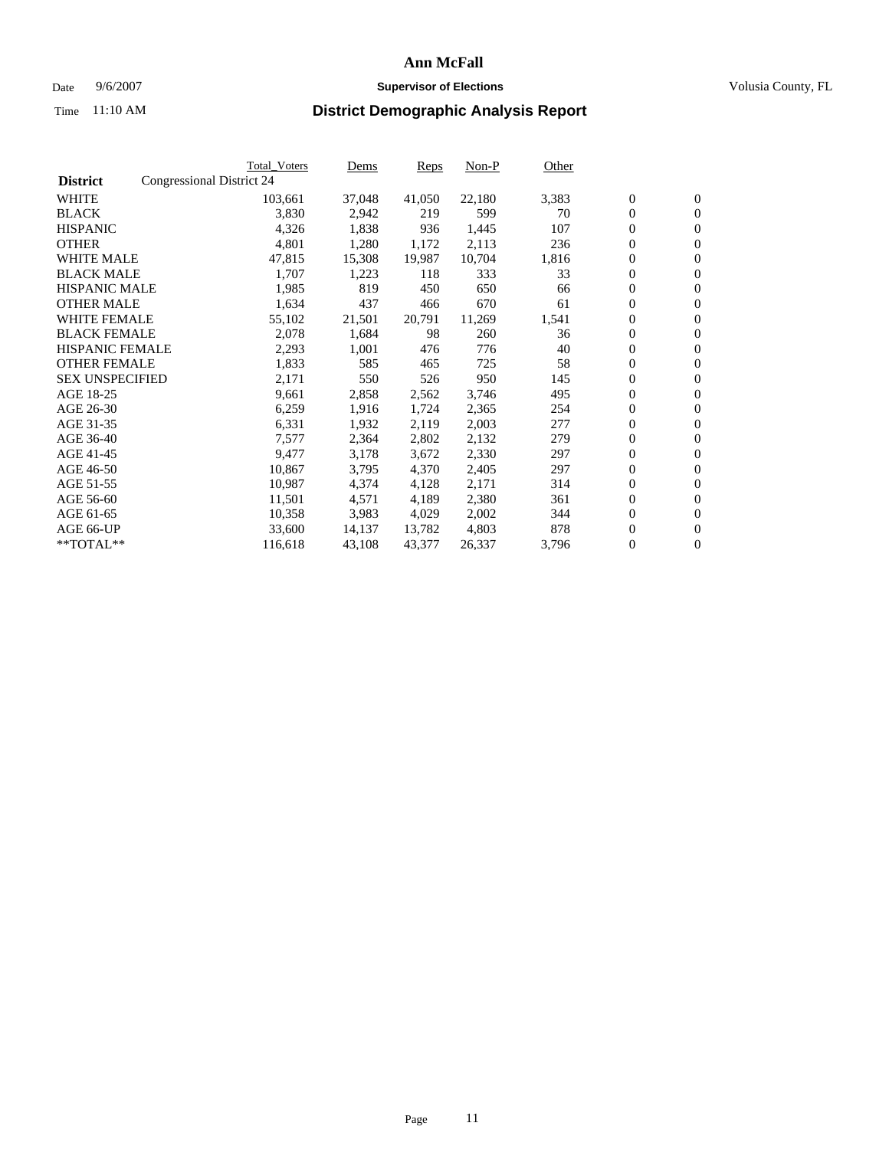#### Date  $9/6/2007$  **Supervisor of Elections Supervisor of Elections** Volusia County, FL

|                        |                           | <b>Total_Voters</b> | Dems   | <b>Reps</b> | Non-P  | Other |                  |                  |
|------------------------|---------------------------|---------------------|--------|-------------|--------|-------|------------------|------------------|
| <b>District</b>        | Congressional District 24 |                     |        |             |        |       |                  |                  |
| <b>WHITE</b>           |                           | 103,661             | 37,048 | 41,050      | 22,180 | 3,383 | $\overline{0}$   | $\mathbf{0}$     |
| <b>BLACK</b>           |                           | 3,830               | 2,942  | 219         | 599    | 70    | $\overline{0}$   | $\mathbf{0}$     |
| <b>HISPANIC</b>        |                           | 4,326               | 1,838  | 936         | 1,445  | 107   | $\boldsymbol{0}$ | $\mathbf{0}$     |
| <b>OTHER</b>           |                           | 4,801               | 1,280  | 1,172       | 2,113  | 236   | $\boldsymbol{0}$ | $\mathbf{0}$     |
| <b>WHITE MALE</b>      |                           | 47,815              | 15,308 | 19,987      | 10,704 | 1,816 | 0                | $\mathbf{0}$     |
| <b>BLACK MALE</b>      |                           | 1,707               | 1,223  | 118         | 333    | 33    | $\boldsymbol{0}$ | $\boldsymbol{0}$ |
| <b>HISPANIC MALE</b>   |                           | 1,985               | 819    | 450         | 650    | 66    | $\overline{0}$   | $\mathbf{0}$     |
| <b>OTHER MALE</b>      |                           | 1,634               | 437    | 466         | 670    | 61    | $\overline{0}$   | $\mathbf{0}$     |
| <b>WHITE FEMALE</b>    |                           | 55,102              | 21,501 | 20,791      | 11,269 | 1,541 | 0                | $\mathbf{0}$     |
| <b>BLACK FEMALE</b>    |                           | 2,078               | 1,684  | 98          | 260    | 36    | $\boldsymbol{0}$ | $\mathbf{0}$     |
| <b>HISPANIC FEMALE</b> |                           | 2,293               | 1,001  | 476         | 776    | 40    | $\boldsymbol{0}$ | $\boldsymbol{0}$ |
| <b>OTHER FEMALE</b>    |                           | 1,833               | 585    | 465         | 725    | 58    | 0                | $\mathbf{0}$     |
| <b>SEX UNSPECIFIED</b> |                           | 2,171               | 550    | 526         | 950    | 145   | $\boldsymbol{0}$ | $\mathbf{0}$     |
| AGE 18-25              |                           | 9,661               | 2,858  | 2,562       | 3,746  | 495   | $\boldsymbol{0}$ | $\mathbf{0}$     |
| AGE 26-30              |                           | 6,259               | 1,916  | 1,724       | 2,365  | 254   | $\overline{0}$   | $\mathbf{0}$     |
| AGE 31-35              |                           | 6,331               | 1,932  | 2,119       | 2,003  | 277   | $\overline{0}$   | $\mathbf{0}$     |
| AGE 36-40              |                           | 7,577               | 2,364  | 2,802       | 2,132  | 279   | $\boldsymbol{0}$ | $\boldsymbol{0}$ |
| AGE 41-45              |                           | 9,477               | 3,178  | 3,672       | 2,330  | 297   | $\boldsymbol{0}$ | $\mathbf{0}$     |
| AGE 46-50              |                           | 10,867              | 3,795  | 4,370       | 2,405  | 297   | 0                | $\mathbf{0}$     |
| AGE 51-55              |                           | 10,987              | 4,374  | 4,128       | 2,171  | 314   | $\boldsymbol{0}$ | $\boldsymbol{0}$ |
| AGE 56-60              |                           | 11,501              | 4,571  | 4,189       | 2,380  | 361   | $\overline{0}$   | $\mathbf{0}$     |
| AGE 61-65              |                           | 10,358              | 3,983  | 4,029       | 2,002  | 344   | $\mathbf{0}$     | $\mathbf{0}$     |
| AGE 66-UP              |                           | 33,600              | 14,137 | 13,782      | 4,803  | 878   | $\boldsymbol{0}$ | $\mathbf{0}$     |
| **TOTAL**              |                           | 116,618             | 43,108 | 43,377      | 26,337 | 3,796 | $\boldsymbol{0}$ | $\overline{0}$   |
|                        |                           |                     |        |             |        |       |                  |                  |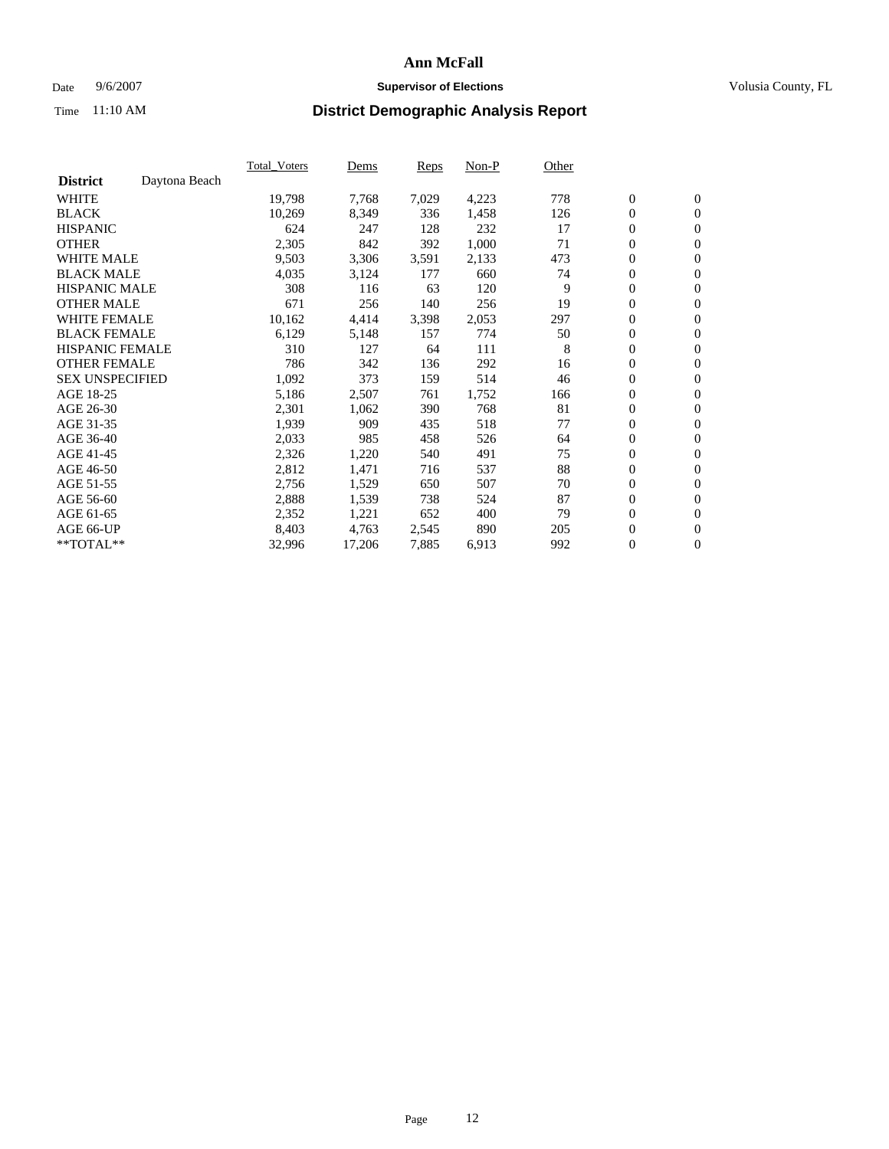### Date 9/6/2007 **Supervisor of Elections Supervisor of Elections** Volusia County, FL

|                        |               | Total Voters | Dems   | <b>Reps</b> | Non-P | Other |                  |                |  |
|------------------------|---------------|--------------|--------|-------------|-------|-------|------------------|----------------|--|
| <b>District</b>        | Daytona Beach |              |        |             |       |       |                  |                |  |
| <b>WHITE</b>           |               | 19,798       | 7,768  | 7,029       | 4,223 | 778   | $\boldsymbol{0}$ | $\mathbf{0}$   |  |
| <b>BLACK</b>           |               | 10,269       | 8,349  | 336         | 1,458 | 126   | $\boldsymbol{0}$ | $\mathbf{0}$   |  |
| <b>HISPANIC</b>        |               | 624          | 247    | 128         | 232   | 17    | $\boldsymbol{0}$ | $\mathbf{0}$   |  |
| <b>OTHER</b>           |               | 2,305        | 842    | 392         | 1,000 | 71    | $\boldsymbol{0}$ | $\mathbf{0}$   |  |
| <b>WHITE MALE</b>      |               | 9,503        | 3,306  | 3,591       | 2,133 | 473   | 0                | $\mathbf{0}$   |  |
| <b>BLACK MALE</b>      |               | 4,035        | 3,124  | 177         | 660   | 74    | $\boldsymbol{0}$ | $\mathbf{0}$   |  |
| <b>HISPANIC MALE</b>   |               | 308          | 116    | 63          | 120   | 9     | $\overline{0}$   | $\mathbf{0}$   |  |
| <b>OTHER MALE</b>      |               | 671          | 256    | 140         | 256   | 19    | $\overline{0}$   | $\mathbf{0}$   |  |
| <b>WHITE FEMALE</b>    |               | 10,162       | 4,414  | 3,398       | 2,053 | 297   | $\mathbf{0}$     | $\mathbf{0}$   |  |
| <b>BLACK FEMALE</b>    |               | 6,129        | 5,148  | 157         | 774   | 50    | $\boldsymbol{0}$ | $\mathbf{0}$   |  |
| <b>HISPANIC FEMALE</b> |               | 310          | 127    | 64          | 111   | 8     | $\boldsymbol{0}$ | $\mathbf{0}$   |  |
| <b>OTHER FEMALE</b>    |               | 786          | 342    | 136         | 292   | 16    | 0                | $\mathbf{0}$   |  |
| <b>SEX UNSPECIFIED</b> |               | 1,092        | 373    | 159         | 514   | 46    | $\boldsymbol{0}$ | $\mathbf{0}$   |  |
| AGE 18-25              |               | 5,186        | 2,507  | 761         | 1,752 | 166   | $\boldsymbol{0}$ | $\mathbf{0}$   |  |
| AGE 26-30              |               | 2,301        | 1,062  | 390         | 768   | 81    | $\overline{0}$   | $\mathbf{0}$   |  |
| AGE 31-35              |               | 1,939        | 909    | 435         | 518   | 77    | $\overline{0}$   | $\mathbf{0}$   |  |
| AGE 36-40              |               | 2,033        | 985    | 458         | 526   | 64    | $\boldsymbol{0}$ | $\mathbf{0}$   |  |
| AGE 41-45              |               | 2,326        | 1,220  | 540         | 491   | 75    | $\boldsymbol{0}$ | $\mathbf{0}$   |  |
| AGE 46-50              |               | 2,812        | 1,471  | 716         | 537   | 88    | 0                | $\mathbf{0}$   |  |
| AGE 51-55              |               | 2,756        | 1,529  | 650         | 507   | 70    | $\boldsymbol{0}$ | $\mathbf{0}$   |  |
| AGE 56-60              |               | 2,888        | 1,539  | 738         | 524   | 87    | $\overline{0}$   | $\mathbf{0}$   |  |
| AGE 61-65              |               | 2,352        | 1,221  | 652         | 400   | 79    | $\mathbf{0}$     | $\mathbf{0}$   |  |
| AGE 66-UP              |               | 8,403        | 4,763  | 2,545       | 890   | 205   | $\boldsymbol{0}$ | $\mathbf{0}$   |  |
| **TOTAL**              |               | 32,996       | 17,206 | 7,885       | 6,913 | 992   | $\boldsymbol{0}$ | $\overline{0}$ |  |
|                        |               |              |        |             |       |       |                  |                |  |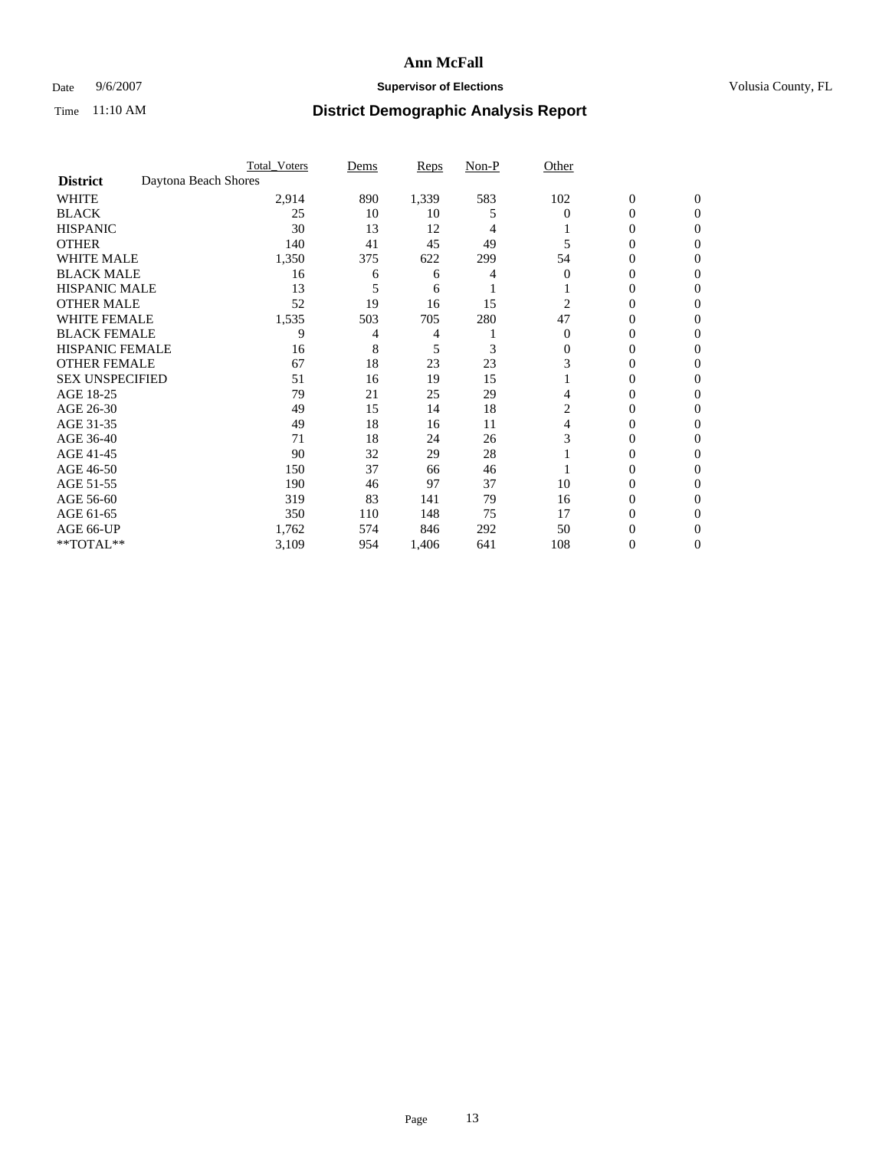### Date 9/6/2007 **Supervisor of Elections Supervisor of Elections** Volusia County, FL

|                        | <b>Total Voters</b>  | Dems | Reps  | Non-P | Other    |                  |              |  |
|------------------------|----------------------|------|-------|-------|----------|------------------|--------------|--|
| <b>District</b>        | Daytona Beach Shores |      |       |       |          |                  |              |  |
| <b>WHITE</b>           | 2,914                | 890  | 1,339 | 583   | 102      | $\boldsymbol{0}$ | $\mathbf{0}$ |  |
| <b>BLACK</b>           | 25                   | 10   | 10    | 5     | $\Omega$ | 0                | $\mathbf{0}$ |  |
| <b>HISPANIC</b>        | 30                   | 13   | 12    | 4     |          | 0                | $\Omega$     |  |
| <b>OTHER</b>           | 140                  | 41   | 45    | 49    |          | $\overline{0}$   | $\theta$     |  |
| <b>WHITE MALE</b>      | 1,350                | 375  | 622   | 299   | 54       | 0                | 0            |  |
| <b>BLACK MALE</b>      | 16                   | 6    | 6     | 4     | $\Omega$ | 0                | 0            |  |
| <b>HISPANIC MALE</b>   | 13                   |      | 6     |       |          | 0                |              |  |
| <b>OTHER MALE</b>      | 52                   | 19   | 16    | 15    | 2        | 0                | 0            |  |
| <b>WHITE FEMALE</b>    | 1,535                | 503  | 705   | 280   | 47       | 0                | 0            |  |
| <b>BLACK FEMALE</b>    | 9                    | 4    | 4     |       | $\Omega$ | 0                | 0            |  |
| <b>HISPANIC FEMALE</b> | 16                   | 8    | 5     | 3     | 0        | 0                | $\Omega$     |  |
| <b>OTHER FEMALE</b>    | 67                   | 18   | 23    | 23    | 3        | 0                | $\theta$     |  |
| <b>SEX UNSPECIFIED</b> | 51                   | 16   | 19    | 15    |          | 0                | $\theta$     |  |
| AGE 18-25              | 79                   | 21   | 25    | 29    |          | 0                | $_{0}$       |  |
| AGE 26-30              | 49                   | 15   | 14    | 18    | 2        | 0                | 0            |  |
| AGE 31-35              | 49                   | 18   | 16    | 11    | 4        | 0                | 0            |  |
| AGE 36-40              | 71                   | 18   | 24    | 26    | 3        | 0                | 0            |  |
| AGE 41-45              | 90                   | 32   | 29    | 28    |          | 0                | 0            |  |
| AGE 46-50              | 150                  | 37   | 66    | 46    |          | 0                | $\Omega$     |  |
| AGE 51-55              | 190                  | 46   | 97    | 37    | 10       | 0                | $\theta$     |  |
| AGE 56-60              | 319                  | 83   | 141   | 79    | 16       | 0                | $\theta$     |  |
| AGE 61-65              | 350                  | 110  | 148   | 75    | 17       | 0                | 0            |  |
| AGE 66-UP              | 1,762                | 574  | 846   | 292   | 50       | 0                |              |  |
| **TOTAL**              | 3,109                | 954  | 1,406 | 641   | 108      | 0                | 0            |  |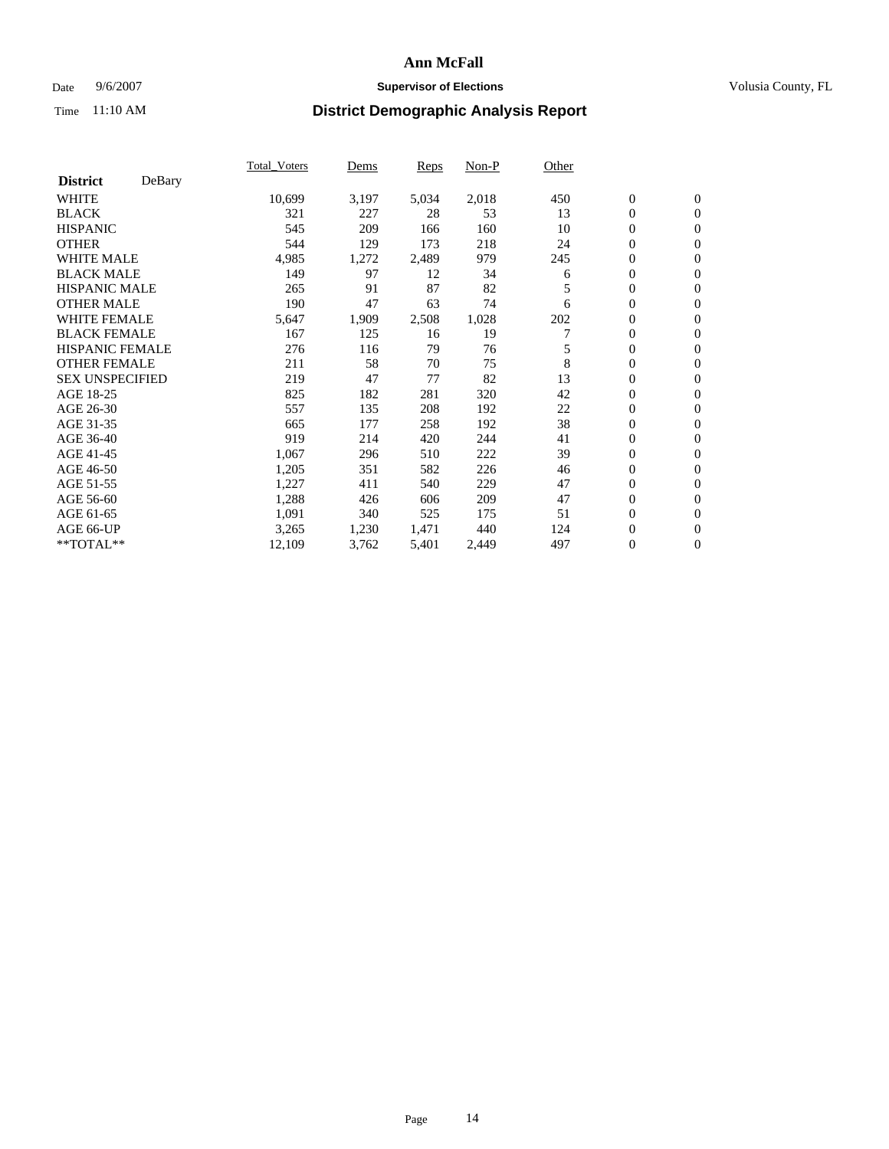### Date 9/6/2007 **Supervisor of Elections Supervisor of Elections** Volusia County, FL

|                        |        | Total Voters | Dems  | <b>Reps</b> | Non-P | Other |                  |                  |  |
|------------------------|--------|--------------|-------|-------------|-------|-------|------------------|------------------|--|
| <b>District</b>        | DeBary |              |       |             |       |       |                  |                  |  |
| <b>WHITE</b>           |        | 10,699       | 3,197 | 5,034       | 2,018 | 450   | $\boldsymbol{0}$ | $\mathbf{0}$     |  |
| <b>BLACK</b>           |        | 321          | 227   | 28          | 53    | 13    | $\overline{0}$   | $\mathbf{0}$     |  |
| <b>HISPANIC</b>        |        | 545          | 209   | 166         | 160   | 10    | $\overline{0}$   | $\mathbf{0}$     |  |
| <b>OTHER</b>           |        | 544          | 129   | 173         | 218   | 24    | $\overline{0}$   | $\mathbf{0}$     |  |
| <b>WHITE MALE</b>      |        | 4,985        | 1,272 | 2,489       | 979   | 245   | $\overline{0}$   | $\mathbf{0}$     |  |
| <b>BLACK MALE</b>      |        | 149          | 97    | 12          | 34    | 6     | $\boldsymbol{0}$ | $\mathbf{0}$     |  |
| <b>HISPANIC MALE</b>   |        | 265          | 91    | 87          | 82    | 5     | 0                | $\mathbf{0}$     |  |
| <b>OTHER MALE</b>      |        | 190          | 47    | 63          | 74    | 6     | $\boldsymbol{0}$ | $\mathbf{0}$     |  |
| <b>WHITE FEMALE</b>    |        | 5,647        | 1,909 | 2,508       | 1,028 | 202   | 0                | $\mathbf{0}$     |  |
| <b>BLACK FEMALE</b>    |        | 167          | 125   | 16          | 19    |       | $\overline{0}$   | $\mathbf{0}$     |  |
| <b>HISPANIC FEMALE</b> |        | 276          | 116   | 79          | 76    | 5     | $\overline{0}$   | $\mathbf{0}$     |  |
| <b>OTHER FEMALE</b>    |        | 211          | 58    | 70          | 75    | 8     | $\overline{0}$   | $\mathbf{0}$     |  |
| <b>SEX UNSPECIFIED</b> |        | 219          | 47    | 77          | 82    | 13    | $\boldsymbol{0}$ | $\mathbf{0}$     |  |
| AGE 18-25              |        | 825          | 182   | 281         | 320   | 42    | 0                | $\mathbf{0}$     |  |
| AGE 26-30              |        | 557          | 135   | 208         | 192   | 22    | $\boldsymbol{0}$ | $\mathbf{0}$     |  |
| AGE 31-35              |        | 665          | 177   | 258         | 192   | 38    | 0                | $\mathbf{0}$     |  |
| AGE 36-40              |        | 919          | 214   | 420         | 244   | 41    | $\boldsymbol{0}$ | $\mathbf{0}$     |  |
| AGE 41-45              |        | 1,067        | 296   | 510         | 222   | 39    | $\mathbf{0}$     | $\mathbf{0}$     |  |
| AGE 46-50              |        | 1,205        | 351   | 582         | 226   | 46    | $\overline{0}$   | $\mathbf{0}$     |  |
| AGE 51-55              |        | 1,227        | 411   | 540         | 229   | 47    | $\overline{0}$   | $\mathbf{0}$     |  |
| AGE 56-60              |        | 1,288        | 426   | 606         | 209   | 47    | $\overline{0}$   | $\mathbf{0}$     |  |
| AGE 61-65              |        | 1,091        | 340   | 525         | 175   | 51    | $\boldsymbol{0}$ | $\mathbf{0}$     |  |
| AGE 66-UP              |        | 3,265        | 1,230 | 1,471       | 440   | 124   | 0                | $\mathbf{0}$     |  |
| $*$ TOTAL $**$         |        | 12,109       | 3,762 | 5,401       | 2,449 | 497   | 0                | $\boldsymbol{0}$ |  |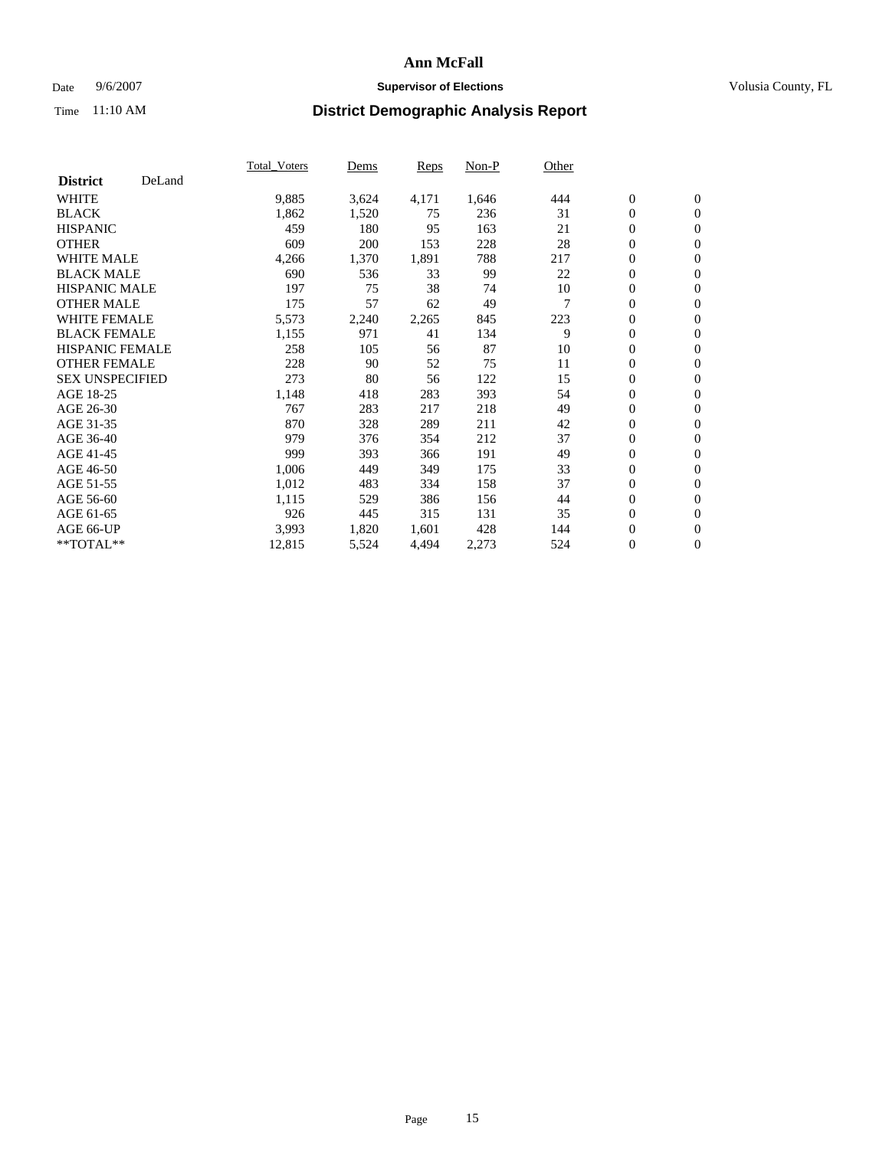### Date 9/6/2007 **Supervisor of Elections Supervisor of Elections** Volusia County, FL

|                        |        | Total Voters | Dems  | <b>Reps</b> | Non-P | Other |                  |                  |  |
|------------------------|--------|--------------|-------|-------------|-------|-------|------------------|------------------|--|
| <b>District</b>        | DeLand |              |       |             |       |       |                  |                  |  |
| <b>WHITE</b>           |        | 9,885        | 3,624 | 4,171       | 1,646 | 444   | $\overline{0}$   | $\mathbf{0}$     |  |
| <b>BLACK</b>           |        | 1,862        | 1,520 | 75          | 236   | 31    | $\overline{0}$   | $\mathbf{0}$     |  |
| <b>HISPANIC</b>        |        | 459          | 180   | 95          | 163   | 21    | $\boldsymbol{0}$ | $\mathbf{0}$     |  |
| <b>OTHER</b>           |        | 609          | 200   | 153         | 228   | 28    | $\boldsymbol{0}$ | $\mathbf{0}$     |  |
| <b>WHITE MALE</b>      |        | 4,266        | 1,370 | 1,891       | 788   | 217   | $\boldsymbol{0}$ | $\mathbf{0}$     |  |
| <b>BLACK MALE</b>      |        | 690          | 536   | 33          | 99    | 22    | $\boldsymbol{0}$ | $\boldsymbol{0}$ |  |
| <b>HISPANIC MALE</b>   |        | 197          | 75    | 38          | 74    | 10    | $\overline{0}$   | $\mathbf{0}$     |  |
| <b>OTHER MALE</b>      |        | 175          | 57    | 62          | 49    | 7     | $\overline{0}$   | $\mathbf{0}$     |  |
| <b>WHITE FEMALE</b>    |        | 5,573        | 2,240 | 2,265       | 845   | 223   | $\mathbf{0}$     | $\mathbf{0}$     |  |
| <b>BLACK FEMALE</b>    |        | 1,155        | 971   | 41          | 134   | 9     | $\overline{0}$   | $\mathbf{0}$     |  |
| <b>HISPANIC FEMALE</b> |        | 258          | 105   | 56          | 87    | 10    | $\boldsymbol{0}$ | $\boldsymbol{0}$ |  |
| <b>OTHER FEMALE</b>    |        | 228          | 90    | 52          | 75    | 11    | 0                | $\mathbf{0}$     |  |
| <b>SEX UNSPECIFIED</b> |        | 273          | 80    | 56          | 122   | 15    | $\boldsymbol{0}$ | $\mathbf{0}$     |  |
| AGE 18-25              |        | 1,148        | 418   | 283         | 393   | 54    | $\boldsymbol{0}$ | $\mathbf{0}$     |  |
| AGE 26-30              |        | 767          | 283   | 217         | 218   | 49    | $\overline{0}$   | $\mathbf{0}$     |  |
| AGE 31-35              |        | 870          | 328   | 289         | 211   | 42    | $\overline{0}$   | $\mathbf{0}$     |  |
| AGE 36-40              |        | 979          | 376   | 354         | 212   | 37    | $\boldsymbol{0}$ | $\mathbf{0}$     |  |
| AGE 41-45              |        | 999          | 393   | 366         | 191   | 49    | $\boldsymbol{0}$ | $\mathbf{0}$     |  |
| AGE 46-50              |        | 1,006        | 449   | 349         | 175   | 33    | 0                | $\mathbf{0}$     |  |
| AGE 51-55              |        | 1,012        | 483   | 334         | 158   | 37    | $\boldsymbol{0}$ | $\mathbf{0}$     |  |
| AGE 56-60              |        | 1,115        | 529   | 386         | 156   | 44    | $\overline{0}$   | $\mathbf{0}$     |  |
| AGE 61-65              |        | 926          | 445   | 315         | 131   | 35    | $\mathbf{0}$     | $\mathbf{0}$     |  |
| AGE 66-UP              |        | 3,993        | 1,820 | 1,601       | 428   | 144   | $\boldsymbol{0}$ | $\mathbf{0}$     |  |
| **TOTAL**              |        | 12,815       | 5,524 | 4,494       | 2,273 | 524   | 0                | $\overline{0}$   |  |
|                        |        |              |       |             |       |       |                  |                  |  |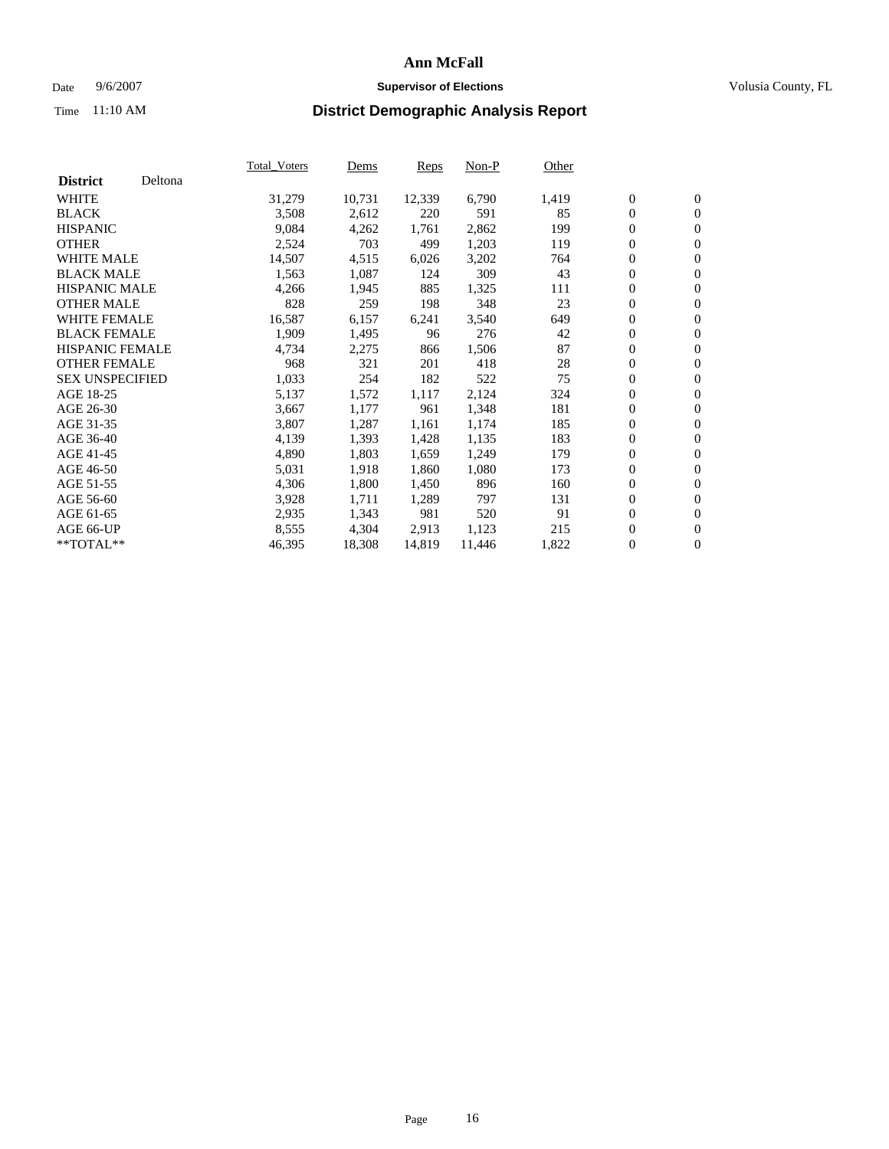#### Date  $9/6/2007$  **Supervisor of Elections Supervisor of Elections** Volusia County, FL

|                        |         | <b>Total_Voters</b> | Dems   | <b>Reps</b> | Non-P  | Other |                  |                  |  |
|------------------------|---------|---------------------|--------|-------------|--------|-------|------------------|------------------|--|
| <b>District</b>        | Deltona |                     |        |             |        |       |                  |                  |  |
| <b>WHITE</b>           |         | 31,279              | 10,731 | 12,339      | 6,790  | 1,419 | $\overline{0}$   | $\mathbf{0}$     |  |
| <b>BLACK</b>           |         | 3,508               | 2,612  | 220         | 591    | 85    | $\boldsymbol{0}$ | $\mathbf{0}$     |  |
| <b>HISPANIC</b>        |         | 9,084               | 4,262  | 1,761       | 2,862  | 199   | 0                | $\overline{0}$   |  |
| <b>OTHER</b>           |         | 2,524               | 703    | 499         | 1,203  | 119   | 0                | $\mathbf{0}$     |  |
| <b>WHITE MALE</b>      |         | 14,507              | 4,515  | 6,026       | 3,202  | 764   | 0                | $\mathbf{0}$     |  |
| <b>BLACK MALE</b>      |         | 1,563               | 1,087  | 124         | 309    | 43    | $\boldsymbol{0}$ | $\mathbf{0}$     |  |
| <b>HISPANIC MALE</b>   |         | 4,266               | 1,945  | 885         | 1,325  | 111   | 0                | $\mathbf{0}$     |  |
| <b>OTHER MALE</b>      |         | 828                 | 259    | 198         | 348    | 23    | $\boldsymbol{0}$ | $\mathbf{0}$     |  |
| <b>WHITE FEMALE</b>    |         | 16,587              | 6,157  | 6,241       | 3,540  | 649   | $\overline{0}$   | $\overline{0}$   |  |
| <b>BLACK FEMALE</b>    |         | 1,909               | 1,495  | 96          | 276    | 42    | 0                | $\mathbf{0}$     |  |
| <b>HISPANIC FEMALE</b> |         | 4,734               | 2,275  | 866         | 1,506  | 87    | $\boldsymbol{0}$ | $\boldsymbol{0}$ |  |
| <b>OTHER FEMALE</b>    |         | 968                 | 321    | 201         | 418    | 28    | 0                | $\overline{0}$   |  |
| <b>SEX UNSPECIFIED</b> |         | 1,033               | 254    | 182         | 522    | 75    | 0                | $\mathbf{0}$     |  |
| AGE 18-25              |         | 5,137               | 1,572  | 1,117       | 2,124  | 324   | 0                | $\mathbf{0}$     |  |
| AGE 26-30              |         | 3,667               | 1,177  | 961         | 1,348  | 181   | $\overline{0}$   | $\mathbf{0}$     |  |
| AGE 31-35              |         | 3,807               | 1,287  | 1,161       | 1,174  | 185   | $\boldsymbol{0}$ | $\overline{0}$   |  |
| AGE 36-40              |         | 4,139               | 1,393  | 1,428       | 1,135  | 183   | 0                | $\boldsymbol{0}$ |  |
| AGE 41-45              |         | 4,890               | 1,803  | 1,659       | 1,249  | 179   | 0                | $\mathbf{0}$     |  |
| AGE 46-50              |         | 5,031               | 1,918  | 1,860       | 1,080  | 173   | 0                | $\mathbf{0}$     |  |
| AGE 51-55              |         | 4,306               | 1,800  | 1,450       | 896    | 160   | $\boldsymbol{0}$ | $\boldsymbol{0}$ |  |
| AGE 56-60              |         | 3,928               | 1,711  | 1,289       | 797    | 131   | 0                | $\mathbf{0}$     |  |
| AGE 61-65              |         | 2,935               | 1,343  | 981         | 520    | 91    | $\overline{0}$   | $\mathbf{0}$     |  |
| AGE 66-UP              |         | 8,555               | 4,304  | 2,913       | 1,123  | 215   | 0                | $\boldsymbol{0}$ |  |
| **TOTAL**              |         | 46,395              | 18,308 | 14,819      | 11,446 | 1,822 | 0                | $\overline{0}$   |  |
|                        |         |                     |        |             |        |       |                  |                  |  |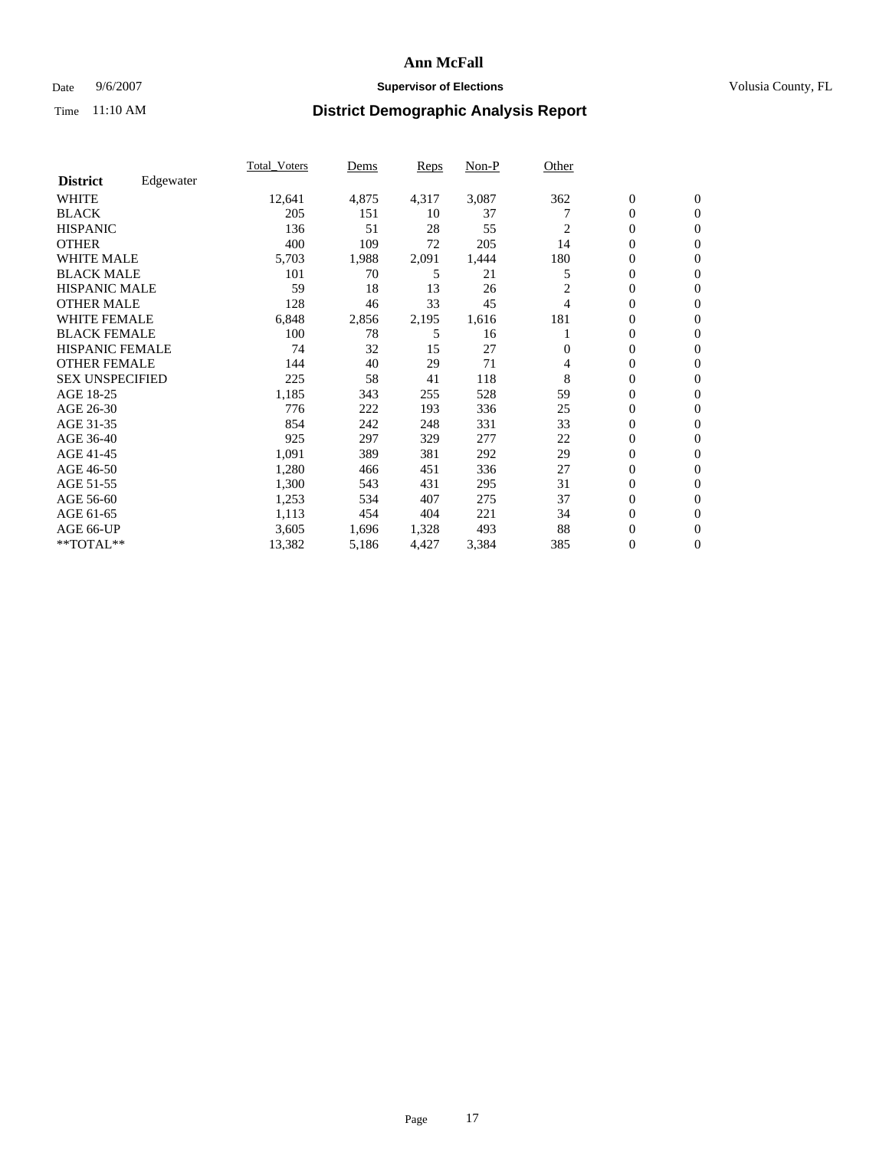### Date 9/6/2007 **Supervisor of Elections Supervisor of Elections** Volusia County, FL

|                        |           | Total Voters | Dems  | <b>Reps</b> | Non-P | Other          |                  |                  |  |
|------------------------|-----------|--------------|-------|-------------|-------|----------------|------------------|------------------|--|
| <b>District</b>        | Edgewater |              |       |             |       |                |                  |                  |  |
| <b>WHITE</b>           |           | 12,641       | 4,875 | 4,317       | 3,087 | 362            | $\boldsymbol{0}$ | $\mathbf{0}$     |  |
| <b>BLACK</b>           |           | 205          | 151   | 10          | 37    |                | $\overline{0}$   | $\mathbf{0}$     |  |
| <b>HISPANIC</b>        |           | 136          | 51    | 28          | 55    | 2              | $\overline{0}$   | $\mathbf{0}$     |  |
| <b>OTHER</b>           |           | 400          | 109   | 72          | 205   | 14             | 0                | $\mathbf{0}$     |  |
| <b>WHITE MALE</b>      |           | 5,703        | 1,988 | 2,091       | 1,444 | 180            | $\overline{0}$   | $\mathbf{0}$     |  |
| <b>BLACK MALE</b>      |           | 101          | 70    | 5           | 21    | 5              | $\boldsymbol{0}$ | $\boldsymbol{0}$ |  |
| <b>HISPANIC MALE</b>   |           | 59           | 18    | 13          | 26    | $\overline{c}$ | 0                | $\Omega$         |  |
| <b>OTHER MALE</b>      |           | 128          | 46    | 33          | 45    | 4              | 0                | $\mathbf{0}$     |  |
| <b>WHITE FEMALE</b>    |           | 6,848        | 2,856 | 2,195       | 1,616 | 181            | 0                | $\Omega$         |  |
| <b>BLACK FEMALE</b>    |           | 100          | 78    | 5           | 16    |                | $\overline{0}$   | $\mathbf{0}$     |  |
| <b>HISPANIC FEMALE</b> |           | 74           | 32    | 15          | 27    | $\Omega$       | 0                | $\mathbf{0}$     |  |
| <b>OTHER FEMALE</b>    |           | 144          | 40    | 29          | 71    | 4              | $\overline{0}$   | $\mathbf{0}$     |  |
| <b>SEX UNSPECIFIED</b> |           | 225          | 58    | 41          | 118   | 8              | $\boldsymbol{0}$ | $\mathbf{0}$     |  |
| AGE 18-25              |           | 1,185        | 343   | 255         | 528   | 59             | 0                | $\mathbf{0}$     |  |
| AGE 26-30              |           | 776          | 222   | 193         | 336   | 25             | $\boldsymbol{0}$ | $\mathbf{0}$     |  |
| AGE 31-35              |           | 854          | 242   | 248         | 331   | 33             | 0                | $\mathbf{0}$     |  |
| AGE 36-40              |           | 925          | 297   | 329         | 277   | 22             | $\overline{0}$   | $\mathbf{0}$     |  |
| AGE 41-45              |           | 1,091        | 389   | 381         | 292   | 29             | $\mathbf{0}$     | $\mathbf{0}$     |  |
| AGE 46-50              |           | 1,280        | 466   | 451         | 336   | 27             | $\overline{0}$   | $\mathbf{0}$     |  |
| AGE 51-55              |           | 1,300        | 543   | 431         | 295   | 31             | $\overline{0}$   | $\mathbf{0}$     |  |
| AGE 56-60              |           | 1,253        | 534   | 407         | 275   | 37             | $\overline{0}$   | $\mathbf{0}$     |  |
| AGE 61-65              |           | 1,113        | 454   | 404         | 221   | 34             | 0                | $\mathbf{0}$     |  |
| AGE 66-UP              |           | 3,605        | 1,696 | 1,328       | 493   | 88             | 0                | 0                |  |
| $*$ TOTAL $**$         |           | 13,382       | 5,186 | 4,427       | 3,384 | 385            | 0                | $\boldsymbol{0}$ |  |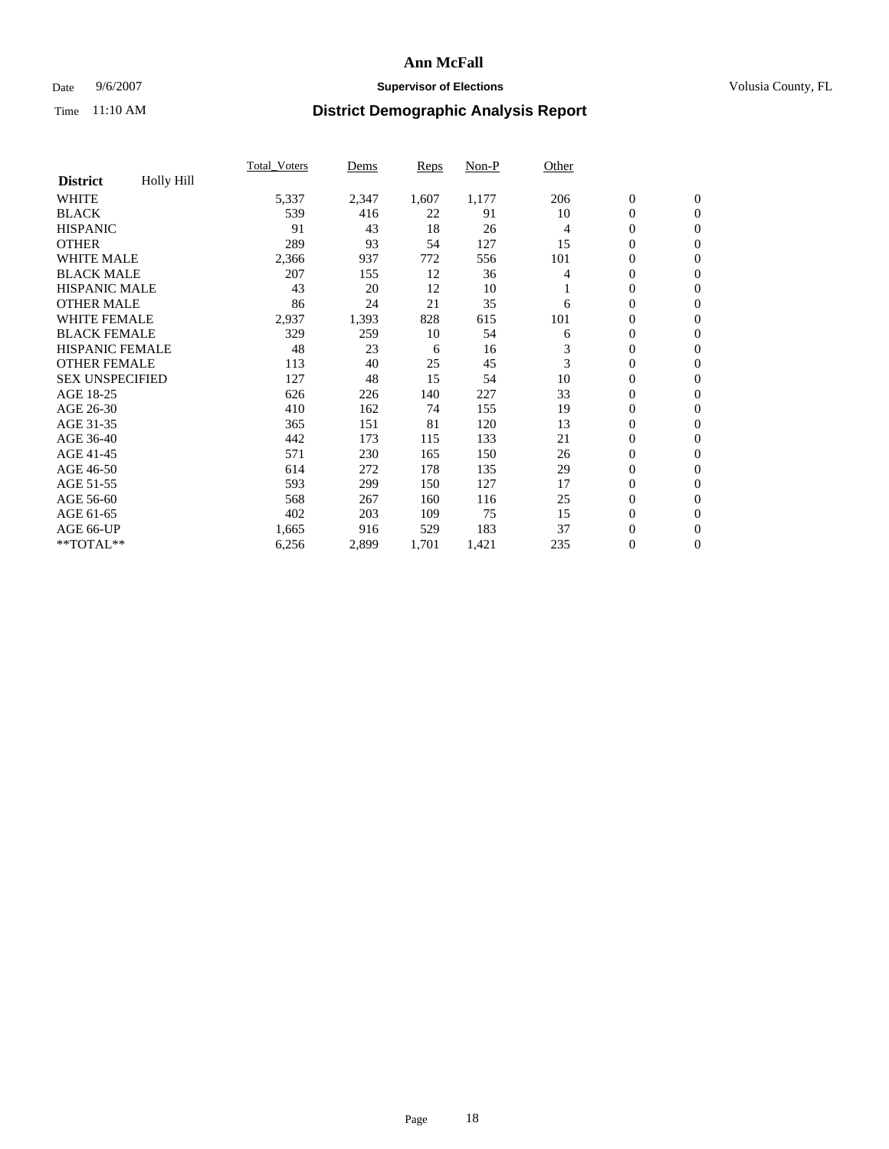### Date 9/6/2007 **Supervisor of Elections Supervisor of Elections** Volusia County, FL

|                        |                   | <b>Total Voters</b> | Dems  | Reps  | Non-P | Other |                  |                  |  |
|------------------------|-------------------|---------------------|-------|-------|-------|-------|------------------|------------------|--|
| <b>District</b>        | <b>Holly Hill</b> |                     |       |       |       |       |                  |                  |  |
| <b>WHITE</b>           |                   | 5,337               | 2,347 | 1,607 | 1,177 | 206   | $\boldsymbol{0}$ | $\boldsymbol{0}$ |  |
| <b>BLACK</b>           |                   | 539                 | 416   | 22    | 91    | 10    | $\mathbf{0}$     | $\mathbf{0}$     |  |
| <b>HISPANIC</b>        |                   | 91                  | 43    | 18    | 26    | 4     | $\mathbf{0}$     | $\mathbf{0}$     |  |
| <b>OTHER</b>           |                   | 289                 | 93    | 54    | 127   | 15    | 0                | $\mathbf{0}$     |  |
| <b>WHITE MALE</b>      |                   | 2,366               | 937   | 772   | 556   | 101   | 0                | $\mathbf{0}$     |  |
| <b>BLACK MALE</b>      |                   | 207                 | 155   | 12    | 36    | 4     | 0                | $\mathbf{0}$     |  |
| <b>HISPANIC MALE</b>   |                   | 43                  | 20    | 12    | 10    |       | 0                | $\mathbf{0}$     |  |
| <b>OTHER MALE</b>      |                   | 86                  | 24    | 21    | 35    | 6     | 0                | $\mathbf{0}$     |  |
| <b>WHITE FEMALE</b>    |                   | 2,937               | 1,393 | 828   | 615   | 101   | 0                | $\mathbf{0}$     |  |
| <b>BLACK FEMALE</b>    |                   | 329                 | 259   | 10    | 54    | 6     | $\boldsymbol{0}$ | $\mathbf{0}$     |  |
| <b>HISPANIC FEMALE</b> |                   | 48                  | 23    | 6     | 16    | 3     | $\overline{0}$   | $\mathbf{0}$     |  |
| <b>OTHER FEMALE</b>    |                   | 113                 | 40    | 25    | 45    | 3     | $\overline{0}$   | $\mathbf{0}$     |  |
| <b>SEX UNSPECIFIED</b> |                   | 127                 | 48    | 15    | 54    | 10    | $\boldsymbol{0}$ | $\mathbf{0}$     |  |
| AGE 18-25              |                   | 626                 | 226   | 140   | 227   | 33    | 0                | $\mathbf{0}$     |  |
| AGE 26-30              |                   | 410                 | 162   | 74    | 155   | 19    | 0                | $\mathbf{0}$     |  |
| AGE 31-35              |                   | 365                 | 151   | 81    | 120   | 13    | 0                | $\mathbf{0}$     |  |
| AGE 36-40              |                   | 442                 | 173   | 115   | 133   | 21    | $\boldsymbol{0}$ | $\mathbf{0}$     |  |
| AGE 41-45              |                   | 571                 | 230   | 165   | 150   | 26    | 0                | $\mathbf{0}$     |  |
| AGE 46-50              |                   | 614                 | 272   | 178   | 135   | 29    | $\mathbf{0}$     | $\mathbf{0}$     |  |
| AGE 51-55              |                   | 593                 | 299   | 150   | 127   | 17    | $\overline{0}$   | $\mathbf{0}$     |  |
| AGE 56-60              |                   | 568                 | 267   | 160   | 116   | 25    | $\boldsymbol{0}$ | $\mathbf{0}$     |  |
| AGE 61-65              |                   | 402                 | 203   | 109   | 75    | 15    | 0                | $\mathbf{0}$     |  |
| AGE 66-UP              |                   | 1,665               | 916   | 529   | 183   | 37    | 0                | 0                |  |
| **TOTAL**              |                   | 6,256               | 2,899 | 1,701 | 1,421 | 235   | $\boldsymbol{0}$ | $\boldsymbol{0}$ |  |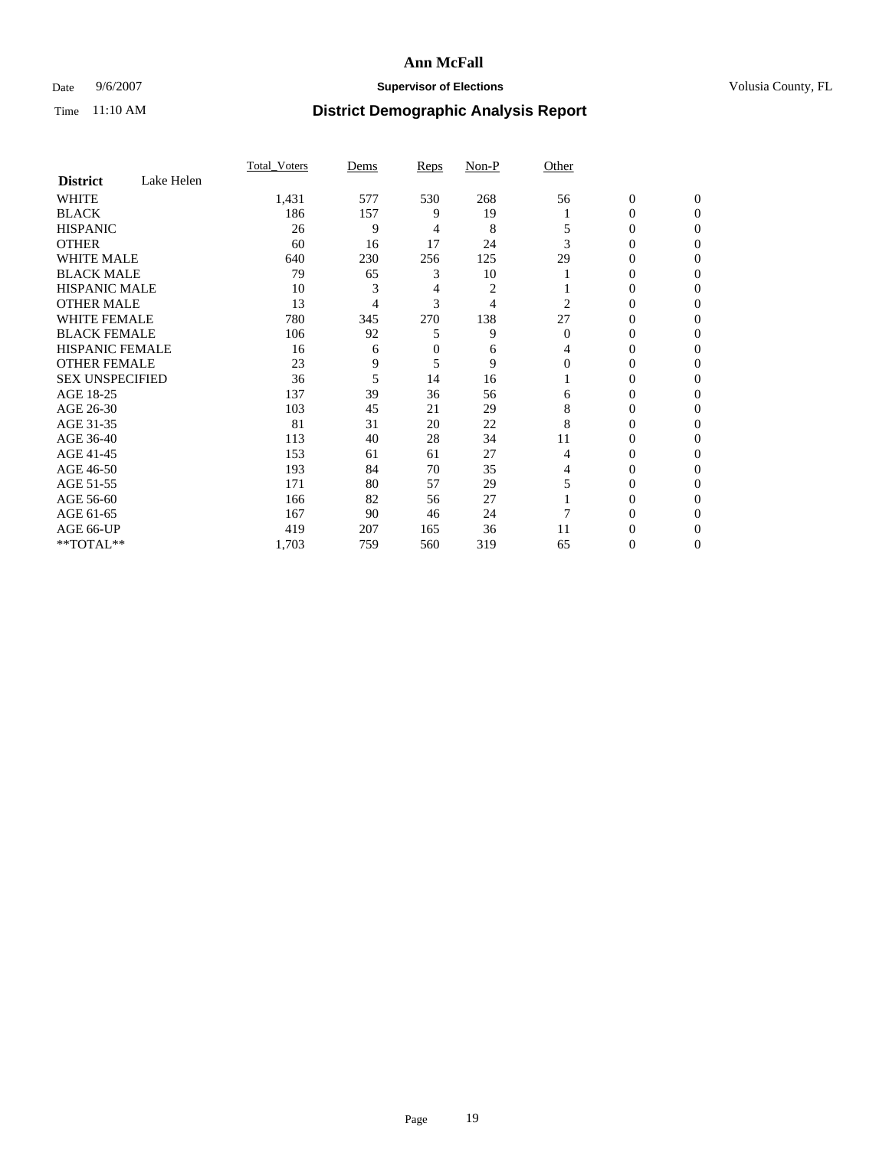### Date 9/6/2007 **Supervisor of Elections Supervisor of Elections** Volusia County, FL

|                        |            | <b>Total Voters</b> | Dems | Reps     | Non-P | Other    |                  |              |  |
|------------------------|------------|---------------------|------|----------|-------|----------|------------------|--------------|--|
| <b>District</b>        | Lake Helen |                     |      |          |       |          |                  |              |  |
| <b>WHITE</b>           |            | 1,431               | 577  | 530      | 268   | 56       | $\boldsymbol{0}$ | $\mathbf{0}$ |  |
| <b>BLACK</b>           |            | 186                 | 157  | 9        | 19    |          | 0                | $\mathbf{0}$ |  |
| <b>HISPANIC</b>        |            | 26                  | 9    | 4        | 8     |          | 0                | $\Omega$     |  |
| <b>OTHER</b>           |            | 60                  | 16   | 17       | 24    | 3        | $\overline{0}$   | $\theta$     |  |
| <b>WHITE MALE</b>      |            | 640                 | 230  | 256      | 125   | 29       | 0                | 0            |  |
| <b>BLACK MALE</b>      |            | 79                  | 65   | 3        | 10    |          | 0                | 0            |  |
| <b>HISPANIC MALE</b>   |            | 10                  | 3    | 4        | 2     |          | 0                |              |  |
| <b>OTHER MALE</b>      |            | 13                  | 4    | 3        | 4     | 2        | 0                | 0            |  |
| <b>WHITE FEMALE</b>    |            | 780                 | 345  | 270      | 138   | 27       | 0                | 0            |  |
| <b>BLACK FEMALE</b>    |            | 106                 | 92   | 5        | 9     | $\Omega$ | 0                | 0            |  |
| <b>HISPANIC FEMALE</b> |            | 16                  | 6    | $\theta$ | 6     | 4        | 0                | $\Omega$     |  |
| <b>OTHER FEMALE</b>    |            | 23                  | 9    | 5        | 9     | $\Omega$ | 0                | $\theta$     |  |
| <b>SEX UNSPECIFIED</b> |            | 36                  | 5    | 14       | 16    |          | 0                | $\theta$     |  |
| AGE 18-25              |            | 137                 | 39   | 36       | 56    | 6        | 0                | $_{0}$       |  |
| AGE 26-30              |            | 103                 | 45   | 21       | 29    | 8        | 0                | 0            |  |
| AGE 31-35              |            | 81                  | 31   | 20       | 22    | 8        | 0                | 0            |  |
| AGE 36-40              |            | 113                 | 40   | 28       | 34    | 11       | 0                | 0            |  |
| AGE 41-45              |            | 153                 | 61   | 61       | 27    | 4        | 0                | 0            |  |
| AGE 46-50              |            | 193                 | 84   | 70       | 35    | 4        | 0                | $\Omega$     |  |
| AGE 51-55              |            | 171                 | 80   | 57       | 29    |          | 0                | $\theta$     |  |
| AGE 56-60              |            | 166                 | 82   | 56       | 27    |          | 0                | $\theta$     |  |
| AGE 61-65              |            | 167                 | 90   | 46       | 24    |          | 0                | 0            |  |
| AGE 66-UP              |            | 419                 | 207  | 165      | 36    | 11       | 0                |              |  |
| **TOTAL**              |            | 1,703               | 759  | 560      | 319   | 65       | 0                | 0            |  |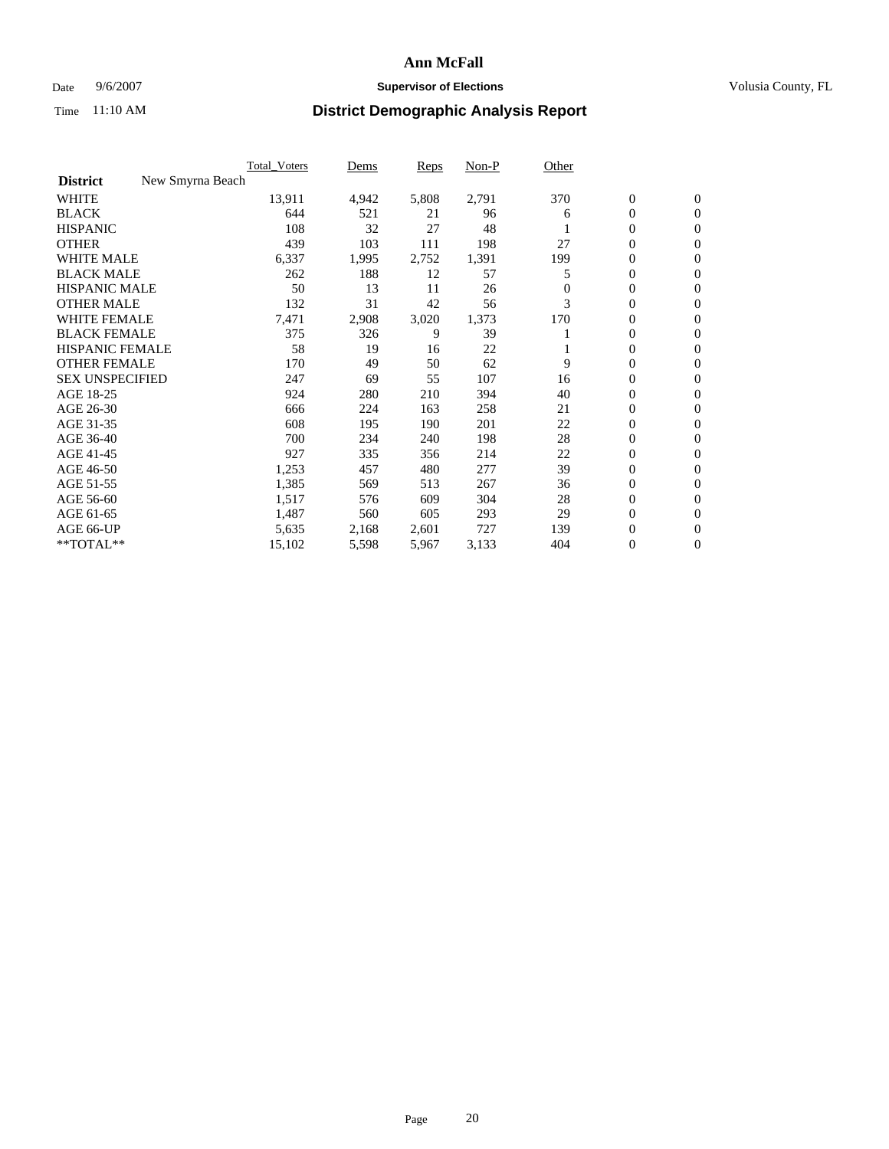### Date 9/6/2007 **Supervisor of Elections Supervisor of Elections** Volusia County, FL

|                                     | <b>Total Voters</b> | Dems  | Reps  | Non-P | Other    |                  |                  |  |
|-------------------------------------|---------------------|-------|-------|-------|----------|------------------|------------------|--|
| <b>District</b><br>New Smyrna Beach |                     |       |       |       |          |                  |                  |  |
| <b>WHITE</b>                        | 13,911              | 4,942 | 5,808 | 2,791 | 370      | $\boldsymbol{0}$ | $\mathbf{0}$     |  |
| <b>BLACK</b>                        | 644                 | 521   | 21    | 96    | 6        | $\mathbf{0}$     | $\mathbf{0}$     |  |
| <b>HISPANIC</b>                     | 108                 | 32    | 27    | 48    |          | $\mathbf{0}$     | $\mathbf{0}$     |  |
| <b>OTHER</b>                        | 439                 | 103   | 111   | 198   | 27       | 0                | $\overline{0}$   |  |
| <b>WHITE MALE</b>                   | 6,337               | 1,995 | 2,752 | 1,391 | 199      | 0                | $\mathbf{0}$     |  |
| <b>BLACK MALE</b>                   | 262                 | 188   | 12    | 57    | 5        | 0                | 0                |  |
| <b>HISPANIC MALE</b>                | 50                  | 13    | 11    | 26    | $\Omega$ | 0                | $\mathbf{0}$     |  |
| <b>OTHER MALE</b>                   | 132                 | 31    | 42    | 56    | 3        | 0                | $\mathbf{0}$     |  |
| <b>WHITE FEMALE</b>                 | 7,471               | 2,908 | 3,020 | 1,373 | 170      | 0                | $\mathbf{0}$     |  |
| <b>BLACK FEMALE</b>                 | 375                 | 326   | 9     | 39    |          | $\mathbf{0}$     | $\mathbf{0}$     |  |
| <b>HISPANIC FEMALE</b>              | 58                  | 19    | 16    | 22    |          | 0                | $\mathbf{0}$     |  |
| <b>OTHER FEMALE</b>                 | 170                 | 49    | 50    | 62    | 9        | $\overline{0}$   | $\mathbf{0}$     |  |
| <b>SEX UNSPECIFIED</b>              | 247                 | 69    | 55    | 107   | 16       | 0                | $\mathbf{0}$     |  |
| AGE 18-25                           | 924                 | 280   | 210   | 394   | 40       | 0                | $\mathbf{0}$     |  |
| AGE 26-30                           | 666                 | 224   | 163   | 258   | 21       | 0                | $\mathbf{0}$     |  |
| AGE 31-35                           | 608                 | 195   | 190   | 201   | 22       | 0                | $\mathbf{0}$     |  |
| AGE 36-40                           | 700                 | 234   | 240   | 198   | 28       | $\boldsymbol{0}$ | $\mathbf{0}$     |  |
| AGE 41-45                           | 927                 | 335   | 356   | 214   | 22       | 0                | $\mathbf{0}$     |  |
| AGE 46-50                           | 1,253               | 457   | 480   | 277   | 39       | $\mathbf{0}$     | $\mathbf{0}$     |  |
| AGE 51-55                           | 1,385               | 569   | 513   | 267   | 36       | $\overline{0}$   | $\mathbf{0}$     |  |
| AGE 56-60                           | 1,517               | 576   | 609   | 304   | 28       | $\mathbf{0}$     | $\mathbf{0}$     |  |
| AGE 61-65                           | 1,487               | 560   | 605   | 293   | 29       | 0                | $\mathbf{0}$     |  |
| AGE 66-UP                           | 5,635               | 2,168 | 2,601 | 727   | 139      | 0                | 0                |  |
| **TOTAL**                           | 15,102              | 5,598 | 5,967 | 3,133 | 404      | 0                | $\boldsymbol{0}$ |  |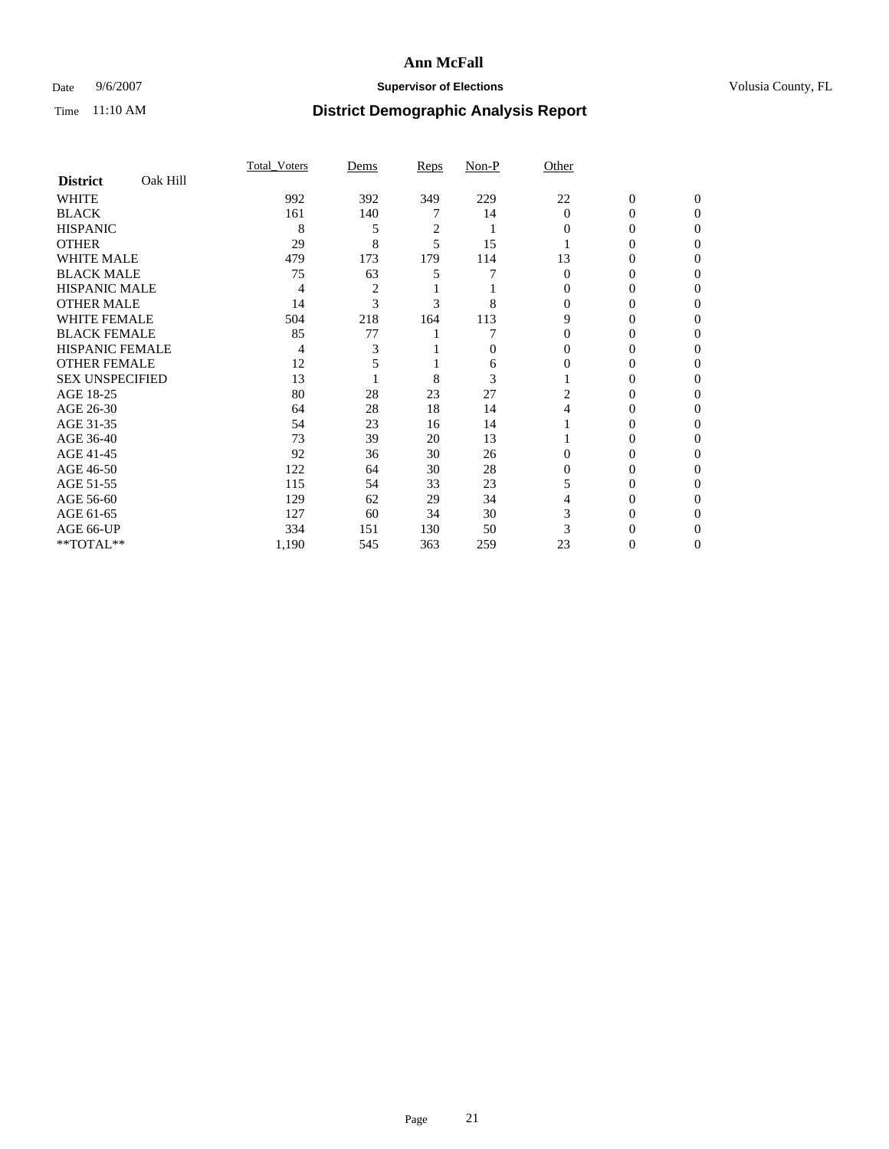### Date 9/6/2007 **Supervisor of Elections Supervisor of Elections** Volusia County, FL

|                        |          | Total Voters | Dems | Reps | Non-P    | Other        |                |              |  |
|------------------------|----------|--------------|------|------|----------|--------------|----------------|--------------|--|
| <b>District</b>        | Oak Hill |              |      |      |          |              |                |              |  |
| <b>WHITE</b>           |          | 992          | 392  | 349  | 229      | 22           | $\overline{0}$ | $\mathbf{0}$ |  |
| <b>BLACK</b>           |          | 161          | 140  |      | 14       | $\mathbf{0}$ | 0              | $\Omega$     |  |
| <b>HISPANIC</b>        |          | 8            | 5    | 2    |          | 0            | 0              | $\Omega$     |  |
| <b>OTHER</b>           |          | 29           | 8    | 5    | 15       |              |                | 0            |  |
| <b>WHITE MALE</b>      |          | 479          | 173  | 179  | 114      | 13           | 0              |              |  |
| <b>BLACK MALE</b>      |          | 75           | 63   |      |          | $\Omega$     | 0              | 0            |  |
| <b>HISPANIC MALE</b>   |          | 4            | 2    |      |          |              | 0              |              |  |
| <b>OTHER MALE</b>      |          | 14           | 3    | 3    | 8        | 0            | 0              | 0            |  |
| <b>WHITE FEMALE</b>    |          | 504          | 218  | 164  | 113      | 9            | 0              | $\theta$     |  |
| <b>BLACK FEMALE</b>    |          | 85           | 77   |      |          | 0            | 0              | 0            |  |
| HISPANIC FEMALE        |          | 4            |      |      | $\Omega$ |              |                | 0            |  |
| <b>OTHER FEMALE</b>    |          | 12           |      |      | 6        |              | 0              | 0            |  |
| <b>SEX UNSPECIFIED</b> |          | 13           |      | 8    | 3        |              | 0              | 0            |  |
| AGE 18-25              |          | 80           | 28   | 23   | 27       | 2            | 0              |              |  |
| AGE 26-30              |          | 64           | 28   | 18   | 14       |              | 0              | $\theta$     |  |
| AGE 31-35              |          | 54           | 23   | 16   | 14       |              | 0              |              |  |
| AGE 36-40              |          | 73           | 39   | 20   | 13       |              | 0              | 0            |  |
| AGE 41-45              |          | 92           | 36   | 30   | 26       | 0            | $_{0}$         | $\theta$     |  |
| AGE 46-50              |          | 122          | 64   | 30   | 28       | 0            | 0              | 0            |  |
| AGE 51-55              |          | 115          | 54   | 33   | 23       |              | 0              | 0            |  |
| AGE 56-60              |          | 129          | 62   | 29   | 34       |              | 0              | 0            |  |
| AGE 61-65              |          | 127          | 60   | 34   | 30       |              | 0              |              |  |
| AGE 66-UP              |          | 334          | 151  | 130  | 50       |              |                |              |  |
| **TOTAL**              |          | 1,190        | 545  | 363  | 259      | 23           | 0              | 0            |  |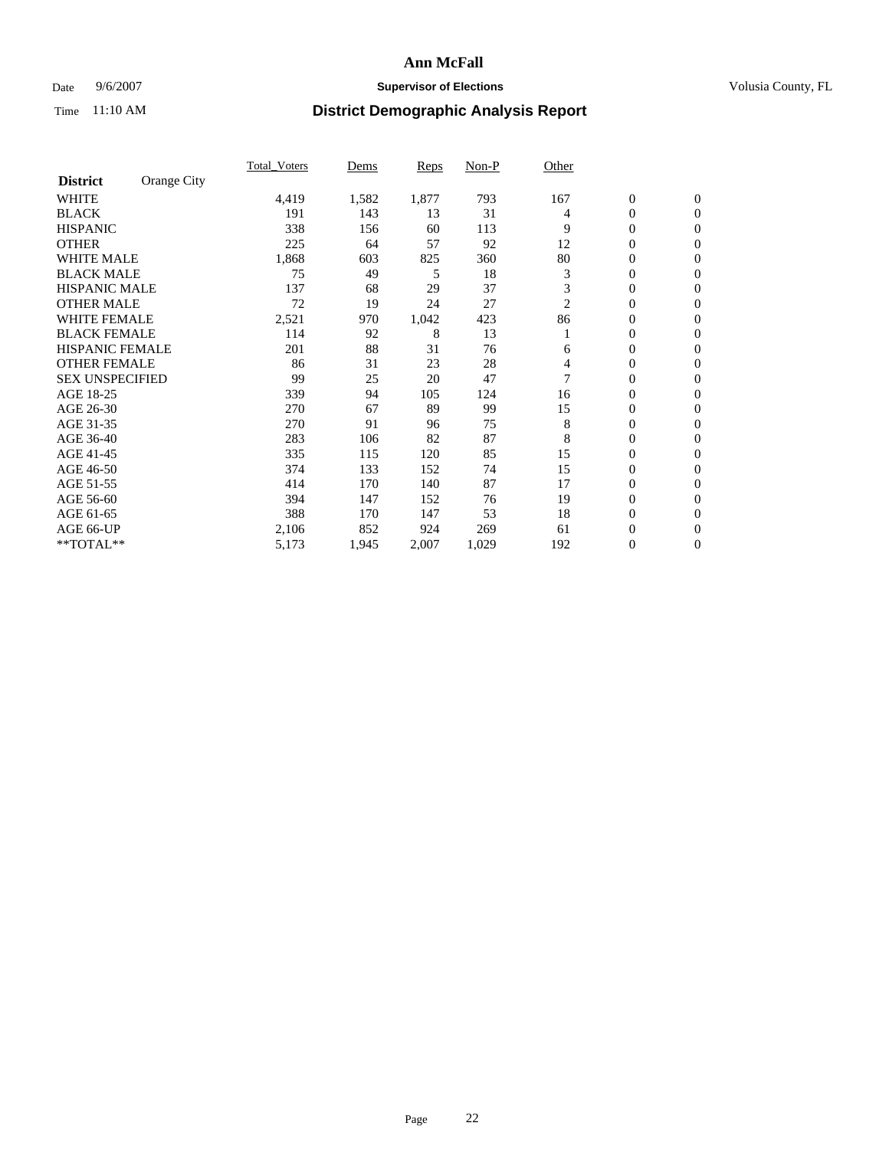### Date 9/6/2007 **Supervisor of Elections Supervisor of Elections** Volusia County, FL

|                        |             | <b>Total Voters</b> | Dems  | Reps  | Non-P | Other |                  |                  |  |
|------------------------|-------------|---------------------|-------|-------|-------|-------|------------------|------------------|--|
| <b>District</b>        | Orange City |                     |       |       |       |       |                  |                  |  |
| <b>WHITE</b>           |             | 4,419               | 1,582 | 1,877 | 793   | 167   | $\boldsymbol{0}$ | $\mathbf{0}$     |  |
| <b>BLACK</b>           |             | 191                 | 143   | 13    | 31    | 4     | 0                | $\mathbf{0}$     |  |
| <b>HISPANIC</b>        |             | 338                 | 156   | 60    | 113   | 9     | 0                | $\mathbf{0}$     |  |
| <b>OTHER</b>           |             | 225                 | 64    | 57    | 92    | 12    | 0                | $\mathbf{0}$     |  |
| <b>WHITE MALE</b>      |             | 1,868               | 603   | 825   | 360   | 80    | 0                | $\mathbf{0}$     |  |
| <b>BLACK MALE</b>      |             | 75                  | 49    | 5     | 18    | 3     | 0                | $\mathbf{0}$     |  |
| <b>HISPANIC MALE</b>   |             | 137                 | 68    | 29    | 37    | 3     | 0                | $\mathbf{0}$     |  |
| <b>OTHER MALE</b>      |             | 72                  | 19    | 24    | 27    | 2     | $\mathbf{0}$     | $\mathbf{0}$     |  |
| <b>WHITE FEMALE</b>    |             | 2,521               | 970   | 1,042 | 423   | 86    | 0                | $\mathbf{0}$     |  |
| <b>BLACK FEMALE</b>    |             | 114                 | 92    | 8     | 13    |       | $\mathbf{0}$     | $\mathbf{0}$     |  |
| <b>HISPANIC FEMALE</b> |             | 201                 | 88    | 31    | 76    | 6     | 0                | $\mathbf{0}$     |  |
| <b>OTHER FEMALE</b>    |             | 86                  | 31    | 23    | 28    | 4     | 0                | $\mathbf{0}$     |  |
| <b>SEX UNSPECIFIED</b> |             | 99                  | 25    | 20    | 47    |       | 0                | 0                |  |
| AGE 18-25              |             | 339                 | 94    | 105   | 124   | 16    | 0                | $\Omega$         |  |
| AGE 26-30              |             | 270                 | 67    | 89    | 99    | 15    | $\mathbf{0}$     | $\mathbf{0}$     |  |
| AGE 31-35              |             | 270                 | 91    | 96    | 75    | 8     | 0                | $\mathbf{0}$     |  |
| AGE 36-40              |             | 283                 | 106   | 82    | 87    | 8     | 0                | $\mathbf{0}$     |  |
| AGE 41-45              |             | 335                 | 115   | 120   | 85    | 15    | 0                | $\mathbf{0}$     |  |
| AGE 46-50              |             | 374                 | 133   | 152   | 74    | 15    | 0                | $\Omega$         |  |
| AGE 51-55              |             | 414                 | 170   | 140   | 87    | 17    | $\boldsymbol{0}$ | $\mathbf{0}$     |  |
| AGE 56-60              |             | 394                 | 147   | 152   | 76    | 19    | 0                | $\mathbf{0}$     |  |
| AGE 61-65              |             | 388                 | 170   | 147   | 53    | 18    | $\overline{0}$   | $\mathbf{0}$     |  |
| AGE 66-UP              |             | 2,106               | 852   | 924   | 269   | 61    | 0                | $\mathbf{0}$     |  |
| **TOTAL**              |             | 5,173               | 1,945 | 2,007 | 1,029 | 192   | 0                | $\boldsymbol{0}$ |  |
|                        |             |                     |       |       |       |       |                  |                  |  |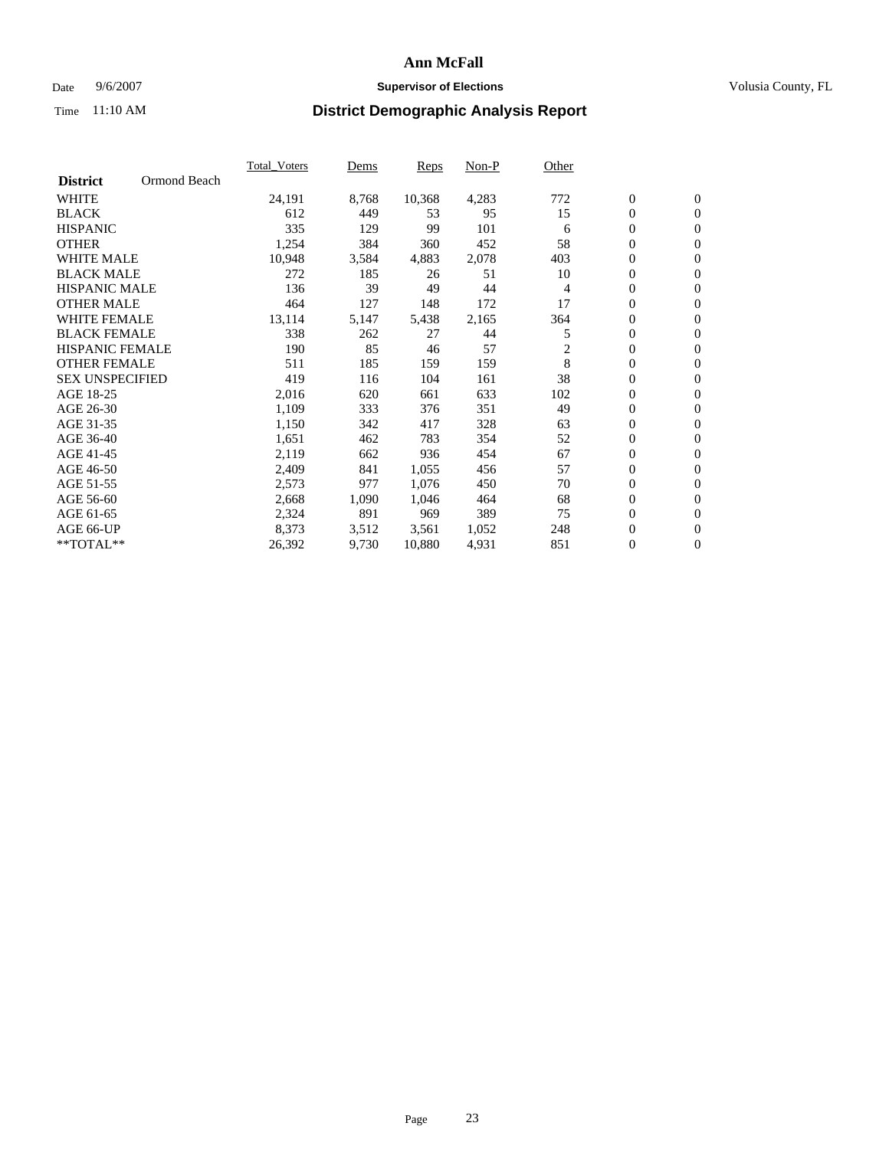### Date 9/6/2007 **Supervisor of Elections Supervisor of Elections** Volusia County, FL

|                        |              | Total Voters | Dems  | <b>Reps</b> | Non-P | Other |                  |                  |  |
|------------------------|--------------|--------------|-------|-------------|-------|-------|------------------|------------------|--|
| <b>District</b>        | Ormond Beach |              |       |             |       |       |                  |                  |  |
| <b>WHITE</b>           |              | 24,191       | 8,768 | 10,368      | 4,283 | 772   | $\overline{0}$   | $\mathbf{0}$     |  |
| <b>BLACK</b>           |              | 612          | 449   | 53          | 95    | 15    | $\overline{0}$   | $\mathbf{0}$     |  |
| <b>HISPANIC</b>        |              | 335          | 129   | 99          | 101   | 6     | $\boldsymbol{0}$ | $\mathbf{0}$     |  |
| <b>OTHER</b>           |              | 1,254        | 384   | 360         | 452   | 58    | 0                | $\mathbf{0}$     |  |
| <b>WHITE MALE</b>      |              | 10,948       | 3,584 | 4,883       | 2,078 | 403   | 0                | $\mathbf{0}$     |  |
| <b>BLACK MALE</b>      |              | 272          | 185   | 26          | 51    | 10    | $\boldsymbol{0}$ | $\mathbf{0}$     |  |
| <b>HISPANIC MALE</b>   |              | 136          | 39    | 49          | 44    | 4     | $\overline{0}$   | $\mathbf{0}$     |  |
| <b>OTHER MALE</b>      |              | 464          | 127   | 148         | 172   | 17    | $\overline{0}$   | $\mathbf{0}$     |  |
| <b>WHITE FEMALE</b>    |              | 13,114       | 5,147 | 5,438       | 2,165 | 364   | 0                | $\mathbf{0}$     |  |
| <b>BLACK FEMALE</b>    |              | 338          | 262   | 27          | 44    | 5     | $\overline{0}$   | $\mathbf{0}$     |  |
| <b>HISPANIC FEMALE</b> |              | 190          | 85    | 46          | 57    | 2     | $\boldsymbol{0}$ | $\mathbf{0}$     |  |
| <b>OTHER FEMALE</b>    |              | 511          | 185   | 159         | 159   | 8     | 0                | $\overline{0}$   |  |
| <b>SEX UNSPECIFIED</b> |              | 419          | 116   | 104         | 161   | 38    | $\overline{0}$   | $\mathbf{0}$     |  |
| AGE 18-25              |              | 2,016        | 620   | 661         | 633   | 102   | $\boldsymbol{0}$ | $\mathbf{0}$     |  |
| AGE 26-30              |              | 1,109        | 333   | 376         | 351   | 49    | $\overline{0}$   | $\mathbf{0}$     |  |
| AGE 31-35              |              | 1,150        | 342   | 417         | 328   | 63    | $\overline{0}$   | $\mathbf{0}$     |  |
| AGE 36-40              |              | 1,651        | 462   | 783         | 354   | 52    | $\boldsymbol{0}$ | $\mathbf{0}$     |  |
| AGE 41-45              |              | 2,119        | 662   | 936         | 454   | 67    | $\boldsymbol{0}$ | $\mathbf{0}$     |  |
| AGE 46-50              |              | 2,409        | 841   | 1,055       | 456   | 57    | 0                | $\mathbf{0}$     |  |
| AGE 51-55              |              | 2,573        | 977   | 1,076       | 450   | 70    | $\boldsymbol{0}$ | $\mathbf{0}$     |  |
| AGE 56-60              |              | 2,668        | 1,090 | 1,046       | 464   | 68    | $\overline{0}$   | $\mathbf{0}$     |  |
| AGE 61-65              |              | 2,324        | 891   | 969         | 389   | 75    | $\mathbf{0}$     | $\mathbf{0}$     |  |
| AGE 66-UP              |              | 8,373        | 3,512 | 3,561       | 1,052 | 248   | $\boldsymbol{0}$ | $\boldsymbol{0}$ |  |
| **TOTAL**              |              | 26,392       | 9,730 | 10,880      | 4,931 | 851   | $\boldsymbol{0}$ | $\overline{0}$   |  |
|                        |              |              |       |             |       |       |                  |                  |  |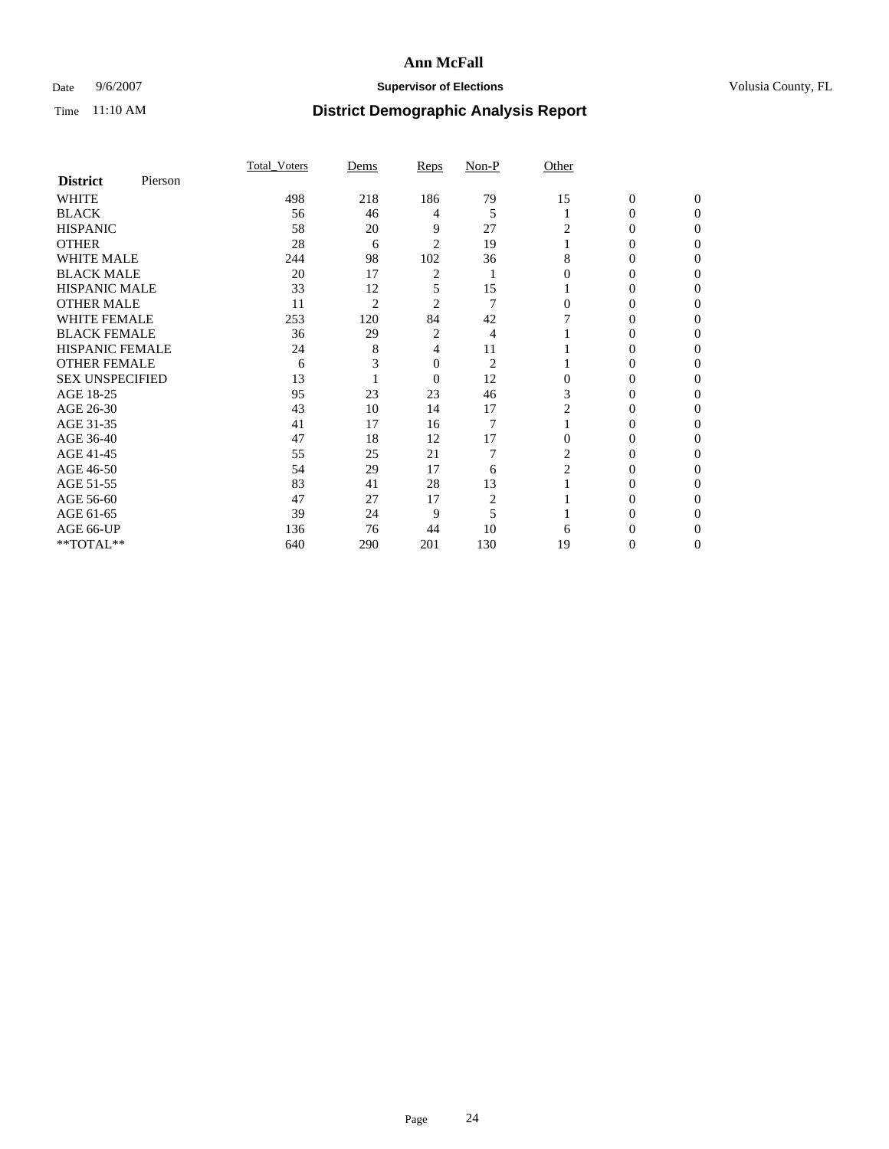### Date 9/6/2007 **Supervisor of Elections Supervisor of Elections** Volusia County, FL

|                        |         | Total Voters | Dems           | Reps           | Non-P          | Other          |              |              |
|------------------------|---------|--------------|----------------|----------------|----------------|----------------|--------------|--------------|
| <b>District</b>        | Pierson |              |                |                |                |                |              |              |
| <b>WHITE</b>           |         | 498          | 218            | 186            | 79             | 15             | $\mathbf{0}$ | $\mathbf{0}$ |
| <b>BLACK</b>           |         | 56           | 46             | 4              | 5              |                | 0            | $\theta$     |
| <b>HISPANIC</b>        |         | 58           | 20             | 9              | 27             | 2              | 0            | $\theta$     |
| <b>OTHER</b>           |         | 28           | 6              | $\overline{2}$ | 19             |                | 0            | 0            |
| WHITE MALE             |         | 244          | 98             | 102            | 36             | 8              | 0            | 0            |
| <b>BLACK MALE</b>      |         | 20           | 17             | 2              |                |                | 0            |              |
| <b>HISPANIC MALE</b>   |         | 33           | 12             | 5              | 15             |                | 0            | 0            |
| <b>OTHER MALE</b>      |         | 11           | $\overline{2}$ | 2              | 7              | 0              | 0            | 0            |
| <b>WHITE FEMALE</b>    |         | 253          | 120            | 84             | 42             |                | 0            | 0            |
| <b>BLACK FEMALE</b>    |         | 36           | 29             | 2              | 4              |                | 0            | $\theta$     |
| <b>HISPANIC FEMALE</b> |         | 24           | 8              | 4              | 11             |                | 0            |              |
| <b>OTHER FEMALE</b>    |         | 6            |                | 0              | $\overline{2}$ |                | 0            | 0            |
| <b>SEX UNSPECIFIED</b> |         | 13           |                | $\overline{0}$ | 12             | 0              | 0            | 0            |
| AGE 18-25              |         | 95           | 23             | 23             | 46             | 3              | 0            | $\Omega$     |
| AGE 26-30              |         | 43           | 10             | 14             | 17             | 2              | 0            | $\theta$     |
| AGE 31-35              |         | 41           | 17             | 16             | $\overline{7}$ |                | 0            | 0            |
| AGE 36-40              |         | 47           | 18             | 12             | 17             | $\overline{0}$ | 0            | 0            |
| AGE 41-45              |         | 55           | 25             | 21             | 7              | 2              | 0            |              |
| AGE 46-50              |         | 54           | 29             | 17             | 6              | $\overline{2}$ | 0            | 0            |
| AGE 51-55              |         | 83           | 41             | 28             | 13             |                | 0            | 0            |
| AGE 56-60              |         | 47           | 27             | 17             | 2              |                | 0            | $\Omega$     |
| AGE 61-65              |         | 39           | 24             | 9              | 5              |                | 0            | 0            |
| AGE 66-UP              |         | 136          | 76             | 44             | 10             | 6              |              |              |
| **TOTAL**              |         | 640          | 290            | 201            | 130            | 19             | 0            | 0            |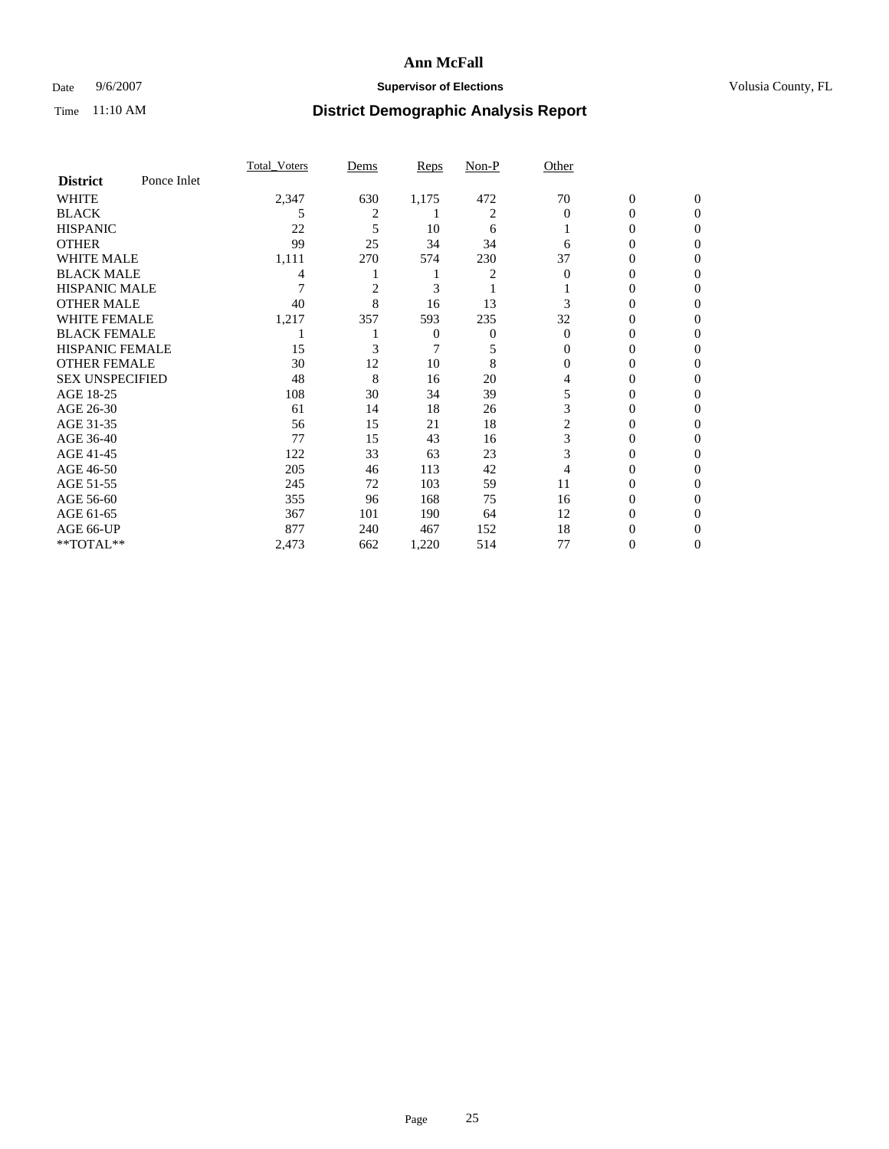### Date 9/6/2007 **Supervisor of Elections Supervisor of Elections** Volusia County, FL

|                        |             | Total Voters | Dems           | <b>Reps</b> | Non-P | Other    |                |                |
|------------------------|-------------|--------------|----------------|-------------|-------|----------|----------------|----------------|
| <b>District</b>        | Ponce Inlet |              |                |             |       |          |                |                |
| <b>WHITE</b>           |             | 2,347        | 630            | 1,175       | 472   | 70       | $\overline{0}$ | $\mathbf{0}$   |
| <b>BLACK</b>           |             | 5            | 2              |             | 2     | $\Omega$ | 0              | $\Omega$       |
| <b>HISPANIC</b>        |             | 22           | 5              | 10          | 6     |          | 0              | $\Omega$       |
| <b>OTHER</b>           |             | 99           | 25             | 34          | 34    | 6        | 0              | $\Omega$       |
| <b>WHITE MALE</b>      |             | 1,111        | 270            | 574         | 230   | 37       | 0              | $\Omega$       |
| <b>BLACK MALE</b>      |             | 4            |                |             | 2     | 0        | 0              | 0              |
| <b>HISPANIC MALE</b>   |             |              | $\overline{c}$ | 3           |       |          | 0              | 0              |
| <b>OTHER MALE</b>      |             | 40           | 8              | 16          | 13    | 3        | 0              | 0              |
| <b>WHITE FEMALE</b>    |             | 1,217        | 357            | 593         | 235   | 32       | 0              | $\Omega$       |
| <b>BLACK FEMALE</b>    |             |              |                | 0           | 0     | $\Omega$ | 0              | $\Omega$       |
| <b>HISPANIC FEMALE</b> |             | 15           | 3              | 7           | 5     | 0        | 0              | 0              |
| <b>OTHER FEMALE</b>    |             | 30           | 12             | 10          | 8     |          | 0              | 0              |
| <b>SEX UNSPECIFIED</b> |             | 48           | 8              | 16          | 20    | 4        | 0              | 0              |
| AGE 18-25              |             | 108          | 30             | 34          | 39    | 5        | 0              | $\Omega$       |
| AGE 26-30              |             | 61           | 14             | 18          | 26    | 3        | 0              | $\Omega$       |
| AGE 31-35              |             | 56           | 15             | 21          | 18    | 2        | 0              | 0              |
| AGE 36-40              |             | 77           | 15             | 43          | 16    | 3        | 0              | $\Omega$       |
| AGE 41-45              |             | 122          | 33             | 63          | 23    | 3        | 0              | 0              |
| AGE 46-50              |             | 205          | 46             | 113         | 42    | 4        | 0              | 0              |
| AGE 51-55              |             | 245          | 72             | 103         | 59    | 11       | 0              | $\Omega$       |
| AGE 56-60              |             | 355          | 96             | 168         | 75    | 16       | 0              | $\Omega$       |
| AGE 61-65              |             | 367          | 101            | 190         | 64    | 12       | 0              | $\Omega$       |
| AGE 66-UP              |             | 877          | 240            | 467         | 152   | 18       | 0              | $\theta$       |
| **TOTAL**              |             | 2,473        | 662            | 1,220       | 514   | 77       | 0              | $\overline{0}$ |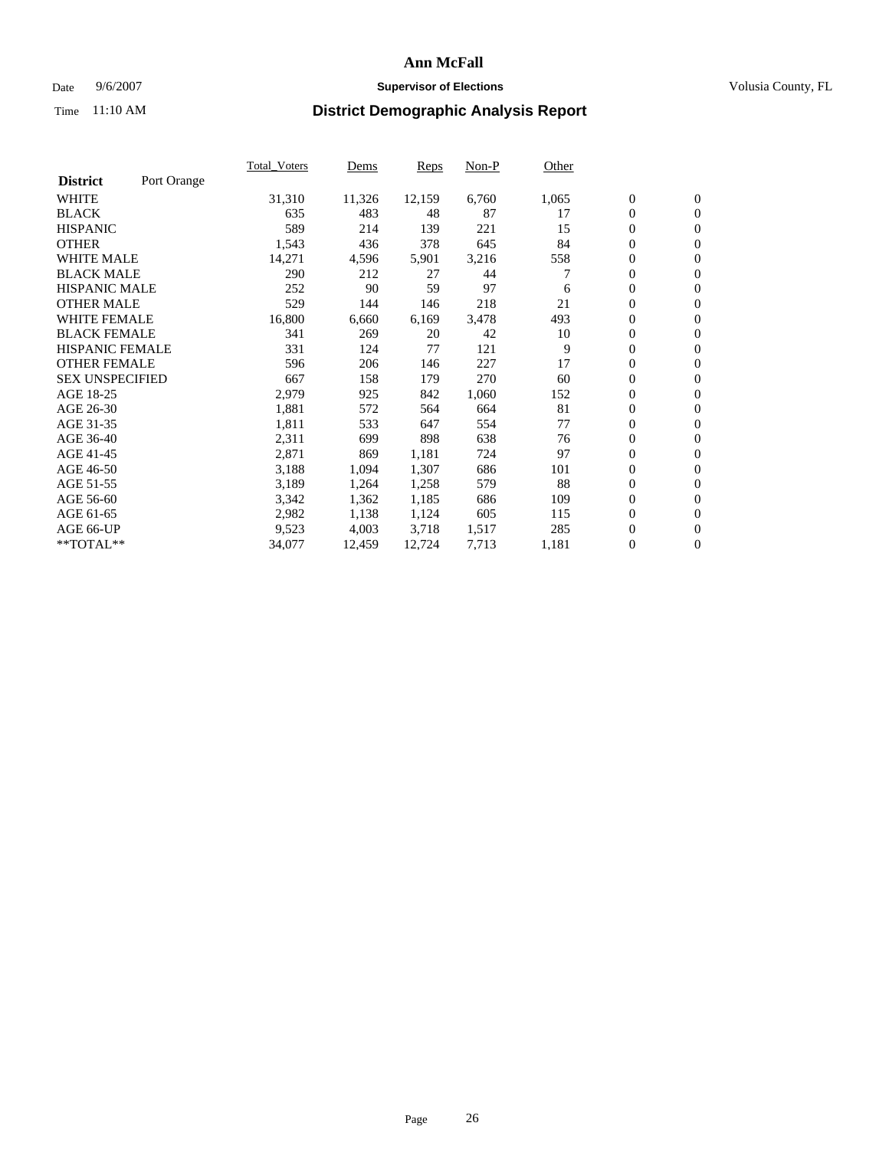#### Date  $9/6/2007$  **Supervisor of Elections Supervisor of Elections** Volusia County, FL

|                        |             | Total Voters | Dems   | <b>Reps</b> | Non-P | Other |                  |                  |  |
|------------------------|-------------|--------------|--------|-------------|-------|-------|------------------|------------------|--|
| <b>District</b>        | Port Orange |              |        |             |       |       |                  |                  |  |
| <b>WHITE</b>           |             | 31,310       | 11,326 | 12,159      | 6,760 | 1,065 | $\boldsymbol{0}$ | $\mathbf{0}$     |  |
| <b>BLACK</b>           |             | 635          | 483    | 48          | 87    | 17    | $\overline{0}$   | $\mathbf{0}$     |  |
| <b>HISPANIC</b>        |             | 589          | 214    | 139         | 221   | 15    | $\boldsymbol{0}$ | $\mathbf{0}$     |  |
| <b>OTHER</b>           |             | 1,543        | 436    | 378         | 645   | 84    | $\boldsymbol{0}$ | $\mathbf{0}$     |  |
| <b>WHITE MALE</b>      |             | 14,271       | 4,596  | 5,901       | 3,216 | 558   | 0                | $\mathbf{0}$     |  |
| <b>BLACK MALE</b>      |             | 290          | 212    | 27          | 44    |       | $\boldsymbol{0}$ | $\boldsymbol{0}$ |  |
| <b>HISPANIC MALE</b>   |             | 252          | 90     | 59          | 97    | 6     | $\overline{0}$   | $\mathbf{0}$     |  |
| <b>OTHER MALE</b>      |             | 529          | 144    | 146         | 218   | 21    | $\overline{0}$   | $\mathbf{0}$     |  |
| <b>WHITE FEMALE</b>    |             | 16,800       | 6,660  | 6,169       | 3,478 | 493   | $\overline{0}$   | $\mathbf{0}$     |  |
| <b>BLACK FEMALE</b>    |             | 341          | 269    | 20          | 42    | 10    | $\boldsymbol{0}$ | $\mathbf{0}$     |  |
| <b>HISPANIC FEMALE</b> |             | 331          | 124    | 77          | 121   | 9     | $\boldsymbol{0}$ | $\boldsymbol{0}$ |  |
| <b>OTHER FEMALE</b>    |             | 596          | 206    | 146         | 227   | 17    | 0                | $\mathbf{0}$     |  |
| <b>SEX UNSPECIFIED</b> |             | 667          | 158    | 179         | 270   | 60    | $\boldsymbol{0}$ | $\mathbf{0}$     |  |
| AGE 18-25              |             | 2,979        | 925    | 842         | 1,060 | 152   | $\boldsymbol{0}$ | $\mathbf{0}$     |  |
| AGE 26-30              |             | 1,881        | 572    | 564         | 664   | 81    | $\overline{0}$   | $\mathbf{0}$     |  |
| AGE 31-35              |             | 1,811        | 533    | 647         | 554   | 77    | $\overline{0}$   | $\mathbf{0}$     |  |
| AGE 36-40              |             | 2,311        | 699    | 898         | 638   | 76    | $\boldsymbol{0}$ | $\mathbf{0}$     |  |
| AGE 41-45              |             | 2,871        | 869    | 1,181       | 724   | 97    | $\boldsymbol{0}$ | $\mathbf{0}$     |  |
| AGE 46-50              |             | 3,188        | 1,094  | 1,307       | 686   | 101   | 0                | $\mathbf{0}$     |  |
| AGE 51-55              |             | 3,189        | 1,264  | 1,258       | 579   | 88    | $\boldsymbol{0}$ | $\boldsymbol{0}$ |  |
| AGE 56-60              |             | 3,342        | 1,362  | 1,185       | 686   | 109   | $\overline{0}$   | $\mathbf{0}$     |  |
| AGE 61-65              |             | 2,982        | 1,138  | 1,124       | 605   | 115   | $\mathbf{0}$     | $\mathbf{0}$     |  |
| AGE 66-UP              |             | 9,523        | 4,003  | 3,718       | 1,517 | 285   | $\boldsymbol{0}$ | $\boldsymbol{0}$ |  |
| **TOTAL**              |             | 34,077       | 12,459 | 12,724      | 7,713 | 1,181 | $\boldsymbol{0}$ | $\overline{0}$   |  |
|                        |             |              |        |             |       |       |                  |                  |  |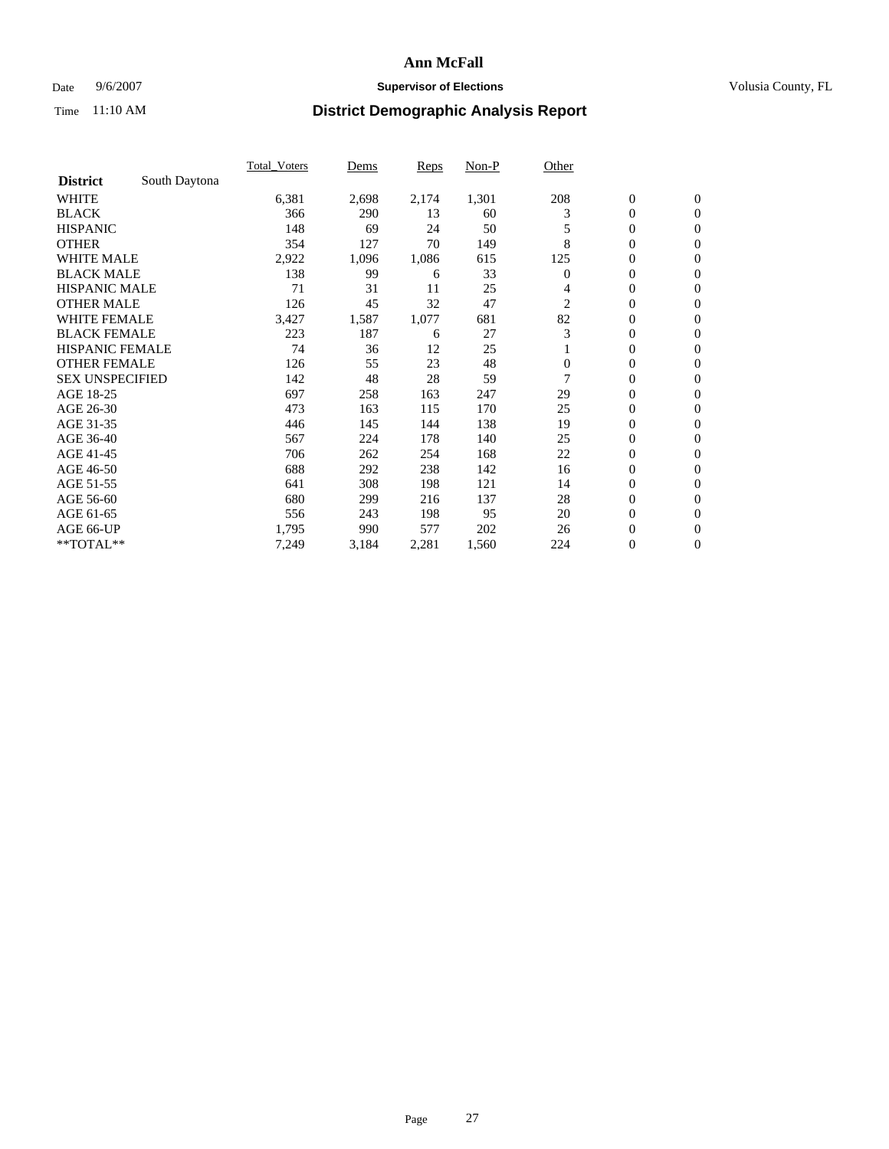### Date 9/6/2007 **Supervisor of Elections Supervisor of Elections** Volusia County, FL

|                        |               | <b>Total Voters</b> | Dems  | Reps  | Non-P | Other        |                  |                  |  |
|------------------------|---------------|---------------------|-------|-------|-------|--------------|------------------|------------------|--|
| <b>District</b>        | South Daytona |                     |       |       |       |              |                  |                  |  |
| <b>WHITE</b>           |               | 6,381               | 2,698 | 2,174 | 1,301 | 208          | $\boldsymbol{0}$ | $\boldsymbol{0}$ |  |
| <b>BLACK</b>           |               | 366                 | 290   | 13    | 60    | 3            | $\mathbf{0}$     | $\mathbf{0}$     |  |
| <b>HISPANIC</b>        |               | 148                 | 69    | 24    | 50    |              | $\mathbf{0}$     | $\mathbf{0}$     |  |
| <b>OTHER</b>           |               | 354                 | 127   | 70    | 149   | 8            | 0                | $\overline{0}$   |  |
| <b>WHITE MALE</b>      |               | 2,922               | 1,096 | 1,086 | 615   | 125          | 0                | $\overline{0}$   |  |
| <b>BLACK MALE</b>      |               | 138                 | 99    | 6     | 33    | 0            | 0                | 0                |  |
| <b>HISPANIC MALE</b>   |               | 71                  | 31    | 11    | 25    | 4            | 0                | $\overline{0}$   |  |
| <b>OTHER MALE</b>      |               | 126                 | 45    | 32    | 47    | 2            | 0                | $\mathbf{0}$     |  |
| <b>WHITE FEMALE</b>    |               | 3,427               | 1,587 | 1,077 | 681   | 82           | 0                | $\overline{0}$   |  |
| <b>BLACK FEMALE</b>    |               | 223                 | 187   | 6     | 27    | 3            | $\mathbf{0}$     | $\mathbf{0}$     |  |
| <b>HISPANIC FEMALE</b> |               | 74                  | 36    | 12    | 25    |              | 0                | $\mathbf{0}$     |  |
| <b>OTHER FEMALE</b>    |               | 126                 | 55    | 23    | 48    | $\mathbf{0}$ | 0                | $\overline{0}$   |  |
| <b>SEX UNSPECIFIED</b> |               | 142                 | 48    | 28    | 59    | 7            | $\boldsymbol{0}$ | $\overline{0}$   |  |
| AGE 18-25              |               | 697                 | 258   | 163   | 247   | 29           | 0                | $\overline{0}$   |  |
| AGE 26-30              |               | 473                 | 163   | 115   | 170   | 25           | 0                | $\overline{0}$   |  |
| AGE 31-35              |               | 446                 | 145   | 144   | 138   | 19           | 0                | $\overline{0}$   |  |
| AGE 36-40              |               | 567                 | 224   | 178   | 140   | 25           | $\boldsymbol{0}$ | $\mathbf{0}$     |  |
| AGE 41-45              |               | 706                 | 262   | 254   | 168   | 22           | 0                | $\overline{0}$   |  |
| AGE 46-50              |               | 688                 | 292   | 238   | 142   | 16           | $\mathbf{0}$     | $\mathbf{0}$     |  |
| AGE 51-55              |               | 641                 | 308   | 198   | 121   | 14           | $\overline{0}$   | $\mathbf{0}$     |  |
| AGE 56-60              |               | 680                 | 299   | 216   | 137   | 28           | $\boldsymbol{0}$ | $\overline{0}$   |  |
| AGE 61-65              |               | 556                 | 243   | 198   | 95    | 20           | 0                | $\overline{0}$   |  |
| AGE 66-UP              |               | 1,795               | 990   | 577   | 202   | 26           | 0                | 0                |  |
| **TOTAL**              |               | 7,249               | 3,184 | 2,281 | 1,560 | 224          | $\boldsymbol{0}$ | $\boldsymbol{0}$ |  |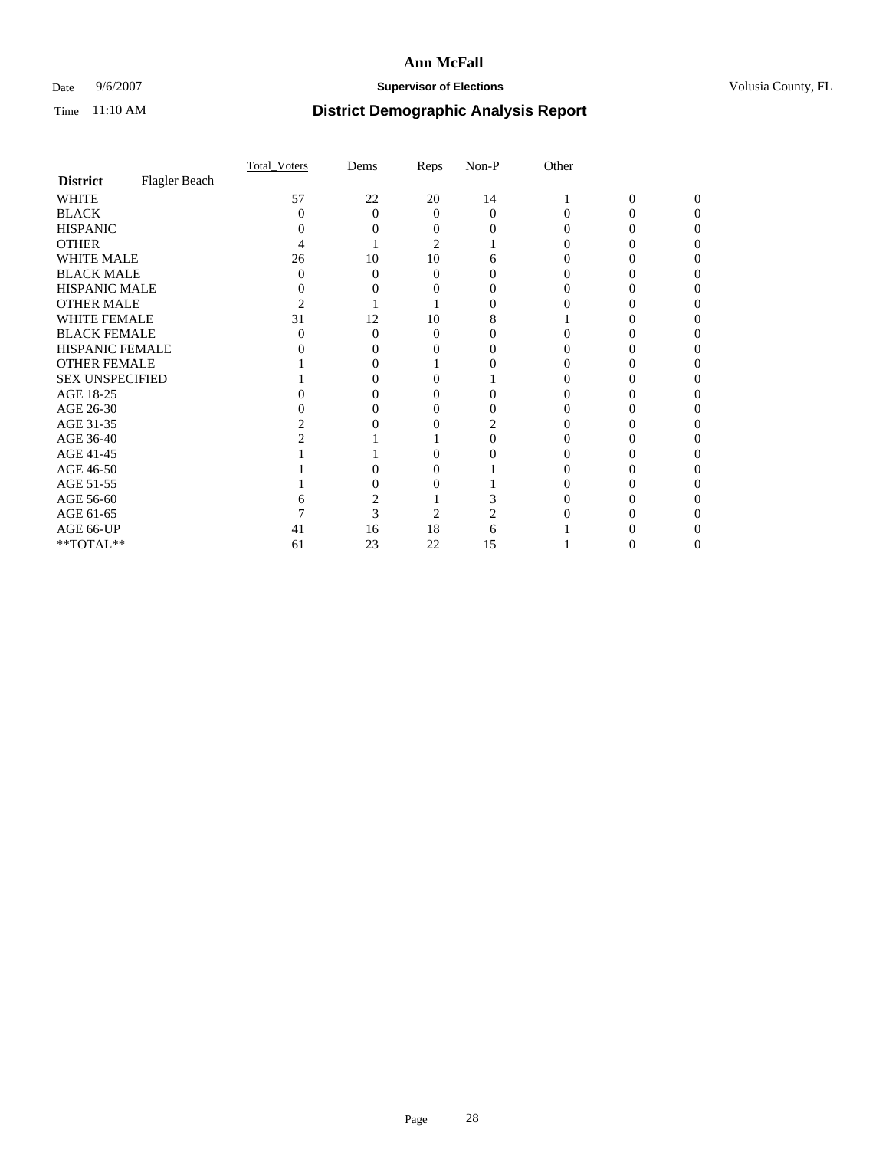### Date 9/6/2007 **Supervisor of Elections Supervisor of Elections** Volusia County, FL

|                        |               | Total Voters | Dems     | Reps   | $Non-P$  | Other |              |          |  |
|------------------------|---------------|--------------|----------|--------|----------|-------|--------------|----------|--|
| <b>District</b>        | Flagler Beach |              |          |        |          |       |              |          |  |
| <b>WHITE</b>           |               | 57           | 22       | $20\,$ | 14       |       | $\mathbf{0}$ | $\Omega$ |  |
| <b>BLACK</b>           |               | 0            | $\Omega$ | 0      | $\Omega$ |       |              | ∩        |  |
| <b>HISPANIC</b>        |               |              |          |        |          |       |              |          |  |
| <b>OTHER</b>           |               |              |          | 2      |          |       |              |          |  |
| WHITE MALE             |               | 26           | 10       | 10     |          |       |              |          |  |
| <b>BLACK MALE</b>      |               |              | 0        | 0      |          |       |              |          |  |
| HISPANIC MALE          |               |              |          |        |          |       |              |          |  |
| <b>OTHER MALE</b>      |               |              |          |        |          |       |              |          |  |
| WHITE FEMALE           |               | 31           | 12       | 10     |          |       |              |          |  |
| <b>BLACK FEMALE</b>    |               |              | 0        | 0      |          |       |              |          |  |
| HISPANIC FEMALE        |               |              |          |        |          |       |              |          |  |
| <b>OTHER FEMALE</b>    |               |              |          |        |          |       |              |          |  |
| <b>SEX UNSPECIFIED</b> |               |              |          |        |          |       |              |          |  |
| AGE 18-25              |               |              |          |        |          |       |              |          |  |
| AGE 26-30              |               |              |          |        |          |       |              |          |  |
| AGE 31-35              |               |              |          |        |          |       |              |          |  |
| AGE 36-40              |               |              |          |        |          |       |              |          |  |
| AGE 41-45              |               |              |          |        |          |       |              |          |  |
| AGE 46-50              |               |              |          |        |          |       |              |          |  |
| AGE 51-55              |               |              |          |        |          |       |              |          |  |
| AGE 56-60              |               |              |          |        |          |       |              |          |  |
| AGE 61-65              |               |              | 3        | 2      |          |       |              |          |  |
| AGE 66-UP              |               | 41           | 16       | 18     | h        |       |              |          |  |
| $**TOTAL**$            |               | 61           | 23       | 22     | 15       |       | 0            | $_{0}$   |  |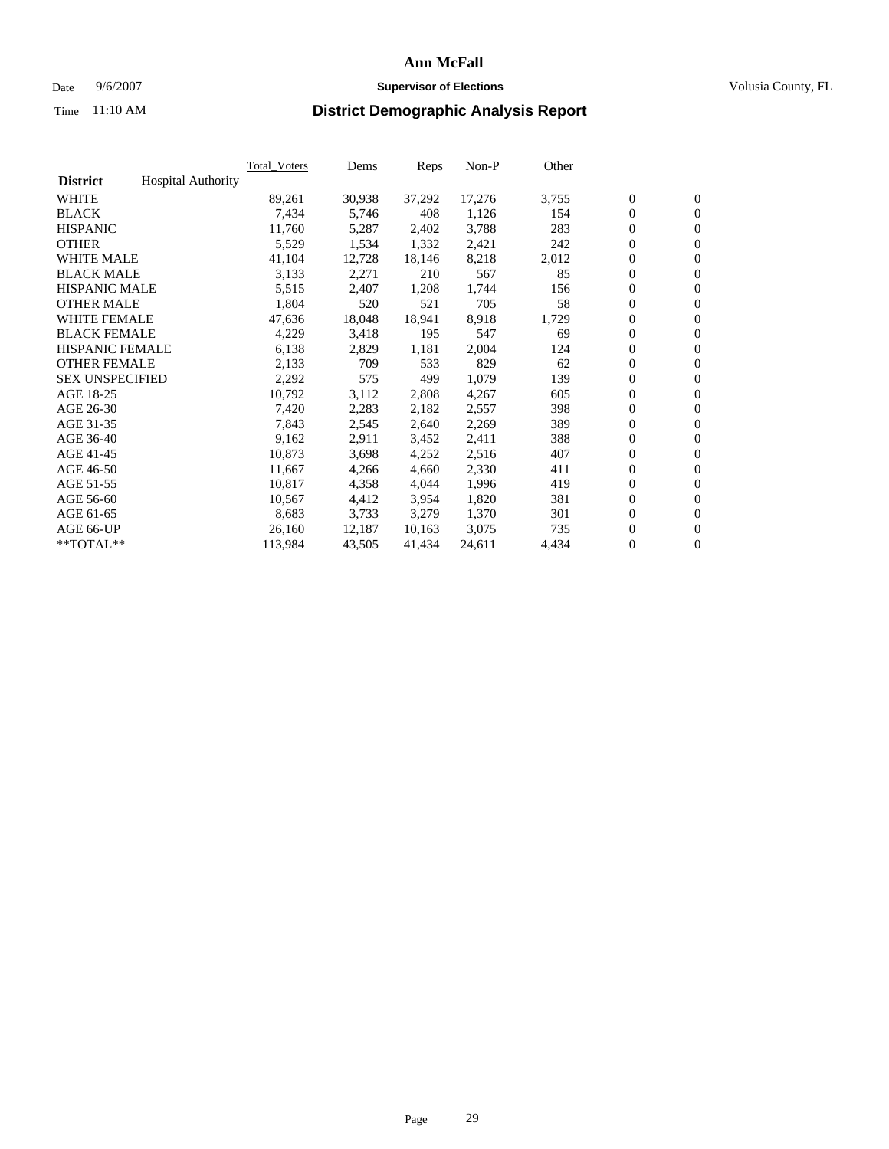#### Date  $9/6/2007$  **Supervisor of Elections Supervisor of Elections** Volusia County, FL

|                        |                           | <b>Total Voters</b> | Dems   | Reps   | Non-P  | Other |                  |                  |  |
|------------------------|---------------------------|---------------------|--------|--------|--------|-------|------------------|------------------|--|
| <b>District</b>        | <b>Hospital Authority</b> |                     |        |        |        |       |                  |                  |  |
| <b>WHITE</b>           |                           | 89,261              | 30,938 | 37,292 | 17,276 | 3,755 | $\mathbf{0}$     | $\mathbf{0}$     |  |
| <b>BLACK</b>           |                           | 7,434               | 5,746  | 408    | 1,126  | 154   | $\boldsymbol{0}$ | $\mathbf{0}$     |  |
| <b>HISPANIC</b>        |                           | 11,760              | 5,287  | 2,402  | 3,788  | 283   | $\boldsymbol{0}$ | $\mathbf{0}$     |  |
| <b>OTHER</b>           |                           | 5,529               | 1,534  | 1,332  | 2,421  | 242   | $\boldsymbol{0}$ | $\mathbf{0}$     |  |
| <b>WHITE MALE</b>      |                           | 41,104              | 12,728 | 18,146 | 8,218  | 2,012 | 0                | $\mathbf{0}$     |  |
| <b>BLACK MALE</b>      |                           | 3,133               | 2,271  | 210    | 567    | 85    | $\boldsymbol{0}$ | $\mathbf{0}$     |  |
| <b>HISPANIC MALE</b>   |                           | 5,515               | 2,407  | 1,208  | 1,744  | 156   | 0                | $\mathbf{0}$     |  |
| <b>OTHER MALE</b>      |                           | 1,804               | 520    | 521    | 705    | 58    | $\mathbf{0}$     | $\mathbf{0}$     |  |
| <b>WHITE FEMALE</b>    |                           | 47,636              | 18,048 | 18,941 | 8,918  | 1,729 | $\overline{0}$   | $\mathbf{0}$     |  |
| <b>BLACK FEMALE</b>    |                           | 4,229               | 3,418  | 195    | 547    | 69    | $\boldsymbol{0}$ | $\mathbf{0}$     |  |
| <b>HISPANIC FEMALE</b> |                           | 6,138               | 2,829  | 1,181  | 2,004  | 124   | $\boldsymbol{0}$ | $\mathbf{0}$     |  |
| <b>OTHER FEMALE</b>    |                           | 2,133               | 709    | 533    | 829    | 62    | 0                | $\mathbf{0}$     |  |
| <b>SEX UNSPECIFIED</b> |                           | 2,292               | 575    | 499    | 1,079  | 139   | $\boldsymbol{0}$ | $\mathbf{0}$     |  |
| AGE 18-25              |                           | 10,792              | 3,112  | 2,808  | 4,267  | 605   | $\boldsymbol{0}$ | $\mathbf{0}$     |  |
| AGE 26-30              |                           | 7,420               | 2,283  | 2,182  | 2,557  | 398   | $\mathbf{0}$     | $\mathbf{0}$     |  |
| AGE 31-35              |                           | 7,843               | 2,545  | 2,640  | 2,269  | 389   | 0                | $\mathbf{0}$     |  |
| AGE 36-40              |                           | 9,162               | 2,911  | 3,452  | 2,411  | 388   | $\boldsymbol{0}$ | $\boldsymbol{0}$ |  |
| AGE 41-45              |                           | 10,873              | 3,698  | 4,252  | 2,516  | 407   | $\boldsymbol{0}$ | $\mathbf{0}$     |  |
| AGE 46-50              |                           | 11,667              | 4,266  | 4,660  | 2,330  | 411   | $\boldsymbol{0}$ | $\mathbf{0}$     |  |
| AGE 51-55              |                           | 10,817              | 4,358  | 4,044  | 1,996  | 419   | $\boldsymbol{0}$ | $\boldsymbol{0}$ |  |
| AGE 56-60              |                           | 10,567              | 4,412  | 3,954  | 1,820  | 381   | 0                | $\mathbf{0}$     |  |
| AGE 61-65              |                           | 8,683               | 3,733  | 3,279  | 1,370  | 301   | $\mathbf{0}$     | $\boldsymbol{0}$ |  |
| AGE 66-UP              |                           | 26,160              | 12,187 | 10,163 | 3,075  | 735   | $\boldsymbol{0}$ | $\boldsymbol{0}$ |  |
| **TOTAL**              |                           | 113,984             | 43,505 | 41,434 | 24,611 | 4,434 | 0                | $\mathbf{0}$     |  |
|                        |                           |                     |        |        |        |       |                  |                  |  |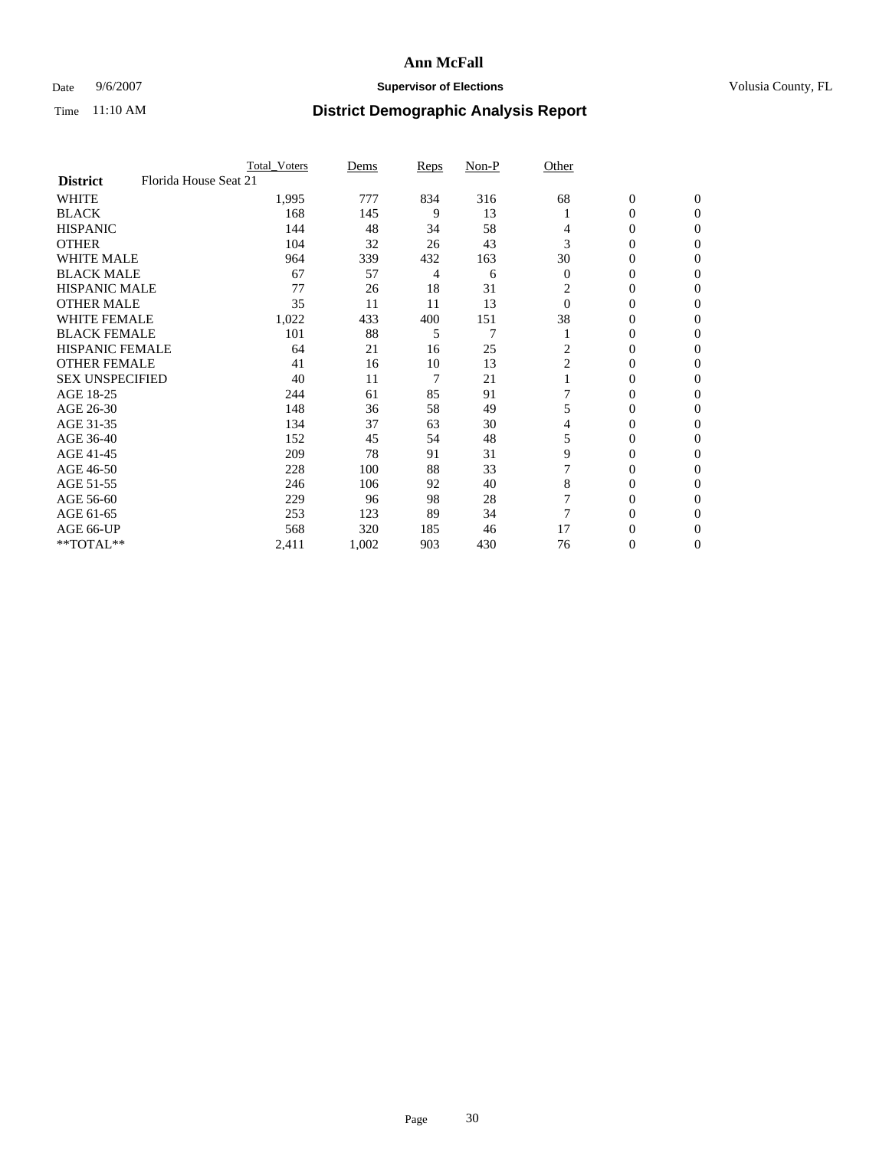### Date 9/6/2007 **Supervisor of Elections Supervisor of Elections** Volusia County, FL

|                        | <b>Total Voters</b>   | Dems  | Reps | Non-P | Other          |                  |                  |  |
|------------------------|-----------------------|-------|------|-------|----------------|------------------|------------------|--|
| <b>District</b>        | Florida House Seat 21 |       |      |       |                |                  |                  |  |
| <b>WHITE</b>           | 1,995                 | 777   | 834  | 316   | 68             | $\boldsymbol{0}$ | $\mathbf{0}$     |  |
| <b>BLACK</b>           | 168                   | 145   | 9    | 13    |                | 0                | $\mathbf{0}$     |  |
| <b>HISPANIC</b>        | 144                   | 48    | 34   | 58    | 4              | 0                | $\mathbf{0}$     |  |
| <b>OTHER</b>           | 104                   | 32    | 26   | 43    | 3              | 0                | $\boldsymbol{0}$ |  |
| <b>WHITE MALE</b>      | 964                   | 339   | 432  | 163   | 30             | 0                | $\theta$         |  |
| <b>BLACK MALE</b>      | 67                    | 57    | 4    | 6     | $\overline{0}$ | 0                | $\Omega$         |  |
| <b>HISPANIC MALE</b>   | 77                    | 26    | 18   | 31    | 2              | 0                | 0                |  |
| <b>OTHER MALE</b>      | 35                    | 11    | 11   | 13    | $\Omega$       | 0                | 0                |  |
| <b>WHITE FEMALE</b>    | 1,022                 | 433   | 400  | 151   | 38             | 0                | 0                |  |
| <b>BLACK FEMALE</b>    | 101                   | 88    | 5    | 7     |                | 0                | $\mathbf{0}$     |  |
| <b>HISPANIC FEMALE</b> | 64                    | 21    | 16   | 25    | 2              | 0                | $\Omega$         |  |
| <b>OTHER FEMALE</b>    | 41                    | 16    | 10   | 13    | $\overline{c}$ | 0                | $\boldsymbol{0}$ |  |
| <b>SEX UNSPECIFIED</b> | 40                    | 11    | 7    | 21    |                | 0                | $\Omega$         |  |
| AGE 18-25              | 244                   | 61    | 85   | 91    |                | 0                | 0                |  |
| AGE 26-30              | 148                   | 36    | 58   | 49    | 5              | 0                | $\Omega$         |  |
| AGE 31-35              | 134                   | 37    | 63   | 30    | 4              | 0                | 0                |  |
| AGE 36-40              | 152                   | 45    | 54   | 48    | 5              | 0                | $\mathbf{0}$     |  |
| AGE 41-45              | 209                   | 78    | 91   | 31    | 9              | 0                | 0                |  |
| AGE 46-50              | 228                   | 100   | 88   | 33    |                | 0                | $\mathbf{0}$     |  |
| AGE 51-55              | 246                   | 106   | 92   | 40    | 8              | 0                | $\Omega$         |  |
| AGE 56-60              | 229                   | 96    | 98   | 28    |                | 0                | $\theta$         |  |
| AGE 61-65              | 253                   | 123   | 89   | 34    |                | 0                | 0                |  |
| AGE 66-UP              | 568                   | 320   | 185  | 46    | 17             | 0                | $_{0}$           |  |
| **TOTAL**              | 2,411                 | 1,002 | 903  | 430   | 76             | 0                | $\mathbf{0}$     |  |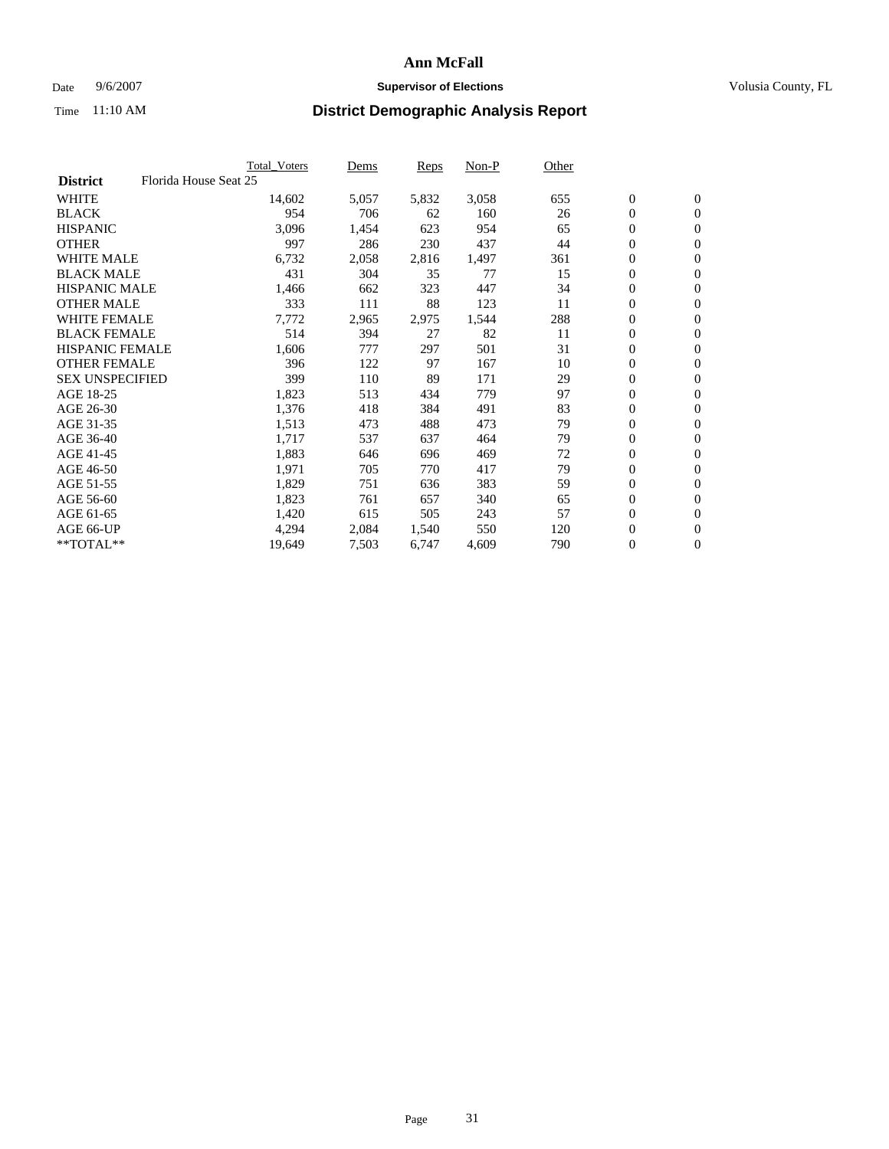#### Date  $9/6/2007$  **Supervisor of Elections Supervisor of Elections** Volusia County, FL

|                                          | <b>Total_Voters</b> | Dems  | <b>Reps</b> | Non-P | Other |                  |                  |  |
|------------------------------------------|---------------------|-------|-------------|-------|-------|------------------|------------------|--|
| Florida House Seat 25<br><b>District</b> |                     |       |             |       |       |                  |                  |  |
| <b>WHITE</b>                             | 14,602              | 5,057 | 5,832       | 3,058 | 655   | $\overline{0}$   | $\mathbf{0}$     |  |
| <b>BLACK</b>                             | 954                 | 706   | 62          | 160   | 26    | $\overline{0}$   | $\mathbf{0}$     |  |
| <b>HISPANIC</b>                          | 3,096               | 1,454 | 623         | 954   | 65    | $\boldsymbol{0}$ | $\mathbf{0}$     |  |
| <b>OTHER</b>                             | 997                 | 286   | 230         | 437   | 44    | 0                | $\mathbf{0}$     |  |
| <b>WHITE MALE</b>                        | 6,732               | 2,058 | 2,816       | 1,497 | 361   | 0                | $\mathbf{0}$     |  |
| <b>BLACK MALE</b>                        | 431                 | 304   | 35          | 77    | 15    | $\boldsymbol{0}$ | $\boldsymbol{0}$ |  |
| <b>HISPANIC MALE</b>                     | 1,466               | 662   | 323         | 447   | 34    | $\overline{0}$   | $\mathbf{0}$     |  |
| <b>OTHER MALE</b>                        | 333                 | 111   | 88          | 123   | 11    | $\overline{0}$   | $\mathbf{0}$     |  |
| <b>WHITE FEMALE</b>                      | 7,772               | 2,965 | 2,975       | 1,544 | 288   | $\overline{0}$   | $\mathbf{0}$     |  |
| <b>BLACK FEMALE</b>                      | 514                 | 394   | 27          | 82    | 11    | $\overline{0}$   | $\mathbf{0}$     |  |
| <b>HISPANIC FEMALE</b>                   | 1,606               | 777   | 297         | 501   | 31    | $\boldsymbol{0}$ | $\boldsymbol{0}$ |  |
| <b>OTHER FEMALE</b>                      | 396                 | 122   | 97          | 167   | 10    | 0                | $\mathbf{0}$     |  |
| <b>SEX UNSPECIFIED</b>                   | 399                 | 110   | 89          | 171   | 29    | $\boldsymbol{0}$ | $\mathbf{0}$     |  |
| AGE 18-25                                | 1,823               | 513   | 434         | 779   | 97    | $\boldsymbol{0}$ | $\mathbf{0}$     |  |
| AGE 26-30                                | 1,376               | 418   | 384         | 491   | 83    | $\overline{0}$   | $\mathbf{0}$     |  |
| AGE 31-35                                | 1,513               | 473   | 488         | 473   | 79    | $\overline{0}$   | $\mathbf{0}$     |  |
| AGE 36-40                                | 1,717               | 537   | 637         | 464   | 79    | $\boldsymbol{0}$ | $\mathbf{0}$     |  |
| AGE 41-45                                | 1,883               | 646   | 696         | 469   | 72    | $\boldsymbol{0}$ | $\mathbf{0}$     |  |
| AGE 46-50                                | 1,971               | 705   | 770         | 417   | 79    | 0                | $\mathbf{0}$     |  |
| AGE 51-55                                | 1,829               | 751   | 636         | 383   | 59    | $\boldsymbol{0}$ | $\mathbf{0}$     |  |
| AGE 56-60                                | 1,823               | 761   | 657         | 340   | 65    | $\overline{0}$   | $\mathbf{0}$     |  |
| AGE 61-65                                | 1,420               | 615   | 505         | 243   | 57    | $\mathbf{0}$     | $\mathbf{0}$     |  |
| AGE 66-UP                                | 4,294               | 2,084 | 1,540       | 550   | 120   | $\boldsymbol{0}$ | $\mathbf{0}$     |  |
| **TOTAL**                                | 19,649              | 7,503 | 6,747       | 4,609 | 790   | 0                | $\overline{0}$   |  |
|                                          |                     |       |             |       |       |                  |                  |  |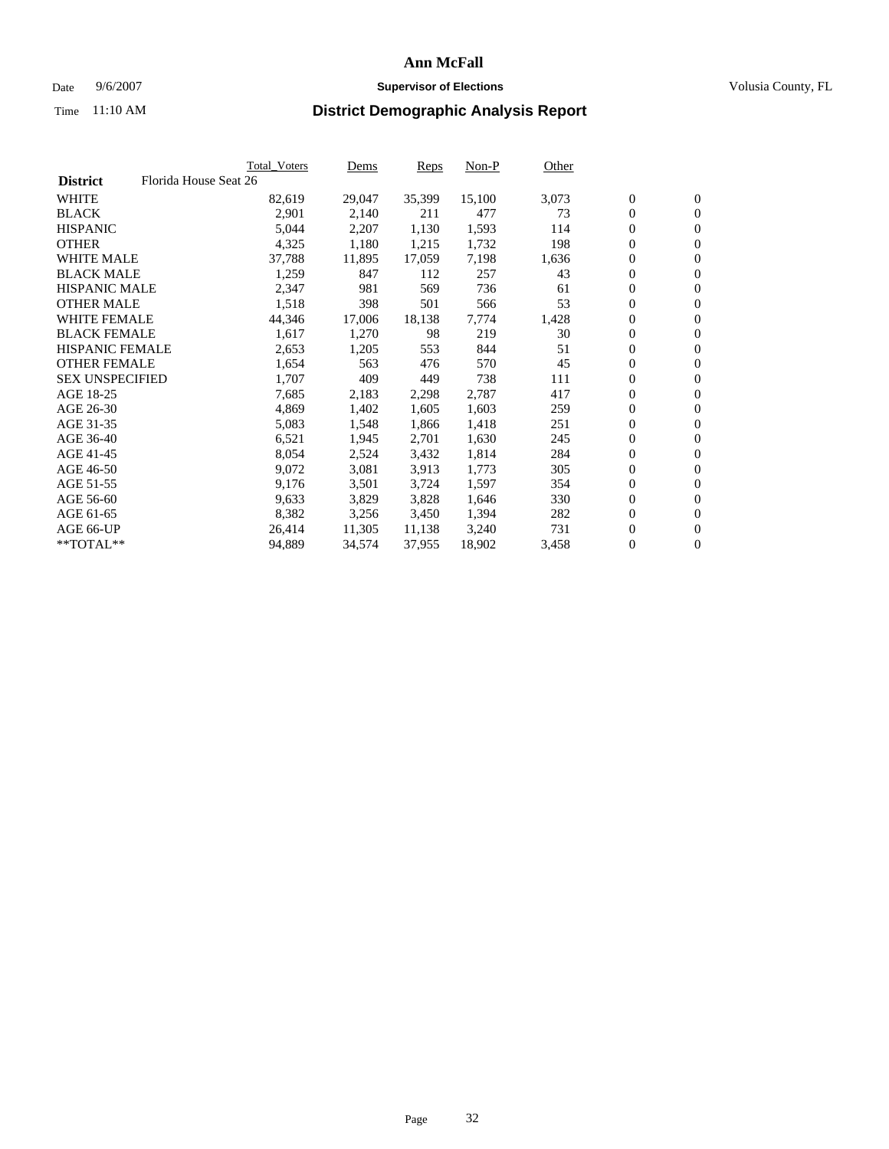### Date 9/6/2007 **Supervisor of Elections Supervisor of Elections** Volusia County, FL

|                        | Total_Voters          | Dems   | Reps   | Non-P  | Other |                  |                  |  |
|------------------------|-----------------------|--------|--------|--------|-------|------------------|------------------|--|
| <b>District</b>        | Florida House Seat 26 |        |        |        |       |                  |                  |  |
| <b>WHITE</b>           | 82,619                | 29,047 | 35,399 | 15,100 | 3,073 | $\boldsymbol{0}$ | $\mathbf{0}$     |  |
| <b>BLACK</b>           | 2,901                 | 2,140  | 211    | 477    | 73    | $\mathbf{0}$     | $\mathbf{0}$     |  |
| <b>HISPANIC</b>        | 5,044                 | 2,207  | 1,130  | 1,593  | 114   | $\overline{0}$   | $\mathbf{0}$     |  |
| <b>OTHER</b>           | 4,325                 | 1,180  | 1,215  | 1,732  | 198   | $\overline{0}$   | $\overline{0}$   |  |
| <b>WHITE MALE</b>      | 37,788                | 11,895 | 17,059 | 7,198  | 1,636 | $\overline{0}$   | $\mathbf{0}$     |  |
| <b>BLACK MALE</b>      | 1,259                 | 847    | 112    | 257    | 43    | $\boldsymbol{0}$ | $\mathbf{0}$     |  |
| <b>HISPANIC MALE</b>   | 2,347                 | 981    | 569    | 736    | 61    | 0                | $\overline{0}$   |  |
| <b>OTHER MALE</b>      | 1,518                 | 398    | 501    | 566    | 53    | $\boldsymbol{0}$ | $\mathbf{0}$     |  |
| <b>WHITE FEMALE</b>    | 44,346                | 17,006 | 18,138 | 7,774  | 1,428 | 0                | $\mathbf{0}$     |  |
| <b>BLACK FEMALE</b>    | 1,617                 | 1,270  | 98     | 219    | 30    | $\overline{0}$   | $\mathbf{0}$     |  |
| <b>HISPANIC FEMALE</b> | 2,653                 | 1,205  | 553    | 844    | 51    | 0                | $\mathbf{0}$     |  |
| <b>OTHER FEMALE</b>    | 1,654                 | 563    | 476    | 570    | 45    | $\mathbf{0}$     | $\mathbf{0}$     |  |
| <b>SEX UNSPECIFIED</b> | 1,707                 | 409    | 449    | 738    | 111   | $\boldsymbol{0}$ | $\mathbf{0}$     |  |
| AGE 18-25              | 7,685                 | 2,183  | 2,298  | 2,787  | 417   | 0                | $\mathbf{0}$     |  |
| AGE 26-30              | 4,869                 | 1,402  | 1,605  | 1,603  | 259   | 0                | $\mathbf{0}$     |  |
| AGE 31-35              | 5,083                 | 1,548  | 1,866  | 1,418  | 251   | 0                | $\overline{0}$   |  |
| AGE 36-40              | 6,521                 | 1,945  | 2,701  | 1,630  | 245   | $\boldsymbol{0}$ | $\mathbf{0}$     |  |
| AGE 41-45              | 8,054                 | 2,524  | 3,432  | 1,814  | 284   | 0                | $\mathbf{0}$     |  |
| AGE 46-50              | 9,072                 | 3,081  | 3,913  | 1,773  | 305   | $\overline{0}$   | $\mathbf{0}$     |  |
| AGE 51-55              | 9,176                 | 3,501  | 3,724  | 1,597  | 354   | 0                | $\mathbf{0}$     |  |
| AGE 56-60              | 9,633                 | 3,829  | 3,828  | 1,646  | 330   | $\overline{0}$   | $\mathbf{0}$     |  |
| AGE 61-65              | 8,382                 | 3,256  | 3,450  | 1,394  | 282   | 0                | $\mathbf{0}$     |  |
| AGE 66-UP              | 26,414                | 11,305 | 11,138 | 3,240  | 731   | 0                | $\mathbf{0}$     |  |
| $*$ TOTAL $**$         | 94,889                | 34,574 | 37,955 | 18,902 | 3,458 | 0                | $\boldsymbol{0}$ |  |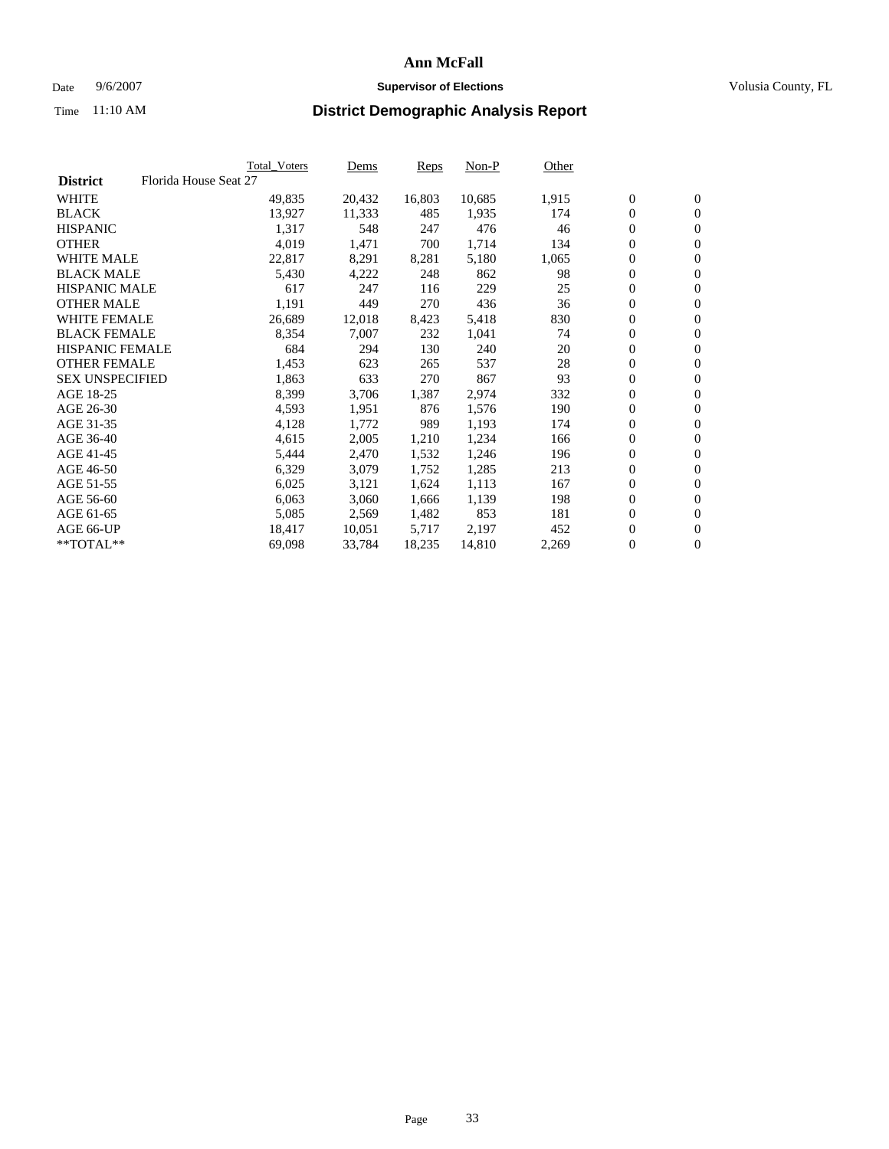#### Date  $9/6/2007$  **Supervisor of Elections Supervisor of Elections** Volusia County, FL

|                        |                       | Total_Voters | Dems   | <b>Reps</b> | Non-P  | Other |                  |                  |  |
|------------------------|-----------------------|--------------|--------|-------------|--------|-------|------------------|------------------|--|
| <b>District</b>        | Florida House Seat 27 |              |        |             |        |       |                  |                  |  |
| <b>WHITE</b>           |                       | 49,835       | 20,432 | 16,803      | 10,685 | 1,915 | $\overline{0}$   | $\mathbf{0}$     |  |
| <b>BLACK</b>           |                       | 13,927       | 11,333 | 485         | 1,935  | 174   | $\overline{0}$   | $\mathbf{0}$     |  |
| <b>HISPANIC</b>        |                       | 1,317        | 548    | 247         | 476    | 46    | $\boldsymbol{0}$ | $\mathbf{0}$     |  |
| <b>OTHER</b>           |                       | 4,019        | 1,471  | 700         | 1,714  | 134   | 0                | $\mathbf{0}$     |  |
| <b>WHITE MALE</b>      |                       | 22,817       | 8,291  | 8,281       | 5,180  | 1,065 | 0                | $\mathbf{0}$     |  |
| <b>BLACK MALE</b>      |                       | 5,430        | 4,222  | 248         | 862    | 98    | $\boldsymbol{0}$ | $\boldsymbol{0}$ |  |
| <b>HISPANIC MALE</b>   |                       | 617          | 247    | 116         | 229    | 25    | $\overline{0}$   | $\mathbf{0}$     |  |
| <b>OTHER MALE</b>      |                       | 1,191        | 449    | 270         | 436    | 36    | $\overline{0}$   | $\mathbf{0}$     |  |
| <b>WHITE FEMALE</b>    |                       | 26,689       | 12,018 | 8,423       | 5,418  | 830   | $\mathbf{0}$     | $\mathbf{0}$     |  |
| <b>BLACK FEMALE</b>    |                       | 8,354        | 7,007  | 232         | 1,041  | 74    | $\boldsymbol{0}$ | $\mathbf{0}$     |  |
| HISPANIC FEMALE        |                       | 684          | 294    | 130         | 240    | 20    | $\boldsymbol{0}$ | $\boldsymbol{0}$ |  |
| <b>OTHER FEMALE</b>    |                       | 1,453        | 623    | 265         | 537    | 28    | 0                | $\mathbf{0}$     |  |
| <b>SEX UNSPECIFIED</b> |                       | 1,863        | 633    | 270         | 867    | 93    | $\boldsymbol{0}$ | $\mathbf{0}$     |  |
| AGE 18-25              |                       | 8,399        | 3,706  | 1,387       | 2,974  | 332   | $\boldsymbol{0}$ | $\mathbf{0}$     |  |
| AGE 26-30              |                       | 4,593        | 1,951  | 876         | 1,576  | 190   | $\overline{0}$   | $\mathbf{0}$     |  |
| AGE 31-35              |                       | 4,128        | 1,772  | 989         | 1,193  | 174   | $\overline{0}$   | $\mathbf{0}$     |  |
| AGE 36-40              |                       | 4,615        | 2,005  | 1,210       | 1,234  | 166   | $\boldsymbol{0}$ | $\mathbf{0}$     |  |
| AGE 41-45              |                       | 5,444        | 2,470  | 1,532       | 1,246  | 196   | $\boldsymbol{0}$ | $\mathbf{0}$     |  |
| AGE 46-50              |                       | 6,329        | 3,079  | 1,752       | 1,285  | 213   | 0                | $\mathbf{0}$     |  |
| AGE 51-55              |                       | 6,025        | 3,121  | 1,624       | 1,113  | 167   | $\boldsymbol{0}$ | $\mathbf{0}$     |  |
| AGE 56-60              |                       | 6,063        | 3,060  | 1,666       | 1,139  | 198   | $\overline{0}$   | $\mathbf{0}$     |  |
| AGE 61-65              |                       | 5,085        | 2,569  | 1,482       | 853    | 181   | $\mathbf{0}$     | $\mathbf{0}$     |  |
| AGE 66-UP              |                       | 18,417       | 10,051 | 5,717       | 2,197  | 452   | $\boldsymbol{0}$ | $\mathbf{0}$     |  |
| **TOTAL**              |                       | 69,098       | 33,784 | 18,235      | 14,810 | 2,269 | $\boldsymbol{0}$ | $\overline{0}$   |  |
|                        |                       |              |        |             |        |       |                  |                  |  |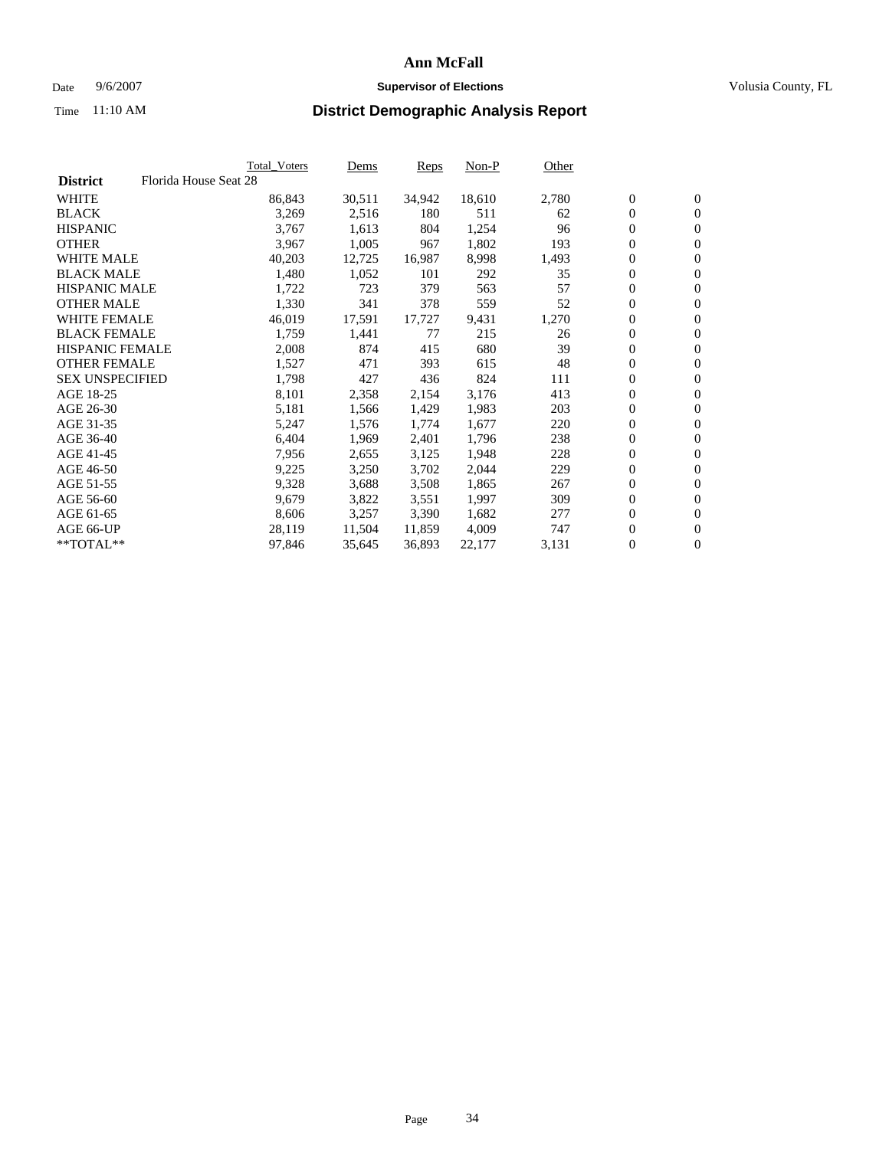### Date 9/6/2007 **Supervisor of Elections Supervisor of Elections** Volusia County, FL

|                        | Total_Voters          | Dems   | <b>Reps</b> | Non-P  | Other |                  |                  |  |
|------------------------|-----------------------|--------|-------------|--------|-------|------------------|------------------|--|
| <b>District</b>        | Florida House Seat 28 |        |             |        |       |                  |                  |  |
| <b>WHITE</b>           | 86,843                | 30,511 | 34,942      | 18,610 | 2,780 | $\boldsymbol{0}$ | $\mathbf{0}$     |  |
| <b>BLACK</b>           | 3,269                 | 2,516  | 180         | 511    | 62    | $\overline{0}$   | $\mathbf{0}$     |  |
| <b>HISPANIC</b>        | 3,767                 | 1,613  | 804         | 1,254  | 96    | $\overline{0}$   | $\mathbf{0}$     |  |
| <b>OTHER</b>           | 3,967                 | 1,005  | 967         | 1,802  | 193   | 0                | $\overline{0}$   |  |
| <b>WHITE MALE</b>      | 40,203                | 12,725 | 16,987      | 8,998  | 1,493 | $\overline{0}$   | $\mathbf{0}$     |  |
| <b>BLACK MALE</b>      | 1,480                 | 1,052  | 101         | 292    | 35    | $\boldsymbol{0}$ | $\mathbf{0}$     |  |
| <b>HISPANIC MALE</b>   | 1,722                 | 723    | 379         | 563    | 57    | 0                | $\overline{0}$   |  |
| <b>OTHER MALE</b>      | 1,330                 | 341    | 378         | 559    | 52    | 0                | $\mathbf{0}$     |  |
| <b>WHITE FEMALE</b>    | 46,019                | 17,591 | 17,727      | 9,431  | 1,270 | 0                | $\mathbf{0}$     |  |
| <b>BLACK FEMALE</b>    | 1,759                 | 1,441  | 77          | 215    | 26    | $\overline{0}$   | $\mathbf{0}$     |  |
| <b>HISPANIC FEMALE</b> | 2,008                 | 874    | 415         | 680    | 39    | 0                | $\mathbf{0}$     |  |
| <b>OTHER FEMALE</b>    | 1,527                 | 471    | 393         | 615    | 48    | $\overline{0}$   | $\mathbf{0}$     |  |
| <b>SEX UNSPECIFIED</b> | 1,798                 | 427    | 436         | 824    | 111   | $\boldsymbol{0}$ | $\mathbf{0}$     |  |
| AGE 18-25              | 8,101                 | 2,358  | 2,154       | 3,176  | 413   | 0                | $\mathbf{0}$     |  |
| AGE 26-30              | 5,181                 | 1,566  | 1,429       | 1,983  | 203   | 0                | $\mathbf{0}$     |  |
| AGE 31-35              | 5,247                 | 1,576  | 1,774       | 1,677  | 220   | 0                | $\overline{0}$   |  |
| AGE 36-40              | 6,404                 | 1,969  | 2,401       | 1,796  | 238   | $\boldsymbol{0}$ | $\mathbf{0}$     |  |
| AGE 41-45              | 7,956                 | 2,655  | 3,125       | 1,948  | 228   | 0                | $\mathbf{0}$     |  |
| AGE 46-50              | 9,225                 | 3,250  | 3,702       | 2,044  | 229   | $\overline{0}$   | $\mathbf{0}$     |  |
| AGE 51-55              | 9,328                 | 3,688  | 3,508       | 1,865  | 267   | 0                | $\mathbf{0}$     |  |
| AGE 56-60              | 9,679                 | 3,822  | 3,551       | 1,997  | 309   | $\overline{0}$   | $\mathbf{0}$     |  |
| AGE 61-65              | 8,606                 | 3,257  | 3,390       | 1,682  | 277   | 0                | $\mathbf{0}$     |  |
| AGE 66-UP              | 28,119                | 11,504 | 11,859      | 4,009  | 747   | 0                | $\mathbf{0}$     |  |
| $*$ TOTAL $**$         | 97,846                | 35,645 | 36,893      | 22,177 | 3,131 | 0                | $\boldsymbol{0}$ |  |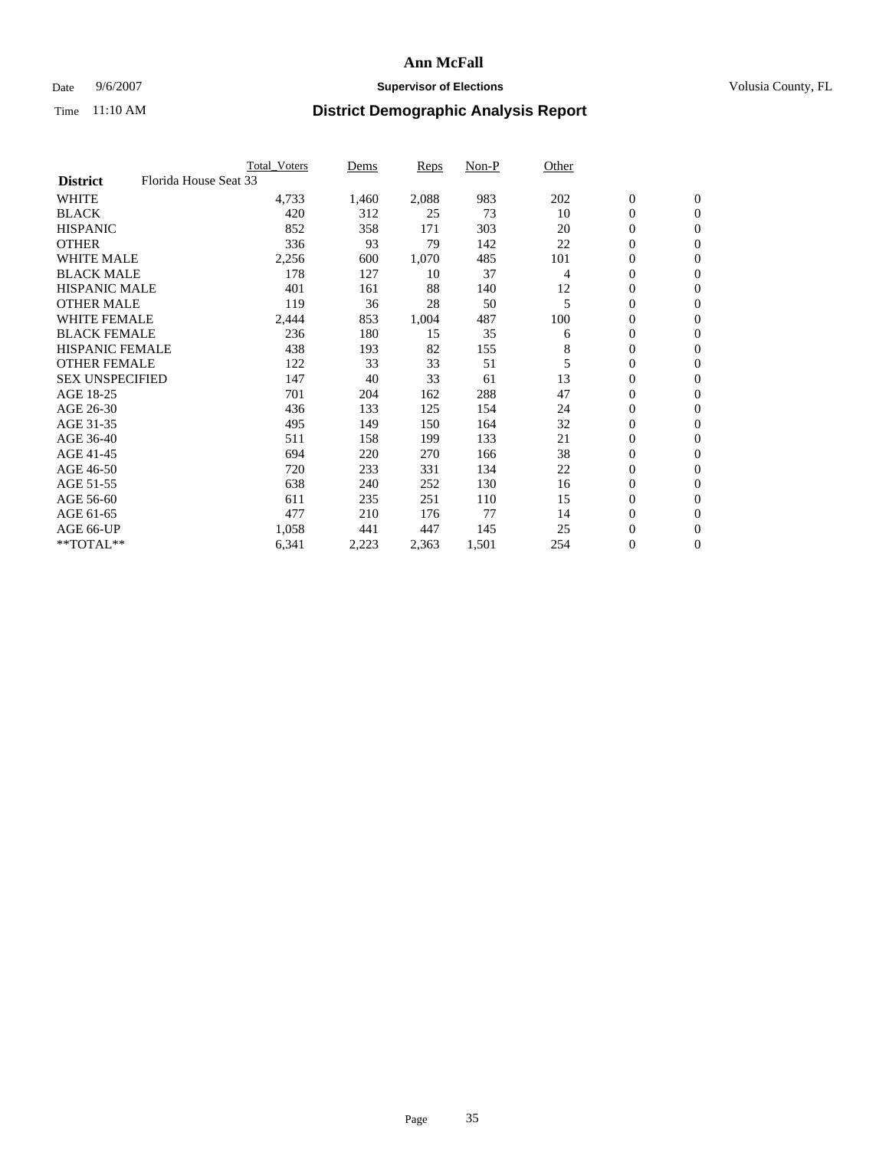### Date 9/6/2007 **Supervisor of Elections Supervisor of Elections** Volusia County, FL

|                                          | <b>Total_Voters</b> | Dems  | <b>Reps</b> | Non-P | Other |                  |                |  |
|------------------------------------------|---------------------|-------|-------------|-------|-------|------------------|----------------|--|
| Florida House Seat 33<br><b>District</b> |                     |       |             |       |       |                  |                |  |
| <b>WHITE</b>                             | 4,733               | 1,460 | 2,088       | 983   | 202   | $\boldsymbol{0}$ | $\mathbf{0}$   |  |
| <b>BLACK</b>                             | 420                 | 312   | 25          | 73    | 10    | $\overline{0}$   | $\mathbf{0}$   |  |
| <b>HISPANIC</b>                          | 852                 | 358   | 171         | 303   | 20    | $\boldsymbol{0}$ | $\mathbf{0}$   |  |
| <b>OTHER</b>                             | 336                 | 93    | 79          | 142   | 22    | 0                | $\mathbf{0}$   |  |
| <b>WHITE MALE</b>                        | 2,256               | 600   | 1,070       | 485   | 101   | 0                | $\mathbf{0}$   |  |
| <b>BLACK MALE</b>                        | 178                 | 127   | 10          | 37    | 4     | $\boldsymbol{0}$ | $\mathbf{0}$   |  |
| <b>HISPANIC MALE</b>                     | 401                 | 161   | 88          | 140   | 12    | $\overline{0}$   | $\mathbf{0}$   |  |
| <b>OTHER MALE</b>                        | 119                 | 36    | 28          | 50    | 5     | $\overline{0}$   | $\mathbf{0}$   |  |
| <b>WHITE FEMALE</b>                      | 2,444               | 853   | 1,004       | 487   | 100   | 0                | $\mathbf{0}$   |  |
| <b>BLACK FEMALE</b>                      | 236                 | 180   | 15          | 35    | 6     | $\overline{0}$   | $\mathbf{0}$   |  |
| <b>HISPANIC FEMALE</b>                   | 438                 | 193   | 82          | 155   | 8     | $\boldsymbol{0}$ | $\mathbf{0}$   |  |
| <b>OTHER FEMALE</b>                      | 122                 | 33    | 33          | 51    | 5     | 0                | $\mathbf{0}$   |  |
| <b>SEX UNSPECIFIED</b>                   | 147                 | 40    | 33          | 61    | 13    | $\boldsymbol{0}$ | $\mathbf{0}$   |  |
| AGE 18-25                                | 701                 | 204   | 162         | 288   | 47    | $\boldsymbol{0}$ | $\mathbf{0}$   |  |
| AGE 26-30                                | 436                 | 133   | 125         | 154   | 24    | $\overline{0}$   | $\mathbf{0}$   |  |
| AGE 31-35                                | 495                 | 149   | 150         | 164   | 32    | $\overline{0}$   | $\mathbf{0}$   |  |
| AGE 36-40                                | 511                 | 158   | 199         | 133   | 21    | $\boldsymbol{0}$ | $\mathbf{0}$   |  |
| AGE 41-45                                | 694                 | 220   | 270         | 166   | 38    | $\boldsymbol{0}$ | $\mathbf{0}$   |  |
| AGE 46-50                                | 720                 | 233   | 331         | 134   | 22    | 0                | $\mathbf{0}$   |  |
| AGE 51-55                                | 638                 | 240   | 252         | 130   | 16    | $\boldsymbol{0}$ | $\mathbf{0}$   |  |
| AGE 56-60                                | 611                 | 235   | 251         | 110   | 15    | $\overline{0}$   | $\mathbf{0}$   |  |
| AGE 61-65                                | 477                 | 210   | 176         | 77    | 14    | $\mathbf{0}$     | $\mathbf{0}$   |  |
| AGE 66-UP                                | 1,058               | 441   | 447         | 145   | 25    | $\boldsymbol{0}$ | $\mathbf{0}$   |  |
| **TOTAL**                                | 6,341               | 2,223 | 2,363       | 1,501 | 254   | 0                | $\overline{0}$ |  |
|                                          |                     |       |             |       |       |                  |                |  |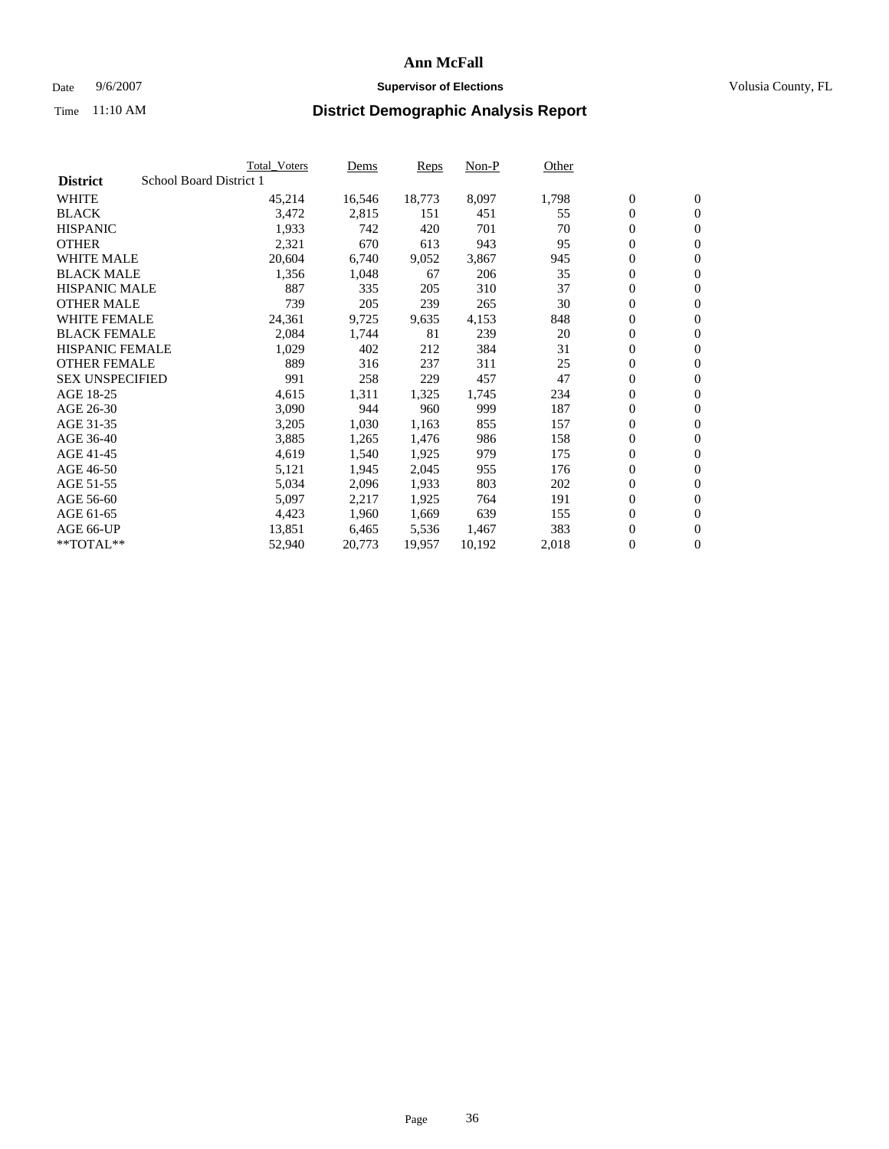#### Date  $9/6/2007$  **Supervisor of Elections Supervisor of Elections** Volusia County, FL

|                        |                         | Total_Voters | Dems   | <b>Reps</b> | Non-P  | Other |                  |                |  |
|------------------------|-------------------------|--------------|--------|-------------|--------|-------|------------------|----------------|--|
| <b>District</b>        | School Board District 1 |              |        |             |        |       |                  |                |  |
| <b>WHITE</b>           |                         | 45,214       | 16,546 | 18,773      | 8,097  | 1,798 | $\overline{0}$   | $\mathbf{0}$   |  |
| <b>BLACK</b>           |                         | 3,472        | 2,815  | 151         | 451    | 55    | $\overline{0}$   | $\mathbf{0}$   |  |
| <b>HISPANIC</b>        |                         | 1,933        | 742    | 420         | 701    | 70    | $\boldsymbol{0}$ | $\mathbf{0}$   |  |
| <b>OTHER</b>           |                         | 2,321        | 670    | 613         | 943    | 95    | $\boldsymbol{0}$ | $\mathbf{0}$   |  |
| <b>WHITE MALE</b>      |                         | 20,604       | 6,740  | 9,052       | 3,867  | 945   | 0                | $\mathbf{0}$   |  |
| <b>BLACK MALE</b>      |                         | 1,356        | 1,048  | 67          | 206    | 35    | $\boldsymbol{0}$ | $\mathbf{0}$   |  |
| <b>HISPANIC MALE</b>   |                         | 887          | 335    | 205         | 310    | 37    | $\overline{0}$   | $\mathbf{0}$   |  |
| <b>OTHER MALE</b>      |                         | 739          | 205    | 239         | 265    | 30    | $\overline{0}$   | $\mathbf{0}$   |  |
| <b>WHITE FEMALE</b>    |                         | 24,361       | 9,725  | 9,635       | 4,153  | 848   | $\overline{0}$   | $\mathbf{0}$   |  |
| <b>BLACK FEMALE</b>    |                         | 2,084        | 1,744  | 81          | 239    | 20    | $\boldsymbol{0}$ | $\mathbf{0}$   |  |
| <b>HISPANIC FEMALE</b> |                         | 1,029        | 402    | 212         | 384    | 31    | $\boldsymbol{0}$ | $\mathbf{0}$   |  |
| <b>OTHER FEMALE</b>    |                         | 889          | 316    | 237         | 311    | 25    | 0                | $\mathbf{0}$   |  |
| <b>SEX UNSPECIFIED</b> |                         | 991          | 258    | 229         | 457    | 47    | $\boldsymbol{0}$ | $\mathbf{0}$   |  |
| AGE 18-25              |                         | 4,615        | 1,311  | 1,325       | 1,745  | 234   | $\boldsymbol{0}$ | $\mathbf{0}$   |  |
| AGE 26-30              |                         | 3,090        | 944    | 960         | 999    | 187   | $\overline{0}$   | $\mathbf{0}$   |  |
| AGE 31-35              |                         | 3,205        | 1,030  | 1,163       | 855    | 157   | $\overline{0}$   | $\mathbf{0}$   |  |
| AGE 36-40              |                         | 3,885        | 1,265  | 1,476       | 986    | 158   | $\boldsymbol{0}$ | $\mathbf{0}$   |  |
| AGE 41-45              |                         | 4,619        | 1,540  | 1,925       | 979    | 175   | $\boldsymbol{0}$ | $\mathbf{0}$   |  |
| AGE 46-50              |                         | 5,121        | 1,945  | 2,045       | 955    | 176   | 0                | $\mathbf{0}$   |  |
| AGE 51-55              |                         | 5,034        | 2,096  | 1,933       | 803    | 202   | $\boldsymbol{0}$ | $\mathbf{0}$   |  |
| AGE 56-60              |                         | 5,097        | 2,217  | 1,925       | 764    | 191   | $\overline{0}$   | $\mathbf{0}$   |  |
| AGE 61-65              |                         | 4,423        | 1,960  | 1,669       | 639    | 155   | $\mathbf{0}$     | $\mathbf{0}$   |  |
| AGE 66-UP              |                         | 13,851       | 6,465  | 5,536       | 1,467  | 383   | $\boldsymbol{0}$ | $\mathbf{0}$   |  |
| **TOTAL**              |                         | 52,940       | 20,773 | 19,957      | 10,192 | 2,018 | 0                | $\overline{0}$ |  |
|                        |                         |              |        |             |        |       |                  |                |  |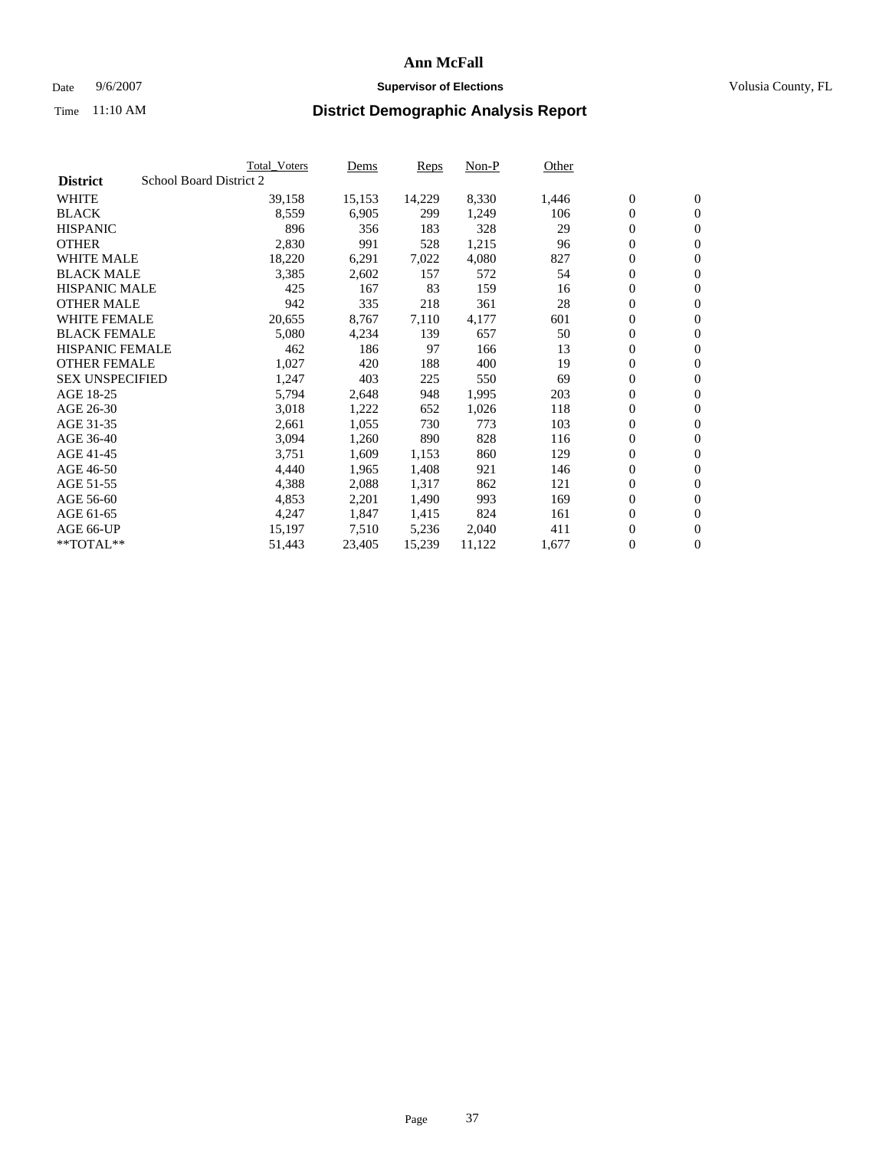#### Date  $9/6/2007$  **Supervisor of Elections Supervisor of Elections** Volusia County, FL

|                        |                         | Total_Voters | Dems   | <b>Reps</b> | Non-P  | Other |                  |                  |  |
|------------------------|-------------------------|--------------|--------|-------------|--------|-------|------------------|------------------|--|
| <b>District</b>        | School Board District 2 |              |        |             |        |       |                  |                  |  |
| <b>WHITE</b>           |                         | 39,158       | 15,153 | 14,229      | 8,330  | 1,446 | $\overline{0}$   | $\mathbf{0}$     |  |
| <b>BLACK</b>           |                         | 8,559        | 6,905  | 299         | 1,249  | 106   | $\boldsymbol{0}$ | $\mathbf{0}$     |  |
| <b>HISPANIC</b>        |                         | 896          | 356    | 183         | 328    | 29    | $\boldsymbol{0}$ | $\mathbf{0}$     |  |
| <b>OTHER</b>           |                         | 2,830        | 991    | 528         | 1,215  | 96    | $\boldsymbol{0}$ | $\mathbf{0}$     |  |
| <b>WHITE MALE</b>      |                         | 18,220       | 6,291  | 7,022       | 4,080  | 827   | 0                | $\mathbf{0}$     |  |
| <b>BLACK MALE</b>      |                         | 3,385        | 2,602  | 157         | 572    | 54    | $\boldsymbol{0}$ | $\boldsymbol{0}$ |  |
| <b>HISPANIC MALE</b>   |                         | 425          | 167    | 83          | 159    | 16    | $\overline{0}$   | $\mathbf{0}$     |  |
| <b>OTHER MALE</b>      |                         | 942          | 335    | 218         | 361    | 28    | $\overline{0}$   | $\mathbf{0}$     |  |
| <b>WHITE FEMALE</b>    |                         | 20,655       | 8,767  | 7,110       | 4,177  | 601   | $\mathbf{0}$     | $\mathbf{0}$     |  |
| <b>BLACK FEMALE</b>    |                         | 5,080        | 4,234  | 139         | 657    | 50    | $\boldsymbol{0}$ | $\mathbf{0}$     |  |
| <b>HISPANIC FEMALE</b> |                         | 462          | 186    | 97          | 166    | 13    | $\boldsymbol{0}$ | $\boldsymbol{0}$ |  |
| <b>OTHER FEMALE</b>    |                         | 1,027        | 420    | 188         | 400    | 19    | 0                | $\mathbf{0}$     |  |
| <b>SEX UNSPECIFIED</b> |                         | 1,247        | 403    | 225         | 550    | 69    | $\boldsymbol{0}$ | $\mathbf{0}$     |  |
| AGE 18-25              |                         | 5,794        | 2,648  | 948         | 1,995  | 203   | $\boldsymbol{0}$ | $\mathbf{0}$     |  |
| AGE 26-30              |                         | 3,018        | 1,222  | 652         | 1,026  | 118   | $\overline{0}$   | $\mathbf{0}$     |  |
| AGE 31-35              |                         | 2,661        | 1,055  | 730         | 773    | 103   | $\overline{0}$   | $\mathbf{0}$     |  |
| AGE 36-40              |                         | 3,094        | 1,260  | 890         | 828    | 116   | $\boldsymbol{0}$ | $\boldsymbol{0}$ |  |
| AGE 41-45              |                         | 3,751        | 1,609  | 1,153       | 860    | 129   | $\boldsymbol{0}$ | $\mathbf{0}$     |  |
| AGE 46-50              |                         | 4,440        | 1,965  | 1,408       | 921    | 146   | 0                | $\mathbf{0}$     |  |
| AGE 51-55              |                         | 4,388        | 2,088  | 1,317       | 862    | 121   | $\boldsymbol{0}$ | $\mathbf{0}$     |  |
| AGE 56-60              |                         | 4,853        | 2,201  | 1,490       | 993    | 169   | $\overline{0}$   | $\mathbf{0}$     |  |
| AGE 61-65              |                         | 4,247        | 1,847  | 1,415       | 824    | 161   | $\mathbf{0}$     | $\mathbf{0}$     |  |
| AGE 66-UP              |                         | 15,197       | 7,510  | 5,236       | 2,040  | 411   | $\boldsymbol{0}$ | $\mathbf{0}$     |  |
| **TOTAL**              |                         | 51,443       | 23,405 | 15,239      | 11,122 | 1,677 | 0                | $\overline{0}$   |  |
|                        |                         |              |        |             |        |       |                  |                  |  |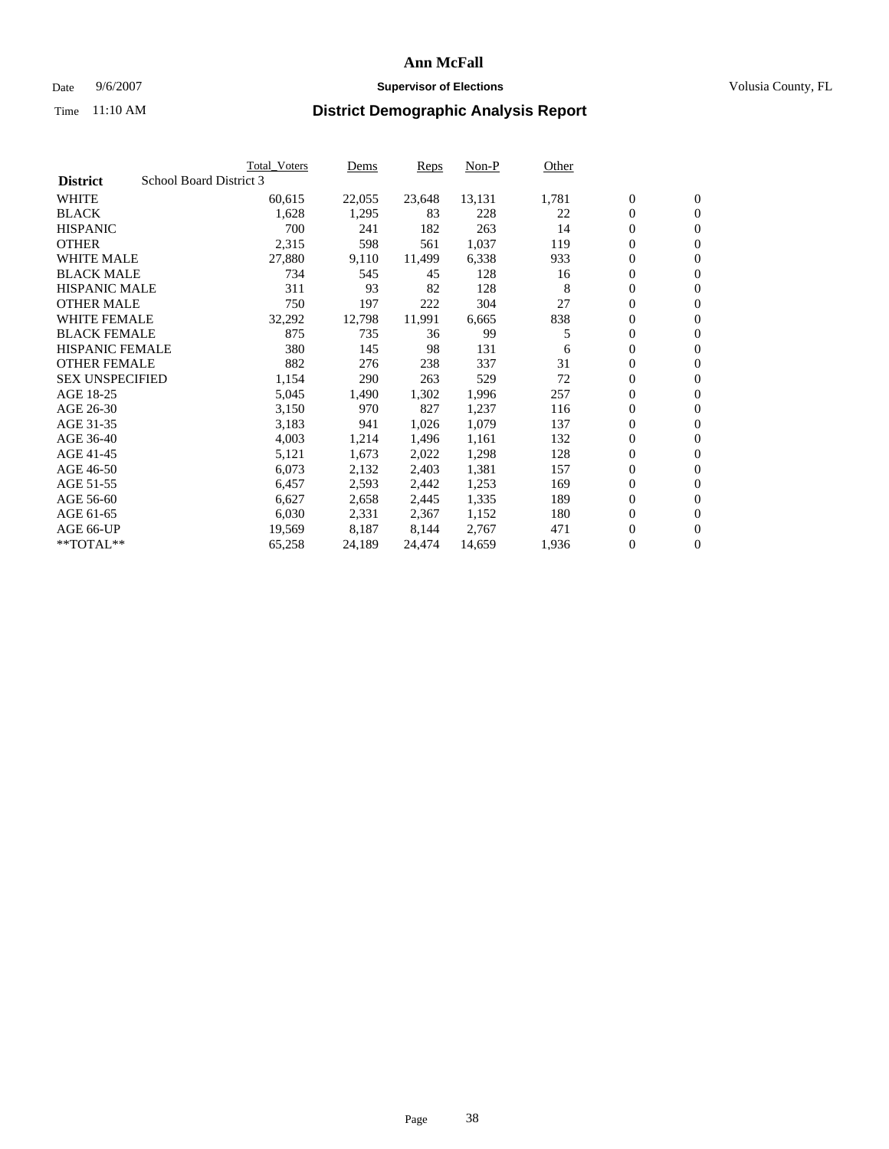#### Date  $9/6/2007$  **Supervisor of Elections Supervisor of Elections** Volusia County, FL

|                        |                         | Total_Voters | Dems   | <b>Reps</b> | Non-P  | Other |                  |                |  |
|------------------------|-------------------------|--------------|--------|-------------|--------|-------|------------------|----------------|--|
| <b>District</b>        | School Board District 3 |              |        |             |        |       |                  |                |  |
| <b>WHITE</b>           |                         | 60,615       | 22,055 | 23,648      | 13,131 | 1,781 | $\overline{0}$   | $\mathbf{0}$   |  |
| <b>BLACK</b>           |                         | 1,628        | 1,295  | 83          | 228    | 22    | $\overline{0}$   | $\mathbf{0}$   |  |
| <b>HISPANIC</b>        |                         | 700          | 241    | 182         | 263    | 14    | $\boldsymbol{0}$ | $\mathbf{0}$   |  |
| <b>OTHER</b>           |                         | 2,315        | 598    | 561         | 1,037  | 119   | 0                | $\mathbf{0}$   |  |
| <b>WHITE MALE</b>      |                         | 27,880       | 9,110  | 11,499      | 6,338  | 933   | 0                | $\mathbf{0}$   |  |
| <b>BLACK MALE</b>      |                         | 734          | 545    | 45          | 128    | 16    | $\boldsymbol{0}$ | $\mathbf{0}$   |  |
| <b>HISPANIC MALE</b>   |                         | 311          | 93     | 82          | 128    | 8     | $\overline{0}$   | $\mathbf{0}$   |  |
| <b>OTHER MALE</b>      |                         | 750          | 197    | 222         | 304    | 27    | $\overline{0}$   | $\mathbf{0}$   |  |
| <b>WHITE FEMALE</b>    |                         | 32,292       | 12,798 | 11,991      | 6,665  | 838   | $\overline{0}$   | $\mathbf{0}$   |  |
| <b>BLACK FEMALE</b>    |                         | 875          | 735    | 36          | 99     | 5     | $\overline{0}$   | $\mathbf{0}$   |  |
| <b>HISPANIC FEMALE</b> |                         | 380          | 145    | 98          | 131    | 6     | $\boldsymbol{0}$ | $\mathbf{0}$   |  |
| <b>OTHER FEMALE</b>    |                         | 882          | 276    | 238         | 337    | 31    | 0                | $\mathbf{0}$   |  |
| <b>SEX UNSPECIFIED</b> |                         | 1,154        | 290    | 263         | 529    | 72    | $\boldsymbol{0}$ | $\mathbf{0}$   |  |
| AGE 18-25              |                         | 5,045        | 1,490  | 1,302       | 1,996  | 257   | $\boldsymbol{0}$ | $\mathbf{0}$   |  |
| AGE 26-30              |                         | 3,150        | 970    | 827         | 1,237  | 116   | $\overline{0}$   | $\mathbf{0}$   |  |
| AGE 31-35              |                         | 3,183        | 941    | 1,026       | 1,079  | 137   | $\overline{0}$   | $\mathbf{0}$   |  |
| AGE 36-40              |                         | 4,003        | 1,214  | 1,496       | 1,161  | 132   | $\boldsymbol{0}$ | $\mathbf{0}$   |  |
| AGE 41-45              |                         | 5,121        | 1,673  | 2,022       | 1,298  | 128   | $\boldsymbol{0}$ | $\mathbf{0}$   |  |
| AGE 46-50              |                         | 6,073        | 2,132  | 2,403       | 1,381  | 157   | 0                | $\mathbf{0}$   |  |
| AGE 51-55              |                         | 6,457        | 2,593  | 2,442       | 1,253  | 169   | $\boldsymbol{0}$ | $\mathbf{0}$   |  |
| AGE 56-60              |                         | 6,627        | 2,658  | 2,445       | 1,335  | 189   | $\overline{0}$   | $\mathbf{0}$   |  |
| AGE 61-65              |                         | 6,030        | 2,331  | 2,367       | 1,152  | 180   | $\mathbf{0}$     | $\mathbf{0}$   |  |
| AGE 66-UP              |                         | 19,569       | 8,187  | 8,144       | 2,767  | 471   | $\boldsymbol{0}$ | $\mathbf{0}$   |  |
| **TOTAL**              |                         | 65,258       | 24,189 | 24,474      | 14,659 | 1,936 | 0                | $\overline{0}$ |  |
|                        |                         |              |        |             |        |       |                  |                |  |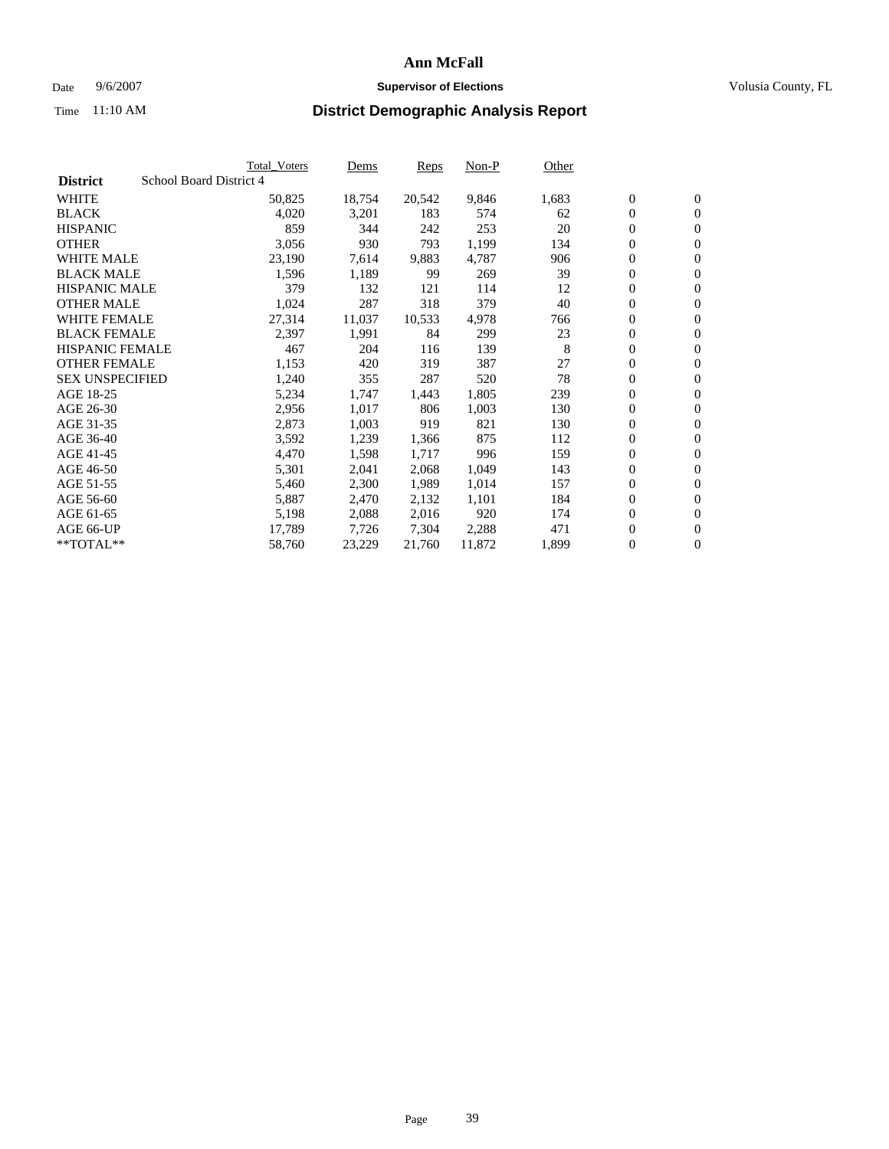#### Date  $9/6/2007$  **Supervisor of Elections Supervisor of Elections** Volusia County, FL

|                        |                         | Total_Voters | Dems   | <b>Reps</b> | Non-P  | Other |                  |                |  |
|------------------------|-------------------------|--------------|--------|-------------|--------|-------|------------------|----------------|--|
| <b>District</b>        | School Board District 4 |              |        |             |        |       |                  |                |  |
| <b>WHITE</b>           |                         | 50,825       | 18,754 | 20,542      | 9,846  | 1,683 | $\overline{0}$   | $\mathbf{0}$   |  |
| <b>BLACK</b>           |                         | 4,020        | 3,201  | 183         | 574    | 62    | $\overline{0}$   | $\mathbf{0}$   |  |
| <b>HISPANIC</b>        |                         | 859          | 344    | 242         | 253    | 20    | $\boldsymbol{0}$ | $\mathbf{0}$   |  |
| <b>OTHER</b>           |                         | 3,056        | 930    | 793         | 1,199  | 134   | 0                | $\mathbf{0}$   |  |
| <b>WHITE MALE</b>      |                         | 23,190       | 7,614  | 9,883       | 4,787  | 906   | 0                | $\mathbf{0}$   |  |
| <b>BLACK MALE</b>      |                         | 1,596        | 1,189  | 99          | 269    | 39    | $\boldsymbol{0}$ | $\mathbf{0}$   |  |
| <b>HISPANIC MALE</b>   |                         | 379          | 132    | 121         | 114    | 12    | $\overline{0}$   | $\mathbf{0}$   |  |
| <b>OTHER MALE</b>      |                         | 1,024        | 287    | 318         | 379    | 40    | $\overline{0}$   | $\mathbf{0}$   |  |
| <b>WHITE FEMALE</b>    |                         | 27,314       | 11,037 | 10,533      | 4,978  | 766   | $\overline{0}$   | $\mathbf{0}$   |  |
| <b>BLACK FEMALE</b>    |                         | 2,397        | 1,991  | 84          | 299    | 23    | $\boldsymbol{0}$ | $\mathbf{0}$   |  |
| <b>HISPANIC FEMALE</b> |                         | 467          | 204    | 116         | 139    | 8     | $\boldsymbol{0}$ | $\mathbf{0}$   |  |
| <b>OTHER FEMALE</b>    |                         | 1,153        | 420    | 319         | 387    | 27    | 0                | $\overline{0}$ |  |
| <b>SEX UNSPECIFIED</b> |                         | 1,240        | 355    | 287         | 520    | 78    | $\boldsymbol{0}$ | $\mathbf{0}$   |  |
| AGE 18-25              |                         | 5,234        | 1,747  | 1,443       | 1,805  | 239   | $\boldsymbol{0}$ | $\mathbf{0}$   |  |
| AGE 26-30              |                         | 2,956        | 1,017  | 806         | 1,003  | 130   | $\overline{0}$   | $\mathbf{0}$   |  |
| AGE 31-35              |                         | 2,873        | 1,003  | 919         | 821    | 130   | $\overline{0}$   | $\mathbf{0}$   |  |
| AGE 36-40              |                         | 3,592        | 1,239  | 1,366       | 875    | 112   | $\boldsymbol{0}$ | $\mathbf{0}$   |  |
| AGE 41-45              |                         | 4,470        | 1,598  | 1,717       | 996    | 159   | $\boldsymbol{0}$ | $\mathbf{0}$   |  |
| AGE 46-50              |                         | 5,301        | 2,041  | 2,068       | 1,049  | 143   | 0                | $\mathbf{0}$   |  |
| AGE 51-55              |                         | 5,460        | 2,300  | 1,989       | 1,014  | 157   | $\boldsymbol{0}$ | $\mathbf{0}$   |  |
| AGE 56-60              |                         | 5,887        | 2,470  | 2,132       | 1,101  | 184   | $\overline{0}$   | $\mathbf{0}$   |  |
| AGE 61-65              |                         | 5,198        | 2,088  | 2,016       | 920    | 174   | $\mathbf{0}$     | $\mathbf{0}$   |  |
| AGE 66-UP              |                         | 17,789       | 7,726  | 7,304       | 2,288  | 471   | $\boldsymbol{0}$ | $\mathbf{0}$   |  |
| **TOTAL**              |                         | 58,760       | 23,229 | 21,760      | 11,872 | 1,899 | 0                | $\overline{0}$ |  |
|                        |                         |              |        |             |        |       |                  |                |  |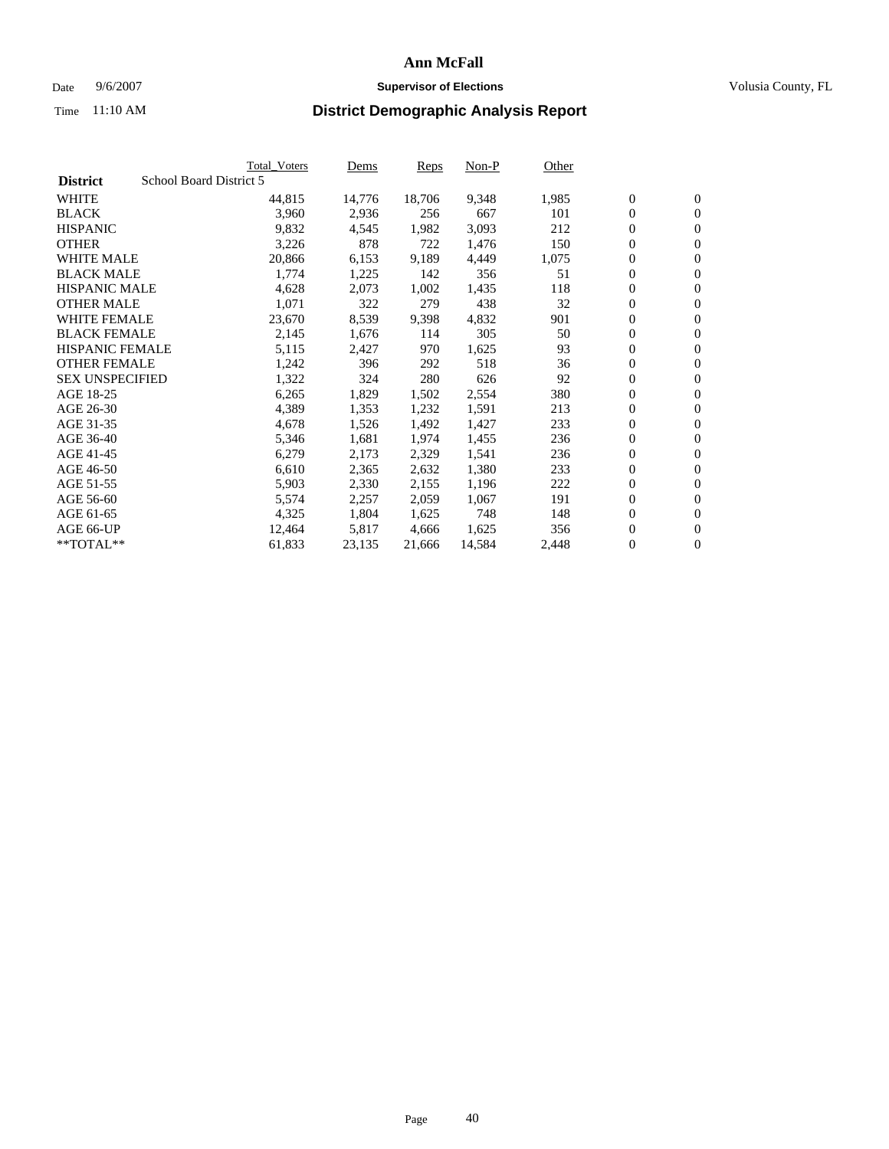#### Date  $9/6/2007$  **Supervisor of Elections Supervisor of Elections** Volusia County, FL

|                        |                         | Total_Voters | Dems   | <b>Reps</b> | Non-P  | Other |                  |                |  |
|------------------------|-------------------------|--------------|--------|-------------|--------|-------|------------------|----------------|--|
| <b>District</b>        | School Board District 5 |              |        |             |        |       |                  |                |  |
| <b>WHITE</b>           |                         | 44,815       | 14,776 | 18,706      | 9,348  | 1,985 | $\overline{0}$   | $\mathbf{0}$   |  |
| <b>BLACK</b>           |                         | 3,960        | 2,936  | 256         | 667    | 101   | $\overline{0}$   | $\mathbf{0}$   |  |
| <b>HISPANIC</b>        |                         | 9,832        | 4,545  | 1,982       | 3,093  | 212   | $\boldsymbol{0}$ | $\mathbf{0}$   |  |
| <b>OTHER</b>           |                         | 3,226        | 878    | 722         | 1,476  | 150   | $\boldsymbol{0}$ | $\mathbf{0}$   |  |
| <b>WHITE MALE</b>      |                         | 20,866       | 6,153  | 9,189       | 4,449  | 1,075 | 0                | $\mathbf{0}$   |  |
| <b>BLACK MALE</b>      |                         | 1,774        | 1,225  | 142         | 356    | 51    | $\boldsymbol{0}$ | $\mathbf{0}$   |  |
| <b>HISPANIC MALE</b>   |                         | 4,628        | 2,073  | 1,002       | 1,435  | 118   | $\overline{0}$   | $\mathbf{0}$   |  |
| <b>OTHER MALE</b>      |                         | 1,071        | 322    | 279         | 438    | 32    | $\overline{0}$   | $\mathbf{0}$   |  |
| <b>WHITE FEMALE</b>    |                         | 23,670       | 8,539  | 9,398       | 4,832  | 901   | $\overline{0}$   | $\mathbf{0}$   |  |
| <b>BLACK FEMALE</b>    |                         | 2,145        | 1,676  | 114         | 305    | 50    | $\boldsymbol{0}$ | $\mathbf{0}$   |  |
| <b>HISPANIC FEMALE</b> |                         | 5,115        | 2,427  | 970         | 1,625  | 93    | $\boldsymbol{0}$ | $\mathbf{0}$   |  |
| <b>OTHER FEMALE</b>    |                         | 1,242        | 396    | 292         | 518    | 36    | 0                | $\mathbf{0}$   |  |
| <b>SEX UNSPECIFIED</b> |                         | 1,322        | 324    | 280         | 626    | 92    | $\boldsymbol{0}$ | $\mathbf{0}$   |  |
| AGE 18-25              |                         | 6,265        | 1,829  | 1,502       | 2,554  | 380   | $\boldsymbol{0}$ | $\mathbf{0}$   |  |
| AGE 26-30              |                         | 4,389        | 1,353  | 1,232       | 1,591  | 213   | $\overline{0}$   | $\mathbf{0}$   |  |
| AGE 31-35              |                         | 4,678        | 1,526  | 1,492       | 1,427  | 233   | $\overline{0}$   | $\mathbf{0}$   |  |
| AGE 36-40              |                         | 5,346        | 1,681  | 1,974       | 1,455  | 236   | $\boldsymbol{0}$ | $\mathbf{0}$   |  |
| AGE 41-45              |                         | 6,279        | 2,173  | 2,329       | 1,541  | 236   | $\boldsymbol{0}$ | $\mathbf{0}$   |  |
| AGE 46-50              |                         | 6,610        | 2,365  | 2,632       | 1,380  | 233   | 0                | $\mathbf{0}$   |  |
| AGE 51-55              |                         | 5,903        | 2,330  | 2,155       | 1,196  | 222   | $\boldsymbol{0}$ | $\mathbf{0}$   |  |
| AGE 56-60              |                         | 5,574        | 2,257  | 2,059       | 1,067  | 191   | $\overline{0}$   | $\mathbf{0}$   |  |
| AGE 61-65              |                         | 4,325        | 1,804  | 1,625       | 748    | 148   | $\mathbf{0}$     | $\mathbf{0}$   |  |
| AGE 66-UP              |                         | 12,464       | 5,817  | 4,666       | 1,625  | 356   | $\boldsymbol{0}$ | $\mathbf{0}$   |  |
| **TOTAL**              |                         | 61,833       | 23,135 | 21,666      | 14,584 | 2,448 | 0                | $\overline{0}$ |  |
|                        |                         |              |        |             |        |       |                  |                |  |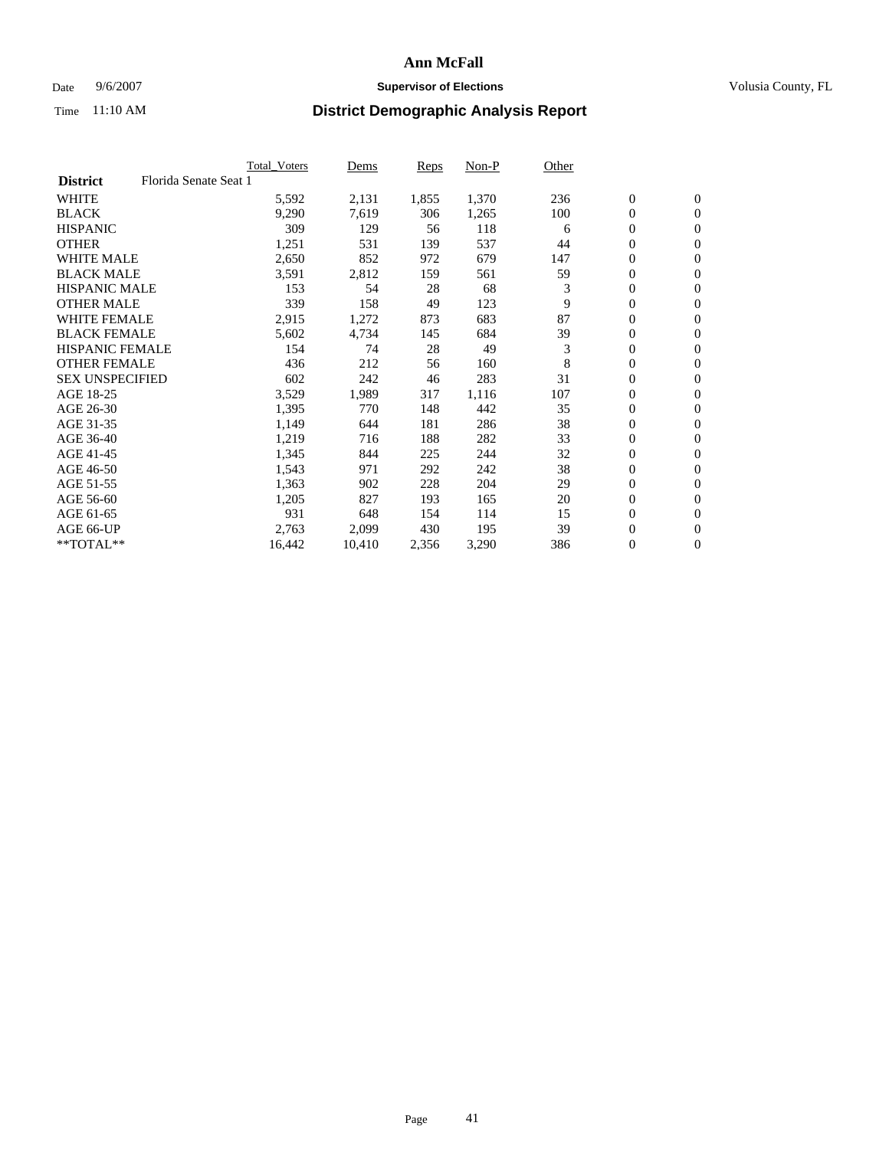### Date 9/6/2007 **Supervisor of Elections Supervisor of Elections** Volusia County, FL

| Florida Senate Seat 1<br><b>District</b><br><b>WHITE</b><br>1,855<br>1,370<br>$\mathbf{0}$<br>$\mathbf{0}$<br>5,592<br>2,131<br>236<br>$\mathbf{0}$<br><b>BLACK</b><br>9,290<br>7,619<br>100<br>$\mathbf{0}$<br>306<br>1,265<br><b>HISPANIC</b><br>309<br>129<br>118<br>0<br>$\overline{0}$<br>56<br>6<br><b>OTHER</b><br>537<br>0<br>1,251<br>139<br>531<br>44<br>$\mathbf{0}$<br>0<br><b>WHITE MALE</b><br>852<br>679<br>2,650<br>972<br>147<br>$\overline{0}$<br><b>BLACK MALE</b><br>$\boldsymbol{0}$<br>2,812<br>59<br>3,591<br>561<br>159<br>$\mathbf{0}$<br>3<br>0<br><b>HISPANIC MALE</b><br>153<br>28<br>68<br>$\mathbf{0}$<br>54<br>9<br>$\mathbf{0}$<br><b>OTHER MALE</b><br>339<br>158<br>49<br>123<br>$\mathbf{0}$<br>87<br><b>WHITE FEMALE</b><br>1,272<br>683<br>0<br>$\mathbf{0}$<br>2,915<br>873<br><b>BLACK FEMALE</b><br>39<br>$\boldsymbol{0}$<br>5,602<br>4,734<br>145<br>684<br>$\mathbf{0}$<br><b>HISPANIC FEMALE</b><br>3<br>$\boldsymbol{0}$<br>154<br>74<br>28<br>49<br>$\mathbf{0}$<br>8<br><b>OTHER FEMALE</b><br>0<br>212<br>160<br>436<br>56<br>$\overline{0}$<br>31<br>0<br><b>SEX UNSPECIFIED</b><br>602<br>242<br>283<br>46<br>$\mathbf{0}$<br>3,529<br>0<br>$\mathbf{0}$<br>AGE 18-25<br>1,989<br>317<br>1,116<br>107<br>$\mathbf{0}$<br>35<br>$\mathbf{0}$<br>AGE 26-30<br>1,395<br>770<br>442<br>148<br>38<br>AGE 31-35<br>286<br>0<br>1,149<br>644<br>181<br>$\mathbf{0}$<br>33<br>AGE 36-40<br>282<br>0<br>1,219<br>716<br>188<br>$\overline{0}$<br>$\boldsymbol{0}$<br>AGE 41-45<br>1,345<br>844<br>225<br>244<br>32<br>$\mathbf{0}$ |
|-----------------------------------------------------------------------------------------------------------------------------------------------------------------------------------------------------------------------------------------------------------------------------------------------------------------------------------------------------------------------------------------------------------------------------------------------------------------------------------------------------------------------------------------------------------------------------------------------------------------------------------------------------------------------------------------------------------------------------------------------------------------------------------------------------------------------------------------------------------------------------------------------------------------------------------------------------------------------------------------------------------------------------------------------------------------------------------------------------------------------------------------------------------------------------------------------------------------------------------------------------------------------------------------------------------------------------------------------------------------------------------------------------------------------------------------------------------------------------------------------------------------------------------------------------------------------------|
|                                                                                                                                                                                                                                                                                                                                                                                                                                                                                                                                                                                                                                                                                                                                                                                                                                                                                                                                                                                                                                                                                                                                                                                                                                                                                                                                                                                                                                                                                                                                                                             |
|                                                                                                                                                                                                                                                                                                                                                                                                                                                                                                                                                                                                                                                                                                                                                                                                                                                                                                                                                                                                                                                                                                                                                                                                                                                                                                                                                                                                                                                                                                                                                                             |
|                                                                                                                                                                                                                                                                                                                                                                                                                                                                                                                                                                                                                                                                                                                                                                                                                                                                                                                                                                                                                                                                                                                                                                                                                                                                                                                                                                                                                                                                                                                                                                             |
|                                                                                                                                                                                                                                                                                                                                                                                                                                                                                                                                                                                                                                                                                                                                                                                                                                                                                                                                                                                                                                                                                                                                                                                                                                                                                                                                                                                                                                                                                                                                                                             |
|                                                                                                                                                                                                                                                                                                                                                                                                                                                                                                                                                                                                                                                                                                                                                                                                                                                                                                                                                                                                                                                                                                                                                                                                                                                                                                                                                                                                                                                                                                                                                                             |
|                                                                                                                                                                                                                                                                                                                                                                                                                                                                                                                                                                                                                                                                                                                                                                                                                                                                                                                                                                                                                                                                                                                                                                                                                                                                                                                                                                                                                                                                                                                                                                             |
|                                                                                                                                                                                                                                                                                                                                                                                                                                                                                                                                                                                                                                                                                                                                                                                                                                                                                                                                                                                                                                                                                                                                                                                                                                                                                                                                                                                                                                                                                                                                                                             |
|                                                                                                                                                                                                                                                                                                                                                                                                                                                                                                                                                                                                                                                                                                                                                                                                                                                                                                                                                                                                                                                                                                                                                                                                                                                                                                                                                                                                                                                                                                                                                                             |
|                                                                                                                                                                                                                                                                                                                                                                                                                                                                                                                                                                                                                                                                                                                                                                                                                                                                                                                                                                                                                                                                                                                                                                                                                                                                                                                                                                                                                                                                                                                                                                             |
|                                                                                                                                                                                                                                                                                                                                                                                                                                                                                                                                                                                                                                                                                                                                                                                                                                                                                                                                                                                                                                                                                                                                                                                                                                                                                                                                                                                                                                                                                                                                                                             |
|                                                                                                                                                                                                                                                                                                                                                                                                                                                                                                                                                                                                                                                                                                                                                                                                                                                                                                                                                                                                                                                                                                                                                                                                                                                                                                                                                                                                                                                                                                                                                                             |
|                                                                                                                                                                                                                                                                                                                                                                                                                                                                                                                                                                                                                                                                                                                                                                                                                                                                                                                                                                                                                                                                                                                                                                                                                                                                                                                                                                                                                                                                                                                                                                             |
|                                                                                                                                                                                                                                                                                                                                                                                                                                                                                                                                                                                                                                                                                                                                                                                                                                                                                                                                                                                                                                                                                                                                                                                                                                                                                                                                                                                                                                                                                                                                                                             |
|                                                                                                                                                                                                                                                                                                                                                                                                                                                                                                                                                                                                                                                                                                                                                                                                                                                                                                                                                                                                                                                                                                                                                                                                                                                                                                                                                                                                                                                                                                                                                                             |
|                                                                                                                                                                                                                                                                                                                                                                                                                                                                                                                                                                                                                                                                                                                                                                                                                                                                                                                                                                                                                                                                                                                                                                                                                                                                                                                                                                                                                                                                                                                                                                             |
|                                                                                                                                                                                                                                                                                                                                                                                                                                                                                                                                                                                                                                                                                                                                                                                                                                                                                                                                                                                                                                                                                                                                                                                                                                                                                                                                                                                                                                                                                                                                                                             |
|                                                                                                                                                                                                                                                                                                                                                                                                                                                                                                                                                                                                                                                                                                                                                                                                                                                                                                                                                                                                                                                                                                                                                                                                                                                                                                                                                                                                                                                                                                                                                                             |
|                                                                                                                                                                                                                                                                                                                                                                                                                                                                                                                                                                                                                                                                                                                                                                                                                                                                                                                                                                                                                                                                                                                                                                                                                                                                                                                                                                                                                                                                                                                                                                             |
|                                                                                                                                                                                                                                                                                                                                                                                                                                                                                                                                                                                                                                                                                                                                                                                                                                                                                                                                                                                                                                                                                                                                                                                                                                                                                                                                                                                                                                                                                                                                                                             |
| 38<br>0<br>AGE 46-50<br>1,543<br>971<br>292<br>242<br>$\overline{0}$                                                                                                                                                                                                                                                                                                                                                                                                                                                                                                                                                                                                                                                                                                                                                                                                                                                                                                                                                                                                                                                                                                                                                                                                                                                                                                                                                                                                                                                                                                        |
| 29<br>$\boldsymbol{0}$<br>AGE 51-55<br>1,363<br>902<br>204<br>$\mathbf{0}$<br>228                                                                                                                                                                                                                                                                                                                                                                                                                                                                                                                                                                                                                                                                                                                                                                                                                                                                                                                                                                                                                                                                                                                                                                                                                                                                                                                                                                                                                                                                                           |
| AGE 56-60<br>827<br>165<br>20<br>0<br>1,205<br>193<br>$\mathbf{0}$                                                                                                                                                                                                                                                                                                                                                                                                                                                                                                                                                                                                                                                                                                                                                                                                                                                                                                                                                                                                                                                                                                                                                                                                                                                                                                                                                                                                                                                                                                          |
| $\mathbf{0}$<br>931<br>114<br>15<br>$\mathbf{0}$<br>AGE 61-65<br>648<br>154                                                                                                                                                                                                                                                                                                                                                                                                                                                                                                                                                                                                                                                                                                                                                                                                                                                                                                                                                                                                                                                                                                                                                                                                                                                                                                                                                                                                                                                                                                 |
| 195<br>39<br>$\boldsymbol{0}$<br>AGE 66-UP<br>2,763<br>2,099<br>430<br>$\mathbf{0}$                                                                                                                                                                                                                                                                                                                                                                                                                                                                                                                                                                                                                                                                                                                                                                                                                                                                                                                                                                                                                                                                                                                                                                                                                                                                                                                                                                                                                                                                                         |
| **TOTAL**<br>0<br>16,442<br>10,410<br>2,356<br>3,290<br>386<br>$\overline{0}$                                                                                                                                                                                                                                                                                                                                                                                                                                                                                                                                                                                                                                                                                                                                                                                                                                                                                                                                                                                                                                                                                                                                                                                                                                                                                                                                                                                                                                                                                               |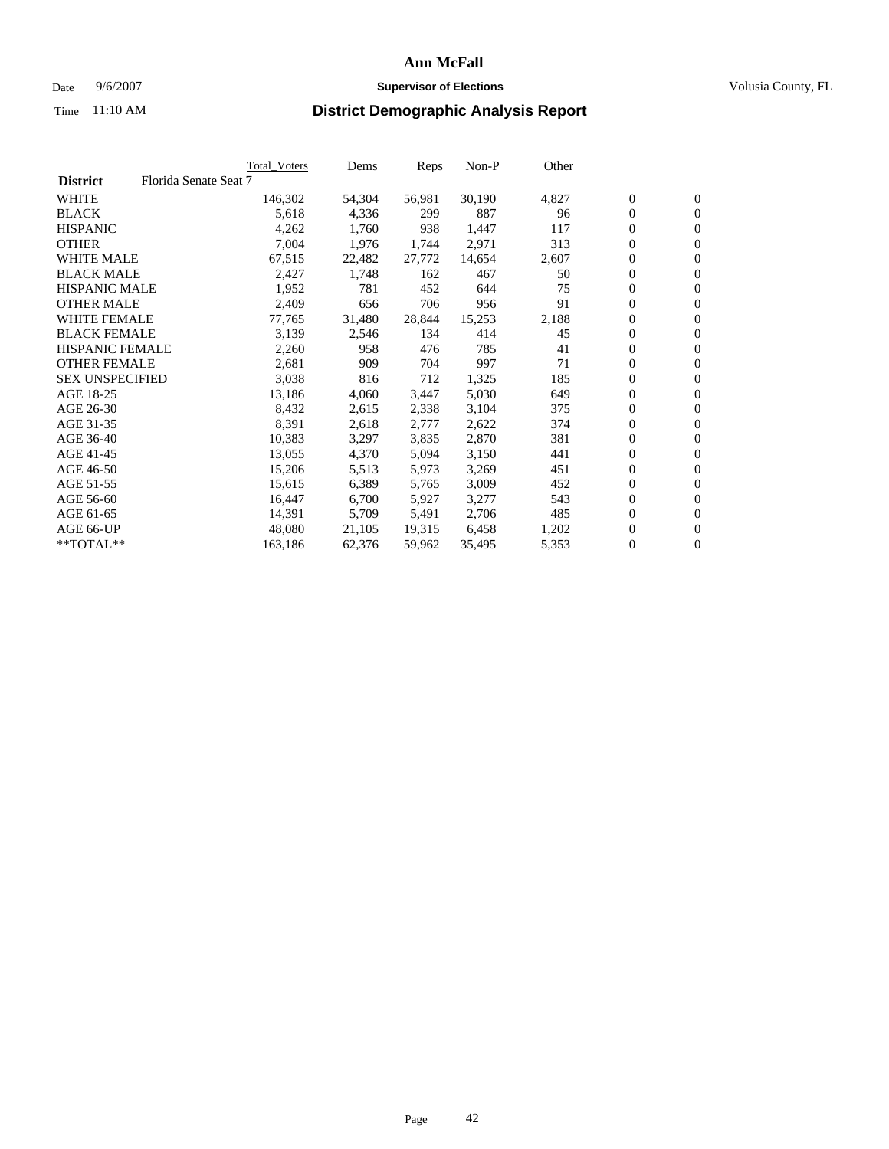### Date 9/6/2007 **Supervisor of Elections Supervisor of Elections** Volusia County, FL

|                        |                       | Total_Voters | Dems   | Reps   | Non-P  | Other |                  |                  |  |
|------------------------|-----------------------|--------------|--------|--------|--------|-------|------------------|------------------|--|
| <b>District</b>        | Florida Senate Seat 7 |              |        |        |        |       |                  |                  |  |
| <b>WHITE</b>           |                       | 146,302      | 54,304 | 56,981 | 30,190 | 4,827 | $\boldsymbol{0}$ | $\mathbf{0}$     |  |
| <b>BLACK</b>           |                       | 5,618        | 4,336  | 299    | 887    | 96    | $\overline{0}$   | $\mathbf{0}$     |  |
| <b>HISPANIC</b>        |                       | 4,262        | 1,760  | 938    | 1,447  | 117   | $\overline{0}$   | $\mathbf{0}$     |  |
| <b>OTHER</b>           |                       | 7,004        | 1,976  | 1,744  | 2,971  | 313   | 0                | $\overline{0}$   |  |
| <b>WHITE MALE</b>      |                       | 67,515       | 22,482 | 27,772 | 14,654 | 2,607 | $\overline{0}$   | $\mathbf{0}$     |  |
| <b>BLACK MALE</b>      |                       | 2,427        | 1,748  | 162    | 467    | 50    | $\boldsymbol{0}$ | $\mathbf{0}$     |  |
| <b>HISPANIC MALE</b>   |                       | 1,952        | 781    | 452    | 644    | 75    | 0                | $\mathbf{0}$     |  |
| <b>OTHER MALE</b>      |                       | 2,409        | 656    | 706    | 956    | 91    | 0                | $\mathbf{0}$     |  |
| <b>WHITE FEMALE</b>    |                       | 77,765       | 31,480 | 28,844 | 15,253 | 2,188 | 0                | $\mathbf{0}$     |  |
| <b>BLACK FEMALE</b>    |                       | 3,139        | 2,546  | 134    | 414    | 45    | $\overline{0}$   | $\mathbf{0}$     |  |
| <b>HISPANIC FEMALE</b> |                       | 2,260        | 958    | 476    | 785    | 41    | 0                | $\mathbf{0}$     |  |
| <b>OTHER FEMALE</b>    |                       | 2,681        | 909    | 704    | 997    | 71    | 0                | $\mathbf{0}$     |  |
| <b>SEX UNSPECIFIED</b> |                       | 3,038        | 816    | 712    | 1,325  | 185   | $\boldsymbol{0}$ | $\mathbf{0}$     |  |
| AGE 18-25              |                       | 13,186       | 4,060  | 3,447  | 5,030  | 649   | $\overline{0}$   | $\mathbf{0}$     |  |
| AGE 26-30              |                       | 8,432        | 2,615  | 2,338  | 3,104  | 375   | 0                | $\mathbf{0}$     |  |
| AGE 31-35              |                       | 8,391        | 2,618  | 2,777  | 2,622  | 374   | 0                | $\mathbf{0}$     |  |
| AGE 36-40              |                       | 10,383       | 3,297  | 3,835  | 2,870  | 381   | $\boldsymbol{0}$ | $\mathbf{0}$     |  |
| AGE 41-45              |                       | 13,055       | 4,370  | 5,094  | 3,150  | 441   | 0                | $\mathbf{0}$     |  |
| AGE 46-50              |                       | 15,206       | 5,513  | 5,973  | 3,269  | 451   | $\overline{0}$   | $\mathbf{0}$     |  |
| AGE 51-55              |                       | 15,615       | 6,389  | 5,765  | 3,009  | 452   | $\overline{0}$   | $\mathbf{0}$     |  |
| AGE 56-60              |                       | 16,447       | 6,700  | 5,927  | 3,277  | 543   | $\boldsymbol{0}$ | $\mathbf{0}$     |  |
| AGE 61-65              |                       | 14,391       | 5,709  | 5,491  | 2,706  | 485   | 0                | $\mathbf{0}$     |  |
| AGE 66-UP              |                       | 48,080       | 21,105 | 19,315 | 6,458  | 1,202 | 0                | $\mathbf{0}$     |  |
| $*$ TOTAL $**$         |                       | 163,186      | 62,376 | 59,962 | 35,495 | 5,353 | 0                | $\boldsymbol{0}$ |  |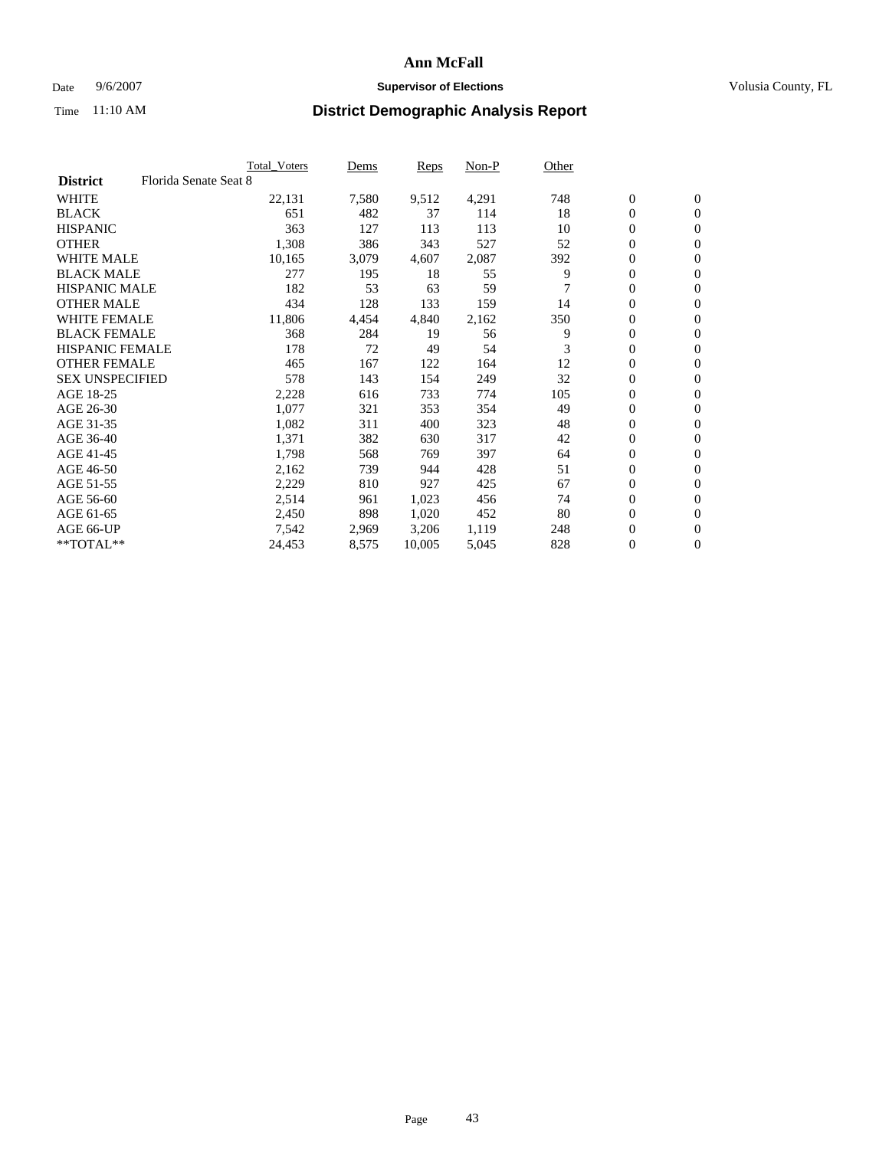### Date 9/6/2007 **Supervisor of Elections Supervisor of Elections** Volusia County, FL

|                        |                       | Total_Voters | Dems  | <b>Reps</b> | Non-P | Other |                  |                |  |
|------------------------|-----------------------|--------------|-------|-------------|-------|-------|------------------|----------------|--|
| <b>District</b>        | Florida Senate Seat 8 |              |       |             |       |       |                  |                |  |
| <b>WHITE</b>           |                       | 22,131       | 7,580 | 9,512       | 4,291 | 748   | $\overline{0}$   | $\mathbf{0}$   |  |
| <b>BLACK</b>           |                       | 651          | 482   | 37          | 114   | 18    | $\overline{0}$   | $\mathbf{0}$   |  |
| <b>HISPANIC</b>        |                       | 363          | 127   | 113         | 113   | 10    | $\boldsymbol{0}$ | $\mathbf{0}$   |  |
| <b>OTHER</b>           |                       | 1,308        | 386   | 343         | 527   | 52    | 0                | $\mathbf{0}$   |  |
| <b>WHITE MALE</b>      |                       | 10,165       | 3,079 | 4,607       | 2,087 | 392   | 0                | $\mathbf{0}$   |  |
| <b>BLACK MALE</b>      |                       | 277          | 195   | 18          | 55    | 9     | $\boldsymbol{0}$ | $\mathbf{0}$   |  |
| <b>HISPANIC MALE</b>   |                       | 182          | 53    | 63          | 59    |       | $\overline{0}$   | $\mathbf{0}$   |  |
| <b>OTHER MALE</b>      |                       | 434          | 128   | 133         | 159   | 14    | $\overline{0}$   | $\mathbf{0}$   |  |
| <b>WHITE FEMALE</b>    |                       | 11,806       | 4,454 | 4,840       | 2,162 | 350   | 0                | $\mathbf{0}$   |  |
| <b>BLACK FEMALE</b>    |                       | 368          | 284   | 19          | 56    | 9     | $\overline{0}$   | $\mathbf{0}$   |  |
| <b>HISPANIC FEMALE</b> |                       | 178          | 72    | 49          | 54    | 3     | $\boldsymbol{0}$ | $\mathbf{0}$   |  |
| <b>OTHER FEMALE</b>    |                       | 465          | 167   | 122         | 164   | 12    | 0                | $\mathbf{0}$   |  |
| <b>SEX UNSPECIFIED</b> |                       | 578          | 143   | 154         | 249   | 32    | $\boldsymbol{0}$ | $\mathbf{0}$   |  |
| AGE 18-25              |                       | 2,228        | 616   | 733         | 774   | 105   | $\boldsymbol{0}$ | $\mathbf{0}$   |  |
| AGE 26-30              |                       | 1,077        | 321   | 353         | 354   | 49    | $\overline{0}$   | $\mathbf{0}$   |  |
| AGE 31-35              |                       | 1,082        | 311   | 400         | 323   | 48    | $\overline{0}$   | $\mathbf{0}$   |  |
| AGE 36-40              |                       | 1,371        | 382   | 630         | 317   | 42    | $\boldsymbol{0}$ | $\mathbf{0}$   |  |
| AGE 41-45              |                       | 1,798        | 568   | 769         | 397   | 64    | $\boldsymbol{0}$ | $\mathbf{0}$   |  |
| AGE 46-50              |                       | 2,162        | 739   | 944         | 428   | 51    | 0                | $\mathbf{0}$   |  |
| AGE 51-55              |                       | 2,229        | 810   | 927         | 425   | 67    | $\boldsymbol{0}$ | $\mathbf{0}$   |  |
| AGE 56-60              |                       | 2,514        | 961   | 1,023       | 456   | 74    | $\overline{0}$   | $\mathbf{0}$   |  |
| AGE 61-65              |                       | 2,450        | 898   | 1,020       | 452   | 80    | $\mathbf{0}$     | $\mathbf{0}$   |  |
| AGE 66-UP              |                       | 7,542        | 2,969 | 3,206       | 1,119 | 248   | $\boldsymbol{0}$ | $\mathbf{0}$   |  |
| **TOTAL**              |                       | 24,453       | 8,575 | 10,005      | 5,045 | 828   | 0                | $\overline{0}$ |  |
|                        |                       |              |       |             |       |       |                  |                |  |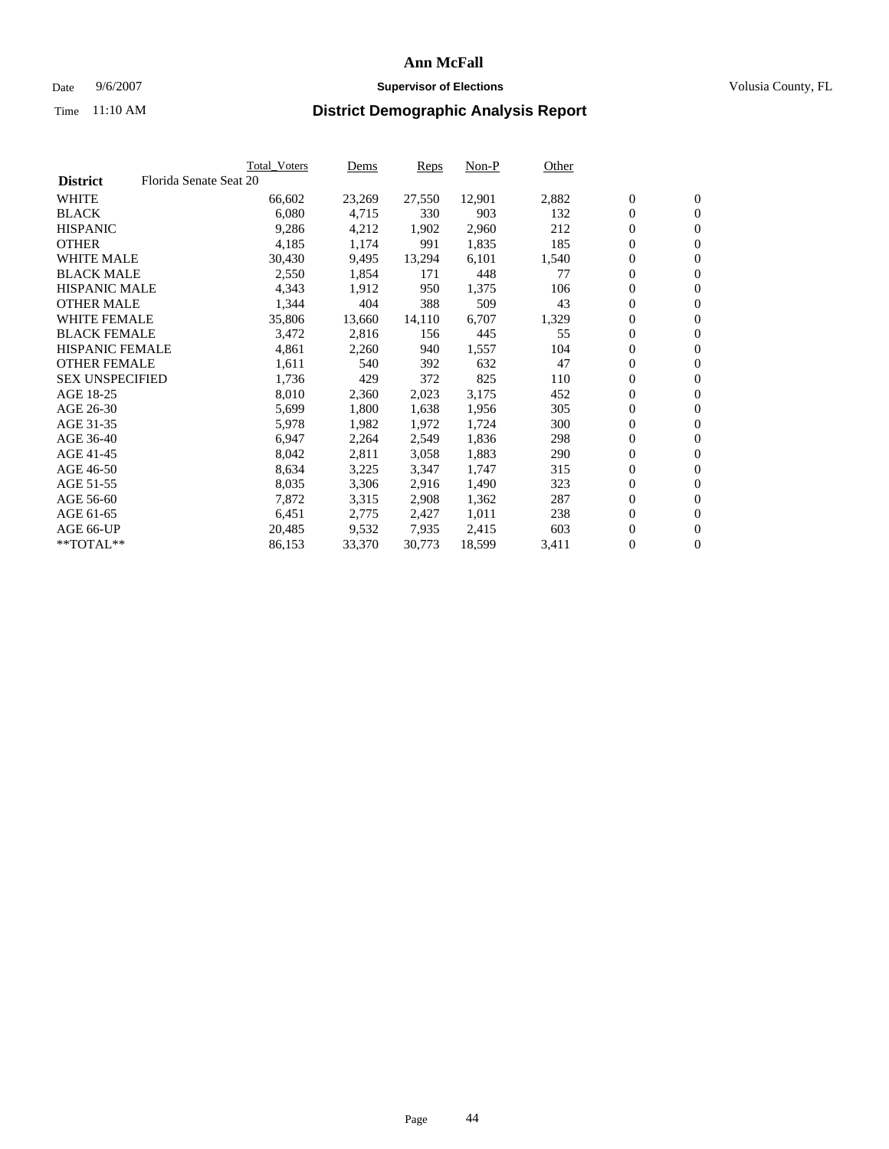#### Date  $9/6/2007$  **Supervisor of Elections Supervisor of Elections** Volusia County, FL

|                        |                        | Total_Voters | Dems   | <b>Reps</b> | Non-P  | Other |                  |                  |  |
|------------------------|------------------------|--------------|--------|-------------|--------|-------|------------------|------------------|--|
| <b>District</b>        | Florida Senate Seat 20 |              |        |             |        |       |                  |                  |  |
| <b>WHITE</b>           |                        | 66,602       | 23,269 | 27,550      | 12,901 | 2,882 | $\overline{0}$   | $\mathbf{0}$     |  |
| <b>BLACK</b>           |                        | 6,080        | 4,715  | 330         | 903    | 132   | $\overline{0}$   | $\mathbf{0}$     |  |
| <b>HISPANIC</b>        |                        | 9,286        | 4,212  | 1,902       | 2,960  | 212   | $\boldsymbol{0}$ | $\mathbf{0}$     |  |
| <b>OTHER</b>           |                        | 4,185        | 1,174  | 991         | 1,835  | 185   | $\boldsymbol{0}$ | $\mathbf{0}$     |  |
| <b>WHITE MALE</b>      |                        | 30,430       | 9,495  | 13,294      | 6,101  | 1,540 | 0                | $\mathbf{0}$     |  |
| <b>BLACK MALE</b>      |                        | 2,550        | 1,854  | 171         | 448    | 77    | $\boldsymbol{0}$ | $\mathbf{0}$     |  |
| <b>HISPANIC MALE</b>   |                        | 4,343        | 1,912  | 950         | 1,375  | 106   | $\overline{0}$   | $\mathbf{0}$     |  |
| <b>OTHER MALE</b>      |                        | 1,344        | 404    | 388         | 509    | 43    | $\overline{0}$   | $\mathbf{0}$     |  |
| <b>WHITE FEMALE</b>    |                        | 35,806       | 13,660 | 14,110      | 6,707  | 1,329 | $\mathbf{0}$     | $\mathbf{0}$     |  |
| <b>BLACK FEMALE</b>    |                        | 3,472        | 2,816  | 156         | 445    | 55    | $\boldsymbol{0}$ | $\mathbf{0}$     |  |
| HISPANIC FEMALE        |                        | 4,861        | 2,260  | 940         | 1,557  | 104   | $\boldsymbol{0}$ | $\mathbf{0}$     |  |
| <b>OTHER FEMALE</b>    |                        | 1,611        | 540    | 392         | 632    | 47    | 0                | $\mathbf{0}$     |  |
| <b>SEX UNSPECIFIED</b> |                        | 1,736        | 429    | 372         | 825    | 110   | $\boldsymbol{0}$ | $\mathbf{0}$     |  |
| AGE 18-25              |                        | 8,010        | 2,360  | 2,023       | 3,175  | 452   | $\boldsymbol{0}$ | $\mathbf{0}$     |  |
| AGE 26-30              |                        | 5,699        | 1,800  | 1,638       | 1,956  | 305   | $\overline{0}$   | $\mathbf{0}$     |  |
| AGE 31-35              |                        | 5,978        | 1,982  | 1,972       | 1,724  | 300   | $\overline{0}$   | $\mathbf{0}$     |  |
| AGE 36-40              |                        | 6,947        | 2,264  | 2,549       | 1,836  | 298   | $\boldsymbol{0}$ | $\mathbf{0}$     |  |
| AGE 41-45              |                        | 8,042        | 2,811  | 3,058       | 1,883  | 290   | $\boldsymbol{0}$ | $\mathbf{0}$     |  |
| AGE 46-50              |                        | 8,634        | 3,225  | 3,347       | 1,747  | 315   | 0                | $\mathbf{0}$     |  |
| AGE 51-55              |                        | 8,035        | 3,306  | 2,916       | 1,490  | 323   | $\boldsymbol{0}$ | $\mathbf{0}$     |  |
| AGE 56-60              |                        | 7,872        | 3,315  | 2,908       | 1,362  | 287   | $\overline{0}$   | $\mathbf{0}$     |  |
| AGE 61-65              |                        | 6,451        | 2,775  | 2,427       | 1,011  | 238   | $\mathbf{0}$     | $\boldsymbol{0}$ |  |
| AGE 66-UP              |                        | 20,485       | 9,532  | 7,935       | 2,415  | 603   | $\boldsymbol{0}$ | $\mathbf{0}$     |  |
| **TOTAL**              |                        | 86,153       | 33,370 | 30,773      | 18,599 | 3,411 | 0                | $\overline{0}$   |  |
|                        |                        |              |        |             |        |       |                  |                  |  |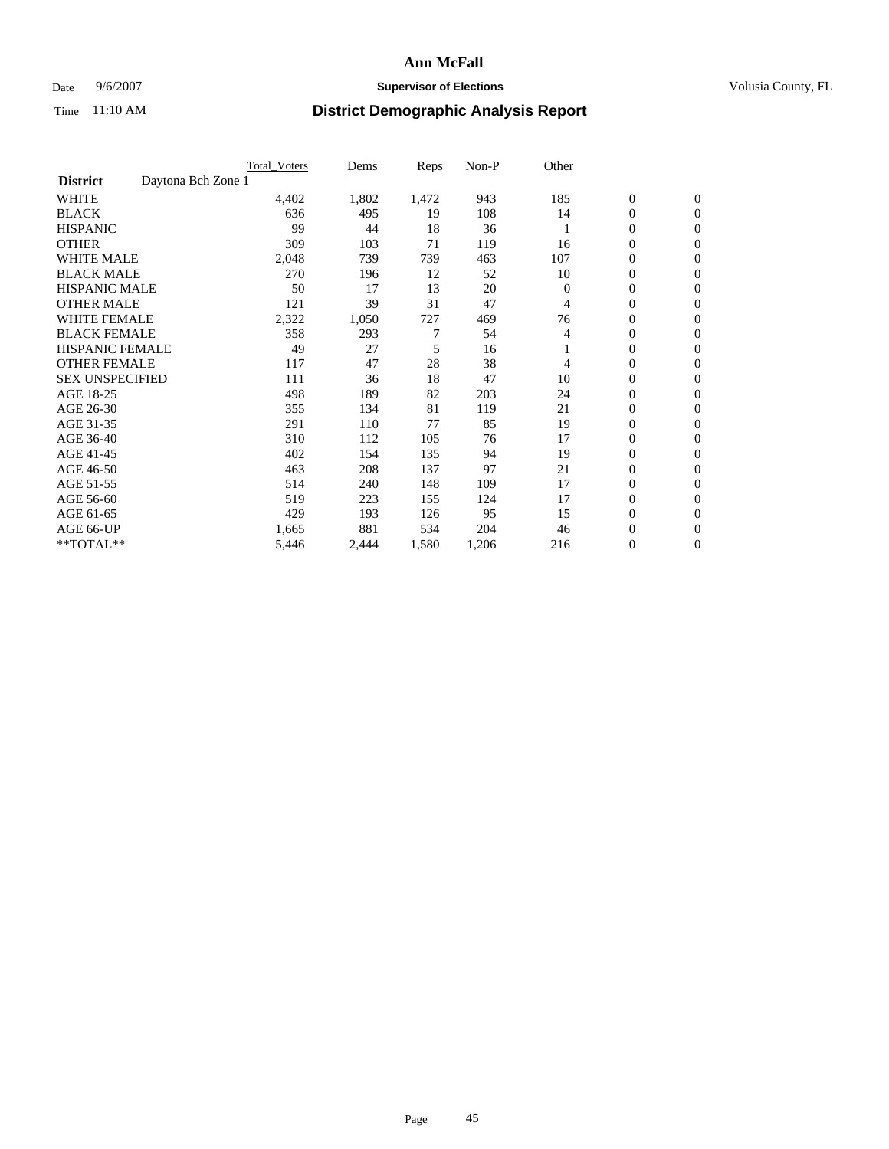### Date 9/6/2007 **Supervisor of Elections Supervisor of Elections** Volusia County, FL

|                                       | <b>Total Voters</b> | Dems  | <b>Reps</b> | Non-P | Other    |                  |                  |  |
|---------------------------------------|---------------------|-------|-------------|-------|----------|------------------|------------------|--|
| Daytona Bch Zone 1<br><b>District</b> |                     |       |             |       |          |                  |                  |  |
| <b>WHITE</b>                          | 4,402               | 1,802 | 1,472       | 943   | 185      | $\boldsymbol{0}$ | $\boldsymbol{0}$ |  |
| <b>BLACK</b>                          | 636                 | 495   | 19          | 108   | 14       | $\mathbf{0}$     | $\mathbf{0}$     |  |
| <b>HISPANIC</b>                       | 99                  | 44    | 18          | 36    |          | $\mathbf{0}$     | $\mathbf{0}$     |  |
| <b>OTHER</b>                          | 309                 | 103   | 71          | 119   | 16       | 0                | $\mathbf{0}$     |  |
| <b>WHITE MALE</b>                     | 2,048               | 739   | 739         | 463   | 107      | 0                | $\mathbf{0}$     |  |
| <b>BLACK MALE</b>                     | 270                 | 196   | 12          | 52    | 10       | 0                | $\mathbf{0}$     |  |
| <b>HISPANIC MALE</b>                  | 50                  | 17    | 13          | 20    | $\Omega$ | 0                | $\mathbf{0}$     |  |
| <b>OTHER MALE</b>                     | 121                 | 39    | 31          | 47    | 4        | 0                | $\mathbf{0}$     |  |
| <b>WHITE FEMALE</b>                   | 2,322               | 1,050 | 727         | 469   | 76       | 0                | $\mathbf{0}$     |  |
| <b>BLACK FEMALE</b>                   | 358                 | 293   | 7           | 54    | 4        | $\mathbf{0}$     | $\mathbf{0}$     |  |
| <b>HISPANIC FEMALE</b>                | 49                  | 27    | 5           | 16    |          | 0                | $\mathbf{0}$     |  |
| <b>OTHER FEMALE</b>                   | 117                 | 47    | 28          | 38    | 4        | 0                | $\mathbf{0}$     |  |
| <b>SEX UNSPECIFIED</b>                | 111                 | 36    | 18          | 47    | 10       | $\boldsymbol{0}$ | $\mathbf{0}$     |  |
| AGE 18-25                             | 498                 | 189   | 82          | 203   | 24       | 0                | $\mathbf{0}$     |  |
| AGE 26-30                             | 355                 | 134   | 81          | 119   | 21       | 0                | $\mathbf{0}$     |  |
| AGE 31-35                             | 291                 | 110   | 77          | 85    | 19       | 0                | $\mathbf{0}$     |  |
| AGE 36-40                             | 310                 | 112   | 105         | 76    | 17       | $\boldsymbol{0}$ | $\mathbf{0}$     |  |
| AGE 41-45                             | 402                 | 154   | 135         | 94    | 19       | 0                | $\mathbf{0}$     |  |
| AGE 46-50                             | 463                 | 208   | 137         | 97    | 21       | $\mathbf{0}$     | $\mathbf{0}$     |  |
| AGE 51-55                             | 514                 | 240   | 148         | 109   | 17       | $\overline{0}$   | $\mathbf{0}$     |  |
| AGE 56-60                             | 519                 | 223   | 155         | 124   | 17       | $\boldsymbol{0}$ | $\mathbf{0}$     |  |
| AGE 61-65                             | 429                 | 193   | 126         | 95    | 15       | 0                | $\mathbf{0}$     |  |
| AGE 66-UP                             | 1,665               | 881   | 534         | 204   | 46       | 0                | 0                |  |
| **TOTAL**                             | 5,446               | 2,444 | 1,580       | 1,206 | 216      | 0                | $\boldsymbol{0}$ |  |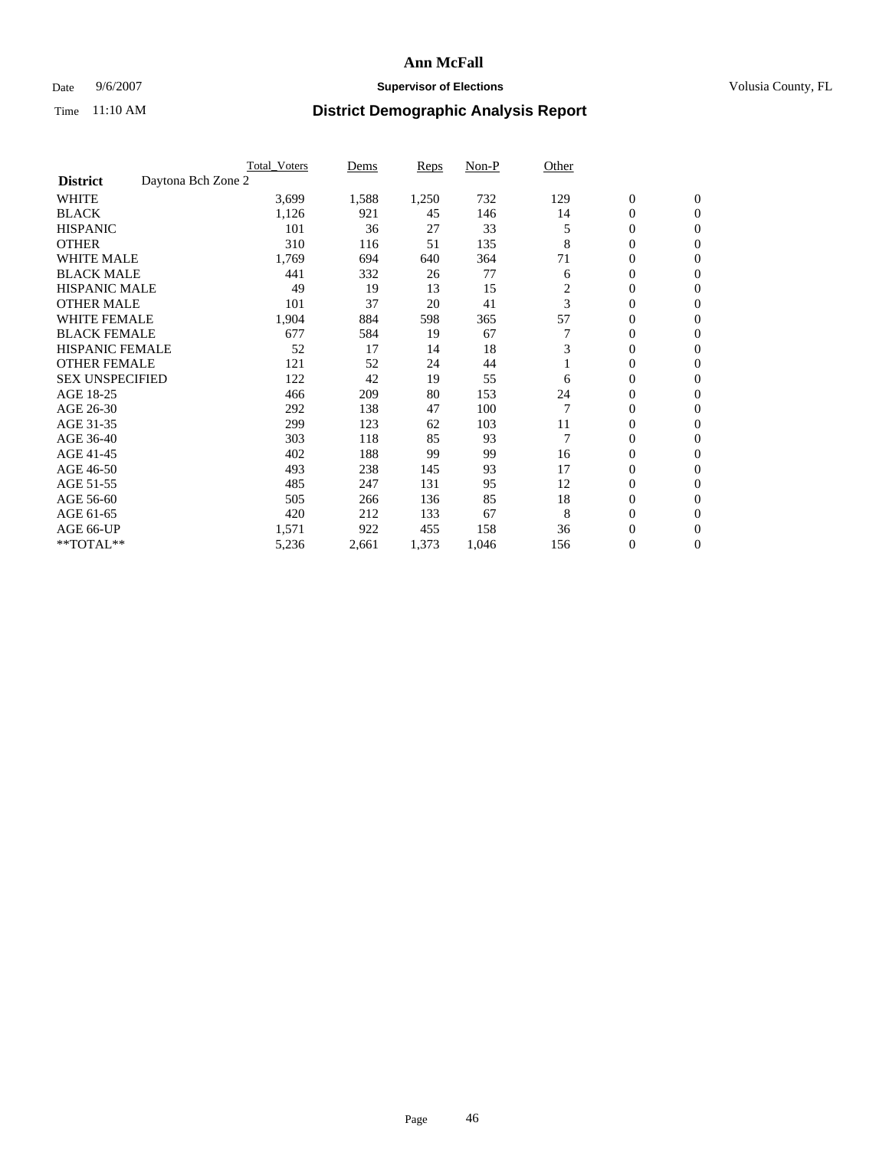### Date 9/6/2007 **Supervisor of Elections Supervisor of Elections** Volusia County, FL

|                                       | <b>Total Voters</b> | Dems  | <b>Reps</b> | Non-P | Other |                  |                  |  |
|---------------------------------------|---------------------|-------|-------------|-------|-------|------------------|------------------|--|
| Daytona Bch Zone 2<br><b>District</b> |                     |       |             |       |       |                  |                  |  |
| <b>WHITE</b>                          | 3,699               | 1,588 | 1,250       | 732   | 129   | $\boldsymbol{0}$ | $\boldsymbol{0}$ |  |
| <b>BLACK</b>                          | 1,126               | 921   | 45          | 146   | 14    | 0                | $\mathbf{0}$     |  |
| <b>HISPANIC</b>                       | 101                 | 36    | 27          | 33    | 5     | 0                | $\mathbf{0}$     |  |
| <b>OTHER</b>                          | 310                 | 116   | 51          | 135   | 8     | 0                | $\overline{0}$   |  |
| <b>WHITE MALE</b>                     | 1,769               | 694   | 640         | 364   | 71    | 0                | $\mathbf{0}$     |  |
| <b>BLACK MALE</b>                     | 441                 | 332   | 26          | 77    | 6     | 0                | $\mathbf{0}$     |  |
| <b>HISPANIC MALE</b>                  | 49                  | 19    | 13          | 15    | 2     | 0                | $\mathbf{0}$     |  |
| <b>OTHER MALE</b>                     | 101                 | 37    | 20          | 41    | 3     | 0                | $\mathbf{0}$     |  |
| <b>WHITE FEMALE</b>                   | 1,904               | 884   | 598         | 365   | 57    | 0                | $\Omega$         |  |
| <b>BLACK FEMALE</b>                   | 677                 | 584   | 19          | 67    |       | $\mathbf{0}$     | $\mathbf{0}$     |  |
| <b>HISPANIC FEMALE</b>                | 52                  | 17    | 14          | 18    | 3     | 0                | $\mathbf{0}$     |  |
| <b>OTHER FEMALE</b>                   | 121                 | 52    | 24          | 44    |       | 0                | $\mathbf{0}$     |  |
| <b>SEX UNSPECIFIED</b>                | 122                 | 42    | 19          | 55    | 6     | 0                | $\mathbf{0}$     |  |
| AGE 18-25                             | 466                 | 209   | 80          | 153   | 24    | 0                | $\mathbf{0}$     |  |
| AGE 26-30                             | 292                 | 138   | 47          | 100   |       | 0                | $\mathbf{0}$     |  |
| AGE 31-35                             | 299                 | 123   | 62          | 103   | 11    | 0                | $\mathbf{0}$     |  |
| AGE 36-40                             | 303                 | 118   | 85          | 93    |       | $\mathbf{0}$     | $\mathbf{0}$     |  |
| AGE 41-45                             | 402                 | 188   | 99          | 99    | 16    | 0                | $\mathbf{0}$     |  |
| AGE 46-50                             | 493                 | 238   | 145         | 93    | 17    | 0                | $\mathbf{0}$     |  |
| AGE 51-55                             | 485                 | 247   | 131         | 95    | 12    | 0                | $\mathbf{0}$     |  |
| AGE 56-60                             | 505                 | 266   | 136         | 85    | 18    | 0                | $\mathbf{0}$     |  |
| AGE 61-65                             | 420                 | 212   | 133         | 67    | 8     | 0                | $\mathbf{0}$     |  |
| AGE 66-UP                             | 1,571               | 922   | 455         | 158   | 36    | 0                | 0                |  |
| **TOTAL**                             | 5,236               | 2,661 | 1,373       | 1,046 | 156   | 0                | $\boldsymbol{0}$ |  |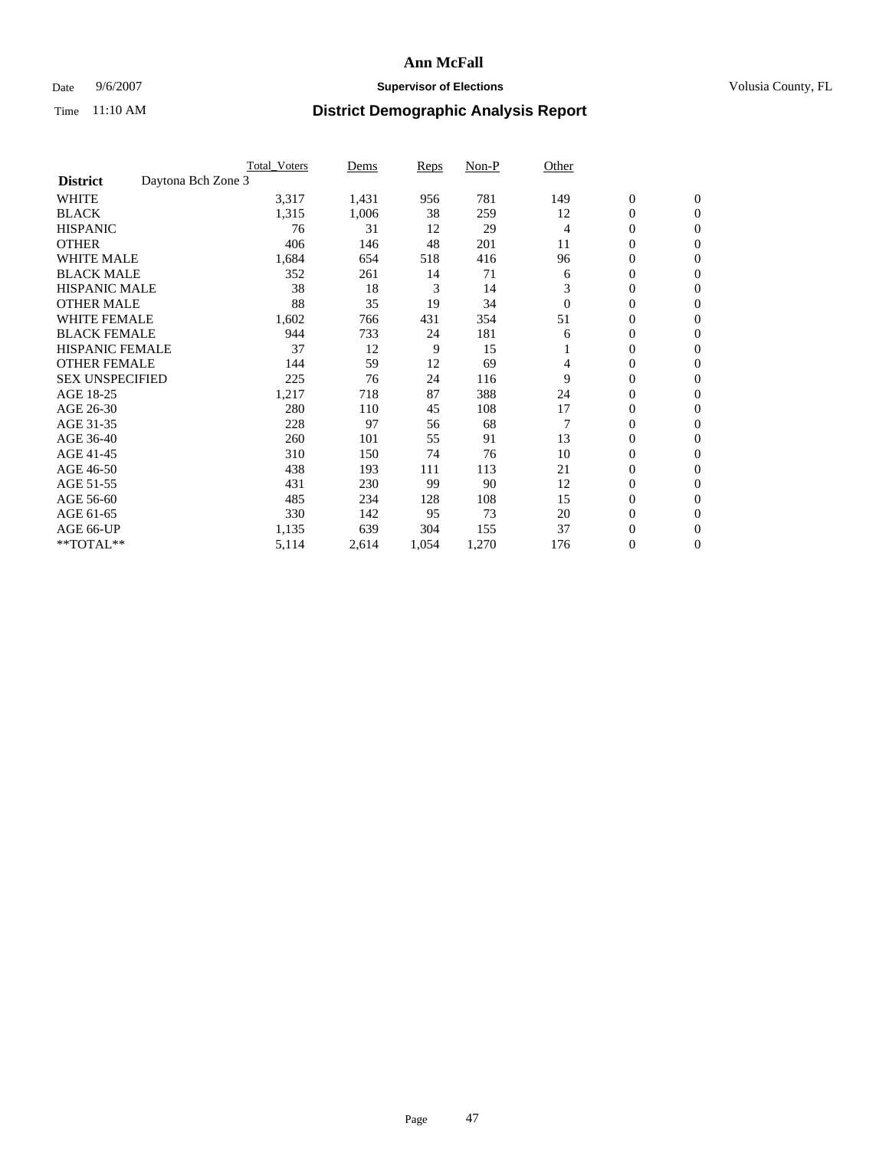### Date 9/6/2007 **Supervisor of Elections Supervisor of Elections** Volusia County, FL

|                                       | <b>Total Voters</b> | Dems  | Reps  | Non-P | Other    |                  |                  |  |
|---------------------------------------|---------------------|-------|-------|-------|----------|------------------|------------------|--|
| Daytona Bch Zone 3<br><b>District</b> |                     |       |       |       |          |                  |                  |  |
| <b>WHITE</b>                          | 3,317               | 1,431 | 956   | 781   | 149      | $\boldsymbol{0}$ | $\boldsymbol{0}$ |  |
| <b>BLACK</b>                          | 1,315               | 1,006 | 38    | 259   | 12       | $\mathbf{0}$     | $\mathbf{0}$     |  |
| <b>HISPANIC</b>                       | 76                  | 31    | 12    | 29    | 4        | $\mathbf{0}$     | $\mathbf{0}$     |  |
| <b>OTHER</b>                          | 406                 | 146   | 48    | 201   | 11       | 0                | $\overline{0}$   |  |
| <b>WHITE MALE</b>                     | 1,684               | 654   | 518   | 416   | 96       | 0                | $\mathbf{0}$     |  |
| <b>BLACK MALE</b>                     | 352                 | 261   | 14    | 71    | 6        | 0                | 0                |  |
| <b>HISPANIC MALE</b>                  | 38                  | 18    | 3     | 14    | 3        | 0                | $\mathbf{0}$     |  |
| <b>OTHER MALE</b>                     | 88                  | 35    | 19    | 34    | $\theta$ | 0                | $\mathbf{0}$     |  |
| WHITE FEMALE                          | 1,602               | 766   | 431   | 354   | 51       | 0                | $\mathbf{0}$     |  |
| <b>BLACK FEMALE</b>                   | 944                 | 733   | 24    | 181   | 6        | $\mathbf{0}$     | $\mathbf{0}$     |  |
| <b>HISPANIC FEMALE</b>                | 37                  | 12    | 9     | 15    |          | 0                | $\mathbf{0}$     |  |
| <b>OTHER FEMALE</b>                   | 144                 | 59    | 12    | 69    | 4        | 0                | $\mathbf{0}$     |  |
| <b>SEX UNSPECIFIED</b>                | 225                 | 76    | 24    | 116   | 9        | 0                | $\mathbf{0}$     |  |
| AGE 18-25                             | 1,217               | 718   | 87    | 388   | 24       | 0                | $\mathbf{0}$     |  |
| AGE 26-30                             | 280                 | 110   | 45    | 108   | 17       | 0                | $\mathbf{0}$     |  |
| AGE 31-35                             | 228                 | 97    | 56    | 68    |          | 0                | $\mathbf{0}$     |  |
| AGE 36-40                             | 260                 | 101   | 55    | 91    | 13       | $\boldsymbol{0}$ | $\mathbf{0}$     |  |
| AGE 41-45                             | 310                 | 150   | 74    | 76    | 10       | 0                | $\mathbf{0}$     |  |
| AGE 46-50                             | 438                 | 193   | 111   | 113   | 21       | 0                | $\mathbf{0}$     |  |
| AGE 51-55                             | 431                 | 230   | 99    | 90    | 12       | 0                | $\mathbf{0}$     |  |
| AGE 56-60                             | 485                 | 234   | 128   | 108   | 15       | 0                | $\mathbf{0}$     |  |
| AGE 61-65                             | 330                 | 142   | 95    | 73    | 20       | 0                | $\mathbf{0}$     |  |
| AGE 66-UP                             | 1,135               | 639   | 304   | 155   | 37       | 0                | 0                |  |
| **TOTAL**                             | 5,114               | 2,614 | 1,054 | 1,270 | 176      | 0                | $\boldsymbol{0}$ |  |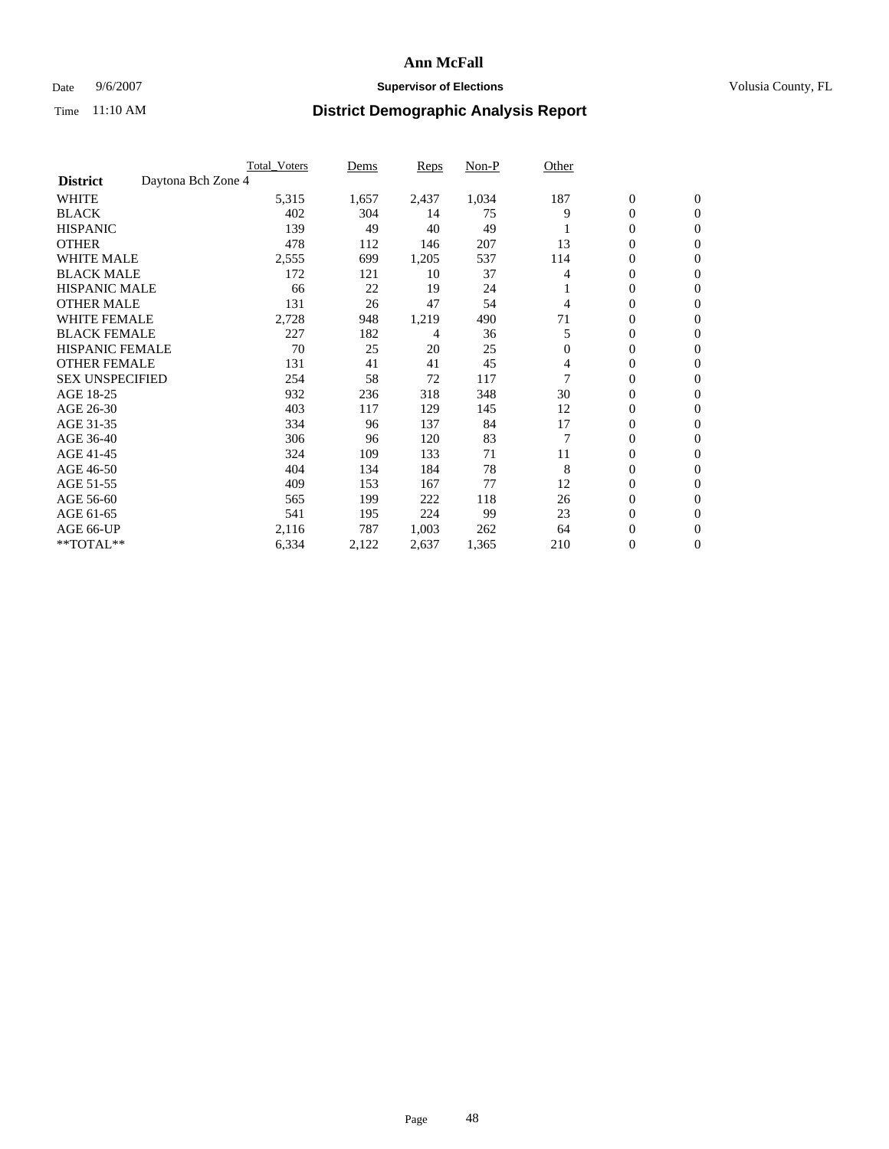### Date 9/6/2007 **Supervisor of Elections Supervisor of Elections** Volusia County, FL

|                                       | <b>Total Voters</b> | Dems  | <b>Reps</b> | Non-P | Other    |                  |                  |  |
|---------------------------------------|---------------------|-------|-------------|-------|----------|------------------|------------------|--|
| Daytona Bch Zone 4<br><b>District</b> |                     |       |             |       |          |                  |                  |  |
| <b>WHITE</b>                          | 5,315               | 1,657 | 2,437       | 1,034 | 187      | $\boldsymbol{0}$ | $\mathbf{0}$     |  |
| <b>BLACK</b>                          | 402                 | 304   | 14          | 75    | 9        | $\mathbf{0}$     | $\mathbf{0}$     |  |
| <b>HISPANIC</b>                       | 139                 | 49    | 40          | 49    |          | 0                | $\mathbf{0}$     |  |
| <b>OTHER</b>                          | 478                 | 112   | 146         | 207   | 13       | 0                | $\overline{0}$   |  |
| <b>WHITE MALE</b>                     | 2,555               | 699   | 1,205       | 537   | 114      | 0                | $\mathbf{0}$     |  |
| <b>BLACK MALE</b>                     | 172                 | 121   | 10          | 37    | 4        | 0                | $\mathbf{0}$     |  |
| <b>HISPANIC MALE</b>                  | 66                  | 22    | 19          | 24    |          | 0                | $\Omega$         |  |
| <b>OTHER MALE</b>                     | 131                 | 26    | 47          | 54    | 4        | 0                | $\mathbf{0}$     |  |
| <b>WHITE FEMALE</b>                   | 2,728               | 948   | 1,219       | 490   | 71       | 0                | $\Omega$         |  |
| <b>BLACK FEMALE</b>                   | 227                 | 182   | 4           | 36    | 5        | $\mathbf{0}$     | $\mathbf{0}$     |  |
| <b>HISPANIC FEMALE</b>                | 70                  | 25    | 20          | 25    | $\Omega$ | 0                | $\mathbf{0}$     |  |
| <b>OTHER FEMALE</b>                   | 131                 | 41    | 41          | 45    | 4        | 0                | $\mathbf{0}$     |  |
| <b>SEX UNSPECIFIED</b>                | 254                 | 58    | 72          | 117   | 7        | 0                | $\mathbf{0}$     |  |
| AGE 18-25                             | 932                 | 236   | 318         | 348   | 30       | 0                | $\mathbf{0}$     |  |
| AGE 26-30                             | 403                 | 117   | 129         | 145   | 12       | 0                | $\mathbf{0}$     |  |
| AGE 31-35                             | 334                 | 96    | 137         | 84    | 17       | 0                | $\mathbf{0}$     |  |
| AGE 36-40                             | 306                 | 96    | 120         | 83    |          | $\mathbf{0}$     | $\mathbf{0}$     |  |
| AGE 41-45                             | 324                 | 109   | 133         | 71    | 11       | 0                | $\mathbf{0}$     |  |
| AGE 46-50                             | 404                 | 134   | 184         | 78    | 8        | $\mathbf{0}$     | $\mathbf{0}$     |  |
| AGE 51-55                             | 409                 | 153   | 167         | 77    | 12       | 0                | $\mathbf{0}$     |  |
| AGE 56-60                             | 565                 | 199   | 222         | 118   | 26       | 0                | $\mathbf{0}$     |  |
| AGE 61-65                             | 541                 | 195   | 224         | 99    | 23       | 0                | $\mathbf{0}$     |  |
| AGE 66-UP                             | 2,116               | 787   | 1,003       | 262   | 64       | 0                | 0                |  |
| **TOTAL**                             | 6,334               | 2,122 | 2,637       | 1,365 | 210      | 0                | $\boldsymbol{0}$ |  |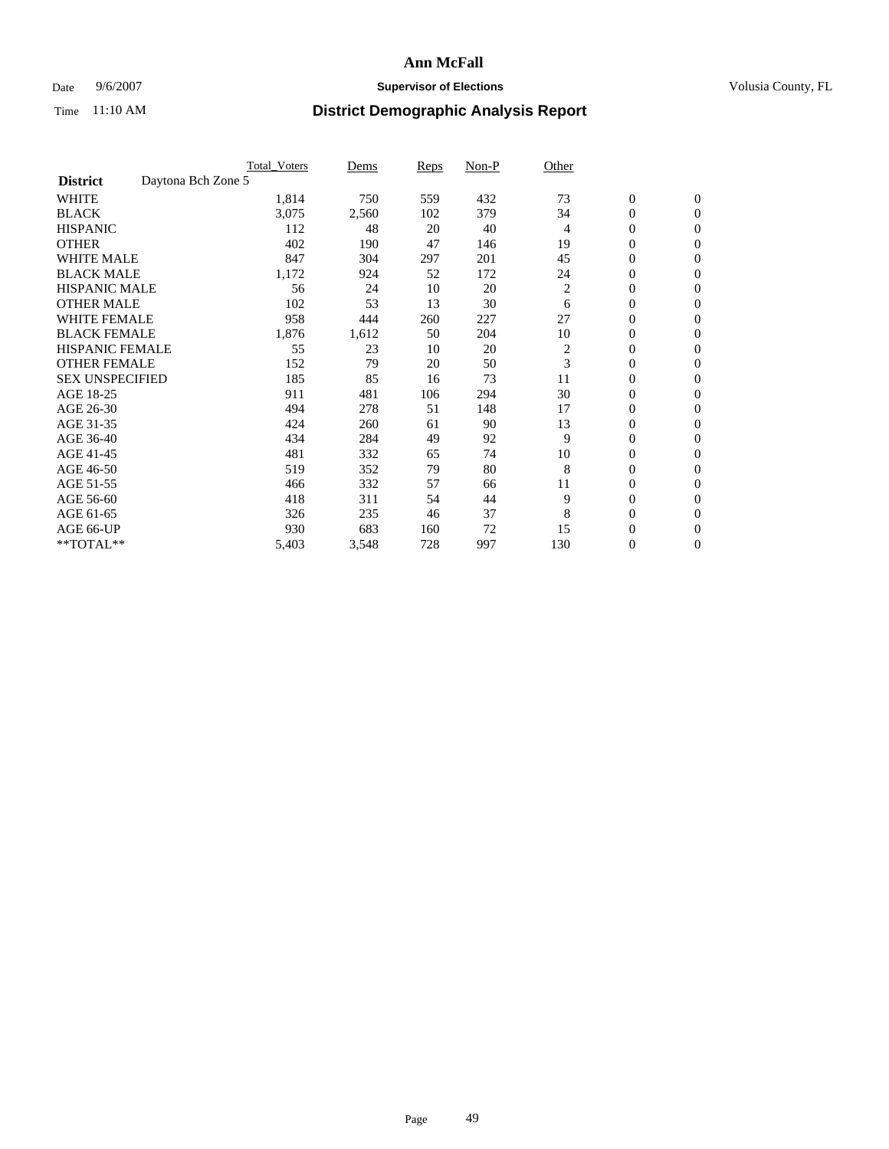### Date 9/6/2007 **Supervisor of Elections Supervisor of Elections** Volusia County, FL

|                        | <b>Total Voters</b> | Dems  | Reps | Non-P | Other          |                  |                  |  |
|------------------------|---------------------|-------|------|-------|----------------|------------------|------------------|--|
| <b>District</b>        | Daytona Bch Zone 5  |       |      |       |                |                  |                  |  |
| <b>WHITE</b>           | 1,814               | 750   | 559  | 432   | 73             | $\boldsymbol{0}$ | $\mathbf{0}$     |  |
| <b>BLACK</b>           | 3,075               | 2,560 | 102  | 379   | 34             | 0                | $\mathbf{0}$     |  |
| <b>HISPANIC</b>        | 112                 | 48    | 20   | 40    | 4              | 0                | $\mathbf{0}$     |  |
| <b>OTHER</b>           | 402                 | 190   | 47   | 146   | 19             | 0                | $\mathbf{0}$     |  |
| <b>WHITE MALE</b>      | 847                 | 304   | 297  | 201   | 45             | 0                | $\mathbf{0}$     |  |
| <b>BLACK MALE</b>      | 1,172               | 924   | 52   | 172   | 24             | 0                | $\boldsymbol{0}$ |  |
| <b>HISPANIC MALE</b>   | 56                  | 24    | 10   | 20    | $\overline{c}$ | 0                | $\mathbf{0}$     |  |
| <b>OTHER MALE</b>      | 102                 | 53    | 13   | 30    | 6              | $\mathbf{0}$     | $\mathbf{0}$     |  |
| <b>WHITE FEMALE</b>    | 958                 | 444   | 260  | 227   | 27             | 0                | $\mathbf{0}$     |  |
| <b>BLACK FEMALE</b>    | 1,876               | 1,612 | 50   | 204   | 10             | $\boldsymbol{0}$ | $\mathbf{0}$     |  |
| <b>HISPANIC FEMALE</b> | 55                  | 23    | 10   | 20    | $\overline{c}$ | $\boldsymbol{0}$ | $\boldsymbol{0}$ |  |
| <b>OTHER FEMALE</b>    | 152                 | 79    | 20   | 50    | 3              | 0                | $\mathbf{0}$     |  |
| <b>SEX UNSPECIFIED</b> | 185                 | 85    | 16   | 73    | 11             | 0                | $\mathbf{0}$     |  |
| AGE 18-25              | 911                 | 481   | 106  | 294   | 30             | 0                | $\mathbf{0}$     |  |
| AGE 26-30              | 494                 | 278   | 51   | 148   | 17             | $\mathbf{0}$     | $\mathbf{0}$     |  |
| AGE 31-35              | 424                 | 260   | 61   | 90    | 13             | 0                | $\mathbf{0}$     |  |
| AGE 36-40              | 434                 | 284   | 49   | 92    | 9              | 0                | $\mathbf{0}$     |  |
| AGE 41-45              | 481                 | 332   | 65   | 74    | 10             | 0                | $\mathbf{0}$     |  |
| AGE 46-50              | 519                 | 352   | 79   | 80    | 8              | 0                | $\mathbf{0}$     |  |
| AGE 51-55              | 466                 | 332   | 57   | 66    | 11             | $\boldsymbol{0}$ | $\boldsymbol{0}$ |  |
| AGE 56-60              | 418                 | 311   | 54   | 44    | 9              | 0                | $\mathbf{0}$     |  |
| AGE 61-65              | 326                 | 235   | 46   | 37    | 8              | $\mathbf{0}$     | $\mathbf{0}$     |  |
| AGE 66-UP              | 930                 | 683   | 160  | 72    | 15             | $\boldsymbol{0}$ | $\boldsymbol{0}$ |  |
| **TOTAL**              | 5,403               | 3,548 | 728  | 997   | 130            | 0                | $\boldsymbol{0}$ |  |
|                        |                     |       |      |       |                |                  |                  |  |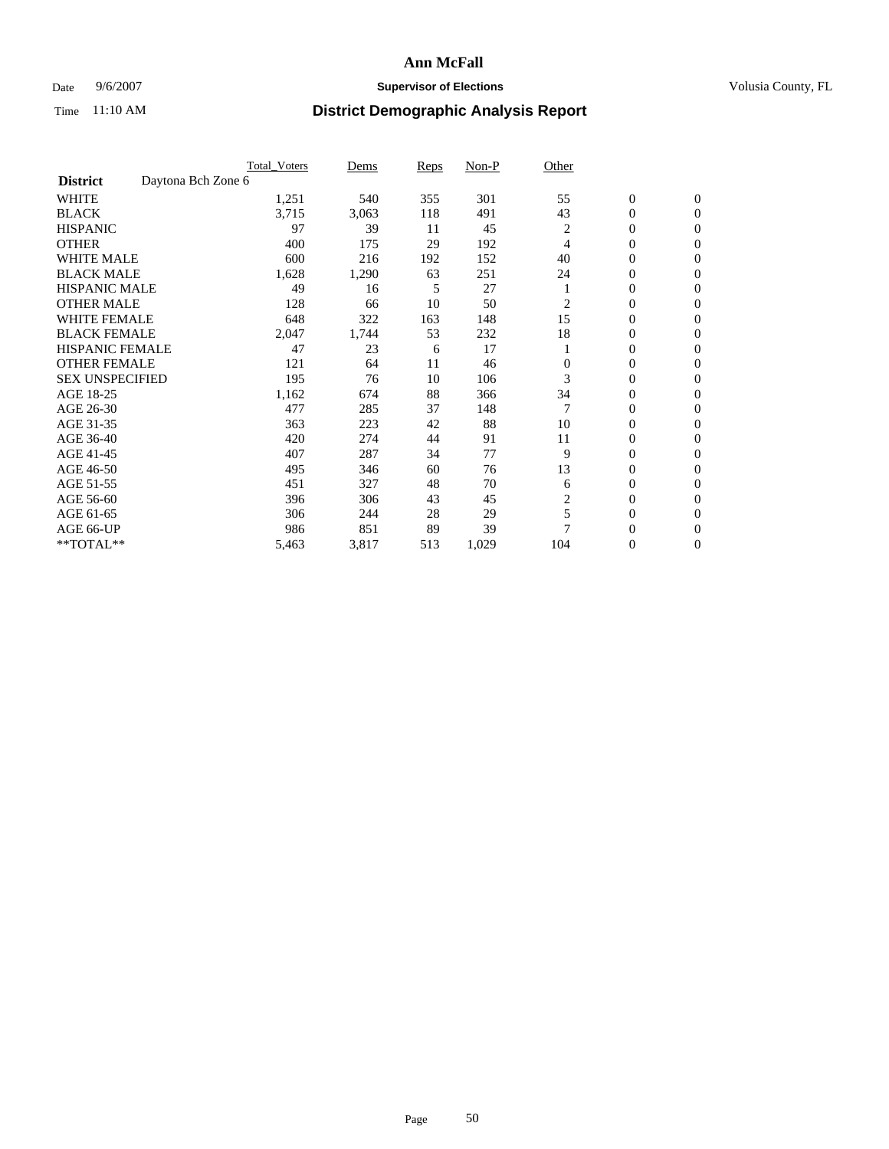### Date 9/6/2007 **Supervisor of Elections Supervisor of Elections** Volusia County, FL

|                                       | Total Voters | Dems  | Reps | Non-P | Other            |                  |                  |  |
|---------------------------------------|--------------|-------|------|-------|------------------|------------------|------------------|--|
| Daytona Bch Zone 6<br><b>District</b> |              |       |      |       |                  |                  |                  |  |
| <b>WHITE</b>                          | 1,251        | 540   | 355  | 301   | 55               | $\boldsymbol{0}$ | $\mathbf{0}$     |  |
| <b>BLACK</b>                          | 3,715        | 3,063 | 118  | 491   | 43               | $\overline{0}$   | $\mathbf{0}$     |  |
| <b>HISPANIC</b>                       | 97           | 39    | 11   | 45    | 2                | $\mathbf{0}$     | $\mathbf{0}$     |  |
| <b>OTHER</b>                          | 400          | 175   | 29   | 192   | 4                | 0                | $\overline{0}$   |  |
| <b>WHITE MALE</b>                     | 600          | 216   | 192  | 152   | 40               | $\overline{0}$   | $\mathbf{0}$     |  |
| <b>BLACK MALE</b>                     | 1,628        | 1,290 | 63   | 251   | 24               | 0                | $\mathbf{0}$     |  |
| <b>HISPANIC MALE</b>                  | 49           | 16    | 5    | 27    |                  | 0                | $\Omega$         |  |
| <b>OTHER MALE</b>                     | 128          | 66    | 10   | 50    | 2                | 0                | $\mathbf{0}$     |  |
| <b>WHITE FEMALE</b>                   | 648          | 322   | 163  | 148   | 15               | 0                | $\Omega$         |  |
| <b>BLACK FEMALE</b>                   | 2,047        | 1,744 | 53   | 232   | 18               | $\overline{0}$   | $\mathbf{0}$     |  |
| <b>HISPANIC FEMALE</b>                | 47           | 23    | 6    | 17    |                  | 0                | $\mathbf{0}$     |  |
| <b>OTHER FEMALE</b>                   | 121          | 64    | 11   | 46    | $\Omega$         | 0                | $\overline{0}$   |  |
| <b>SEX UNSPECIFIED</b>                | 195          | 76    | 10   | 106   | 3                | $\boldsymbol{0}$ | $\mathbf{0}$     |  |
| AGE 18-25                             | 1,162        | 674   | 88   | 366   | 34               | 0                | $\mathbf{0}$     |  |
| AGE 26-30                             | 477          | 285   | 37   | 148   |                  | 0                | $\mathbf{0}$     |  |
| AGE 31-35                             | 363          | 223   | 42   | 88    | 10               | 0                | 0                |  |
| AGE 36-40                             | 420          | 274   | 44   | 91    | 11               | $\overline{0}$   | $\mathbf{0}$     |  |
| AGE 41-45                             | 407          | 287   | 34   | 77    | 9                | $\mathbf{0}$     | $\mathbf{0}$     |  |
| AGE 46-50                             | 495          | 346   | 60   | 76    | 13               | 0                | $\mathbf{0}$     |  |
| AGE 51-55                             | 451          | 327   | 48   | 70    | 6                | 0                | $\mathbf{0}$     |  |
| AGE 56-60                             | 396          | 306   | 43   | 45    | $\boldsymbol{2}$ | $\boldsymbol{0}$ | $\overline{0}$   |  |
| AGE 61-65                             | 306          | 244   | 28   | 29    | 5                | 0                | $\mathbf{0}$     |  |
| AGE 66-UP                             | 986          | 851   | 89   | 39    | 7                | 0                | 0                |  |
| **TOTAL**                             | 5,463        | 3,817 | 513  | 1,029 | 104              | 0                | $\boldsymbol{0}$ |  |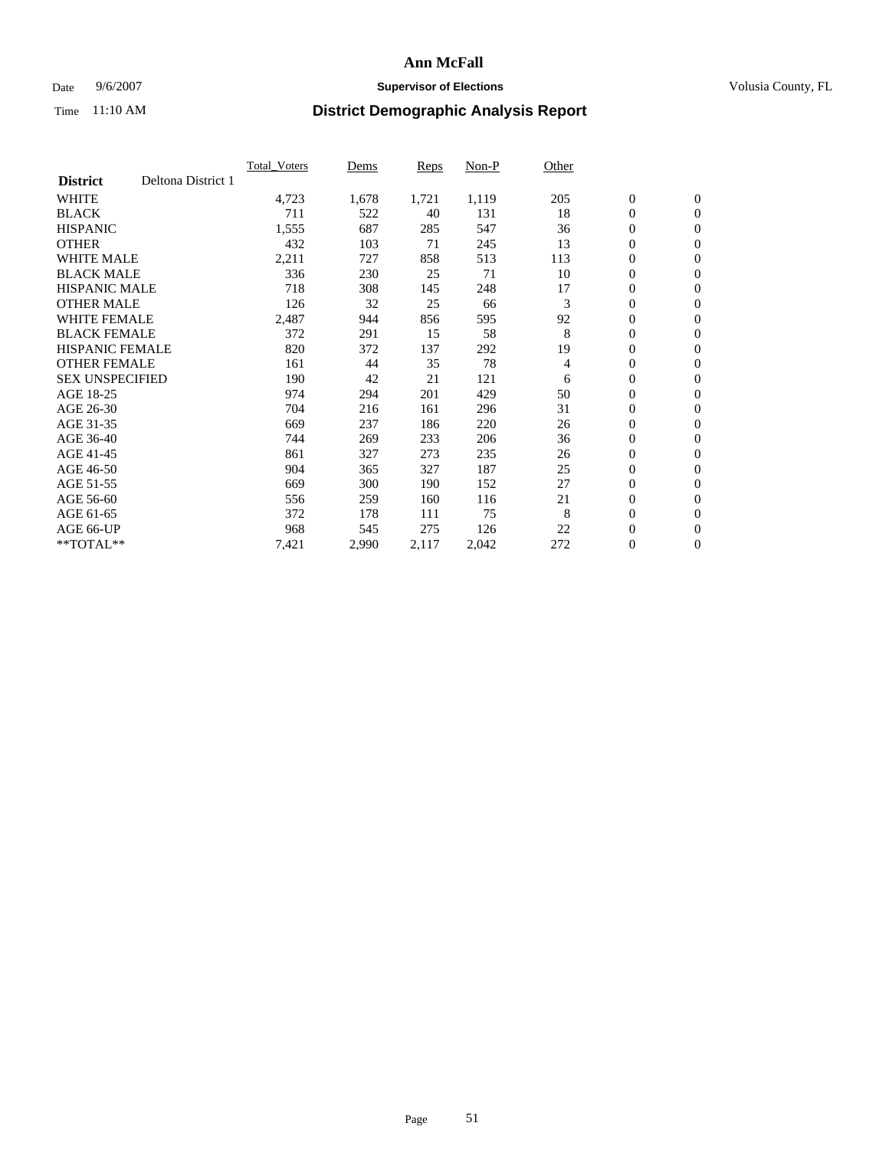### Date 9/6/2007 **Supervisor of Elections Supervisor of Elections** Volusia County, FL

|                        |                    | <b>Total Voters</b> | Dems  | Reps  | Non-P | Other |                  |                |  |
|------------------------|--------------------|---------------------|-------|-------|-------|-------|------------------|----------------|--|
| <b>District</b>        | Deltona District 1 |                     |       |       |       |       |                  |                |  |
| <b>WHITE</b>           |                    | 4,723               | 1,678 | 1,721 | 1,119 | 205   | $\boldsymbol{0}$ | $\mathbf{0}$   |  |
| <b>BLACK</b>           |                    | 711                 | 522   | 40    | 131   | 18    | $\mathbf{0}$     | $\mathbf{0}$   |  |
| <b>HISPANIC</b>        |                    | 1,555               | 687   | 285   | 547   | 36    | 0                | $\mathbf{0}$   |  |
| <b>OTHER</b>           |                    | 432                 | 103   | 71    | 245   | 13    | 0                | $\mathbf{0}$   |  |
| <b>WHITE MALE</b>      |                    | 2,211               | 727   | 858   | 513   | 113   | 0                | $\mathbf{0}$   |  |
| <b>BLACK MALE</b>      |                    | 336                 | 230   | 25    | 71    | 10    | 0                | $\mathbf{0}$   |  |
| <b>HISPANIC MALE</b>   |                    | 718                 | 308   | 145   | 248   | 17    | 0                | $\mathbf{0}$   |  |
| <b>OTHER MALE</b>      |                    | 126                 | 32    | 25    | 66    | 3     | $\mathbf{0}$     | $\mathbf{0}$   |  |
| <b>WHITE FEMALE</b>    |                    | 2,487               | 944   | 856   | 595   | 92    | 0                | $\mathbf{0}$   |  |
| <b>BLACK FEMALE</b>    |                    | 372                 | 291   | 15    | 58    | 8     | $\mathbf{0}$     | $\mathbf{0}$   |  |
| <b>HISPANIC FEMALE</b> |                    | 820                 | 372   | 137   | 292   | 19    | 0                | $\mathbf{0}$   |  |
| <b>OTHER FEMALE</b>    |                    | 161                 | 44    | 35    | 78    | 4     | 0                | $\mathbf{0}$   |  |
| <b>SEX UNSPECIFIED</b> |                    | 190                 | 42    | 21    | 121   | 6     | $\boldsymbol{0}$ | $\mathbf{0}$   |  |
| AGE 18-25              |                    | 974                 | 294   | 201   | 429   | 50    | 0                | $\mathbf{0}$   |  |
| AGE 26-30              |                    | 704                 | 216   | 161   | 296   | 31    | $\mathbf{0}$     | $\mathbf{0}$   |  |
| AGE 31-35              |                    | 669                 | 237   | 186   | 220   | 26    | 0                | $\mathbf{0}$   |  |
| AGE 36-40              |                    | 744                 | 269   | 233   | 206   | 36    | $\boldsymbol{0}$ | $\mathbf{0}$   |  |
| AGE 41-45              |                    | 861                 | 327   | 273   | 235   | 26    | 0                | $\mathbf{0}$   |  |
| AGE 46-50              |                    | 904                 | 365   | 327   | 187   | 25    | 0                | $\mathbf{0}$   |  |
| AGE 51-55              |                    | 669                 | 300   | 190   | 152   | 27    | $\boldsymbol{0}$ | $\mathbf{0}$   |  |
| AGE 56-60              |                    | 556                 | 259   | 160   | 116   | 21    | $\mathbf{0}$     | $\mathbf{0}$   |  |
| AGE 61-65              |                    | 372                 | 178   | 111   | 75    | 8     | $\mathbf{0}$     | $\mathbf{0}$   |  |
| AGE 66-UP              |                    | 968                 | 545   | 275   | 126   | 22    | $\boldsymbol{0}$ | $\mathbf{0}$   |  |
| $*$ TOTAL $**$         |                    | 7,421               | 2,990 | 2,117 | 2,042 | 272   | 0                | $\overline{0}$ |  |
|                        |                    |                     |       |       |       |       |                  |                |  |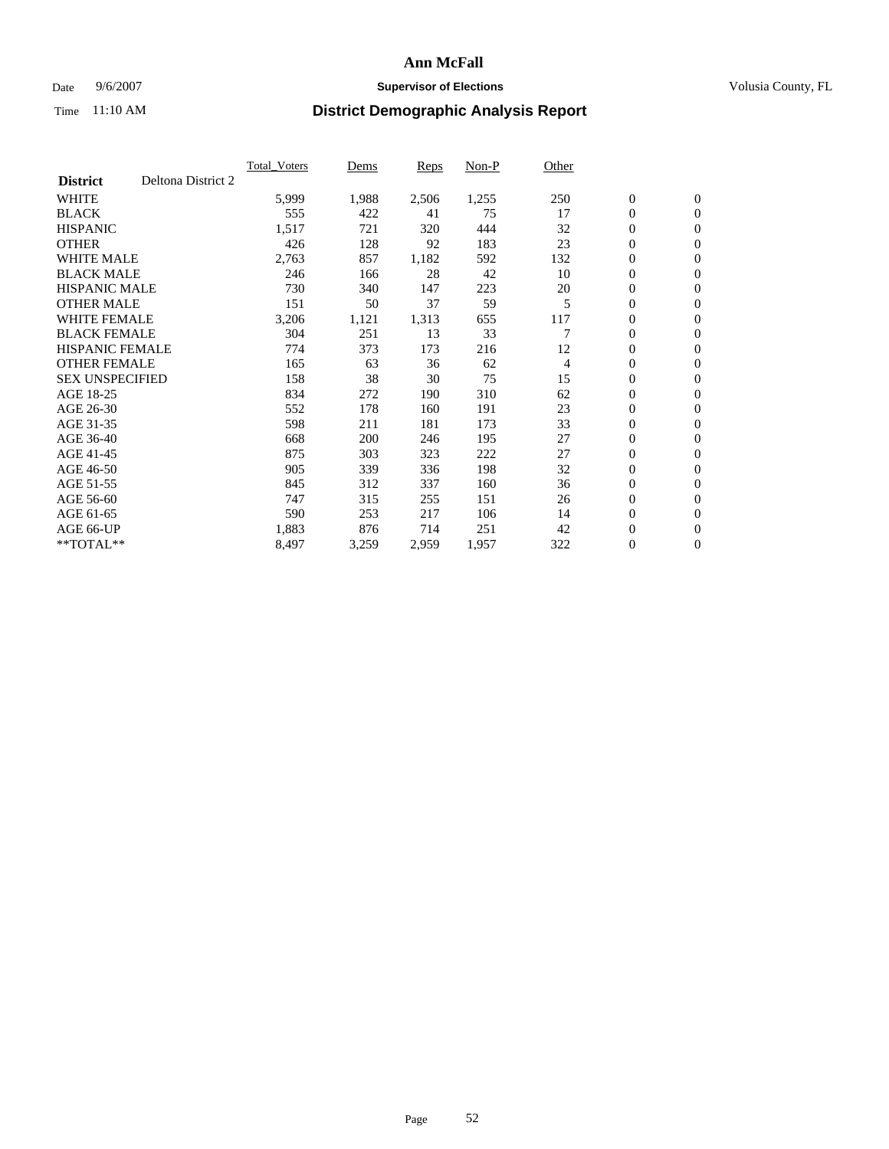### Date 9/6/2007 **Supervisor of Elections Supervisor of Elections** Volusia County, FL

|                        |                    | <b>Total Voters</b> | Dems  | Reps  | Non-P | Other |                  |                  |  |
|------------------------|--------------------|---------------------|-------|-------|-------|-------|------------------|------------------|--|
| <b>District</b>        | Deltona District 2 |                     |       |       |       |       |                  |                  |  |
| <b>WHITE</b>           |                    | 5,999               | 1,988 | 2,506 | 1,255 | 250   | $\boldsymbol{0}$ | $\boldsymbol{0}$ |  |
| <b>BLACK</b>           |                    | 555                 | 422   | 41    | 75    | 17    | $\mathbf{0}$     | $\mathbf{0}$     |  |
| <b>HISPANIC</b>        |                    | 1,517               | 721   | 320   | 444   | 32    | $\mathbf{0}$     | $\mathbf{0}$     |  |
| <b>OTHER</b>           |                    | 426                 | 128   | 92    | 183   | 23    | 0                | $\mathbf{0}$     |  |
| <b>WHITE MALE</b>      |                    | 2,763               | 857   | 1,182 | 592   | 132   | 0                | $\mathbf{0}$     |  |
| <b>BLACK MALE</b>      |                    | 246                 | 166   | 28    | 42    | 10    | 0                | $\mathbf{0}$     |  |
| <b>HISPANIC MALE</b>   |                    | 730                 | 340   | 147   | 223   | 20    | 0                | $\mathbf{0}$     |  |
| <b>OTHER MALE</b>      |                    | 151                 | 50    | 37    | 59    | 5     | 0                | $\mathbf{0}$     |  |
| <b>WHITE FEMALE</b>    |                    | 3,206               | 1,121 | 1,313 | 655   | 117   | 0                | $\mathbf{0}$     |  |
| <b>BLACK FEMALE</b>    |                    | 304                 | 251   | 13    | 33    |       | $\mathbf{0}$     | $\mathbf{0}$     |  |
| <b>HISPANIC FEMALE</b> |                    | 774                 | 373   | 173   | 216   | 12    | $\overline{0}$   | $\mathbf{0}$     |  |
| <b>OTHER FEMALE</b>    |                    | 165                 | 63    | 36    | 62    | 4     | $\mathbf{0}$     | $\mathbf{0}$     |  |
| <b>SEX UNSPECIFIED</b> |                    | 158                 | 38    | 30    | 75    | 15    | $\boldsymbol{0}$ | $\mathbf{0}$     |  |
| AGE 18-25              |                    | 834                 | 272   | 190   | 310   | 62    | 0                | $\mathbf{0}$     |  |
| AGE 26-30              |                    | 552                 | 178   | 160   | 191   | 23    | 0                | $\mathbf{0}$     |  |
| AGE 31-35              |                    | 598                 | 211   | 181   | 173   | 33    | 0                | $\mathbf{0}$     |  |
| AGE 36-40              |                    | 668                 | 200   | 246   | 195   | 27    | $\boldsymbol{0}$ | $\mathbf{0}$     |  |
| AGE 41-45              |                    | 875                 | 303   | 323   | 222   | 27    | 0                | $\mathbf{0}$     |  |
| AGE 46-50              |                    | 905                 | 339   | 336   | 198   | 32    | $\mathbf{0}$     | $\mathbf{0}$     |  |
| AGE 51-55              |                    | 845                 | 312   | 337   | 160   | 36    | $\overline{0}$   | $\mathbf{0}$     |  |
| AGE 56-60              |                    | 747                 | 315   | 255   | 151   | 26    | 0                | $\mathbf{0}$     |  |
| AGE 61-65              |                    | 590                 | 253   | 217   | 106   | 14    | 0                | $\mathbf{0}$     |  |
| AGE 66-UP              |                    | 1,883               | 876   | 714   | 251   | 42    | 0                | 0                |  |
| $*$ TOTAL $**$         |                    | 8,497               | 3,259 | 2,959 | 1,957 | 322   | $\boldsymbol{0}$ | $\boldsymbol{0}$ |  |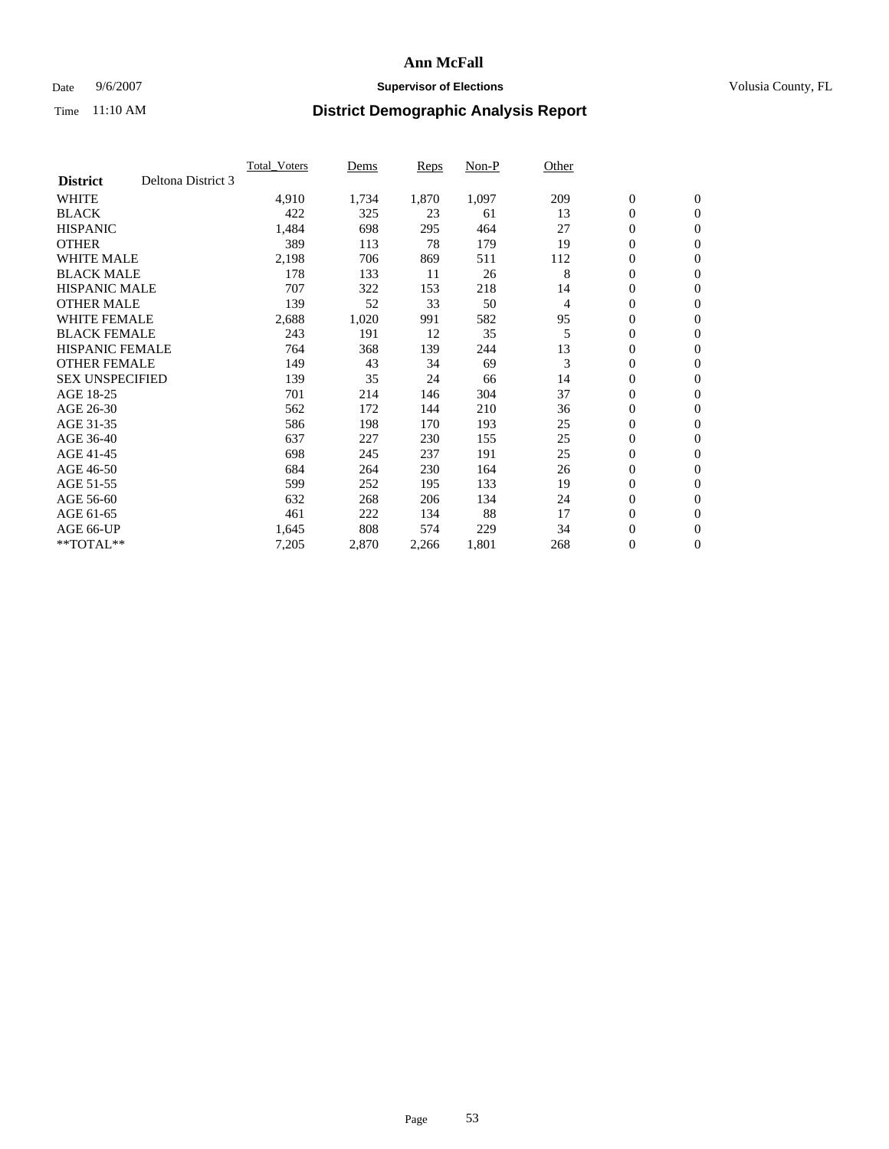### Date 9/6/2007 **Supervisor of Elections Supervisor of Elections** Volusia County, FL

|                        |                    | <b>Total Voters</b> | Dems  | Reps  | Non-P | Other |                  |                |  |
|------------------------|--------------------|---------------------|-------|-------|-------|-------|------------------|----------------|--|
| <b>District</b>        | Deltona District 3 |                     |       |       |       |       |                  |                |  |
| <b>WHITE</b>           |                    | 4,910               | 1,734 | 1,870 | 1,097 | 209   | $\boldsymbol{0}$ | $\mathbf{0}$   |  |
| <b>BLACK</b>           |                    | 422                 | 325   | 23    | 61    | 13    | $\mathbf{0}$     | $\mathbf{0}$   |  |
| <b>HISPANIC</b>        |                    | 1,484               | 698   | 295   | 464   | 27    | 0                | $\mathbf{0}$   |  |
| <b>OTHER</b>           |                    | 389                 | 113   | 78    | 179   | 19    | 0                | $\mathbf{0}$   |  |
| <b>WHITE MALE</b>      |                    | 2,198               | 706   | 869   | 511   | 112   | 0                | $\mathbf{0}$   |  |
| <b>BLACK MALE</b>      |                    | 178                 | 133   | 11    | 26    | 8     | $\boldsymbol{0}$ | $\mathbf{0}$   |  |
| <b>HISPANIC MALE</b>   |                    | 707                 | 322   | 153   | 218   | 14    | 0                | $\mathbf{0}$   |  |
| <b>OTHER MALE</b>      |                    | 139                 | 52    | 33    | 50    | 4     | $\mathbf{0}$     | $\mathbf{0}$   |  |
| <b>WHITE FEMALE</b>    |                    | 2,688               | 1,020 | 991   | 582   | 95    | 0                | $\mathbf{0}$   |  |
| <b>BLACK FEMALE</b>    |                    | 243                 | 191   | 12    | 35    | 5     | $\boldsymbol{0}$ | $\mathbf{0}$   |  |
| <b>HISPANIC FEMALE</b> |                    | 764                 | 368   | 139   | 244   | 13    | $\boldsymbol{0}$ | $\mathbf{0}$   |  |
| <b>OTHER FEMALE</b>    |                    | 149                 | 43    | 34    | 69    | 3     | 0                | $\mathbf{0}$   |  |
| <b>SEX UNSPECIFIED</b> |                    | 139                 | 35    | 24    | 66    | 14    | 0                | $\mathbf{0}$   |  |
| AGE 18-25              |                    | 701                 | 214   | 146   | 304   | 37    | 0                | $\mathbf{0}$   |  |
| AGE 26-30              |                    | 562                 | 172   | 144   | 210   | 36    | $\mathbf{0}$     | $\mathbf{0}$   |  |
| AGE 31-35              |                    | 586                 | 198   | 170   | 193   | 25    | 0                | $\mathbf{0}$   |  |
| AGE 36-40              |                    | 637                 | 227   | 230   | 155   | 25    | 0                | $\mathbf{0}$   |  |
| AGE 41-45              |                    | 698                 | 245   | 237   | 191   | 25    | 0                | $\mathbf{0}$   |  |
| AGE 46-50              |                    | 684                 | 264   | 230   | 164   | 26    | 0                | $\mathbf{0}$   |  |
| AGE 51-55              |                    | 599                 | 252   | 195   | 133   | 19    | $\boldsymbol{0}$ | $\mathbf{0}$   |  |
| AGE 56-60              |                    | 632                 | 268   | 206   | 134   | 24    | 0                | $\mathbf{0}$   |  |
| AGE 61-65              |                    | 461                 | 222   | 134   | 88    | 17    | $\mathbf{0}$     | $\mathbf{0}$   |  |
| AGE 66-UP              |                    | 1,645               | 808   | 574   | 229   | 34    | $\boldsymbol{0}$ | $\mathbf{0}$   |  |
| $*$ TOTAL $**$         |                    | 7,205               | 2,870 | 2,266 | 1,801 | 268   | 0                | $\overline{0}$ |  |
|                        |                    |                     |       |       |       |       |                  |                |  |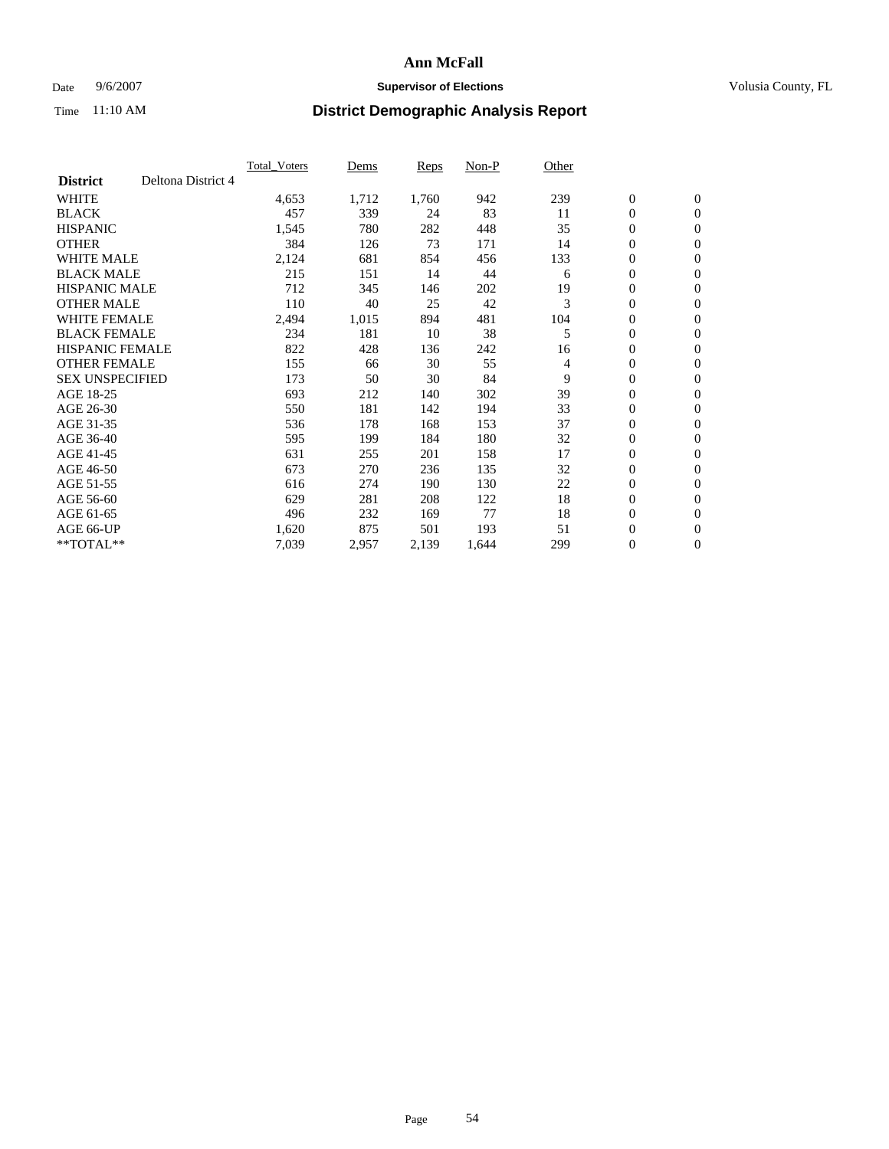### Date 9/6/2007 **Supervisor of Elections Supervisor of Elections** Volusia County, FL

|                        |                    | <b>Total Voters</b> | Dems  | Reps  | Non-P | Other |                  |                  |  |
|------------------------|--------------------|---------------------|-------|-------|-------|-------|------------------|------------------|--|
| <b>District</b>        | Deltona District 4 |                     |       |       |       |       |                  |                  |  |
| <b>WHITE</b>           |                    | 4,653               | 1,712 | 1,760 | 942   | 239   | $\boldsymbol{0}$ | $\mathbf{0}$     |  |
| <b>BLACK</b>           |                    | 457                 | 339   | 24    | 83    | 11    | $\mathbf{0}$     | $\mathbf{0}$     |  |
| <b>HISPANIC</b>        |                    | 1,545               | 780   | 282   | 448   | 35    | $\boldsymbol{0}$ | $\mathbf{0}$     |  |
| <b>OTHER</b>           |                    | 384                 | 126   | 73    | 171   | 14    | 0                | $\mathbf{0}$     |  |
| <b>WHITE MALE</b>      |                    | 2,124               | 681   | 854   | 456   | 133   | 0                | $\mathbf{0}$     |  |
| <b>BLACK MALE</b>      |                    | 215                 | 151   | 14    | 44    | 6     | 0                | $\mathbf{0}$     |  |
| <b>HISPANIC MALE</b>   |                    | 712                 | 345   | 146   | 202   | 19    | 0                | $\mathbf{0}$     |  |
| <b>OTHER MALE</b>      |                    | 110                 | 40    | 25    | 42    | 3     | $\mathbf{0}$     | $\mathbf{0}$     |  |
| <b>WHITE FEMALE</b>    |                    | 2,494               | 1,015 | 894   | 481   | 104   | 0                | $\mathbf{0}$     |  |
| <b>BLACK FEMALE</b>    |                    | 234                 | 181   | 10    | 38    | 5     | $\boldsymbol{0}$ | $\mathbf{0}$     |  |
| <b>HISPANIC FEMALE</b> |                    | 822                 | 428   | 136   | 242   | 16    | 0                | $\boldsymbol{0}$ |  |
| <b>OTHER FEMALE</b>    |                    | 155                 | 66    | 30    | 55    | 4     | 0                | $\mathbf{0}$     |  |
| <b>SEX UNSPECIFIED</b> |                    | 173                 | 50    | 30    | 84    | 9     | $\boldsymbol{0}$ | $\mathbf{0}$     |  |
| AGE 18-25              |                    | 693                 | 212   | 140   | 302   | 39    | 0                | $\mathbf{0}$     |  |
| AGE 26-30              |                    | 550                 | 181   | 142   | 194   | 33    | $\mathbf{0}$     | $\mathbf{0}$     |  |
| AGE 31-35              |                    | 536                 | 178   | 168   | 153   | 37    | 0                | $\mathbf{0}$     |  |
| AGE 36-40              |                    | 595                 | 199   | 184   | 180   | 32    | 0                | $\mathbf{0}$     |  |
| AGE 41-45              |                    | 631                 | 255   | 201   | 158   | 17    | $\boldsymbol{0}$ | $\mathbf{0}$     |  |
| AGE 46-50              |                    | 673                 | 270   | 236   | 135   | 32    | 0                | $\mathbf{0}$     |  |
| AGE 51-55              |                    | 616                 | 274   | 190   | 130   | 22    | $\boldsymbol{0}$ | $\boldsymbol{0}$ |  |
| AGE 56-60              |                    | 629                 | 281   | 208   | 122   | 18    | $\mathbf{0}$     | $\mathbf{0}$     |  |
| AGE 61-65              |                    | 496                 | 232   | 169   | 77    | 18    | $\mathbf{0}$     | $\mathbf{0}$     |  |
| AGE 66-UP              |                    | 1,620               | 875   | 501   | 193   | 51    | $\boldsymbol{0}$ | $\boldsymbol{0}$ |  |
| $*$ TOTAL $**$         |                    | 7,039               | 2,957 | 2,139 | 1,644 | 299   | 0                | $\overline{0}$   |  |
|                        |                    |                     |       |       |       |       |                  |                  |  |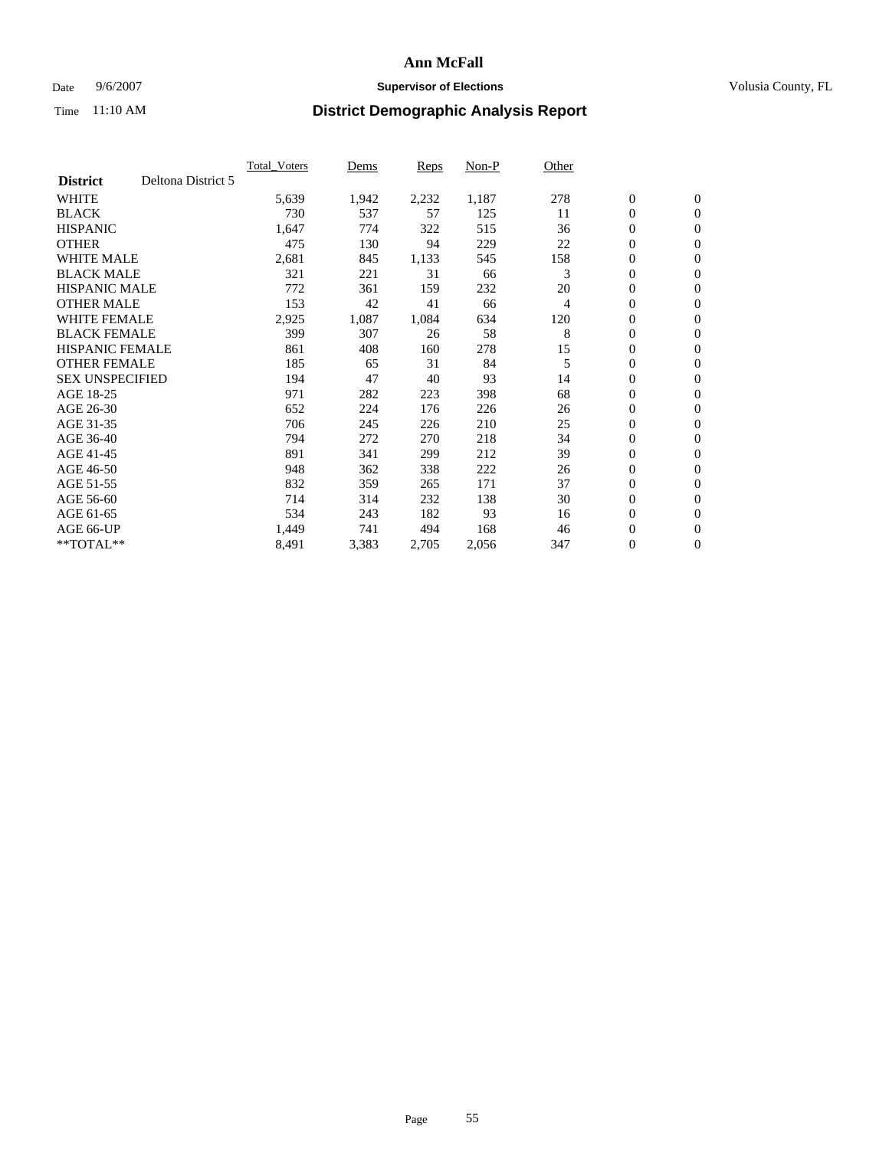### Date 9/6/2007 **Supervisor of Elections Supervisor of Elections** Volusia County, FL

|                        |                    | <b>Total Voters</b> | Dems  | Reps  | Non-P | Other |                  |                  |  |
|------------------------|--------------------|---------------------|-------|-------|-------|-------|------------------|------------------|--|
| <b>District</b>        | Deltona District 5 |                     |       |       |       |       |                  |                  |  |
| <b>WHITE</b>           |                    | 5,639               | 1,942 | 2,232 | 1,187 | 278   | $\boldsymbol{0}$ | $\boldsymbol{0}$ |  |
| <b>BLACK</b>           |                    | 730                 | 537   | 57    | 125   | 11    | $\mathbf{0}$     | $\mathbf{0}$     |  |
| <b>HISPANIC</b>        |                    | 1,647               | 774   | 322   | 515   | 36    | $\mathbf{0}$     | $\mathbf{0}$     |  |
| <b>OTHER</b>           |                    | 475                 | 130   | 94    | 229   | 22    | 0                | $\mathbf{0}$     |  |
| <b>WHITE MALE</b>      |                    | 2,681               | 845   | 1,133 | 545   | 158   | 0                | $\mathbf{0}$     |  |
| <b>BLACK MALE</b>      |                    | 321                 | 221   | 31    | 66    | 3     | 0                | $\boldsymbol{0}$ |  |
| <b>HISPANIC MALE</b>   |                    | 772                 | 361   | 159   | 232   | 20    | 0                | $\mathbf{0}$     |  |
| <b>OTHER MALE</b>      |                    | 153                 | 42    | 41    | 66    | 4     | 0                | $\boldsymbol{0}$ |  |
| <b>WHITE FEMALE</b>    |                    | 2,925               | 1,087 | 1,084 | 634   | 120   | 0                | $\mathbf{0}$     |  |
| <b>BLACK FEMALE</b>    |                    | 399                 | 307   | 26    | 58    | 8     | $\mathbf{0}$     | $\mathbf{0}$     |  |
| <b>HISPANIC FEMALE</b> |                    | 861                 | 408   | 160   | 278   | 15    | $\overline{0}$   | $\mathbf{0}$     |  |
| <b>OTHER FEMALE</b>    |                    | 185                 | 65    | 31    | 84    | 5     | $\mathbf{0}$     | $\mathbf{0}$     |  |
| <b>SEX UNSPECIFIED</b> |                    | 194                 | 47    | 40    | 93    | 14    | $\boldsymbol{0}$ | $\boldsymbol{0}$ |  |
| AGE 18-25              |                    | 971                 | 282   | 223   | 398   | 68    | 0                | $\mathbf{0}$     |  |
| AGE 26-30              |                    | 652                 | 224   | 176   | 226   | 26    | 0                | $\mathbf{0}$     |  |
| AGE 31-35              |                    | 706                 | 245   | 226   | 210   | 25    | 0                | $\mathbf{0}$     |  |
| AGE 36-40              |                    | 794                 | 272   | 270   | 218   | 34    | $\boldsymbol{0}$ | $\mathbf{0}$     |  |
| AGE 41-45              |                    | 891                 | 341   | 299   | 212   | 39    | 0                | $\mathbf{0}$     |  |
| AGE 46-50              |                    | 948                 | 362   | 338   | 222   | 26    | $\mathbf{0}$     | $\mathbf{0}$     |  |
| AGE 51-55              |                    | 832                 | 359   | 265   | 171   | 37    | $\overline{0}$   | $\mathbf{0}$     |  |
| AGE 56-60              |                    | 714                 | 314   | 232   | 138   | 30    | $\boldsymbol{0}$ | $\mathbf{0}$     |  |
| AGE 61-65              |                    | 534                 | 243   | 182   | 93    | 16    | 0                | $\boldsymbol{0}$ |  |
| AGE 66-UP              |                    | 1,449               | 741   | 494   | 168   | 46    | 0                | 0                |  |
| $*$ TOTAL $**$         |                    | 8,491               | 3,383 | 2,705 | 2,056 | 347   | $\boldsymbol{0}$ | $\boldsymbol{0}$ |  |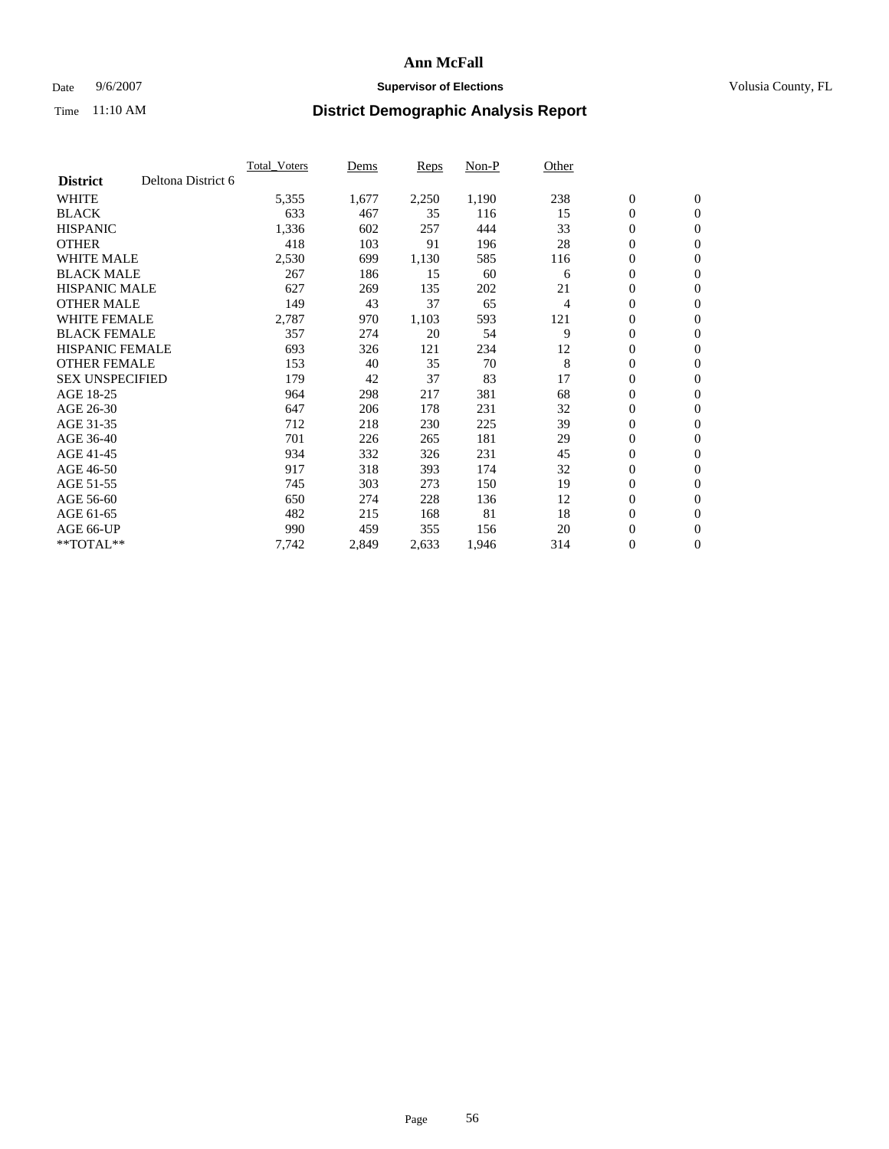### Date 9/6/2007 **Supervisor of Elections Supervisor of Elections** Volusia County, FL

|                        |                    | <b>Total Voters</b> | Dems  | Reps  | Non-P | Other |                  |                  |  |
|------------------------|--------------------|---------------------|-------|-------|-------|-------|------------------|------------------|--|
| <b>District</b>        | Deltona District 6 |                     |       |       |       |       |                  |                  |  |
| <b>WHITE</b>           |                    | 5,355               | 1,677 | 2,250 | 1,190 | 238   | $\boldsymbol{0}$ | $\mathbf{0}$     |  |
| <b>BLACK</b>           |                    | 633                 | 467   | 35    | 116   | 15    | $\mathbf{0}$     | $\mathbf{0}$     |  |
| <b>HISPANIC</b>        |                    | 1,336               | 602   | 257   | 444   | 33    | 0                | $\mathbf{0}$     |  |
| <b>OTHER</b>           |                    | 418                 | 103   | 91    | 196   | 28    | 0                | $\mathbf{0}$     |  |
| <b>WHITE MALE</b>      |                    | 2,530               | 699   | 1,130 | 585   | 116   | 0                | $\mathbf{0}$     |  |
| <b>BLACK MALE</b>      |                    | 267                 | 186   | 15    | 60    | 6     | 0                | $\boldsymbol{0}$ |  |
| <b>HISPANIC MALE</b>   |                    | 627                 | 269   | 135   | 202   | 21    | 0                | $\mathbf{0}$     |  |
| <b>OTHER MALE</b>      |                    | 149                 | 43    | 37    | 65    | 4     | $\mathbf{0}$     | $\mathbf{0}$     |  |
| <b>WHITE FEMALE</b>    |                    | 2,787               | 970   | 1,103 | 593   | 121   | 0                | $\mathbf{0}$     |  |
| <b>BLACK FEMALE</b>    |                    | 357                 | 274   | 20    | 54    | 9     | $\mathbf{0}$     | $\mathbf{0}$     |  |
| <b>HISPANIC FEMALE</b> |                    | 693                 | 326   | 121   | 234   | 12    | 0                | $\boldsymbol{0}$ |  |
| <b>OTHER FEMALE</b>    |                    | 153                 | 40    | 35    | 70    | 8     | 0                | $\mathbf{0}$     |  |
| <b>SEX UNSPECIFIED</b> |                    | 179                 | 42    | 37    | 83    | 17    | 0                | $\mathbf{0}$     |  |
| AGE 18-25              |                    | 964                 | 298   | 217   | 381   | 68    | 0                | $\mathbf{0}$     |  |
| AGE 26-30              |                    | 647                 | 206   | 178   | 231   | 32    | $\mathbf{0}$     | $\mathbf{0}$     |  |
| AGE 31-35              |                    | 712                 | 218   | 230   | 225   | 39    | 0                | $\mathbf{0}$     |  |
| AGE 36-40              |                    | 701                 | 226   | 265   | 181   | 29    | 0                | $\mathbf{0}$     |  |
| AGE 41-45              |                    | 934                 | 332   | 326   | 231   | 45    | 0                | $\mathbf{0}$     |  |
| AGE 46-50              |                    | 917                 | 318   | 393   | 174   | 32    | 0                | $\mathbf{0}$     |  |
| AGE 51-55              |                    | 745                 | 303   | 273   | 150   | 19    | $\boldsymbol{0}$ | $\boldsymbol{0}$ |  |
| AGE 56-60              |                    | 650                 | 274   | 228   | 136   | 12    | 0                | $\mathbf{0}$     |  |
| AGE 61-65              |                    | 482                 | 215   | 168   | 81    | 18    | $\mathbf{0}$     | $\mathbf{0}$     |  |
| AGE 66-UP              |                    | 990                 | 459   | 355   | 156   | 20    | 0                | $\boldsymbol{0}$ |  |
| $*$ TOTAL $**$         |                    | 7,742               | 2,849 | 2,633 | 1,946 | 314   | 0                | $\overline{0}$   |  |
|                        |                    |                     |       |       |       |       |                  |                  |  |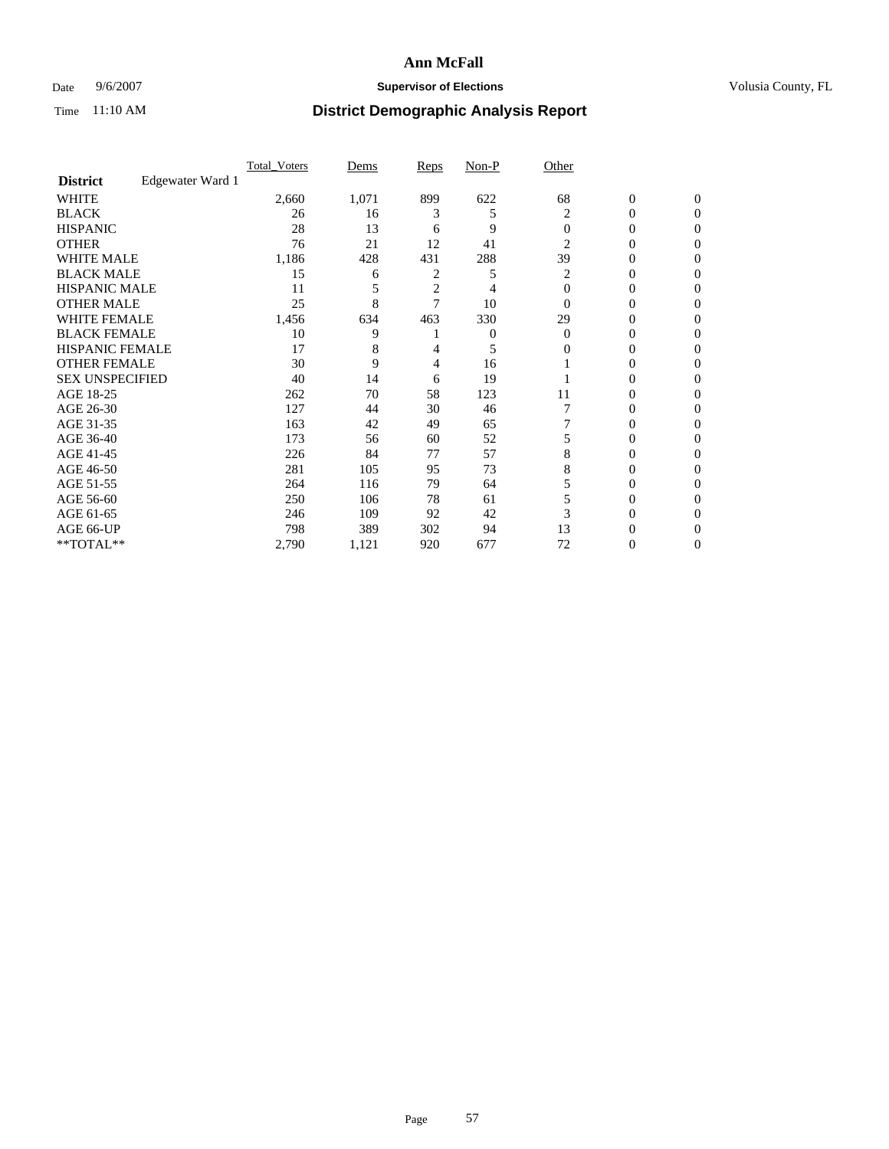### Date 9/6/2007 **Supervisor of Elections Supervisor of Elections** Volusia County, FL

|                        |                  | <b>Total Voters</b> | Dems  | Reps | Non-P | Other    |                  |              |  |
|------------------------|------------------|---------------------|-------|------|-------|----------|------------------|--------------|--|
| <b>District</b>        | Edgewater Ward 1 |                     |       |      |       |          |                  |              |  |
| <b>WHITE</b>           |                  | 2,660               | 1,071 | 899  | 622   | 68       | $\boldsymbol{0}$ | $\mathbf{0}$ |  |
| <b>BLACK</b>           |                  | 26                  | 16    | 3    | 5     | 2        | 0                | $\mathbf{0}$ |  |
| <b>HISPANIC</b>        |                  | 28                  | 13    | 6    | 9     | $\Omega$ | 0                | $\Omega$     |  |
| <b>OTHER</b>           |                  | 76                  | 21    | 12   | 41    | 2        | $\overline{0}$   | $\theta$     |  |
| <b>WHITE MALE</b>      |                  | 1,186               | 428   | 431  | 288   | 39       | 0                | 0            |  |
| <b>BLACK MALE</b>      |                  | 15                  | 6     | 2    | 5     | 2        | 0                | 0            |  |
| <b>HISPANIC MALE</b>   |                  | 11                  |       | 2    |       | $\Omega$ | 0                |              |  |
| <b>OTHER MALE</b>      |                  | 25                  | 8     | 7    | 10    | $\Omega$ | 0                | 0            |  |
| WHITE FEMALE           |                  | 1,456               | 634   | 463  | 330   | 29       | 0                | 0            |  |
| <b>BLACK FEMALE</b>    |                  | 10                  | 9     |      | 0     | $\Omega$ | 0                | 0            |  |
| <b>HISPANIC FEMALE</b> |                  | 17                  | 8     |      | 5     | 0        | 0                | $\Omega$     |  |
| <b>OTHER FEMALE</b>    |                  | 30                  | 9     | 4    | 16    |          | 0                | $\theta$     |  |
| <b>SEX UNSPECIFIED</b> |                  | 40                  | 14    | 6    | 19    |          | 0                | $\theta$     |  |
| AGE 18-25              |                  | 262                 | 70    | 58   | 123   | 11       | 0                | $_{0}$       |  |
| AGE 26-30              |                  | 127                 | 44    | 30   | 46    |          | 0                | 0            |  |
| AGE 31-35              |                  | 163                 | 42    | 49   | 65    |          | 0                | 0            |  |
| AGE 36-40              |                  | 173                 | 56    | 60   | 52    |          | 0                | 0            |  |
| AGE 41-45              |                  | 226                 | 84    | 77   | 57    | 8        | 0                | 0            |  |
| AGE 46-50              |                  | 281                 | 105   | 95   | 73    | 8        | 0                | $\Omega$     |  |
| AGE 51-55              |                  | 264                 | 116   | 79   | 64    |          | 0                | $\theta$     |  |
| AGE 56-60              |                  | 250                 | 106   | 78   | 61    |          | 0                | $\theta$     |  |
| AGE 61-65              |                  | 246                 | 109   | 92   | 42    | 3        | 0                | 0            |  |
| AGE 66-UP              |                  | 798                 | 389   | 302  | 94    | 13       | 0                |              |  |
| **TOTAL**              |                  | 2,790               | 1,121 | 920  | 677   | 72       | 0                | 0            |  |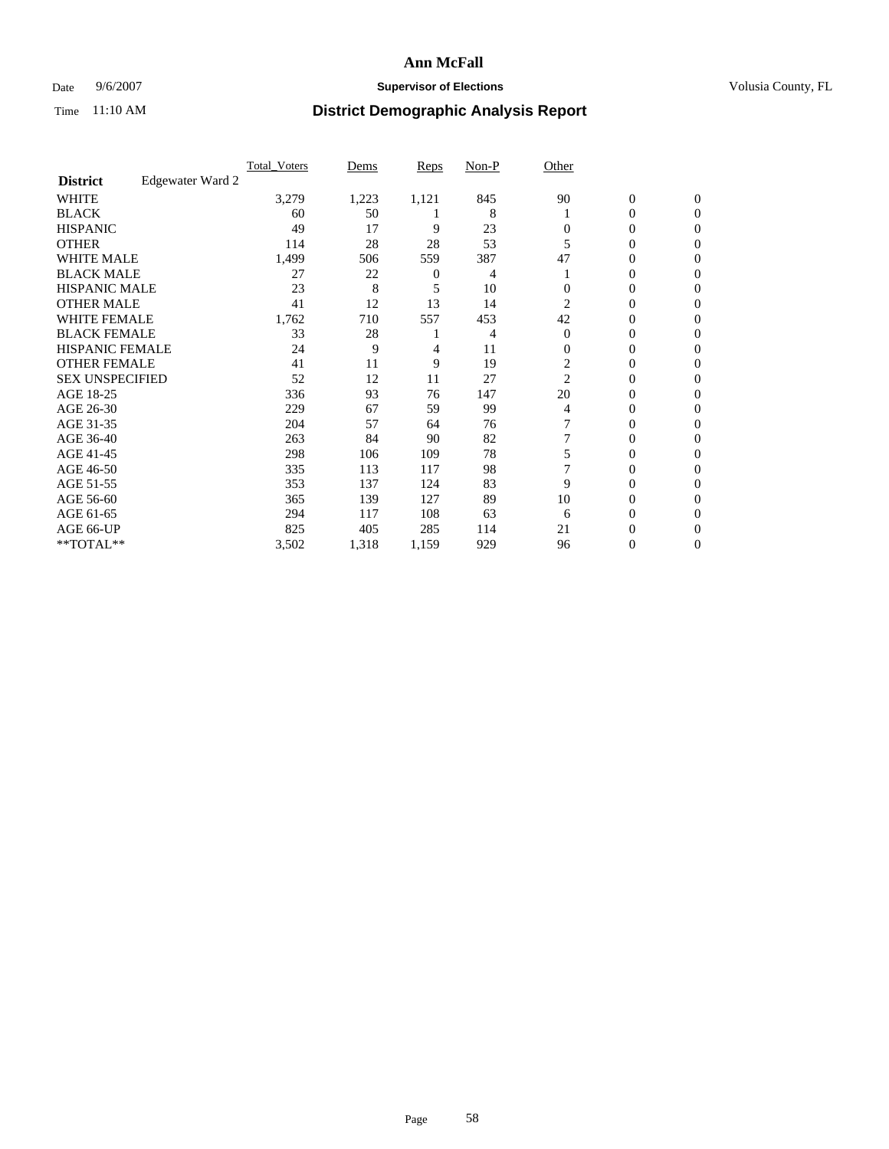### Date 9/6/2007 **Supervisor of Elections Supervisor of Elections** Volusia County, FL

|                        |                  | <b>Total Voters</b> | Dems  | Reps  | Non-P | Other          |                  |                  |  |
|------------------------|------------------|---------------------|-------|-------|-------|----------------|------------------|------------------|--|
| <b>District</b>        | Edgewater Ward 2 |                     |       |       |       |                |                  |                  |  |
| <b>WHITE</b>           |                  | 3,279               | 1,223 | 1,121 | 845   | 90             | $\boldsymbol{0}$ | $\mathbf{0}$     |  |
| <b>BLACK</b>           |                  | 60                  | 50    |       | 8     |                | 0                | $\mathbf{0}$     |  |
| <b>HISPANIC</b>        |                  | 49                  | 17    | 9     | 23    | 0              | 0                | $\overline{0}$   |  |
| <b>OTHER</b>           |                  | 114                 | 28    | 28    | 53    |                | $\overline{0}$   | $\boldsymbol{0}$ |  |
| <b>WHITE MALE</b>      |                  | 1,499               | 506   | 559   | 387   | 47             | 0                | $\theta$         |  |
| <b>BLACK MALE</b>      |                  | 27                  | 22    | 0     | 4     |                | 0                | 0                |  |
| <b>HISPANIC MALE</b>   |                  | 23                  | 8     | 5     | 10    |                | 0                | 0                |  |
| <b>OTHER MALE</b>      |                  | 41                  | 12    | 13    | 14    | 2              | 0                | 0                |  |
| WHITE FEMALE           |                  | 1,762               | 710   | 557   | 453   | 42             | 0                | 0                |  |
| <b>BLACK FEMALE</b>    |                  | 33                  | 28    |       | 4     | $\Omega$       | 0                | 0                |  |
| <b>HISPANIC FEMALE</b> |                  | 24                  | 9     | 4     | 11    | $\Omega$       | 0                | $\Omega$         |  |
| <b>OTHER FEMALE</b>    |                  | 41                  | 11    | 9     | 19    | $\overline{c}$ | 0                | $\theta$         |  |
| <b>SEX UNSPECIFIED</b> |                  | 52                  | 12    | 11    | 27    | 2              | 0                | $\theta$         |  |
| AGE 18-25              |                  | 336                 | 93    | 76    | 147   | 20             | 0                | 0                |  |
| AGE 26-30              |                  | 229                 | 67    | 59    | 99    | 4              | 0                | $\Omega$         |  |
| AGE 31-35              |                  | 204                 | 57    | 64    | 76    |                | 0                | 0                |  |
| AGE 36-40              |                  | 263                 | 84    | 90    | 82    |                | 0                | 0                |  |
| AGE 41-45              |                  | 298                 | 106   | 109   | 78    |                | 0                | 0                |  |
| AGE 46-50              |                  | 335                 | 113   | 117   | 98    |                | 0                | $\overline{0}$   |  |
| AGE 51-55              |                  | 353                 | 137   | 124   | 83    | 9              | 0                | $\Omega$         |  |
| AGE 56-60              |                  | 365                 | 139   | 127   | 89    | 10             | 0                | $\theta$         |  |
| AGE 61-65              |                  | 294                 | 117   | 108   | 63    | 6              | 0                | 0                |  |
| AGE 66-UP              |                  | 825                 | 405   | 285   | 114   | 21             | 0                |                  |  |
| **TOTAL**              |                  | 3,502               | 1,318 | 1,159 | 929   | 96             | 0                | $\mathbf{0}$     |  |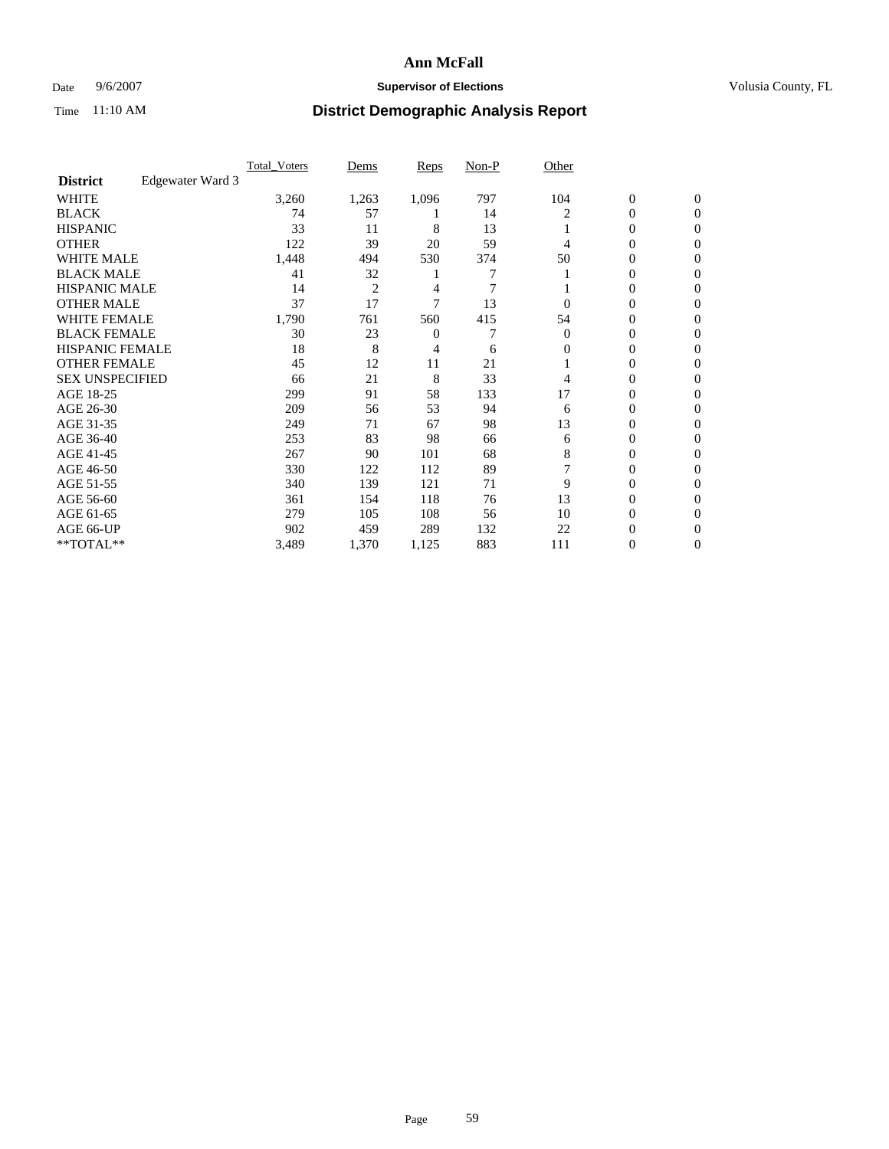### Date 9/6/2007 **Supervisor of Elections Supervisor of Elections** Volusia County, FL

|                        |                  | <b>Total Voters</b> | Dems           | Reps  | Non-P | Other    |                  |                  |  |
|------------------------|------------------|---------------------|----------------|-------|-------|----------|------------------|------------------|--|
| <b>District</b>        | Edgewater Ward 3 |                     |                |       |       |          |                  |                  |  |
| <b>WHITE</b>           |                  | 3,260               | 1,263          | 1,096 | 797   | 104      | $\boldsymbol{0}$ | $\mathbf{0}$     |  |
| <b>BLACK</b>           |                  | 74                  | 57             |       | 14    | 2        | 0                | $\mathbf{0}$     |  |
| <b>HISPANIC</b>        |                  | 33                  | 11             | 8     | 13    |          | 0                | $\mathbf{0}$     |  |
| <b>OTHER</b>           |                  | 122                 | 39             | 20    | 59    | 4        | $\overline{0}$   | $\boldsymbol{0}$ |  |
| <b>WHITE MALE</b>      |                  | 1,448               | 494            | 530   | 374   | 50       | 0                | $\theta$         |  |
| <b>BLACK MALE</b>      |                  | 41                  | 32             |       | 7     |          | 0                | 0                |  |
| <b>HISPANIC MALE</b>   |                  | 14                  | $\overline{2}$ | 4     | 7     |          | 0                | 0                |  |
| <b>OTHER MALE</b>      |                  | 37                  | 17             | 7     | 13    | 0        | 0                | 0                |  |
| WHITE FEMALE           |                  | 1,790               | 761            | 560   | 415   | 54       | 0                | 0                |  |
| <b>BLACK FEMALE</b>    |                  | 30                  | 23             | 0     |       | $\Omega$ | 0                | $\mathbf{0}$     |  |
| <b>HISPANIC FEMALE</b> |                  | 18                  | 8              | 4     | 6     | 0        | 0                | $\Omega$         |  |
| <b>OTHER FEMALE</b>    |                  | 45                  | 12             | 11    | 21    |          | 0                | $\theta$         |  |
| <b>SEX UNSPECIFIED</b> |                  | 66                  | 21             | 8     | 33    | 4        | 0                | $\theta$         |  |
| AGE 18-25              |                  | 299                 | 91             | 58    | 133   | 17       | 0                | 0                |  |
| AGE 26-30              |                  | 209                 | 56             | 53    | 94    | 6        | 0                | $\Omega$         |  |
| AGE 31-35              |                  | 249                 | 71             | 67    | 98    | 13       | 0                | 0                |  |
| AGE 36-40              |                  | 253                 | 83             | 98    | 66    | 6        | 0                | 0                |  |
| AGE 41-45              |                  | 267                 | 90             | 101   | 68    | 8        | 0                | 0                |  |
| AGE 46-50              |                  | 330                 | 122            | 112   | 89    |          | 0                | $\mathbf{0}$     |  |
| AGE 51-55              |                  | 340                 | 139            | 121   | 71    | 9        | 0                | $\Omega$         |  |
| AGE 56-60              |                  | 361                 | 154            | 118   | 76    | 13       | 0                | $\theta$         |  |
| AGE 61-65              |                  | 279                 | 105            | 108   | 56    | 10       | 0                | 0                |  |
| AGE 66-UP              |                  | 902                 | 459            | 289   | 132   | 22       | 0                | $_{0}$           |  |
| **TOTAL**              |                  | 3,489               | 1,370          | 1,125 | 883   | 111      | 0                | $\mathbf{0}$     |  |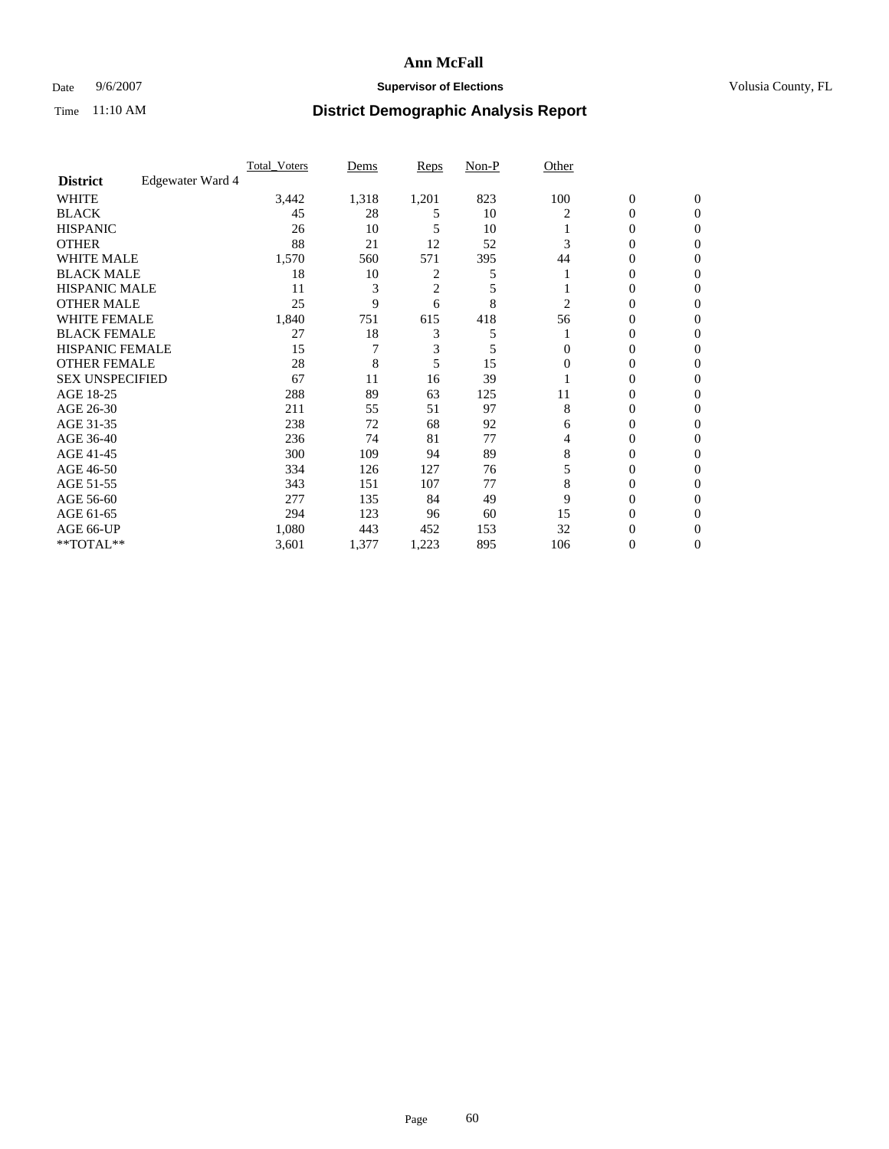### Date 9/6/2007 **Supervisor of Elections Supervisor of Elections** Volusia County, FL

|                        |                  | <b>Total Voters</b> | Dems  | Reps           | Non-P | Other    |                  |              |  |
|------------------------|------------------|---------------------|-------|----------------|-------|----------|------------------|--------------|--|
| <b>District</b>        | Edgewater Ward 4 |                     |       |                |       |          |                  |              |  |
| <b>WHITE</b>           |                  | 3,442               | 1,318 | 1,201          | 823   | 100      | $\boldsymbol{0}$ | $\mathbf{0}$ |  |
| <b>BLACK</b>           |                  | 45                  | 28    | 5              | 10    | 2        | 0                | $\mathbf{0}$ |  |
| <b>HISPANIC</b>        |                  | 26                  | 10    | 5              | 10    |          | 0                | $\mathbf{0}$ |  |
| <b>OTHER</b>           |                  | 88                  | 21    | 12             | 52    |          | $\overline{0}$   | $\theta$     |  |
| <b>WHITE MALE</b>      |                  | 1,570               | 560   | 571            | 395   | 44       | 0                | $\theta$     |  |
| <b>BLACK MALE</b>      |                  | 18                  | 10    | 2              | 5     |          | 0                | 0            |  |
| <b>HISPANIC MALE</b>   |                  | 11                  | 3     | $\overline{c}$ | 5     |          | 0                | 0            |  |
| <b>OTHER MALE</b>      |                  | 25                  | 9     | 6              | 8     | 2        | 0                | 0            |  |
| WHITE FEMALE           |                  | 1,840               | 751   | 615            | 418   | 56       | 0                | 0            |  |
| <b>BLACK FEMALE</b>    |                  | 27                  | 18    | 3              | 5     |          | 0                | 0            |  |
| <b>HISPANIC FEMALE</b> |                  | 15                  |       | 3              | 5     | 0        | 0                | $\Omega$     |  |
| <b>OTHER FEMALE</b>    |                  | 28                  | 8     | 5              | 15    | $\Omega$ | 0                | $\theta$     |  |
| <b>SEX UNSPECIFIED</b> |                  | 67                  | 11    | 16             | 39    |          | 0                | $\theta$     |  |
| AGE 18-25              |                  | 288                 | 89    | 63             | 125   | 11       | 0                | $_{0}$       |  |
| AGE 26-30              |                  | 211                 | 55    | 51             | 97    | 8        | 0                | 0            |  |
| AGE 31-35              |                  | 238                 | 72    | 68             | 92    | 6        | 0                | 0            |  |
| AGE 36-40              |                  | 236                 | 74    | 81             | 77    | 4        | 0                | 0            |  |
| AGE 41-45              |                  | 300                 | 109   | 94             | 89    | 8        | 0                | 0            |  |
| AGE 46-50              |                  | 334                 | 126   | 127            | 76    |          | 0                | $\Omega$     |  |
| AGE 51-55              |                  | 343                 | 151   | 107            | 77    | 8        | 0                | $\Omega$     |  |
| AGE 56-60              |                  | 277                 | 135   | 84             | 49    | 9        | 0                | $\theta$     |  |
| AGE 61-65              |                  | 294                 | 123   | 96             | 60    | 15       | 0                | 0            |  |
| AGE 66-UP              |                  | 1,080               | 443   | 452            | 153   | 32       | 0                |              |  |
| **TOTAL**              |                  | 3,601               | 1,377 | 1,223          | 895   | 106      | 0                | $\mathbf{0}$ |  |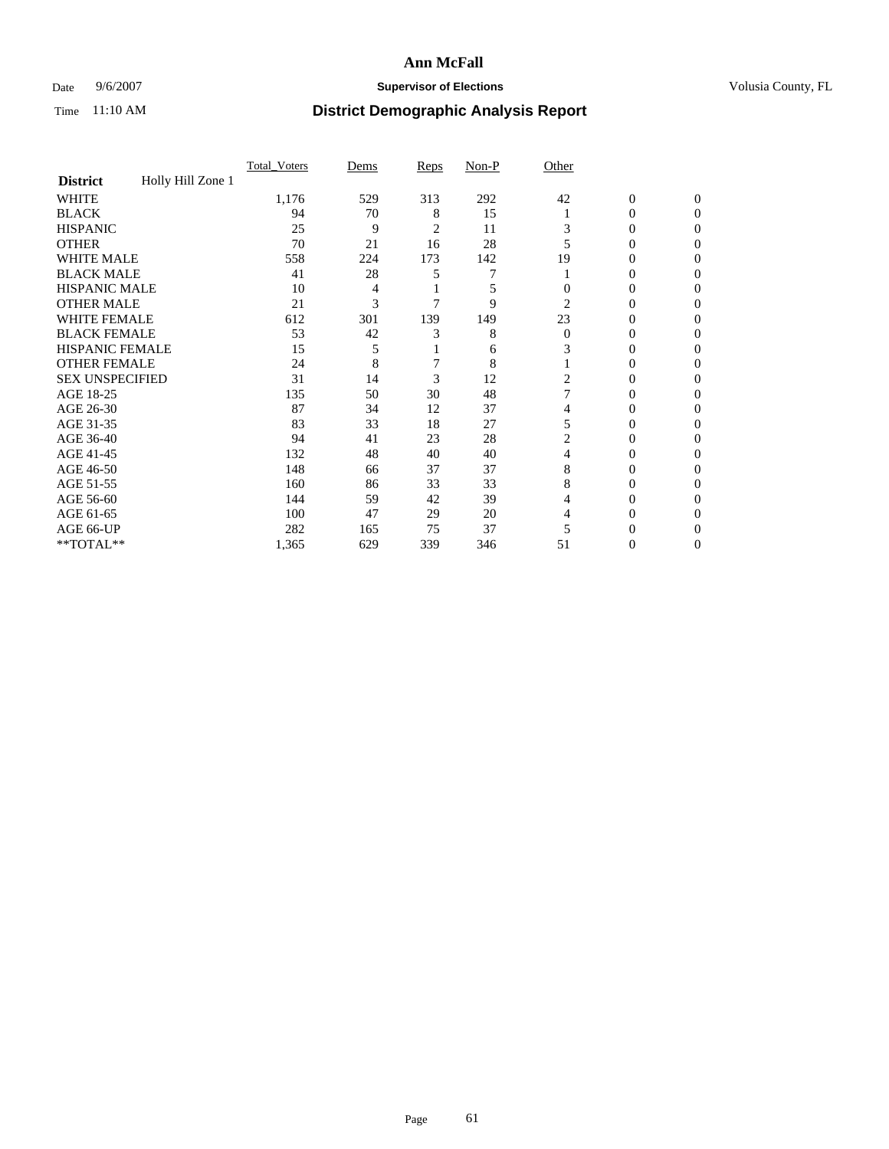### Date 9/6/2007 **Supervisor of Elections Supervisor of Elections** Volusia County, FL

|                        |                   | Total Voters | Dems | <b>Reps</b> | Non-P | Other    |                  |              |  |
|------------------------|-------------------|--------------|------|-------------|-------|----------|------------------|--------------|--|
| <b>District</b>        | Holly Hill Zone 1 |              |      |             |       |          |                  |              |  |
| <b>WHITE</b>           |                   | 1,176        | 529  | 313         | 292   | 42       | $\boldsymbol{0}$ | $\mathbf{0}$ |  |
| <b>BLACK</b>           |                   | 94           | 70   | 8           | 15    |          | 0                | $\Omega$     |  |
| <b>HISPANIC</b>        |                   | 25           | 9    | 2           | 11    | 3        | 0                | $\Omega$     |  |
| <b>OTHER</b>           |                   | 70           | 21   | 16          | 28    |          | 0                | 0            |  |
| <b>WHITE MALE</b>      |                   | 558          | 224  | 173         | 142   | 19       | 0                | 0            |  |
| <b>BLACK MALE</b>      |                   | 41           | 28   |             |       |          | 0                | 0            |  |
| <b>HISPANIC MALE</b>   |                   | 10           | 4    |             | 5     |          | 0                | $\theta$     |  |
| <b>OTHER MALE</b>      |                   | 21           | 3    |             | 9     | 2        | 0                | 0            |  |
| WHITE FEMALE           |                   | 612          | 301  | 139         | 149   | 23       | 0                | 0            |  |
| <b>BLACK FEMALE</b>    |                   | 53           | 42   | 3           | 8     | $\Omega$ | 0                | 0            |  |
| <b>HISPANIC FEMALE</b> |                   | 15           | 5    |             | 6     |          | 0                | 0            |  |
| <b>OTHER FEMALE</b>    |                   | 24           | 8    |             | 8     |          | 0                | 0            |  |
| <b>SEX UNSPECIFIED</b> |                   | 31           | 14   | 3           | 12    | 2        | 0                | 0            |  |
| AGE 18-25              |                   | 135          | 50   | 30          | 48    |          | 0                | $_{0}$       |  |
| AGE 26-30              |                   | 87           | 34   | 12          | 37    |          | 0                | 0            |  |
| AGE 31-35              |                   | 83           | 33   | 18          | 27    | 5        | 0                | 0            |  |
| AGE 36-40              |                   | 94           | 41   | 23          | 28    |          | 0                | 0            |  |
| AGE 41-45              |                   | 132          | 48   | 40          | 40    | 4        | 0                | 0            |  |
| AGE 46-50              |                   | 148          | 66   | 37          | 37    | 8        | 0                | 0            |  |
| AGE 51-55              |                   | 160          | 86   | 33          | 33    | 8        | 0                | $\Omega$     |  |
| AGE 56-60              |                   | 144          | 59   | 42          | 39    | 4        | 0                | 0            |  |
| AGE 61-65              |                   | 100          | 47   | 29          | 20    |          | 0                | 0            |  |
| AGE 66-UP              |                   | 282          | 165  | 75          | 37    |          |                  |              |  |
| **TOTAL**              |                   | 1,365        | 629  | 339         | 346   | 51       | 0                | 0            |  |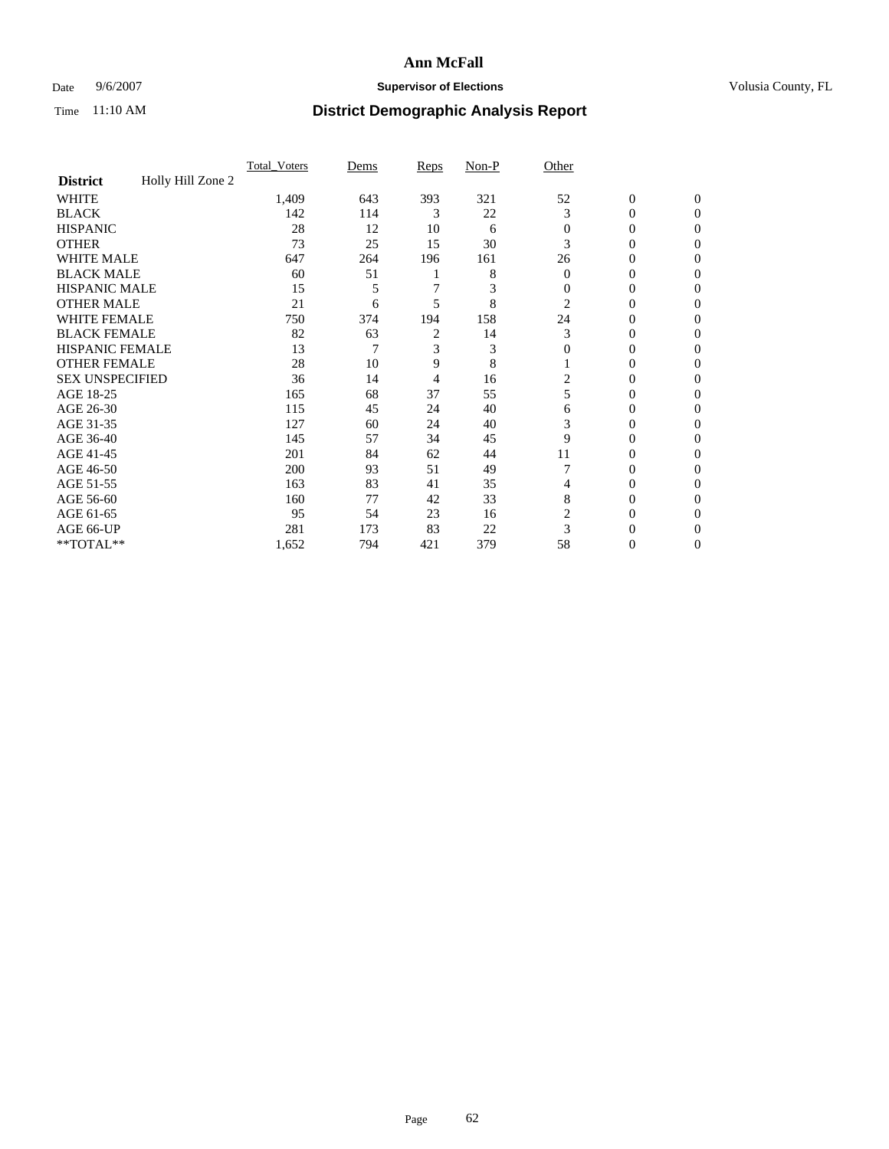### Date 9/6/2007 **Supervisor of Elections Supervisor of Elections** Volusia County, FL

|                        |                   | Total Voters | Dems | <b>Reps</b>    | Non-P | Other        |                  |                |
|------------------------|-------------------|--------------|------|----------------|-------|--------------|------------------|----------------|
| <b>District</b>        | Holly Hill Zone 2 |              |      |                |       |              |                  |                |
| <b>WHITE</b>           |                   | 1,409        | 643  | 393            | 321   | 52           | $\boldsymbol{0}$ | $\mathbf{0}$   |
| <b>BLACK</b>           |                   | 142          | 114  | 3              | 22    | 3            | $\theta$         | $\Omega$       |
| <b>HISPANIC</b>        |                   | 28           | 12   | 10             | 6     | $\mathbf{0}$ | 0                | $\overline{0}$ |
| <b>OTHER</b>           |                   | 73           | 25   | 15             | 30    | 3            | $\overline{0}$   | $\Omega$       |
| <b>WHITE MALE</b>      |                   | 647          | 264  | 196            | 161   | 26           | 0                | $\Omega$       |
| <b>BLACK MALE</b>      |                   | 60           | 51   |                | 8     | $\Omega$     | 0                | 0              |
| <b>HISPANIC MALE</b>   |                   | 15           | 5    |                | 3     | 0            | $\overline{0}$   | 0              |
| <b>OTHER MALE</b>      |                   | 21           | 6    | 5              | 8     | 2            | 0                | 0              |
| <b>WHITE FEMALE</b>    |                   | 750          | 374  | 194            | 158   | 24           | 0                | $\Omega$       |
| <b>BLACK FEMALE</b>    |                   | 82           | 63   | $\overline{c}$ | 14    | 3            | $\overline{0}$   | $\theta$       |
| <b>HISPANIC FEMALE</b> |                   | 13           | 7    | 3              | 3     | $\mathbf{0}$ | 0                | 0              |
| <b>OTHER FEMALE</b>    |                   | 28           | 10   | 9              | 8     |              | $\overline{0}$   | 0              |
| <b>SEX UNSPECIFIED</b> |                   | 36           | 14   | 4              | 16    | 2            | 0                | 0              |
| AGE 18-25              |                   | 165          | 68   | 37             | 55    | 5            | $\overline{0}$   | $\mathbf{0}$   |
| AGE 26-30              |                   | 115          | 45   | 24             | 40    | 6            | 0                | $\Omega$       |
| AGE 31-35              |                   | 127          | 60   | 24             | 40    | 3            | $\overline{0}$   | $\Omega$       |
| AGE 36-40              |                   | 145          | 57   | 34             | 45    | 9            | 0                | $\overline{0}$ |
| AGE 41-45              |                   | 201          | 84   | 62             | 44    | 11           | 0                | 0              |
| AGE 46-50              |                   | 200          | 93   | 51             | 49    |              | 0                | $\overline{0}$ |
| AGE 51-55              |                   | 163          | 83   | 41             | 35    | 4            | 0                | $\Omega$       |
| AGE 56-60              |                   | 160          | 77   | 42             | 33    | 8            | 0                | $\mathbf{0}$   |
| AGE 61-65              |                   | 95           | 54   | 23             | 16    | 2            | 0                | $\Omega$       |
| AGE 66-UP              |                   | 281          | 173  | 83             | 22    | 3            | 0                | 0              |
| **TOTAL**              |                   | 1,652        | 794  | 421            | 379   | 58           | 0                | 0              |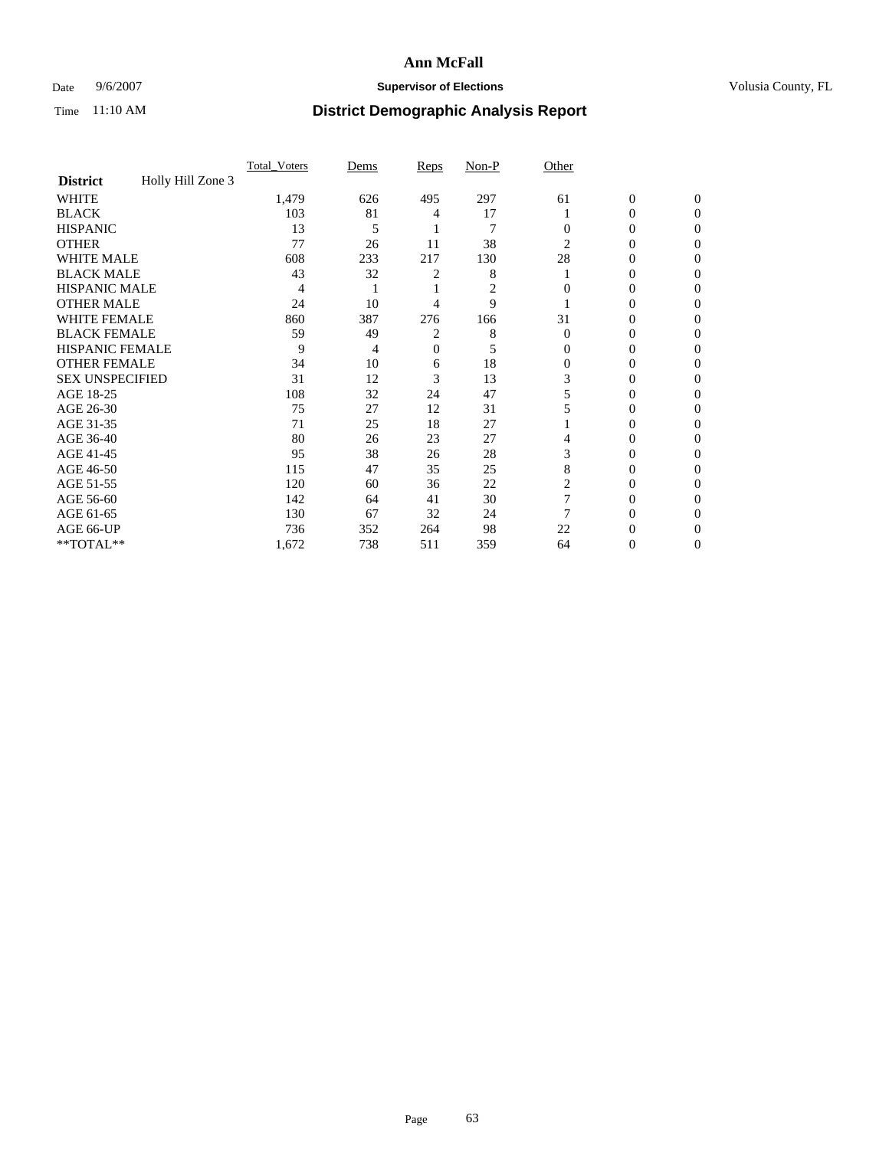### Date 9/6/2007 **Supervisor of Elections Supervisor of Elections** Volusia County, FL

|                        |                   | Total Voters | Dems | <b>Reps</b> | Non-P | Other          |                  |              |  |
|------------------------|-------------------|--------------|------|-------------|-------|----------------|------------------|--------------|--|
| <b>District</b>        | Holly Hill Zone 3 |              |      |             |       |                |                  |              |  |
| <b>WHITE</b>           |                   | 1,479        | 626  | 495         | 297   | 61             | $\boldsymbol{0}$ | $\mathbf{0}$ |  |
| <b>BLACK</b>           |                   | 103          | 81   | 4           | 17    |                | 0                | $\Omega$     |  |
| <b>HISPANIC</b>        |                   | 13           | 5    |             | 7     | 0              | 0                | $\Omega$     |  |
| <b>OTHER</b>           |                   | 77           | 26   | 11          | 38    | $\overline{2}$ | 0                | 0            |  |
| <b>WHITE MALE</b>      |                   | 608          | 233  | 217         | 130   | 28             | 0                | 0            |  |
| <b>BLACK MALE</b>      |                   | 43           | 32   | 2           | 8     |                | 0                | 0            |  |
| <b>HISPANIC MALE</b>   |                   | 4            |      |             | 2     |                | 0                |              |  |
| <b>OTHER MALE</b>      |                   | 24           | 10   | 4           | 9     |                | 0                | 0            |  |
| WHITE FEMALE           |                   | 860          | 387  | 276         | 166   | 31             | 0                | 0            |  |
| <b>BLACK FEMALE</b>    |                   | 59           | 49   | 2           | 8     | $\Omega$       | 0                | 0            |  |
| <b>HISPANIC FEMALE</b> |                   | 9            | 4    | 0           | 5     | 0              | 0                | 0            |  |
| <b>OTHER FEMALE</b>    |                   | 34           | 10   | 6           | 18    | 0              | 0                | 0            |  |
| <b>SEX UNSPECIFIED</b> |                   | 31           | 12   | 3           | 13    | 3              | 0                | 0            |  |
| AGE 18-25              |                   | 108          | 32   | 24          | 47    | 5              | 0                | $\theta$     |  |
| AGE 26-30              |                   | 75           | 27   | 12          | 31    |                | 0                | 0            |  |
| AGE 31-35              |                   | 71           | 25   | 18          | 27    |                | 0                | 0            |  |
| AGE 36-40              |                   | 80           | 26   | 23          | 27    | 4              | 0                | 0            |  |
| AGE 41-45              |                   | 95           | 38   | 26          | 28    | 3              | 0                | 0            |  |
| AGE 46-50              |                   | 115          | 47   | 35          | 25    | 8              | 0                | 0            |  |
| AGE 51-55              |                   | 120          | 60   | 36          | 22    | 2              | 0                | $\Omega$     |  |
| AGE 56-60              |                   | 142          | 64   | 41          | 30    |                | 0                | 0            |  |
| AGE 61-65              |                   | 130          | 67   | 32          | 24    |                | 0                | $\theta$     |  |
| AGE 66-UP              |                   | 736          | 352  | 264         | 98    | 22             |                  |              |  |
| **TOTAL**              |                   | 1,672        | 738  | 511         | 359   | 64             | 0                | 0            |  |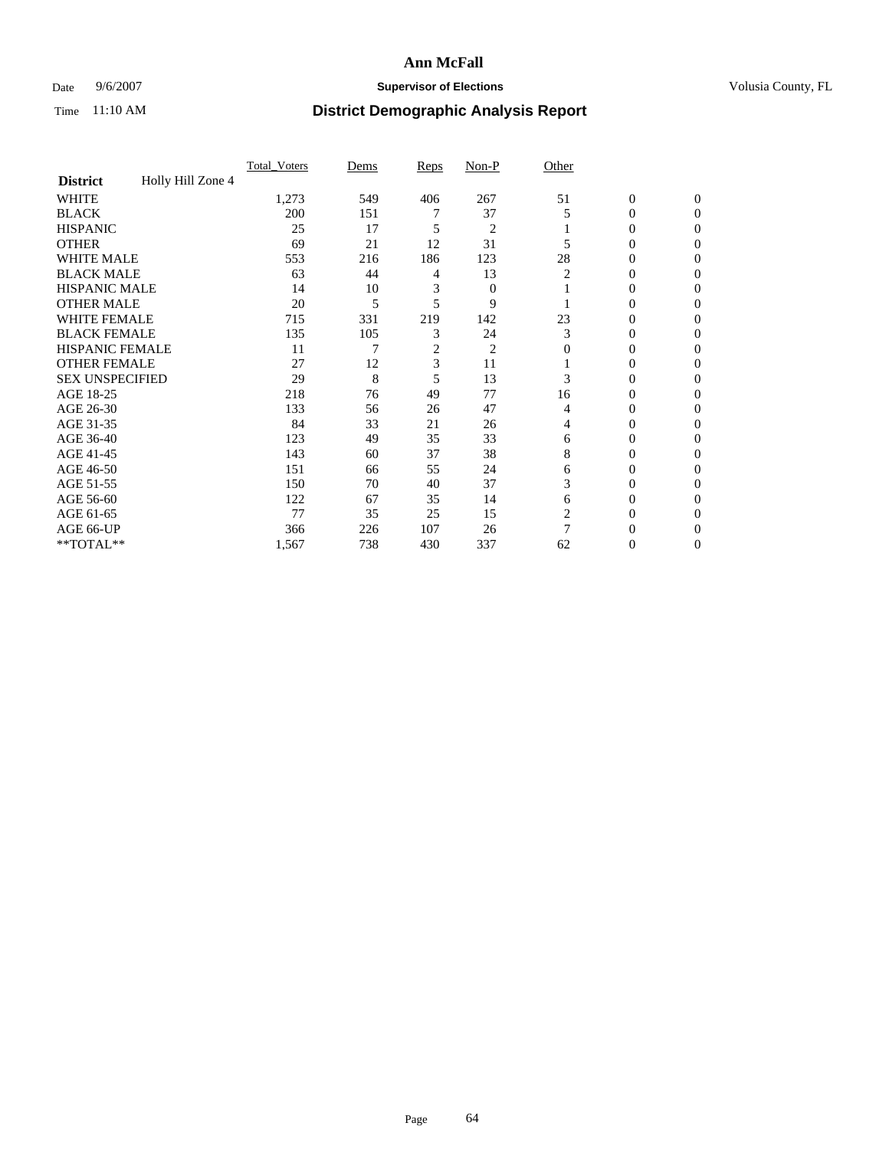### Date 9/6/2007 **Supervisor of Elections Supervisor of Elections** Volusia County, FL

|                        |                   | Total Voters | Dems | <b>Reps</b> | Non-P          | Other |                  |              |  |
|------------------------|-------------------|--------------|------|-------------|----------------|-------|------------------|--------------|--|
| <b>District</b>        | Holly Hill Zone 4 |              |      |             |                |       |                  |              |  |
| <b>WHITE</b>           |                   | 1,273        | 549  | 406         | 267            | 51    | $\boldsymbol{0}$ | $\mathbf{0}$ |  |
| <b>BLACK</b>           |                   | 200          | 151  |             | 37             | 5     | 0                | $\mathbf{0}$ |  |
| <b>HISPANIC</b>        |                   | 25           | 17   | 5           | $\overline{2}$ |       | 0                | $\Omega$     |  |
| <b>OTHER</b>           |                   | 69           | 21   | 12          | 31             |       | $\overline{0}$   | $\Omega$     |  |
| <b>WHITE MALE</b>      |                   | 553          | 216  | 186         | 123            | 28    | 0                | 0            |  |
| <b>BLACK MALE</b>      |                   | 63           | 44   | 4           | 13             | 2     | 0                | 0            |  |
| <b>HISPANIC MALE</b>   |                   | 14           | 10   | 3           | $\mathbf{0}$   |       | 0                | 0            |  |
| <b>OTHER MALE</b>      |                   | 20           | 5    | 5           | 9              |       | $\overline{0}$   | 0            |  |
| WHITE FEMALE           |                   | 715          | 331  | 219         | 142            | 23    | 0                | 0            |  |
| <b>BLACK FEMALE</b>    |                   | 135          | 105  | 3           | 24             | 3     | 0                | 0            |  |
| <b>HISPANIC FEMALE</b> |                   | 11           |      | 2           | $\overline{c}$ | 0     | 0                | $\Omega$     |  |
| <b>OTHER FEMALE</b>    |                   | 27           | 12   | 3           | 11             |       | 0                | $\Omega$     |  |
| <b>SEX UNSPECIFIED</b> |                   | 29           | 8    | 5           | 13             | 3     | 0                | $\Omega$     |  |
| AGE 18-25              |                   | 218          | 76   | 49          | 77             | 16    | 0                | $_{0}$       |  |
| AGE 26-30              |                   | 133          | 56   | 26          | 47             | 4     | 0                | 0            |  |
| AGE 31-35              |                   | 84           | 33   | 21          | 26             | 4     | 0                | 0            |  |
| AGE 36-40              |                   | 123          | 49   | 35          | 33             | 6     | 0                | 0            |  |
| AGE 41-45              |                   | 143          | 60   | 37          | 38             | 8     | 0                | 0            |  |
| AGE 46-50              |                   | 151          | 66   | 55          | 24             | 6     | 0                | $\Omega$     |  |
| AGE 51-55              |                   | 150          | 70   | 40          | 37             | 3     | 0                | $\Omega$     |  |
| AGE 56-60              |                   | 122          | 67   | 35          | 14             | 6     | 0                | $\Omega$     |  |
| AGE 61-65              |                   | 77           | 35   | 25          | 15             | 2     | 0                | 0            |  |
| AGE 66-UP              |                   | 366          | 226  | 107         | 26             | 7     |                  |              |  |
| **TOTAL**              |                   | 1,567        | 738  | 430         | 337            | 62    | 0                | 0            |  |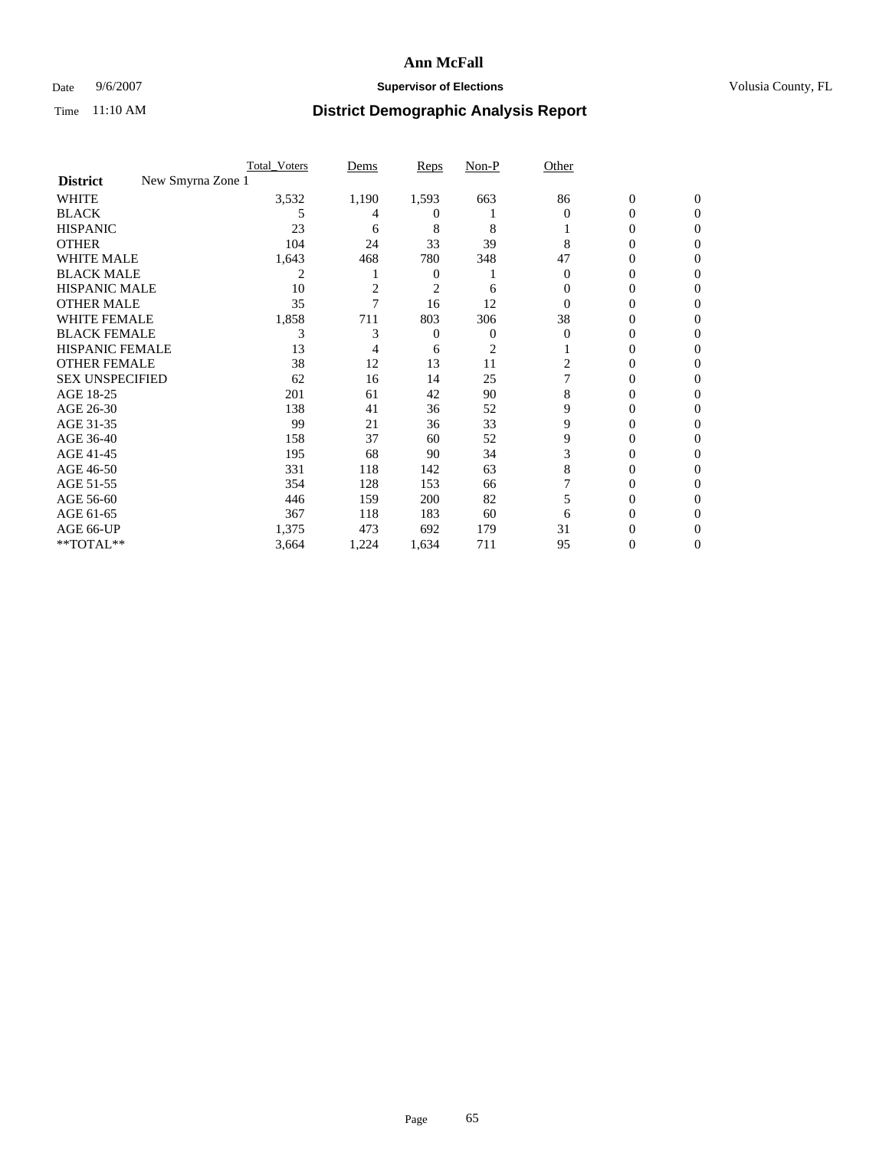### Date 9/6/2007 **Supervisor of Elections Supervisor of Elections** Volusia County, FL

|                                      | <b>Total Voters</b> | Dems  | Reps           | Non-P          | Other    |                  |              |  |
|--------------------------------------|---------------------|-------|----------------|----------------|----------|------------------|--------------|--|
| New Smyrna Zone 1<br><b>District</b> |                     |       |                |                |          |                  |              |  |
| <b>WHITE</b>                         | 3,532               | 1,190 | 1,593          | 663            | 86       | $\boldsymbol{0}$ | $\mathbf{0}$ |  |
| <b>BLACK</b>                         | 5                   | 4     | $^{(1)}$       |                | $\Omega$ | 0                | $\Omega$     |  |
| <b>HISPANIC</b>                      | 23                  | 6     | 8              | 8              |          | 0                | $\theta$     |  |
| <b>OTHER</b>                         | 104                 | 24    | 33             | 39             | 8        | 0                | 0            |  |
| <b>WHITE MALE</b>                    | 1,643               | 468   | 780            | 348            | 47       | 0                |              |  |
| <b>BLACK MALE</b>                    | 2                   |       | $\overline{0}$ |                | 0        | 0                | 0            |  |
| <b>HISPANIC MALE</b>                 | 10                  | 2     | 2              | 6              | $\theta$ | 0                |              |  |
| <b>OTHER MALE</b>                    | 35                  |       | 16             | 12             | 0        | 0                | 0            |  |
| WHITE FEMALE                         | 1,858               | 711   | 803            | 306            | 38       | 0                | 0            |  |
| <b>BLACK FEMALE</b>                  | 3                   | 3     | 0              | 0              | $\Omega$ | 0                | 0            |  |
| <b>HISPANIC FEMALE</b>               | 13                  |       | 6              | $\overline{c}$ |          | 0                | 0            |  |
| <b>OTHER FEMALE</b>                  | 38                  | 12    | 13             | 11             | 2        | 0                | 0            |  |
| <b>SEX UNSPECIFIED</b>               | 62                  | 16    | 14             | 25             |          | 0                | 0            |  |
| AGE 18-25                            | 201                 | 61    | 42             | 90             | 8        | 0                |              |  |
| AGE 26-30                            | 138                 | 41    | 36             | 52             | 9        | 0                | 0            |  |
| AGE 31-35                            | 99                  | 21    | 36             | 33             | 9        | 0                |              |  |
| AGE 36-40                            | 158                 | 37    | 60             | 52             | 9        | 0                | 0            |  |
| AGE 41-45                            | 195                 | 68    | 90             | 34             | 3        | 0                | 0            |  |
| AGE 46-50                            | 331                 | 118   | 142            | 63             | 8        | 0                | 0            |  |
| AGE 51-55                            | 354                 | 128   | 153            | 66             |          | 0                | $\theta$     |  |
| AGE 56-60                            | 446                 | 159   | 200            | 82             | 5        | 0                | 0            |  |
| AGE 61-65                            | 367                 | 118   | 183            | 60             | 6        | 0                |              |  |
| AGE 66-UP                            | 1,375               | 473   | 692            | 179            | 31       | 0                |              |  |
| **TOTAL**                            | 3,664               | 1,224 | 1,634          | 711            | 95       | 0                | 0            |  |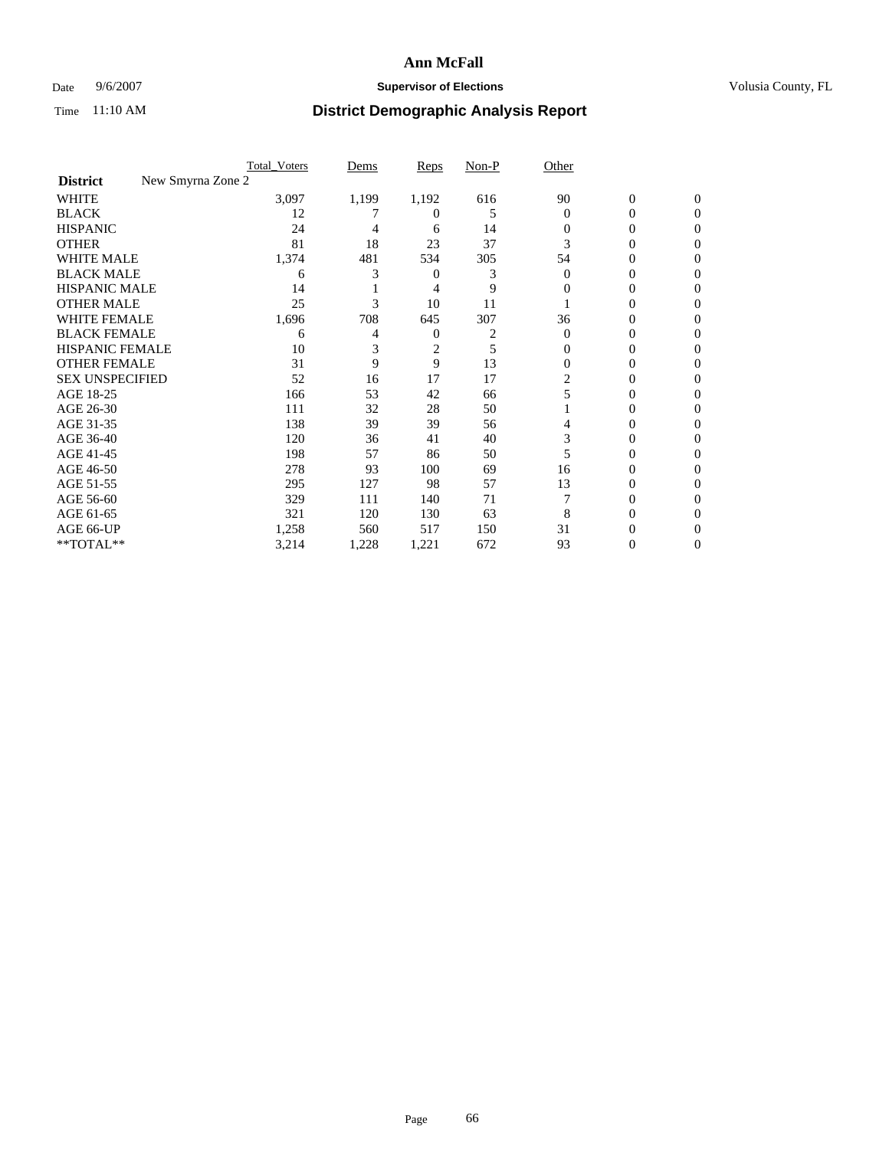### Date 9/6/2007 **Supervisor of Elections Supervisor of Elections** Volusia County, FL

|                                      | <b>Total_Voters</b> | Dems  | <b>Reps</b> | Non-P | Other    |                |              |  |
|--------------------------------------|---------------------|-------|-------------|-------|----------|----------------|--------------|--|
| New Smyrna Zone 2<br><b>District</b> |                     |       |             |       |          |                |              |  |
| <b>WHITE</b>                         | 3,097               | 1,199 | 1,192       | 616   | 90       | $\overline{0}$ | $\mathbf{0}$ |  |
| <b>BLACK</b>                         | 12                  |       | 0           | 5     | $\Omega$ | 0              | $\Omega$     |  |
| <b>HISPANIC</b>                      | 24                  | 4     | 6           | 14    | 0        | 0              | $\Omega$     |  |
| <b>OTHER</b>                         | 81                  | 18    | 23          | 37    | 3        | 0              | 0            |  |
| <b>WHITE MALE</b>                    | 1,374               | 481   | 534         | 305   | 54       | 0              | 0            |  |
| <b>BLACK MALE</b>                    | 6                   | 3     | 0           | 3     | $\Omega$ | 0              | 0            |  |
| <b>HISPANIC MALE</b>                 | 14                  |       | 4           | 9     | 0        | 0              | $\theta$     |  |
| <b>OTHER MALE</b>                    | 25                  | 3     | 10          | 11    |          | 0              | 0            |  |
| WHITE FEMALE                         | 1,696               | 708   | 645         | 307   | 36       | 0              | 0            |  |
| <b>BLACK FEMALE</b>                  | 6                   | 4     | 0           |       | $\Omega$ | 0              | 0            |  |
| <b>HISPANIC FEMALE</b>               | 10                  |       | 2           | 5     | 0        | 0              | 0            |  |
| <b>OTHER FEMALE</b>                  | 31                  | 9     | 9           | 13    | $\Omega$ | 0              | 0            |  |
| <b>SEX UNSPECIFIED</b>               | 52                  | 16    | 17          | 17    | 2        | 0              | 0            |  |
| AGE 18-25                            | 166                 | 53    | 42          | 66    |          | 0              | $\theta$     |  |
| AGE 26-30                            | 111                 | 32    | 28          | 50    |          | 0              | 0            |  |
| AGE 31-35                            | 138                 | 39    | 39          | 56    |          | 0              | 0            |  |
| AGE 36-40                            | 120                 | 36    | 41          | 40    | 3        | 0              | 0            |  |
| AGE 41-45                            | 198                 | 57    | 86          | 50    |          | 0              | 0            |  |
| AGE 46-50                            | 278                 | 93    | 100         | 69    | 16       | 0              | 0            |  |
| AGE 51-55                            | 295                 | 127   | 98          | 57    | 13       | 0              | $\Omega$     |  |
| AGE 56-60                            | 329                 | 111   | 140         | 71    |          | 0              | 0            |  |
| AGE 61-65                            | 321                 | 120   | 130         | 63    | 8        | 0              | $\theta$     |  |
| AGE 66-UP                            | 1,258               | 560   | 517         | 150   | 31       |                |              |  |
| **TOTAL**                            | 3,214               | 1,228 | 1,221       | 672   | 93       | 0              | 0            |  |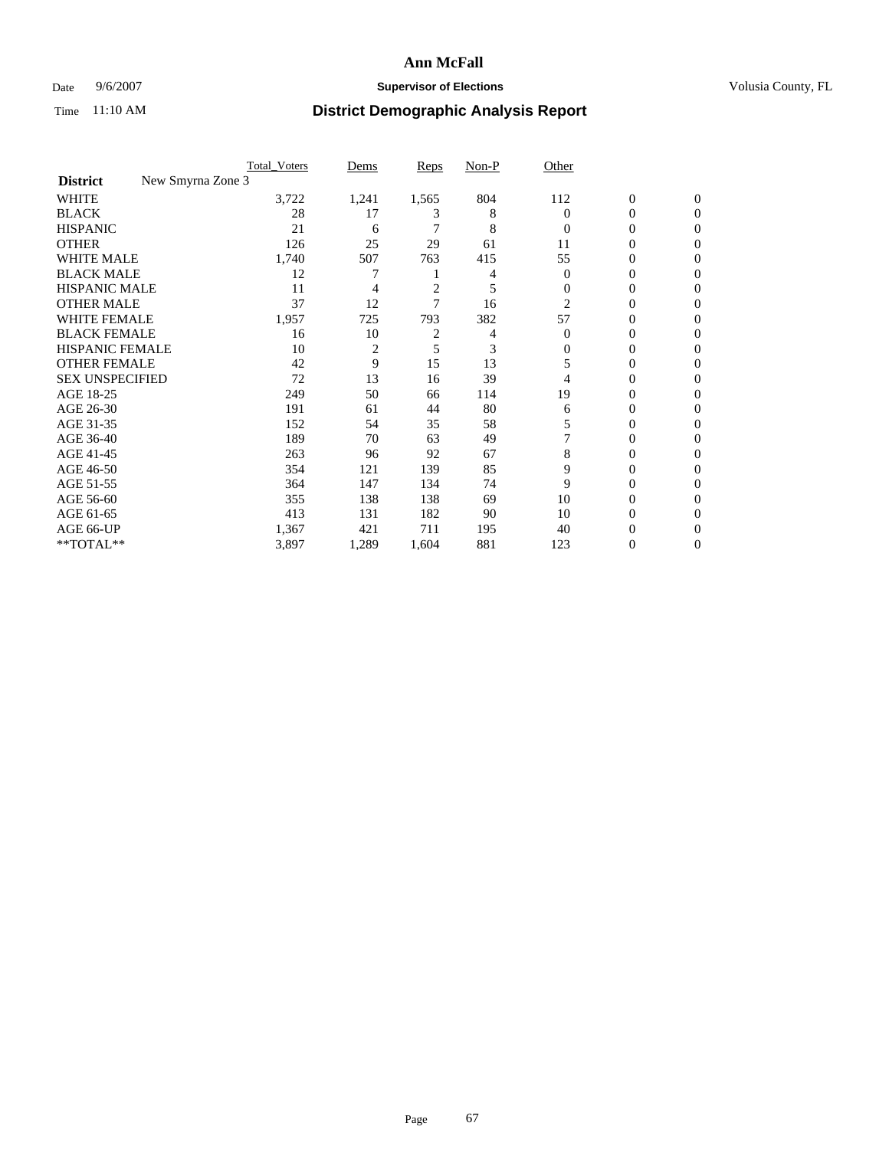### Date 9/6/2007 **Supervisor of Elections Supervisor of Elections** Volusia County, FL

|                                      | <b>Total Voters</b> | Dems           | Reps           | Non-P | Other          |                  |                |  |
|--------------------------------------|---------------------|----------------|----------------|-------|----------------|------------------|----------------|--|
| New Smyrna Zone 3<br><b>District</b> |                     |                |                |       |                |                  |                |  |
| <b>WHITE</b>                         | 3,722               | 1,241          | 1,565          | 804   | 112            | $\boldsymbol{0}$ | $\mathbf{0}$   |  |
| <b>BLACK</b>                         | 28                  | 17             | 3              | 8     | 0              | 0                | $\mathbf{0}$   |  |
| <b>HISPANIC</b>                      | 21                  | 6              |                | 8     | $\Omega$       | 0                | $\overline{0}$ |  |
| <b>OTHER</b>                         | 126                 | 25             | 29             | 61    | 11             | 0                | $\theta$       |  |
| <b>WHITE MALE</b>                    | 1,740               | 507            | 763            | 415   | 55             | 0                | $\theta$       |  |
| <b>BLACK MALE</b>                    | 12                  | 7              |                | 4     | $\overline{0}$ | 0                | 0              |  |
| <b>HISPANIC MALE</b>                 | 11                  | 4              | $\overline{c}$ | 5     | $\Omega$       | 0                | 0              |  |
| <b>OTHER MALE</b>                    | 37                  | 12             | 7              | 16    | 2              | 0                | 0              |  |
| WHITE FEMALE                         | 1,957               | 725            | 793            | 382   | 57             | 0                | 0              |  |
| <b>BLACK FEMALE</b>                  | 16                  | 10             | $\overline{c}$ | 4     | $\Omega$       | 0                | 0              |  |
| <b>HISPANIC FEMALE</b>               | 10                  | $\overline{2}$ | 5              | 3     | 0              | 0                | $\Omega$       |  |
| <b>OTHER FEMALE</b>                  | 42                  | 9              | 15             | 13    | 5              | 0                | $\theta$       |  |
| <b>SEX UNSPECIFIED</b>               | 72                  | 13             | 16             | 39    | 4              | 0                | $\theta$       |  |
| AGE 18-25                            | 249                 | 50             | 66             | 114   | 19             | 0                | 0              |  |
| AGE 26-30                            | 191                 | 61             | 44             | 80    | 6              | 0                | $\Omega$       |  |
| AGE 31-35                            | 152                 | 54             | 35             | 58    | 5              | 0                | 0              |  |
| AGE 36-40                            | 189                 | 70             | 63             | 49    |                | 0                | 0              |  |
| AGE 41-45                            | 263                 | 96             | 92             | 67    | 8              | 0                | 0              |  |
| AGE 46-50                            | 354                 | 121            | 139            | 85    | 9              | 0                | $\mathbf{0}$   |  |
| AGE 51-55                            | 364                 | 147            | 134            | 74    | 9              | 0                | $\Omega$       |  |
| AGE 56-60                            | 355                 | 138            | 138            | 69    | 10             | 0                | $\theta$       |  |
| AGE 61-65                            | 413                 | 131            | 182            | 90    | 10             | 0                | 0              |  |
| AGE 66-UP                            | 1,367               | 421            | 711            | 195   | 40             | 0                |                |  |
| **TOTAL**                            | 3,897               | 1,289          | 1,604          | 881   | 123            | 0                | $\mathbf{0}$   |  |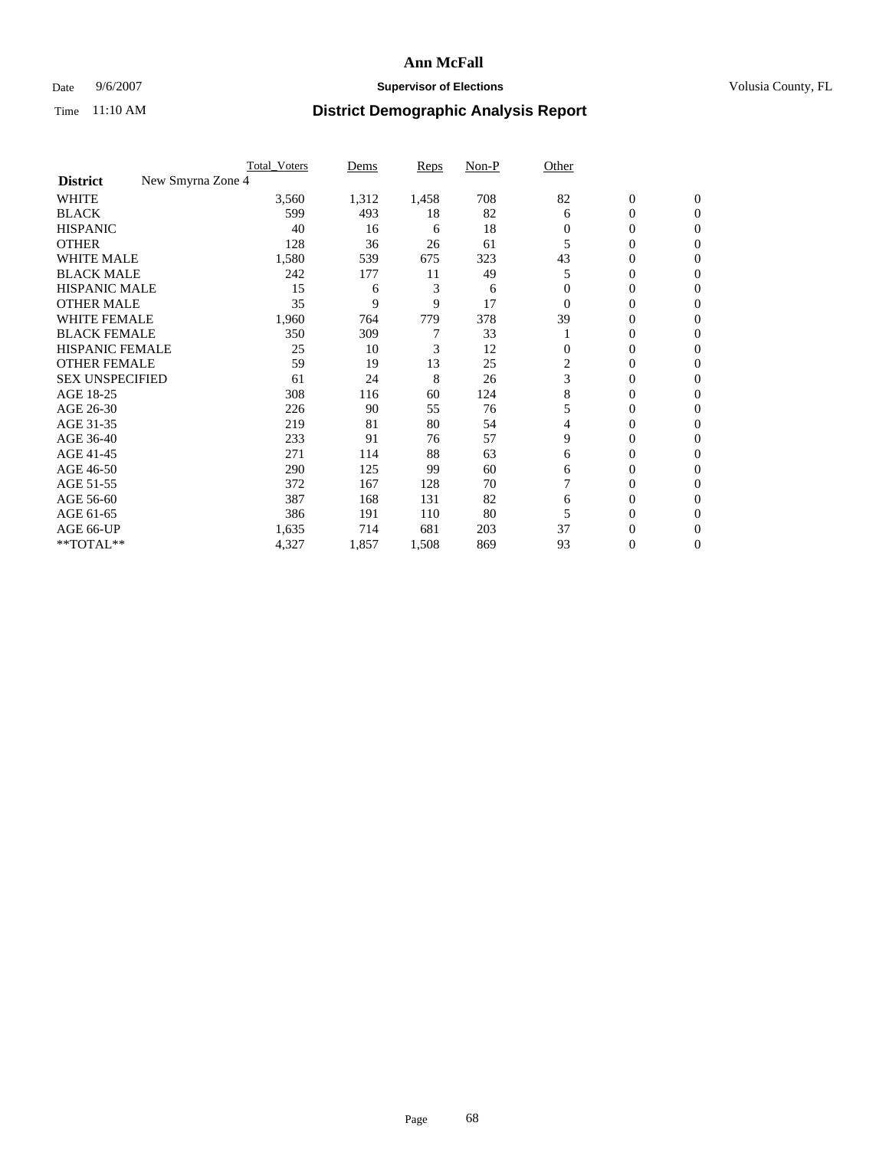### Date 9/6/2007 **Supervisor of Elections Supervisor of Elections** Volusia County, FL

|                                      | <b>Total Voters</b> | Dems  | Reps  | Non-P | Other          |                  |                  |  |
|--------------------------------------|---------------------|-------|-------|-------|----------------|------------------|------------------|--|
| New Smyrna Zone 4<br><b>District</b> |                     |       |       |       |                |                  |                  |  |
| <b>WHITE</b>                         | 3,560               | 1,312 | 1,458 | 708   | 82             | $\boldsymbol{0}$ | $\mathbf{0}$     |  |
| <b>BLACK</b>                         | 599                 | 493   | 18    | 82    | 6              | 0                | $\mathbf{0}$     |  |
| <b>HISPANIC</b>                      | 40                  | 16    | 6     | 18    | $\Omega$       | 0                | $\mathbf{0}$     |  |
| <b>OTHER</b>                         | 128                 | 36    | 26    | 61    |                | 0                | $\overline{0}$   |  |
| <b>WHITE MALE</b>                    | 1,580               | 539   | 675   | 323   | 43             | 0                | $\theta$         |  |
| <b>BLACK MALE</b>                    | 242                 | 177   | 11    | 49    | 5              | 0                | $\Omega$         |  |
| <b>HISPANIC MALE</b>                 | 15                  | 6     | 3     | 6     |                | 0                | 0                |  |
| <b>OTHER MALE</b>                    | 35                  | 9     | 9     | 17    | $\Omega$       | 0                | 0                |  |
| WHITE FEMALE                         | 1,960               | 764   | 779   | 378   | 39             | 0                | 0                |  |
| <b>BLACK FEMALE</b>                  | 350                 | 309   |       | 33    |                | 0                | $\mathbf{0}$     |  |
| <b>HISPANIC FEMALE</b>               | 25                  | 10    | 3     | 12    | $\Omega$       | 0                | $\Omega$         |  |
| <b>OTHER FEMALE</b>                  | 59                  | 19    | 13    | 25    | $\overline{c}$ | 0                | $\boldsymbol{0}$ |  |
| <b>SEX UNSPECIFIED</b>               | 61                  | 24    | 8     | 26    | 3              | 0                | $\Omega$         |  |
| AGE 18-25                            | 308                 | 116   | 60    | 124   | 8              | 0                | 0                |  |
| AGE 26-30                            | 226                 | 90    | 55    | 76    | 5              | 0                | $\Omega$         |  |
| AGE 31-35                            | 219                 | 81    | 80    | 54    | 4              | 0                | 0                |  |
| AGE 36-40                            | 233                 | 91    | 76    | 57    | 9              | 0                | $\mathbf{0}$     |  |
| AGE 41-45                            | 271                 | 114   | 88    | 63    | 6              | 0                | 0                |  |
| AGE 46-50                            | 290                 | 125   | 99    | 60    | 6              | 0                | $\mathbf{0}$     |  |
| AGE 51-55                            | 372                 | 167   | 128   | 70    |                | 0                | $\Omega$         |  |
| AGE 56-60                            | 387                 | 168   | 131   | 82    | 6              | 0                | $\theta$         |  |
| AGE 61-65                            | 386                 | 191   | 110   | 80    | 5              | 0                | 0                |  |
| AGE 66-UP                            | 1,635               | 714   | 681   | 203   | 37             | 0                | $_{0}$           |  |
| **TOTAL**                            | 4,327               | 1,857 | 1,508 | 869   | 93             | 0                | $\mathbf{0}$     |  |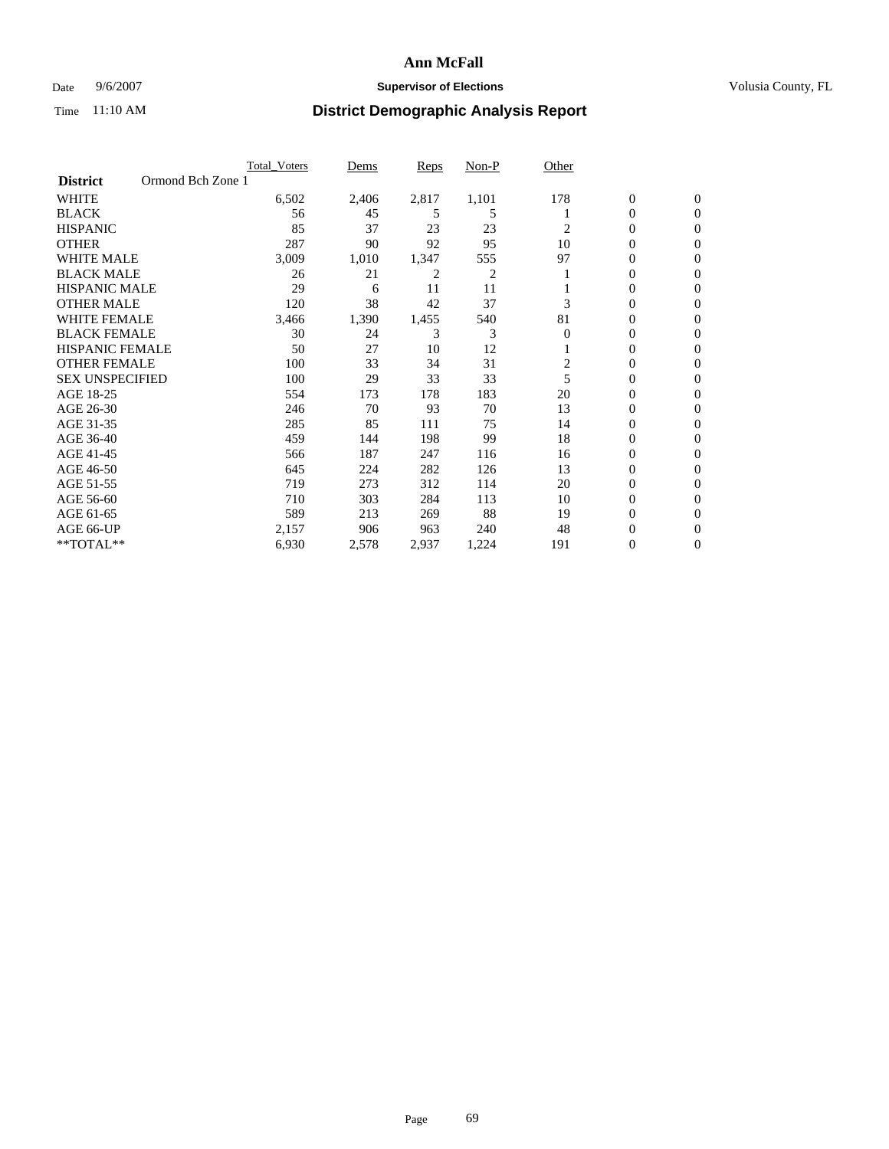### Date 9/6/2007 **Supervisor of Elections Supervisor of Elections** Volusia County, FL

|                                      | <b>Total Voters</b> | Dems  | Reps  | Non-P | Other    |                  |                |  |
|--------------------------------------|---------------------|-------|-------|-------|----------|------------------|----------------|--|
| Ormond Bch Zone 1<br><b>District</b> |                     |       |       |       |          |                  |                |  |
| <b>WHITE</b>                         | 6,502               | 2,406 | 2,817 | 1,101 | 178      | $\boldsymbol{0}$ | $\mathbf{0}$   |  |
| <b>BLACK</b>                         | 56                  | 45    | 5     | 5     |          | 0                | $\mathbf{0}$   |  |
| <b>HISPANIC</b>                      | 85                  | 37    | 23    | 23    | 2        | 0                | $\mathbf{0}$   |  |
| <b>OTHER</b>                         | 287                 | 90    | 92    | 95    | 10       | 0                | $\overline{0}$ |  |
| <b>WHITE MALE</b>                    | 3,009               | 1,010 | 1,347 | 555   | 97       | 0                | $\mathbf{0}$   |  |
| <b>BLACK MALE</b>                    | 26                  | 21    | 2     | 2     |          | 0                | $\mathbf{0}$   |  |
| <b>HISPANIC MALE</b>                 | 29                  | 6     | 11    | 11    |          | 0                | $\Omega$       |  |
| <b>OTHER MALE</b>                    | 120                 | 38    | 42    | 37    | 3        | 0                | 0              |  |
| <b>WHITE FEMALE</b>                  | 3,466               | 1,390 | 1,455 | 540   | 81       | 0                | $\Omega$       |  |
| <b>BLACK FEMALE</b>                  | 30                  | 24    | 3     | 3     | $\Omega$ | 0                | $\mathbf{0}$   |  |
| <b>HISPANIC FEMALE</b>               | 50                  | 27    | 10    | 12    |          | 0                | $\overline{0}$ |  |
| <b>OTHER FEMALE</b>                  | 100                 | 33    | 34    | 31    | 2        | 0                | $\overline{0}$ |  |
| <b>SEX UNSPECIFIED</b>               | 100                 | 29    | 33    | 33    | 5        | 0                | $\overline{0}$ |  |
| AGE 18-25                            | 554                 | 173   | 178   | 183   | 20       | 0                | 0              |  |
| AGE 26-30                            | 246                 | 70    | 93    | 70    | 13       | 0                | $\Omega$       |  |
| AGE 31-35                            | 285                 | 85    | 111   | 75    | 14       | 0                | 0              |  |
| AGE 36-40                            | 459                 | 144   | 198   | 99    | 18       | 0                | $\overline{0}$ |  |
| AGE 41-45                            | 566                 | 187   | 247   | 116   | 16       | 0                | $\overline{0}$ |  |
| AGE 46-50                            | 645                 | 224   | 282   | 126   | 13       | 0                | $\overline{0}$ |  |
| AGE 51-55                            | 719                 | 273   | 312   | 114   | 20       | 0                | $\overline{0}$ |  |
| AGE 56-60                            | 710                 | 303   | 284   | 113   | 10       | 0                | $\overline{0}$ |  |
| AGE 61-65                            | 589                 | 213   | 269   | 88    | 19       | 0                | $\Omega$       |  |
| AGE 66-UP                            | 2,157               | 906   | 963   | 240   | 48       | 0                | 0              |  |
| **TOTAL**                            | 6,930               | 2,578 | 2,937 | 1,224 | 191      | 0                | 0              |  |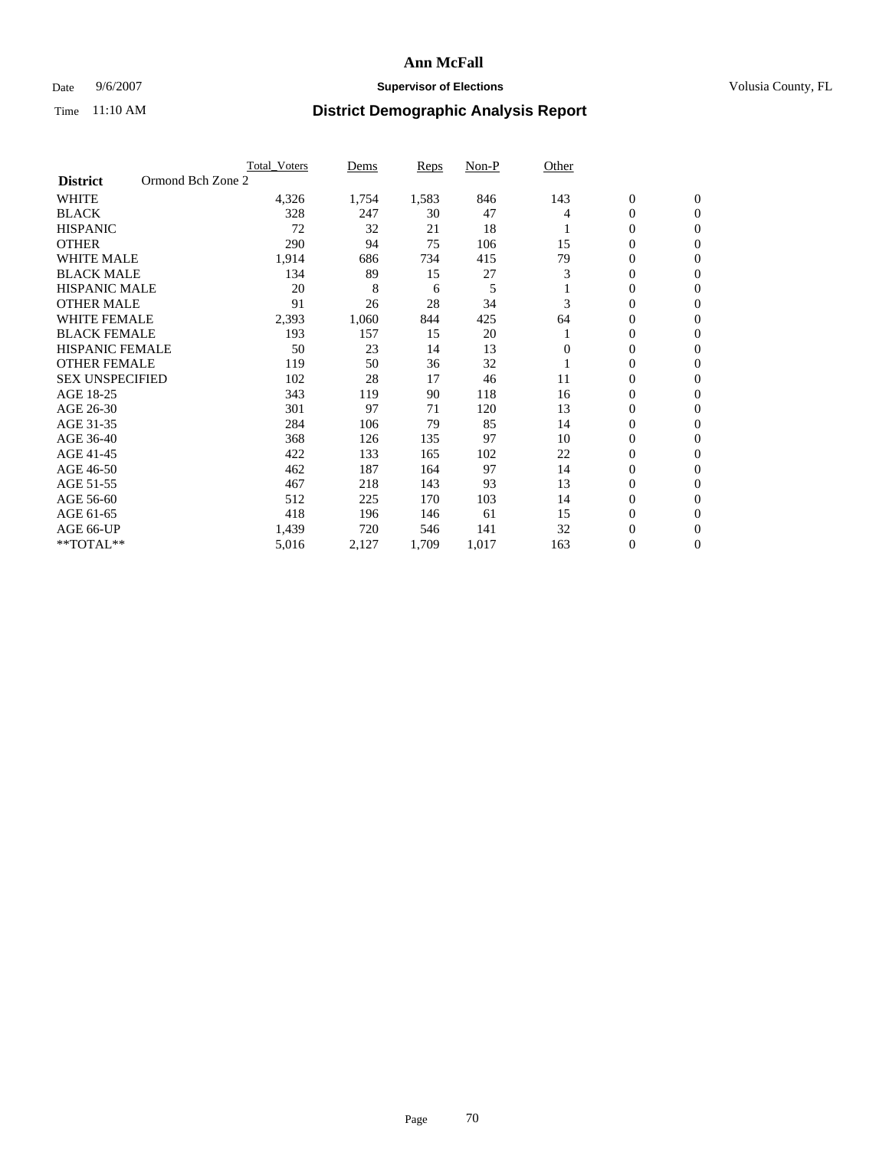### Date 9/6/2007 **Supervisor of Elections Supervisor of Elections** Volusia County, FL

|                        |                   | <b>Total Voters</b> | Dems  | Reps  | Non-P | Other    |                  |                  |
|------------------------|-------------------|---------------------|-------|-------|-------|----------|------------------|------------------|
| <b>District</b>        | Ormond Bch Zone 2 |                     |       |       |       |          |                  |                  |
| <b>WHITE</b>           |                   | 4,326               | 1,754 | 1,583 | 846   | 143      | $\boldsymbol{0}$ | $\mathbf{0}$     |
| <b>BLACK</b>           |                   | 328                 | 247   | 30    | 47    | 4        | $\mathbf{0}$     | $\mathbf{0}$     |
| <b>HISPANIC</b>        |                   | 72                  | 32    | 21    | 18    |          | 0                | $\mathbf{0}$     |
| <b>OTHER</b>           |                   | 290                 | 94    | 75    | 106   | 15       | 0                | $\overline{0}$   |
| <b>WHITE MALE</b>      |                   | 1,914               | 686   | 734   | 415   | 79       | 0                | $\overline{0}$   |
| <b>BLACK MALE</b>      |                   | 134                 | 89    | 15    | 27    | 3        | 0                | $\overline{0}$   |
| <b>HISPANIC MALE</b>   |                   | 20                  | 8     | 6     | 5     |          | 0                | $\Omega$         |
| <b>OTHER MALE</b>      |                   | 91                  | 26    | 28    | 34    | 3        | 0                | $\mathbf{0}$     |
| <b>WHITE FEMALE</b>    |                   | 2,393               | 1,060 | 844   | 425   | 64       | 0                | $\Omega$         |
| <b>BLACK FEMALE</b>    |                   | 193                 | 157   | 15    | 20    |          | $\mathbf{0}$     | $\mathbf{0}$     |
| <b>HISPANIC FEMALE</b> |                   | 50                  | 23    | 14    | 13    | $\Omega$ | 0                | $\mathbf{0}$     |
| <b>OTHER FEMALE</b>    |                   | 119                 | 50    | 36    | 32    |          | 0                | $\mathbf{0}$     |
| <b>SEX UNSPECIFIED</b> |                   | 102                 | 28    | 17    | 46    | 11       | 0                | $\mathbf{0}$     |
| AGE 18-25              |                   | 343                 | 119   | 90    | 118   | 16       | 0                | $\mathbf{0}$     |
| AGE 26-30              |                   | 301                 | 97    | 71    | 120   | 13       | 0                | $\mathbf{0}$     |
| AGE 31-35              |                   | 284                 | 106   | 79    | 85    | 14       | 0                | $\mathbf{0}$     |
| AGE 36-40              |                   | 368                 | 126   | 135   | 97    | 10       | $\boldsymbol{0}$ | $\mathbf{0}$     |
| AGE 41-45              |                   | 422                 | 133   | 165   | 102   | 22       | 0                | $\mathbf{0}$     |
| AGE 46-50              |                   | 462                 | 187   | 164   | 97    | 14       | $\mathbf{0}$     | $\mathbf{0}$     |
| AGE 51-55              |                   | 467                 | 218   | 143   | 93    | 13       | 0                | $\mathbf{0}$     |
| AGE 56-60              |                   | 512                 | 225   | 170   | 103   | 14       | 0                | $\mathbf{0}$     |
| AGE 61-65              |                   | 418                 | 196   | 146   | 61    | 15       | 0                | $\mathbf{0}$     |
| AGE 66-UP              |                   | 1,439               | 720   | 546   | 141   | 32       | 0                | 0                |
| **TOTAL**              |                   | 5,016               | 2,127 | 1,709 | 1,017 | 163      | 0                | $\boldsymbol{0}$ |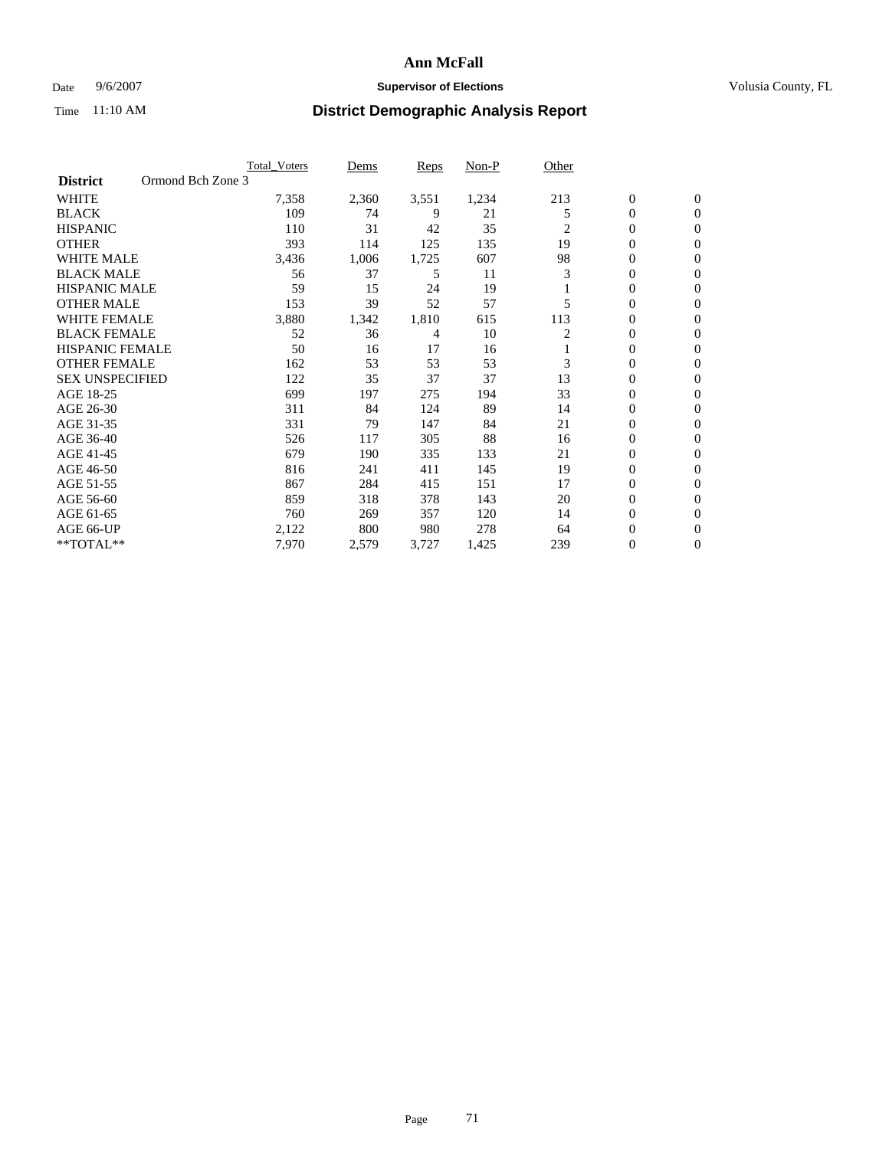### Date 9/6/2007 **Supervisor of Elections Supervisor of Elections** Volusia County, FL

|                                      | <b>Total_Voters</b> | Dems  | Reps  | Non-P | Other          |                  |                  |  |
|--------------------------------------|---------------------|-------|-------|-------|----------------|------------------|------------------|--|
| Ormond Bch Zone 3<br><b>District</b> |                     |       |       |       |                |                  |                  |  |
| <b>WHITE</b>                         | 7,358               | 2,360 | 3,551 | 1,234 | 213            | $\boldsymbol{0}$ | $\mathbf{0}$     |  |
| <b>BLACK</b>                         | 109                 | 74    | 9     | 21    | 5              | $\overline{0}$   | $\mathbf{0}$     |  |
| <b>HISPANIC</b>                      | 110                 | 31    | 42    | 35    | $\mathfrak{2}$ | $\mathbf{0}$     | $\mathbf{0}$     |  |
| <b>OTHER</b>                         | 393                 | 114   | 125   | 135   | 19             | $\overline{0}$   | $\overline{0}$   |  |
| <b>WHITE MALE</b>                    | 3,436               | 1,006 | 1,725 | 607   | 98             | 0                | $\mathbf{0}$     |  |
| <b>BLACK MALE</b>                    | 56                  | 37    | 5     | 11    | 3              | 0                | $\mathbf{0}$     |  |
| <b>HISPANIC MALE</b>                 | 59                  | 15    | 24    | 19    |                | 0                | $\Omega$         |  |
| <b>OTHER MALE</b>                    | 153                 | 39    | 52    | 57    | 5              | 0                | $\mathbf{0}$     |  |
| <b>WHITE FEMALE</b>                  | 3,880               | 1,342 | 1,810 | 615   | 113            | 0                | $\Omega$         |  |
| <b>BLACK FEMALE</b>                  | 52                  | 36    | 4     | 10    | 2              | $\overline{0}$   | $\mathbf{0}$     |  |
| <b>HISPANIC FEMALE</b>               | 50                  | 16    | 17    | 16    |                | 0                | $\mathbf{0}$     |  |
| <b>OTHER FEMALE</b>                  | 162                 | 53    | 53    | 53    | 3              | 0                | $\overline{0}$   |  |
| <b>SEX UNSPECIFIED</b>               | 122                 | 35    | 37    | 37    | 13             | 0                | $\mathbf{0}$     |  |
| AGE 18-25                            | 699                 | 197   | 275   | 194   | 33             | 0                | $\mathbf{0}$     |  |
| AGE 26-30                            | 311                 | 84    | 124   | 89    | 14             | 0                | $\mathbf{0}$     |  |
| AGE 31-35                            | 331                 | 79    | 147   | 84    | 21             | 0                | $\mathbf{0}$     |  |
| AGE 36-40                            | 526                 | 117   | 305   | 88    | 16             | $\overline{0}$   | $\mathbf{0}$     |  |
| AGE 41-45                            | 679                 | 190   | 335   | 133   | 21             | 0                | $\mathbf{0}$     |  |
| AGE 46-50                            | 816                 | 241   | 411   | 145   | 19             | $\overline{0}$   | $\mathbf{0}$     |  |
| AGE 51-55                            | 867                 | 284   | 415   | 151   | 17             | 0                | $\mathbf{0}$     |  |
| AGE 56-60                            | 859                 | 318   | 378   | 143   | 20             | $\overline{0}$   | $\overline{0}$   |  |
| AGE 61-65                            | 760                 | 269   | 357   | 120   | 14             | 0                | $\mathbf{0}$     |  |
| AGE 66-UP                            | 2,122               | 800   | 980   | 278   | 64             | 0                | 0                |  |
| **TOTAL**                            | 7,970               | 2,579 | 3,727 | 1,425 | 239            | 0                | $\boldsymbol{0}$ |  |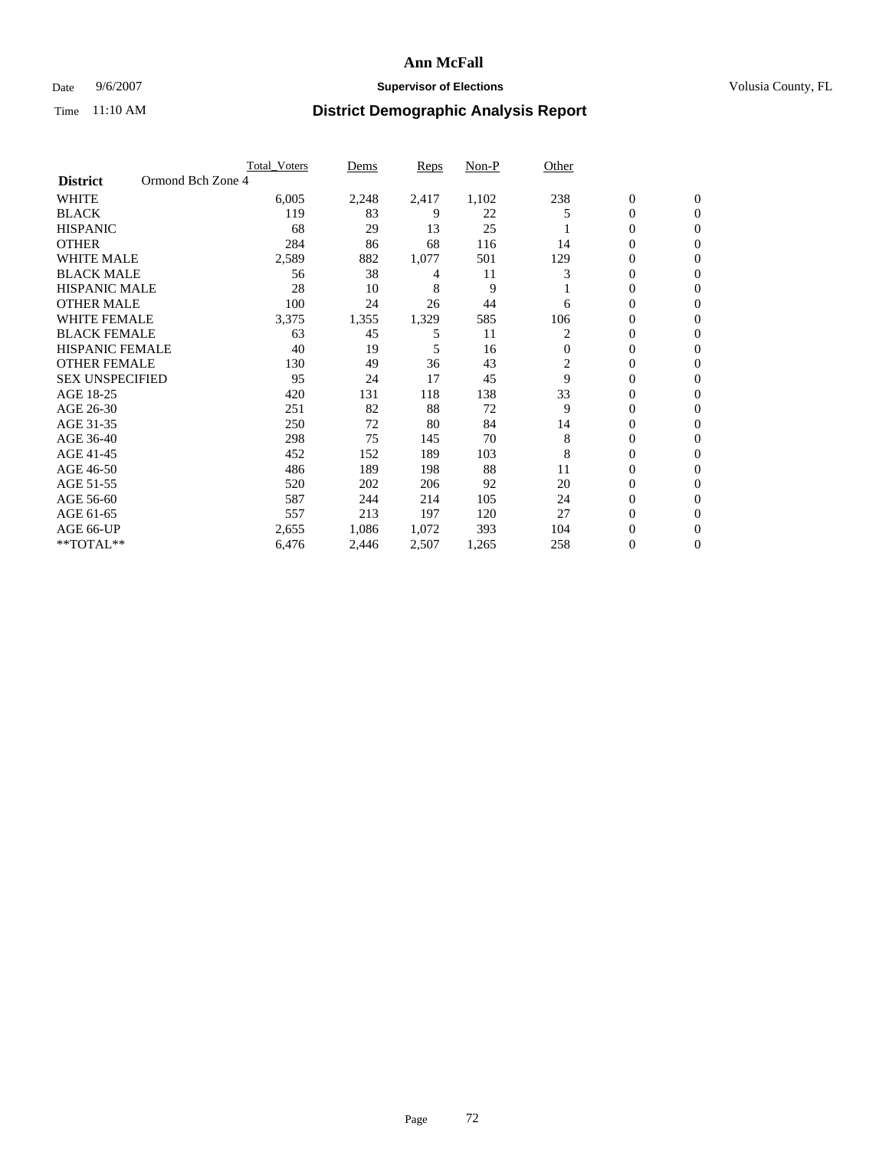### Date 9/6/2007 **Supervisor of Elections Supervisor of Elections** Volusia County, FL

|                                      | <b>Total_Voters</b> | Dems  | Reps  | Non-P | Other          |                  |                |  |
|--------------------------------------|---------------------|-------|-------|-------|----------------|------------------|----------------|--|
| Ormond Bch Zone 4<br><b>District</b> |                     |       |       |       |                |                  |                |  |
| <b>WHITE</b>                         | 6,005               | 2,248 | 2,417 | 1,102 | 238            | $\boldsymbol{0}$ | $\mathbf{0}$   |  |
| <b>BLACK</b>                         | 119                 | 83    | 9     | 22    | 5              | $\overline{0}$   | $\mathbf{0}$   |  |
| <b>HISPANIC</b>                      | 68                  | 29    | 13    | 25    |                | 0                | $\mathbf{0}$   |  |
| <b>OTHER</b>                         | 284                 | 86    | 68    | 116   | 14             | $\overline{0}$   | $\overline{0}$ |  |
| <b>WHITE MALE</b>                    | 2,589               | 882   | 1,077 | 501   | 129            | 0                | $\Omega$       |  |
| <b>BLACK MALE</b>                    | 56                  | 38    | 4     | 11    |                | 0                | $\mathbf{0}$   |  |
| <b>HISPANIC MALE</b>                 | 28                  | 10    | 8     | 9     |                | 0                | $\Omega$       |  |
| <b>OTHER MALE</b>                    | 100                 | 24    | 26    | 44    | 6              | 0                | 0              |  |
| <b>WHITE FEMALE</b>                  | 3,375               | 1,355 | 1,329 | 585   | 106            | 0                | 0              |  |
| <b>BLACK FEMALE</b>                  | 63                  | 45    | 5     | 11    | 2              | $\overline{0}$   | $\mathbf{0}$   |  |
| <b>HISPANIC FEMALE</b>               | 40                  | 19    | 5     | 16    | $\Omega$       | 0                | $\Omega$       |  |
| <b>OTHER FEMALE</b>                  | 130                 | 49    | 36    | 43    | $\overline{c}$ | 0                | $\overline{0}$ |  |
| <b>SEX UNSPECIFIED</b>               | 95                  | 24    | 17    | 45    | 9              | 0                | $\Omega$       |  |
| AGE 18-25                            | 420                 | 131   | 118   | 138   | 33             | 0                | 0              |  |
| AGE 26-30                            | 251                 | 82    | 88    | 72    | 9              | 0                | $\Omega$       |  |
| AGE 31-35                            | 250                 | 72    | 80    | 84    | 14             | 0                | 0              |  |
| AGE 36-40                            | 298                 | 75    | 145   | 70    | 8              | $\overline{0}$   | $\mathbf{0}$   |  |
| AGE 41-45                            | 452                 | 152   | 189   | 103   | 8              | 0                | $\Omega$       |  |
| AGE 46-50                            | 486                 | 189   | 198   | 88    | 11             | 0                | $\mathbf{0}$   |  |
| AGE 51-55                            | 520                 | 202   | 206   | 92    | 20             | 0                | $\Omega$       |  |
| AGE 56-60                            | 587                 | 244   | 214   | 105   | 24             | 0                | $\Omega$       |  |
| AGE 61-65                            | 557                 | 213   | 197   | 120   | 27             | 0                | $\Omega$       |  |
| AGE 66-UP                            | 2,655               | 1,086 | 1,072 | 393   | 104            | 0                | 0              |  |
| **TOTAL**                            | 6,476               | 2,446 | 2,507 | 1,265 | 258            | 0                | 0              |  |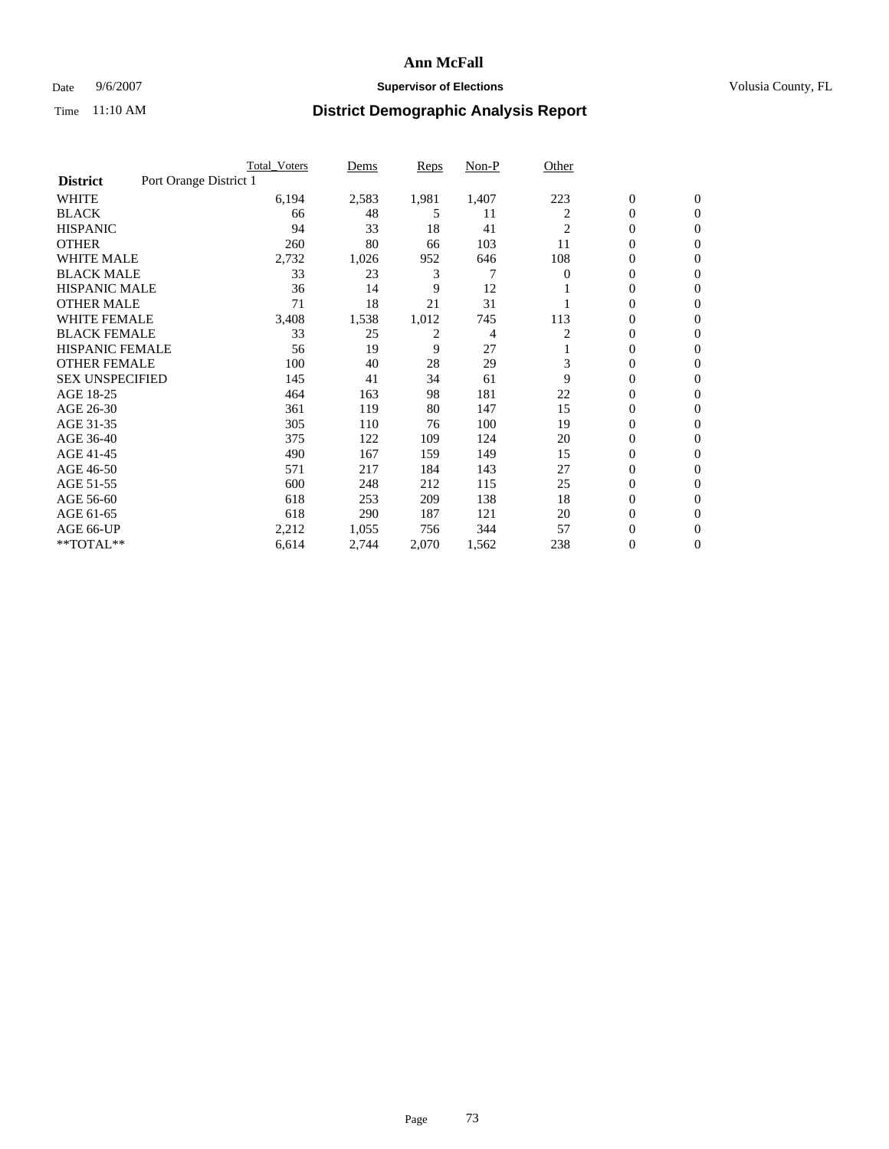#### Date 9/6/2007 **Supervisor of Elections Supervisor of Elections** Volusia County, FL

|                                           | <b>Total Voters</b> | Dems  | Reps  | Non-P | Other    |                  |                  |  |
|-------------------------------------------|---------------------|-------|-------|-------|----------|------------------|------------------|--|
| Port Orange District 1<br><b>District</b> |                     |       |       |       |          |                  |                  |  |
| <b>WHITE</b>                              | 6,194               | 2,583 | 1,981 | 1,407 | 223      | $\boldsymbol{0}$ | $\mathbf{0}$     |  |
| <b>BLACK</b>                              | 66                  | 48    | 5     | 11    | 2        | $\mathbf{0}$     | $\mathbf{0}$     |  |
| <b>HISPANIC</b>                           | 94                  | 33    | 18    | 41    | 2        | 0                | $\mathbf{0}$     |  |
| <b>OTHER</b>                              | 260                 | 80    | 66    | 103   | 11       | 0                | $\overline{0}$   |  |
| <b>WHITE MALE</b>                         | 2,732               | 1,026 | 952   | 646   | 108      | 0                | $\mathbf{0}$     |  |
| <b>BLACK MALE</b>                         | 33                  | 23    | 3     | 7     | $\Omega$ | 0                | $\mathbf{0}$     |  |
| <b>HISPANIC MALE</b>                      | 36                  | 14    | 9     | 12    |          | 0                | $\Omega$         |  |
| <b>OTHER MALE</b>                         | 71                  | 18    | 21    | 31    |          | 0                | 0                |  |
| <b>WHITE FEMALE</b>                       | 3,408               | 1,538 | 1,012 | 745   | 113      | 0                | $\Omega$         |  |
| <b>BLACK FEMALE</b>                       | 33                  | 25    | 2     | 4     | 2        | $\mathbf{0}$     | $\mathbf{0}$     |  |
| <b>HISPANIC FEMALE</b>                    | 56                  | 19    | 9     | 27    |          | 0                | $\mathbf{0}$     |  |
| <b>OTHER FEMALE</b>                       | 100                 | 40    | 28    | 29    | 3        | 0                | $\mathbf{0}$     |  |
| <b>SEX UNSPECIFIED</b>                    | 145                 | 41    | 34    | 61    | 9        | 0                | $\mathbf{0}$     |  |
| AGE 18-25                                 | 464                 | 163   | 98    | 181   | 22       | 0                | $\Omega$         |  |
| AGE 26-30                                 | 361                 | 119   | 80    | 147   | 15       | 0                | $\mathbf{0}$     |  |
| AGE 31-35                                 | 305                 | 110   | 76    | 100   | 19       | 0                | $\mathbf{0}$     |  |
| AGE 36-40                                 | 375                 | 122   | 109   | 124   | 20       | $\mathbf{0}$     | $\mathbf{0}$     |  |
| AGE 41-45                                 | 490                 | 167   | 159   | 149   | 15       | 0                | $\mathbf{0}$     |  |
| AGE 46-50                                 | 571                 | 217   | 184   | 143   | 27       | $\mathbf{0}$     | $\mathbf{0}$     |  |
| AGE 51-55                                 | 600                 | 248   | 212   | 115   | 25       | 0                | $\mathbf{0}$     |  |
| AGE 56-60                                 | 618                 | 253   | 209   | 138   | 18       | 0                | $\mathbf{0}$     |  |
| AGE 61-65                                 | 618                 | 290   | 187   | 121   | 20       | 0                | $\mathbf{0}$     |  |
| AGE 66-UP                                 | 2,212               | 1,055 | 756   | 344   | 57       | 0                | 0                |  |
| **TOTAL**                                 | 6,614               | 2,744 | 2,070 | 1,562 | 238      | 0                | $\boldsymbol{0}$ |  |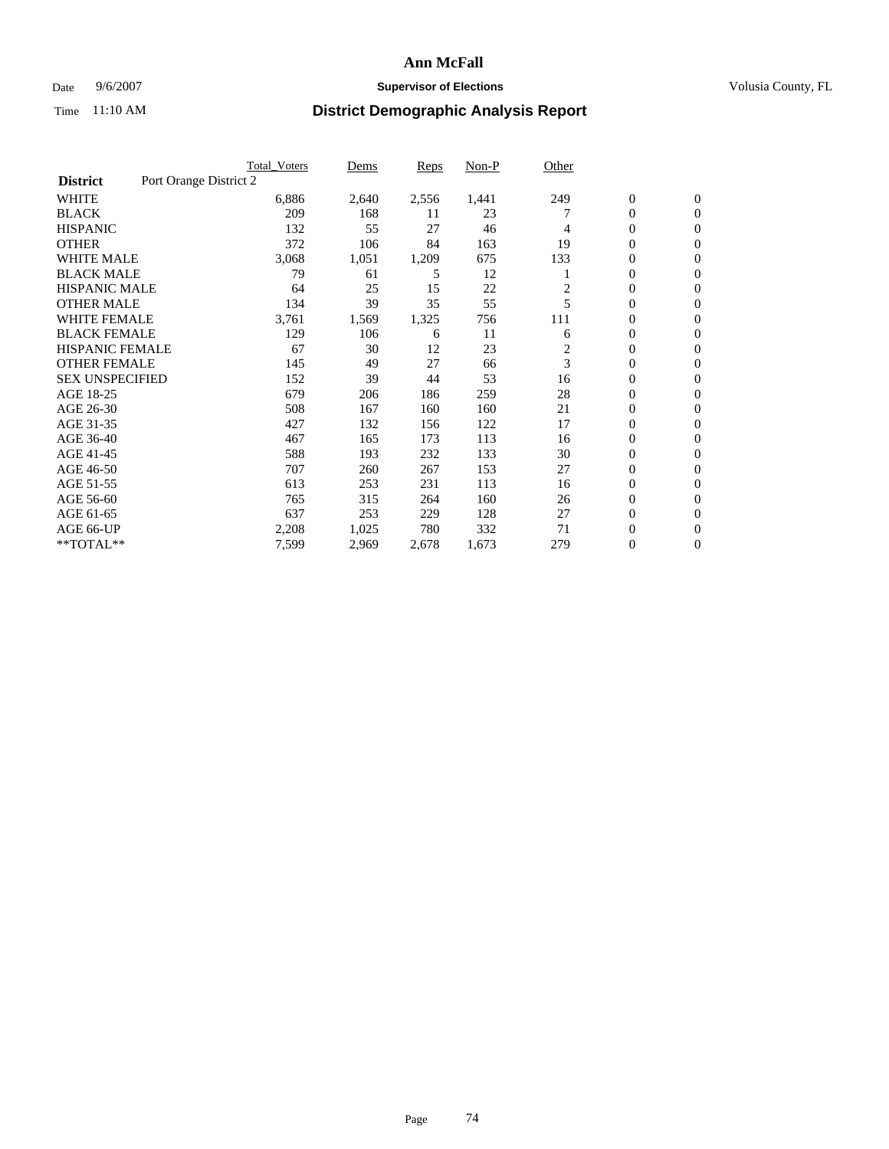#### Date 9/6/2007 **Supervisor of Elections Supervisor of Elections** Volusia County, FL

|                        |                        | <b>Total_Voters</b> | Dems  | <b>Reps</b> | Non-P | Other |                  |                |  |
|------------------------|------------------------|---------------------|-------|-------------|-------|-------|------------------|----------------|--|
| <b>District</b>        | Port Orange District 2 |                     |       |             |       |       |                  |                |  |
| <b>WHITE</b>           |                        | 6,886               | 2,640 | 2,556       | 1,441 | 249   | $\boldsymbol{0}$ | $\mathbf{0}$   |  |
| <b>BLACK</b>           |                        | 209                 | 168   | 11          | 23    |       | $\overline{0}$   | $\mathbf{0}$   |  |
| <b>HISPANIC</b>        |                        | 132                 | 55    | 27          | 46    | 4     | $\boldsymbol{0}$ | $\mathbf{0}$   |  |
| <b>OTHER</b>           |                        | 372                 | 106   | 84          | 163   | 19    | 0                | $\mathbf{0}$   |  |
| <b>WHITE MALE</b>      |                        | 3,068               | 1,051 | 1,209       | 675   | 133   | 0                | $\mathbf{0}$   |  |
| <b>BLACK MALE</b>      |                        | 79                  | 61    | 5           | 12    |       | $\boldsymbol{0}$ | $\mathbf{0}$   |  |
| <b>HISPANIC MALE</b>   |                        | 64                  | 25    | 15          | 22    | 2     | $\overline{0}$   | $\mathbf{0}$   |  |
| <b>OTHER MALE</b>      |                        | 134                 | 39    | 35          | 55    | 5     | $\overline{0}$   | $\mathbf{0}$   |  |
| <b>WHITE FEMALE</b>    |                        | 3,761               | 1,569 | 1,325       | 756   | 111   | 0                | $\mathbf{0}$   |  |
| <b>BLACK FEMALE</b>    |                        | 129                 | 106   | 6           | 11    | 6     | $\overline{0}$   | $\mathbf{0}$   |  |
| <b>HISPANIC FEMALE</b> |                        | 67                  | 30    | 12          | 23    | 2     | 0                | $\mathbf{0}$   |  |
| <b>OTHER FEMALE</b>    |                        | 145                 | 49    | 27          | 66    | 3     | 0                | $\mathbf{0}$   |  |
| <b>SEX UNSPECIFIED</b> |                        | 152                 | 39    | 44          | 53    | 16    | $\overline{0}$   | $\mathbf{0}$   |  |
| AGE 18-25              |                        | 679                 | 206   | 186         | 259   | 28    | $\mathbf{0}$     | $\mathbf{0}$   |  |
| AGE 26-30              |                        | 508                 | 167   | 160         | 160   | 21    | $\overline{0}$   | $\mathbf{0}$   |  |
| AGE 31-35              |                        | 427                 | 132   | 156         | 122   | 17    | $\overline{0}$   | $\mathbf{0}$   |  |
| AGE 36-40              |                        | 467                 | 165   | 173         | 113   | 16    | $\boldsymbol{0}$ | $\mathbf{0}$   |  |
| AGE 41-45              |                        | 588                 | 193   | 232         | 133   | 30    | $\boldsymbol{0}$ | $\mathbf{0}$   |  |
| AGE 46-50              |                        | 707                 | 260   | 267         | 153   | 27    | 0                | $\Omega$       |  |
| AGE 51-55              |                        | 613                 | 253   | 231         | 113   | 16    | $\boldsymbol{0}$ | $\mathbf{0}$   |  |
| AGE 56-60              |                        | 765                 | 315   | 264         | 160   | 26    | $\overline{0}$   | $\mathbf{0}$   |  |
| AGE 61-65              |                        | 637                 | 253   | 229         | 128   | 27    | $\mathbf{0}$     | $\mathbf{0}$   |  |
| AGE 66-UP              |                        | 2,208               | 1,025 | 780         | 332   | 71    | 0                | $\mathbf{0}$   |  |
| **TOTAL**              |                        | 7,599               | 2,969 | 2,678       | 1,673 | 279   | 0                | $\overline{0}$ |  |
|                        |                        |                     |       |             |       |       |                  |                |  |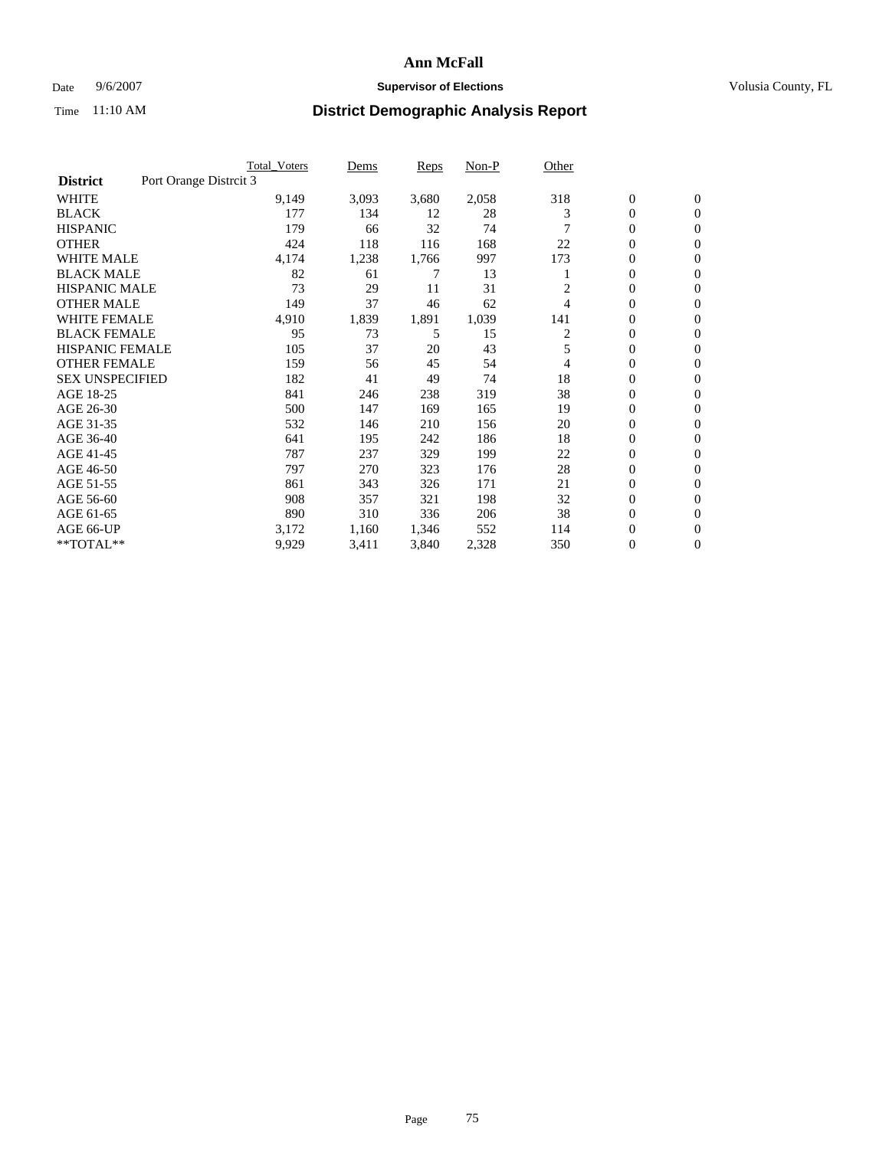#### Date 9/6/2007 **Supervisor of Elections Supervisor of Elections** Volusia County, FL

|                        |                        | <b>Total_Voters</b> | Dems  | <b>Reps</b> | Non-P | Other |                  |                  |
|------------------------|------------------------|---------------------|-------|-------------|-------|-------|------------------|------------------|
| <b>District</b>        | Port Orange Distrcit 3 |                     |       |             |       |       |                  |                  |
| <b>WHITE</b>           |                        | 9,149               | 3,093 | 3,680       | 2,058 | 318   | $\boldsymbol{0}$ | $\mathbf{0}$     |
| <b>BLACK</b>           |                        | 177                 | 134   | 12          | 28    | 3     | $\overline{0}$   | $\mathbf{0}$     |
| <b>HISPANIC</b>        |                        | 179                 | 66    | 32          | 74    |       | $\overline{0}$   | $\mathbf{0}$     |
| <b>OTHER</b>           |                        | 424                 | 118   | 116         | 168   | 22    | 0                | $\mathbf{0}$     |
| <b>WHITE MALE</b>      |                        | 4,174               | 1,238 | 1,766       | 997   | 173   | 0                | $\mathbf{0}$     |
| <b>BLACK MALE</b>      |                        | 82                  | 61    | 7           | 13    |       | $\boldsymbol{0}$ | $\mathbf{0}$     |
| <b>HISPANIC MALE</b>   |                        | 73                  | 29    | 11          | 31    |       | $\overline{0}$   | $\mathbf{0}$     |
| <b>OTHER MALE</b>      |                        | 149                 | 37    | 46          | 62    | 4     | $\overline{0}$   | $\mathbf{0}$     |
| <b>WHITE FEMALE</b>    |                        | 4,910               | 1,839 | 1,891       | 1,039 | 141   | 0                | $\mathbf{0}$     |
| <b>BLACK FEMALE</b>    |                        | 95                  | 73    | 5           | 15    | 2     | $\overline{0}$   | $\mathbf{0}$     |
| <b>HISPANIC FEMALE</b> |                        | 105                 | 37    | 20          | 43    | 5     | $\boldsymbol{0}$ | $\mathbf{0}$     |
| <b>OTHER FEMALE</b>    |                        | 159                 | 56    | 45          | 54    | 4     | 0                | $\overline{0}$   |
| <b>SEX UNSPECIFIED</b> |                        | 182                 | 41    | 49          | 74    | 18    | $\overline{0}$   | $\mathbf{0}$     |
| AGE 18-25              |                        | 841                 | 246   | 238         | 319   | 38    | $\overline{0}$   | $\mathbf{0}$     |
| AGE 26-30              |                        | 500                 | 147   | 169         | 165   | 19    | $\overline{0}$   | $\mathbf{0}$     |
| AGE 31-35              |                        | 532                 | 146   | 210         | 156   | 20    | $\overline{0}$   | $\mathbf{0}$     |
| AGE 36-40              |                        | 641                 | 195   | 242         | 186   | 18    | $\boldsymbol{0}$ | $\mathbf{0}$     |
| AGE 41-45              |                        | 787                 | 237   | 329         | 199   | 22    | $\boldsymbol{0}$ | $\mathbf{0}$     |
| AGE 46-50              |                        | 797                 | 270   | 323         | 176   | 28    | 0                | $\Omega$         |
| AGE 51-55              |                        | 861                 | 343   | 326         | 171   | 21    | $\boldsymbol{0}$ | $\mathbf{0}$     |
| AGE 56-60              |                        | 908                 | 357   | 321         | 198   | 32    | $\overline{0}$   | $\mathbf{0}$     |
| AGE 61-65              |                        | 890                 | 310   | 336         | 206   | 38    | $\mathbf{0}$     | $\mathbf{0}$     |
| AGE 66-UP              |                        | 3,172               | 1,160 | 1,346       | 552   | 114   | 0                | $\boldsymbol{0}$ |
| **TOTAL**              |                        | 9,929               | 3,411 | 3,840       | 2,328 | 350   | 0                | $\overline{0}$   |
|                        |                        |                     |       |             |       |       |                  |                  |